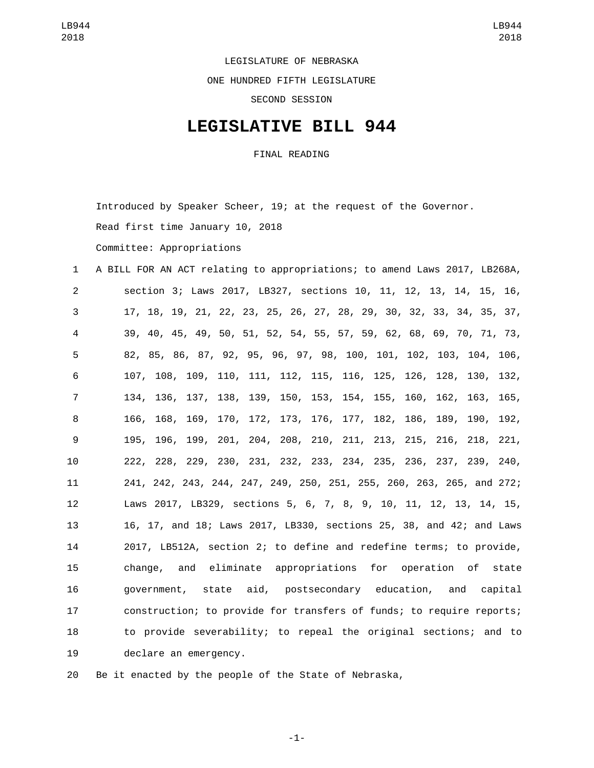LEGISLATURE OF NEBRASKA

ONE HUNDRED FIFTH LEGISLATURE

SECOND SESSION

## **LEGISLATIVE BILL 944**

FINAL READING

Introduced by Speaker Scheer, 19; at the request of the Governor.

Read first time January 10, 2018

Committee: Appropriations

 A BILL FOR AN ACT relating to appropriations; to amend Laws 2017, LB268A, section 3; Laws 2017, LB327, sections 10, 11, 12, 13, 14, 15, 16, 17, 18, 19, 21, 22, 23, 25, 26, 27, 28, 29, 30, 32, 33, 34, 35, 37, 39, 40, 45, 49, 50, 51, 52, 54, 55, 57, 59, 62, 68, 69, 70, 71, 73, 82, 85, 86, 87, 92, 95, 96, 97, 98, 100, 101, 102, 103, 104, 106, 107, 108, 109, 110, 111, 112, 115, 116, 125, 126, 128, 130, 132, 134, 136, 137, 138, 139, 150, 153, 154, 155, 160, 162, 163, 165, 166, 168, 169, 170, 172, 173, 176, 177, 182, 186, 189, 190, 192, 195, 196, 199, 201, 204, 208, 210, 211, 213, 215, 216, 218, 221, 222, 228, 229, 230, 231, 232, 233, 234, 235, 236, 237, 239, 240, 241, 242, 243, 244, 247, 249, 250, 251, 255, 260, 263, 265, and 272; Laws 2017, LB329, sections 5, 6, 7, 8, 9, 10, 11, 12, 13, 14, 15, 16, 17, and 18; Laws 2017, LB330, sections 25, 38, and 42; and Laws 2017, LB512A, section 2; to define and redefine terms; to provide, change, and eliminate appropriations for operation of state government, state aid, postsecondary education, and capital construction; to provide for transfers of funds; to require reports; to provide severability; to repeal the original sections; and to 19 declare an emergency.

Be it enacted by the people of the State of Nebraska,

-1-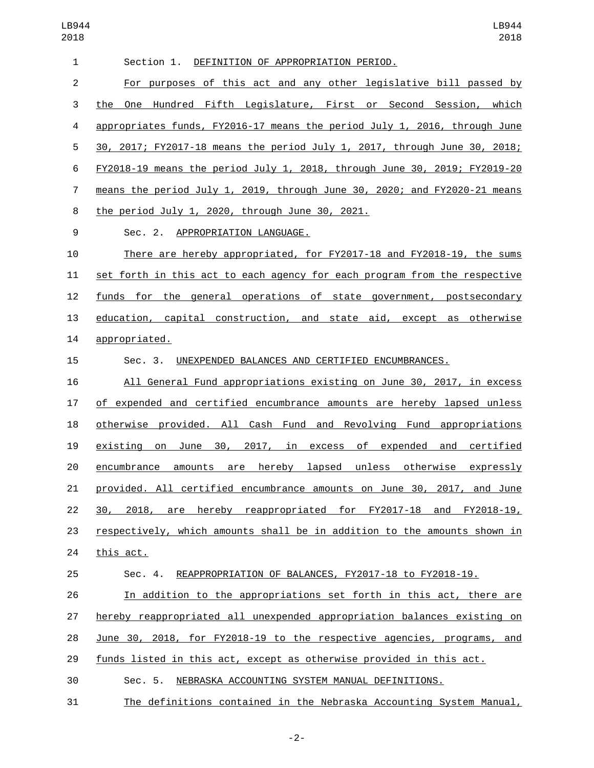| $\mathbf{1}$   | Section 1. DEFINITION OF APPROPRIATION PERIOD.                             |
|----------------|----------------------------------------------------------------------------|
| $\overline{2}$ | For purposes of this act and any other legislative bill passed by          |
| 3              | the One Hundred Fifth Legislature, First or Second Session, which          |
| 4              | appropriates funds, FY2016-17 means the period July 1, 2016, through June  |
| 5              | 30, 2017; FY2017-18 means the period July 1, 2017, through June 30, 2018;  |
| 6              | FY2018-19 means the period July 1, 2018, through June 30, 2019; FY2019-20  |
| 7              | means the period July 1, 2019, through June 30, 2020; and FY2020-21 means  |
| 8              | the period July 1, 2020, through June 30, 2021.                            |
| 9              | Sec. 2. APPROPRIATION LANGUAGE.                                            |
| 10             | There are hereby appropriated, for FY2017-18 and FY2018-19, the sums       |
| 11             | set forth in this act to each agency for each program from the respective  |
| 12             | <u>funds</u> for the general operations of state government, postsecondary |
| 13             | education, capital construction, and state aid, except as otherwise        |
| 14             | appropriated.                                                              |
| 15             | UNEXPENDED BALANCES AND CERTIFIED ENCUMBRANCES.<br>Sec. 3.                 |
| 16             | All General Fund appropriations existing on June 30, 2017, in excess       |
| 17             | of expended and certified encumbrance amounts are hereby lapsed unless     |
| 18             | otherwise provided. All Cash Fund and Revolving Fund appropriations        |
| 19             | existing on June 30, 2017, in excess of expended and certified             |
| 20             | hereby lapsed unless otherwise expressly<br>encumbrance amounts are        |
| 21             | provided. All certified encumbrance amounts on June 30, 2017, and June     |
| 22             | 30, 2018, are hereby reappropriated for FY2017-18 and FY2018-19,           |
| 23             | respectively, which amounts shall be in addition to the amounts shown in   |
| 24             | this act.                                                                  |
| 25             | Sec. 4. REAPPROPRIATION OF BALANCES, FY2017-18 to FY2018-19.               |
| 26             | In addition to the appropriations set forth in this act, there are         |
| 27             | hereby reappropriated all unexpended appropriation balances existing on    |
| 28             | June 30, 2018, for FY2018-19 to the respective agencies, programs, and     |
| 29             | funds listed in this act, except as otherwise provided in this act.        |
| 30             | Sec. 5.<br>NEBRASKA ACCOUNTING SYSTEM MANUAL DEFINITIONS.                  |

The definitions contained in the Nebraska Accounting System Manual,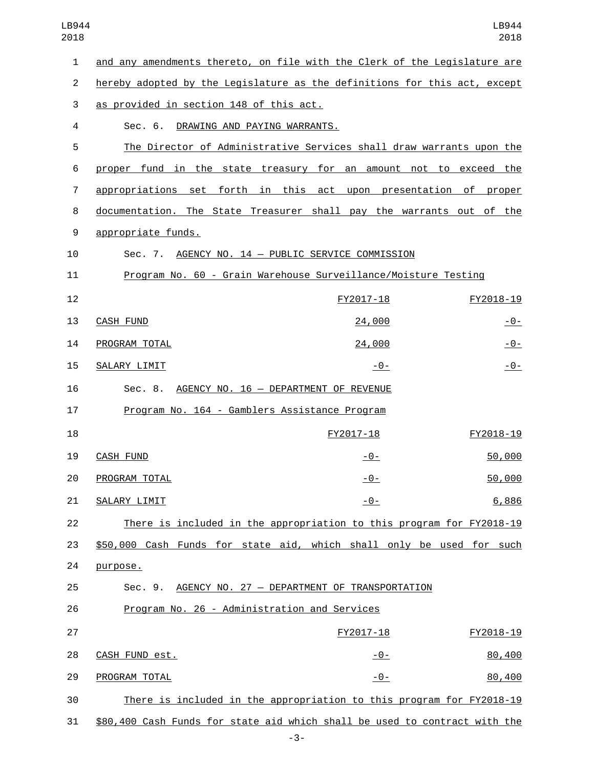| $\mathbf{1}$   | and any amendments thereto, on file with the Clerk of the Legislature are  |               |               |
|----------------|----------------------------------------------------------------------------|---------------|---------------|
| 2              | hereby adopted by the Legislature as the definitions for this act, except  |               |               |
| 3              | as provided in section 148 of this act.                                    |               |               |
| 4              | Sec. 6.<br>DRAWING AND PAYING WARRANTS.                                    |               |               |
| 5              | The Director of Administrative Services shall draw warrants upon the       |               |               |
| 6              | proper fund in the state treasury for an amount not to exceed the          |               |               |
| $\overline{7}$ | appropriations set forth in this act upon presentation of proper           |               |               |
| 8              | documentation. The State Treasurer shall pay the warrants out of the       |               |               |
| 9              | appropriate funds.                                                         |               |               |
| 10             | Sec. 7. AGENCY NO. 14 - PUBLIC SERVICE COMMISSION                          |               |               |
| 11             | Program No. 60 - Grain Warehouse Surveillance/Moisture Testing             |               |               |
| 12             |                                                                            | FY2017-18     | FY2018-19     |
| 13             | <b>CASH FUND</b>                                                           | 24,000        | <u>-0-</u>    |
| 14             | PROGRAM TOTAL                                                              | 24,000        | <u>- 0 - </u> |
| 15             | SALARY LIMIT                                                               | $-0-$         | $-0-$         |
| 16             | AGENCY NO. 16 - DEPARTMENT OF REVENUE<br>Sec. 8.                           |               |               |
| 17             | Program No. 164 - Gamblers Assistance Program                              |               |               |
| 18             |                                                                            | FY2017-18     | FY2018-19     |
| 19             | <b>CASH FUND</b>                                                           | <u>- 0 - </u> | 50,000        |
| 20             | PROGRAM TOTAL                                                              | $-0-$         | 50,000        |
| 21             | SALARY LIMIT                                                               | $-0-$         | 6,886         |
| 22             | There is included in the appropriation to this program for FY2018-19       |               |               |
| 23             | \$50,000 Cash Funds for state aid, which shall only be used for such       |               |               |
| 24             | purpose.                                                                   |               |               |
| 25             | AGENCY NO. 27 - DEPARTMENT OF TRANSPORTATION<br>Sec. 9.                    |               |               |
| 26             | Program No. 26 - Administration and Services                               |               |               |
| 27             |                                                                            | FY2017-18     | FY2018-19     |
| 28             | CASH FUND est.                                                             | $-0-$         | 80,400        |
| 29             | PROGRAM TOTAL                                                              | $-0-$         | 80,400        |
| 30             | There is included in the appropriation to this program for FY2018-19       |               |               |
| 31             | \$80,400 Cash Funds for state aid which shall be used to contract with the |               |               |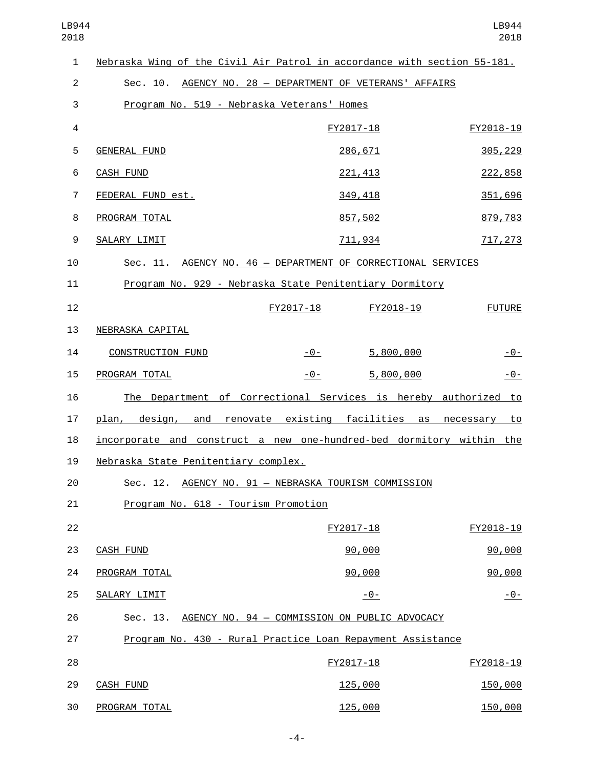| $\mathbf{1}$   | Nebraska Wing of the Civil Air Patrol in accordance with section 55-181. |                                               |            |                |
|----------------|--------------------------------------------------------------------------|-----------------------------------------------|------------|----------------|
| $\overline{2}$ | Sec. 10. AGENCY NO. 28 - DEPARTMENT OF VETERANS' AFFAIRS                 |                                               |            |                |
| 3              | Program No. 519 - Nebraska Veterans' Homes                               |                                               |            |                |
| $\overline{4}$ |                                                                          |                                               | FY2017-18  | FY2018-19      |
| 5              | <b>GENERAL FUND</b>                                                      |                                               | 286,671    | 305, 229       |
| 6              | <b>CASH FUND</b>                                                         |                                               | 221, 413   | 222,858        |
| 7              | FEDERAL FUND est.                                                        |                                               | 349,418    | 351,696        |
| 8              | PROGRAM TOTAL                                                            |                                               | 857,502    | 879,783        |
| 9              | SALARY LIMIT                                                             |                                               | 711,934    | 717, 273       |
| 10             | Sec. 11. AGENCY NO. 46 - DEPARTMENT OF CORRECTIONAL SERVICES             |                                               |            |                |
| 11             | Program No. 929 - Nebraska State Penitentiary Dormitory                  |                                               |            |                |
| 12             |                                                                          | FY2017-18                                     | FY2018-19  | <b>FUTURE</b>  |
| 13             | NEBRASKA CAPITAL                                                         |                                               |            |                |
| 14             | <b>CONSTRUCTION FUND</b>                                                 | $-0-$                                         | 5,800,000  | $-0-$          |
| 15             | PROGRAM TOTAL                                                            | $-0-$                                         | 5,800,000  | $-0-$          |
| 16             | The Department of Correctional Services is hereby authorized to          |                                               |            |                |
| 17             | plan, design, and renovate existing facilities as necessary to           |                                               |            |                |
| 18             | incorporate and construct a new one-hundred-bed dormitory within the     |                                               |            |                |
| 19             | Nebraska State Penitentiary complex.                                     |                                               |            |                |
| 20             | Sec. 12. AGENCY NO. 91 - NEBRASKA TOURISM COMMISSION                     |                                               |            |                |
| 21             | Program No. 618 - Tourism Promotion                                      |                                               |            |                |
| 22             |                                                                          |                                               | FY2017-18  | FY2018-19      |
| 23             | <b>CASH FUND</b>                                                         |                                               | 90,000     | 90,000         |
| 24             | PROGRAM TOTAL                                                            |                                               | 90,000     | 90,000         |
| 25             | SALARY LIMIT                                                             |                                               | <u>-0-</u> | <u> - 0 - </u> |
| 26             | Sec. 13.                                                                 | AGENCY NO. 94 - COMMISSION ON PUBLIC ADVOCACY |            |                |
| 27             | Program No. 430 - Rural Practice Loan Repayment Assistance               |                                               |            |                |
| 28             |                                                                          |                                               | FY2017-18  | FY2018-19      |
| 29             | <b>CASH FUND</b>                                                         |                                               | 125,000    | 150,000        |
| 30             | PROGRAM TOTAL                                                            |                                               | 125,000    | 150,000        |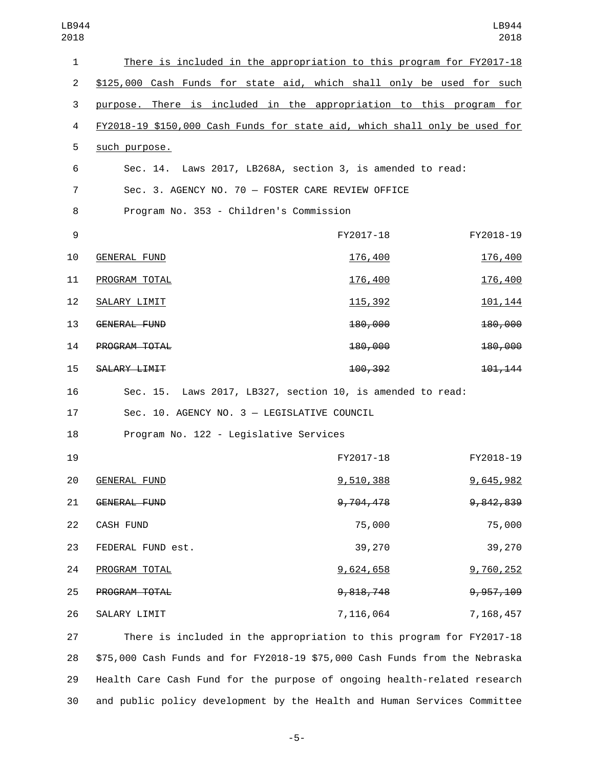| LB944<br>2018  |                                                                            |           | LB944<br>2018 |
|----------------|----------------------------------------------------------------------------|-----------|---------------|
| $\mathbf{1}$   | There is included in the appropriation to this program for FY2017-18       |           |               |
| $\overline{2}$ | \$125,000 Cash Funds for state aid, which shall only be used for such      |           |               |
| 3              | purpose. There is included in the appropriation to this program for        |           |               |
| 4              | FY2018-19 \$150,000 Cash Funds for state aid, which shall only be used for |           |               |
| 5              | such purpose.                                                              |           |               |
| 6              | Sec. 14. Laws 2017, LB268A, section 3, is amended to read:                 |           |               |
| 7              | Sec. 3. AGENCY NO. 70 - FOSTER CARE REVIEW OFFICE                          |           |               |
| 8              | Program No. 353 - Children's Commission                                    |           |               |
| 9              |                                                                            | FY2017-18 | FY2018-19     |
| 10             | <b>GENERAL FUND</b>                                                        | 176,400   | 176,400       |
| 11             | PROGRAM TOTAL                                                              | 176,400   | 176,400       |
| 12             | SALARY LIMIT                                                               | 115,392   | 101,144       |
| 13             | GENERAL FUND                                                               | 180,000   | 180,000       |
| 14             | PROGRAM TOTAL                                                              | 180,000   | 180,000       |
| 15             | SALARY LIMIT                                                               | 100,392   | 101, 144      |
| 16             | Sec. 15. Laws 2017, LB327, section 10, is amended to read:                 |           |               |
| 17             | Sec. 10. AGENCY NO. 3 - LEGISLATIVE COUNCIL                                |           |               |
| 18             | Program No. 122 - Legislative Services                                     |           |               |
| 19             |                                                                            | FY2017-18 | FY2018-19     |
| 20             | <b>GENERAL FUND</b>                                                        | 9,510,388 | 9,645,982     |
| 21             | GENERAL FUND                                                               | 9,704,478 | 9,842,839     |
| 22             | CASH FUND                                                                  | 75,000    | 75,000        |
| 23             | FEDERAL FUND est.                                                          | 39,270    | 39,270        |
| 24             | PROGRAM TOTAL                                                              | 9,624,658 | 9,760,252     |
| 25             | PROGRAM TOTAL                                                              | 9,818,748 | 9, 957, 109   |
| 26             | SALARY LIMIT                                                               | 7,116,064 | 7,168,457     |
| 27             | There is included in the appropriation to this program for FY2017-18       |           |               |
|                |                                                                            |           |               |

28 \$75,000 Cash Funds and for FY2018-19 \$75,000 Cash Funds from the Nebraska 29 Health Care Cash Fund for the purpose of ongoing health-related research 30 and public policy development by the Health and Human Services Committee

-5-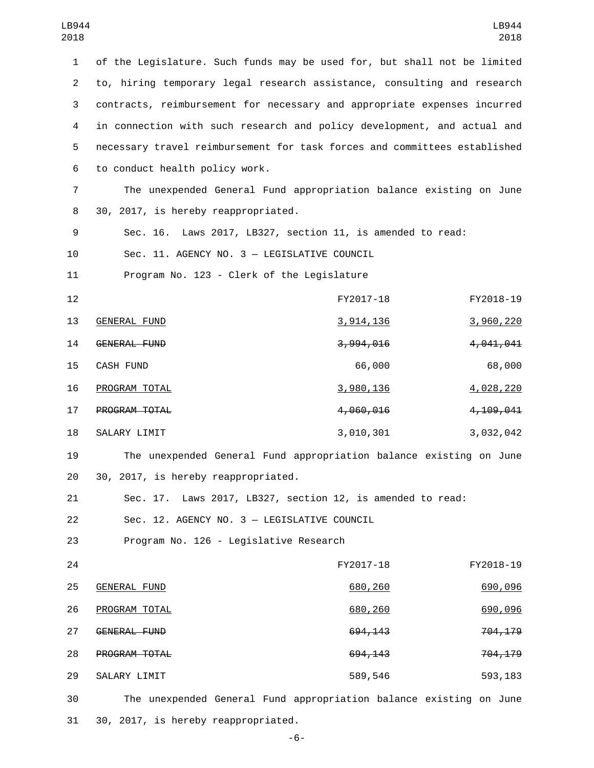1 of the Legislature. Such funds may be used for, but shall not be limited 2 to, hiring temporary legal research assistance, consulting and research 3 contracts, reimbursement for necessary and appropriate expenses incurred 4 in connection with such research and policy development, and actual and 5 necessary travel reimbursement for task forces and committees established 6 to conduct health policy work. 7 The unexpended General Fund appropriation balance existing on June 30, 2017, is hereby reappropriated.8 9 Sec. 16. Laws 2017, LB327, section 11, is amended to read: 10 Sec. 11. AGENCY NO. 3 - LEGISLATIVE COUNCIL 11 Program No. 123 - Clerk of the Legislature 12 FY2017-18 FY2018-19 13 GENERAL FUND 2000 220 3,914,136 3,960,220 14 GENERAL FUND 14 3,994,016 3,994,016 CASH FUND15 66,000 68,000 16 PROGRAM TOTAL 2001 10 2002 13,980,136 4,028,220 17 **PROGRAM TOTAL** 2000 2000 2000 4,060,016 4,060,016 18 SALARY LIMIT 18 3,010,301 3,000,301 3,032,042 19 The unexpended General Fund appropriation balance existing on June 20 30, 2017, is hereby reappropriated. 21 Sec. 17. Laws 2017, LB327, section 12, is amended to read: Sec. 12. AGENCY NO. 3 — LEGISLATIVE COUNCIL22 23 Program No. 126 - Legislative Research 24 FY2017-18 FY2018-19 25 GENERAL FUND 25 GENERAL 690, 260 GENERAL FUND PROGRAM TOTAL26 680,260 690,096 27 GENERAL FUND<br>27 GENERAL FUND 28 **PROGRAM TOTAL** 28 **694,143** 704,179 SALARY LIMIT29 589,546 593,183 30 The unexpended General Fund appropriation balance existing on June

31 30, 2017, is hereby reappropriated.

-6-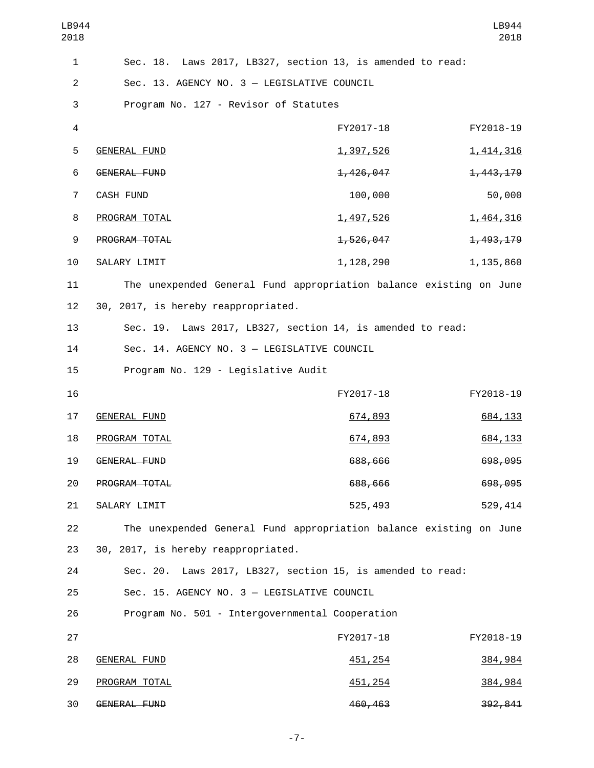| LB944<br>2018  |                                                                    |                  | LB944<br>2018 |
|----------------|--------------------------------------------------------------------|------------------|---------------|
| 1              | Sec. 18. Laws 2017, LB327, section 13, is amended to read:         |                  |               |
| $\overline{2}$ | Sec. 13. AGENCY NO. 3 - LEGISLATIVE COUNCIL                        |                  |               |
| 3              | Program No. 127 - Revisor of Statutes                              |                  |               |
| $\overline{4}$ |                                                                    | FY2017-18        | FY2018-19     |
| 5              | <b>GENERAL FUND</b>                                                | <u>1,397,526</u> | 1,414,316     |
| 6              | <b>GENERAL FUND</b>                                                | 1,426,047        | 1,443,179     |
| $\overline{7}$ | <b>CASH FUND</b>                                                   | 100,000          | 50,000        |
| 8              | PROGRAM TOTAL                                                      | <u>1,497,526</u> | 1,464,316     |
| 9              | PROGRAM TOTAL                                                      | 1,526,047        | 1,493,179     |
| 10             | SALARY LIMIT                                                       | 1, 128, 290      | 1,135,860     |
| 11             | The unexpended General Fund appropriation balance existing on June |                  |               |
| 12             | 30, 2017, is hereby reappropriated.                                |                  |               |
| 13             | Sec. 19. Laws 2017, LB327, section 14, is amended to read:         |                  |               |
| 14             | Sec. 14. AGENCY NO. 3 - LEGISLATIVE COUNCIL                        |                  |               |
| 15             | Program No. 129 - Legislative Audit                                |                  |               |
| 16             |                                                                    | FY2017-18        | FY2018-19     |
| 17             | <b>GENERAL FUND</b>                                                | 674,893          | 684, 133      |
| 18             | PROGRAM TOTAL                                                      | 674,893          | 684, 133      |
| 19             | GENERAL FUND                                                       | 688,666          | 698,095       |
| 20             | PROGRAM TOTAL                                                      | 688,666          | 698,095       |
| 21             | SALARY LIMIT                                                       | 525,493          | 529,414       |
| 22             | The unexpended General Fund appropriation balance existing on June |                  |               |
| 23             | 30, 2017, is hereby reappropriated.                                |                  |               |
| 24             | Sec. 20. Laws 2017, LB327, section 15, is amended to read:         |                  |               |
| 25             | Sec. 15. AGENCY NO. 3 - LEGISLATIVE COUNCIL                        |                  |               |
| 26             | Program No. 501 - Intergovernmental Cooperation                    |                  |               |
| 27             |                                                                    | FY2017-18        | FY2018-19     |
| 28             | <b>GENERAL FUND</b>                                                | 451, 254         | 384,984       |
| 29             | PROGRAM TOTAL                                                      | 451,254          | 384,984       |
| 30             | GENERAL FUND                                                       | 460,463          | 392,841       |

-7-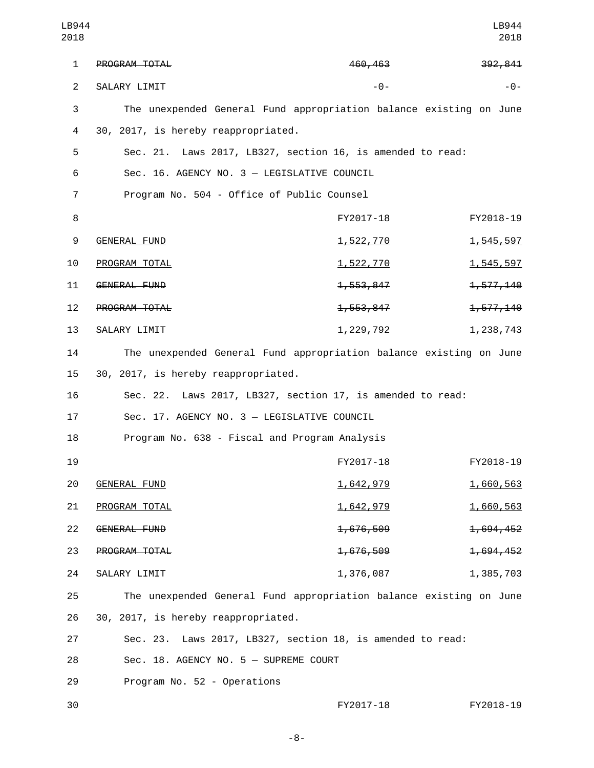| LB944<br>2018  |                                                                    |                  | LB944<br>2018 |
|----------------|--------------------------------------------------------------------|------------------|---------------|
| 1              | PROGRAM TOTAL                                                      | 460,463          | 392,841       |
| $\overline{2}$ | SALARY LIMIT                                                       | $ \Theta$ –      | - 0 -         |
| 3              | The unexpended General Fund appropriation balance existing on June |                  |               |
| 4              | 30, 2017, is hereby reappropriated.                                |                  |               |
| 5              | Sec. 21. Laws 2017, LB327, section 16, is amended to read:         |                  |               |
| 6              | Sec. 16. AGENCY NO. 3 - LEGISLATIVE COUNCIL                        |                  |               |
| 7              | Program No. 504 - Office of Public Counsel                         |                  |               |
| 8              |                                                                    | FY2017-18        | FY2018-19     |
| 9              | <b>GENERAL FUND</b>                                                | <u>1,522,770</u> | 1,545,597     |
| 10             | PROGRAM TOTAL                                                      | <u>1,522,770</u> | 1,545,597     |
| 11             | GENERAL FUND                                                       | 1,553,847        | 1,577,140     |
| 12             | PROGRAM TOTAL                                                      | 1,553,847        | 1,577,140     |
| 13             | SALARY LIMIT                                                       | 1, 229, 792      | 1,238,743     |
| 14             | The unexpended General Fund appropriation balance existing on June |                  |               |
| 15             | 30, 2017, is hereby reappropriated.                                |                  |               |
| 16             | Sec. 22. Laws 2017, LB327, section 17, is amended to read:         |                  |               |
| 17             | Sec. 17. AGENCY NO. 3 - LEGISLATIVE COUNCIL                        |                  |               |
| 18             | Program No. 638 - Fiscal and Program Analysis                      |                  |               |
| 19             |                                                                    | FY2017-18        | FY2018-19     |
| 20             | <b>GENERAL FUND</b>                                                | 1,642,979        | 1,660,563     |
| 21             | PROGRAM TOTAL                                                      | <u>1,642,979</u> | 1,660,563     |
| 22             | GENERAL FUND                                                       | 1,676,509        | 1,694,452     |
| 23             | PROGRAM TOTAL                                                      | 1,676,509        | 1,694,452     |
| 24             | SALARY LIMIT                                                       | 1,376,087        | 1,385,703     |
| 25             | The unexpended General Fund appropriation balance existing on June |                  |               |
| 26             | 30, 2017, is hereby reappropriated.                                |                  |               |
| 27             | Sec. 23. Laws 2017, LB327, section 18, is amended to read:         |                  |               |
| 28             | Sec. 18. AGENCY NO. 5 - SUPREME COURT                              |                  |               |
| 29             | Program No. 52 - Operations                                        |                  |               |
| 30             |                                                                    | FY2017-18        | FY2018-19     |

-8-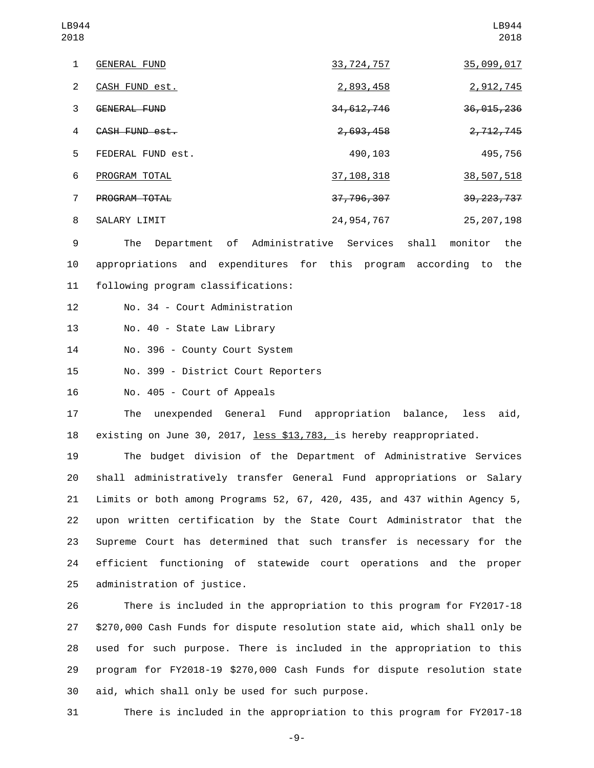| LB944<br>2018 |                     |              | LB944<br>2018 |
|---------------|---------------------|--------------|---------------|
| 1             | <b>GENERAL FUND</b> | 33, 724, 757 | 35,099,017    |
| 2             | CASH FUND est.      | 2,893,458    | 2,912,745     |
| 3             | GENERAL FUND        | 34, 612, 746 | 36, 015, 236  |
| 4             | CASH FUND est.      | 2,693,458    | 2,712,745     |
| 5             | FEDERAL FUND est.   | 490,103      | 495,756       |
| 6             | PROGRAM TOTAL       | 37, 108, 318 | 38,507,518    |
| 7             | PROGRAM TOTAL       | 37,796,307   | 39, 223, 737  |
| 8             | SALARY LIMIT        | 24, 954, 767 | 25, 207, 198  |

9 The Department of Administrative Services shall monitor the 10 appropriations and expenditures for this program according to the 11 following program classifications:

12 No. 34 - Court Administration

13 No. 40 - State Law Library

14 No. 396 - County Court System

15 No. 399 - District Court Reporters

16 No. 405 - Court of Appeals

17 The unexpended General Fund appropriation balance, less aid, 18 existing on June 30, 2017, less \$13,783, is hereby reappropriated.

 The budget division of the Department of Administrative Services shall administratively transfer General Fund appropriations or Salary Limits or both among Programs 52, 67, 420, 435, and 437 within Agency 5, upon written certification by the State Court Administrator that the Supreme Court has determined that such transfer is necessary for the efficient functioning of statewide court operations and the proper 25 administration of justice.

 There is included in the appropriation to this program for FY2017-18 \$270,000 Cash Funds for dispute resolution state aid, which shall only be used for such purpose. There is included in the appropriation to this program for FY2018-19 \$270,000 Cash Funds for dispute resolution state 30 aid, which shall only be used for such purpose.

31 There is included in the appropriation to this program for FY2017-18

-9-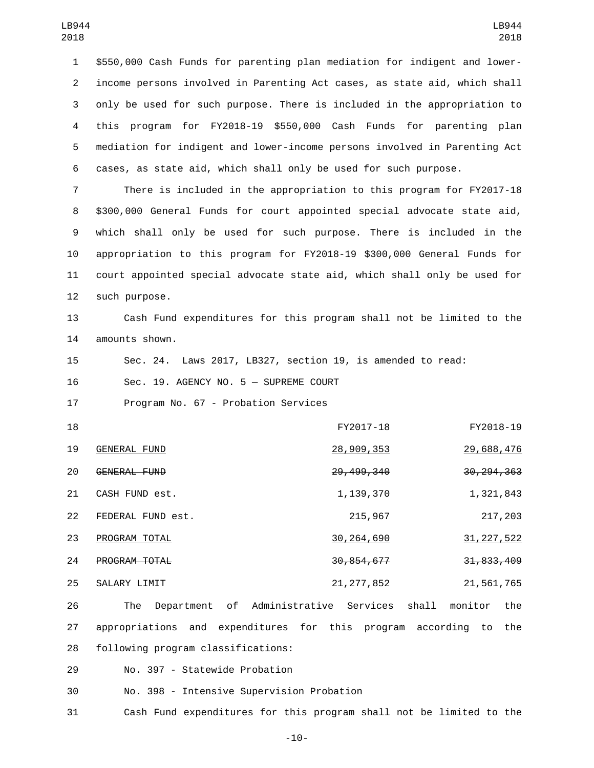\$550,000 Cash Funds for parenting plan mediation for indigent and lower- income persons involved in Parenting Act cases, as state aid, which shall only be used for such purpose. There is included in the appropriation to this program for FY2018-19 \$550,000 Cash Funds for parenting plan mediation for indigent and lower-income persons involved in Parenting Act cases, as state aid, which shall only be used for such purpose.

 There is included in the appropriation to this program for FY2017-18 \$300,000 General Funds for court appointed special advocate state aid, which shall only be used for such purpose. There is included in the appropriation to this program for FY2018-19 \$300,000 General Funds for court appointed special advocate state aid, which shall only be used for 12 such purpose.

13 Cash Fund expenditures for this program shall not be limited to the 14 amounts shown.

15 Sec. 24. Laws 2017, LB327, section 19, is amended to read:

16 Sec. 19. AGENCY NO. 5 - SUPREME COURT

17 Program No. 67 - Probation Services

| 18 |                      | FY2017-18    | FY2018-19    |
|----|----------------------|--------------|--------------|
| 19 | GENERAL FUND         | 28,909,353   | 29,688,476   |
| 20 | GENERAL FUND         | 29, 499, 340 | 30, 294, 363 |
| 21 | CASH FUND est.       | 1,139,370    | 1,321,843    |
| 22 | FEDERAL FUND est.    | 215,967      | 217,203      |
| 23 | PROGRAM TOTAL        | 30, 264, 690 | 31, 227, 522 |
| 24 | <b>PROGRAM TOTAL</b> | 30, 854, 677 | 31, 833, 409 |
| 25 | SALARY LIMIT         | 21, 277, 852 | 21,561,765   |

26 The Department of Administrative Services shall monitor the 27 appropriations and expenditures for this program according to the 28 following program classifications:

29 No. 397 - Statewide Probation

30 No. 398 - Intensive Supervision Probation

31 Cash Fund expenditures for this program shall not be limited to the

-10-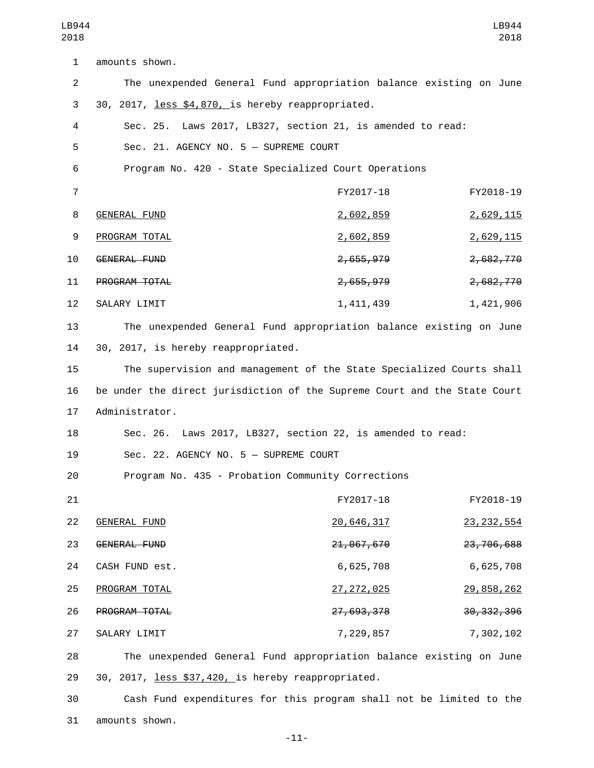| 2018           |                                                                           |              | 2018         |
|----------------|---------------------------------------------------------------------------|--------------|--------------|
| 1              | amounts shown.                                                            |              |              |
| $\overline{2}$ | The unexpended General Fund appropriation balance existing on June        |              |              |
| 3              | 30, 2017, less \$4,870, is hereby reappropriated.                         |              |              |
| 4              | Sec. 25. Laws 2017, LB327, section 21, is amended to read:                |              |              |
| 5              | Sec. 21. AGENCY NO. 5 - SUPREME COURT                                     |              |              |
| 6              | Program No. 420 - State Specialized Court Operations                      |              |              |
| $\overline{7}$ |                                                                           | FY2017-18    | FY2018-19    |
| 8              | <b>GENERAL FUND</b>                                                       | 2,602,859    | 2,629,115    |
| 9              | PROGRAM TOTAL                                                             | 2,602,859    | 2,629,115    |
| 10             | GENERAL FUND                                                              | 2,655,979    | 2,682,770    |
| 11             | PROGRAM TOTAL                                                             | 2,655,979    | 2,682,770    |
| 12             | SALARY LIMIT                                                              | 1,411,439    | 1,421,906    |
| 13             | The unexpended General Fund appropriation balance existing on June        |              |              |
| 14             | 30, 2017, is hereby reappropriated.                                       |              |              |
| 15             | The supervision and management of the State Specialized Courts shall      |              |              |
| 16             | be under the direct jurisdiction of the Supreme Court and the State Court |              |              |
| 17             | Administrator.                                                            |              |              |
| 18             | Sec. 26. Laws 2017, LB327, section 22, is amended to read:                |              |              |
| 19             | Sec. 22. AGENCY NO. 5 - SUPREME COURT                                     |              |              |
| 20             | Program No. 435 - Probation Community Corrections                         |              |              |
| 21             |                                                                           | FY2017-18    | FY2018-19    |
| 22             | <b>GENERAL FUND</b>                                                       | 20,646,317   | 23, 232, 554 |
| 23             | GENERAL FUND                                                              | 21,067,670   | 23,706,688   |
| 24             | CASH FUND est.                                                            | 6,625,708    | 6,625,708    |
| 25             | PROGRAM TOTAL                                                             | 27, 272, 025 | 29,858,262   |
| 26             | PROGRAM TOTAL                                                             | 27, 693, 378 | 30, 332, 396 |
| 27             | SALARY LIMIT                                                              | 7,229,857    | 7,302,102    |
| 28             | The unexpended General Fund appropriation balance existing on June        |              |              |
| 29             | 30, 2017, less \$37,420, is hereby reappropriated.                        |              |              |

LB944

30 Cash Fund expenditures for this program shall not be limited to the 31 amounts shown.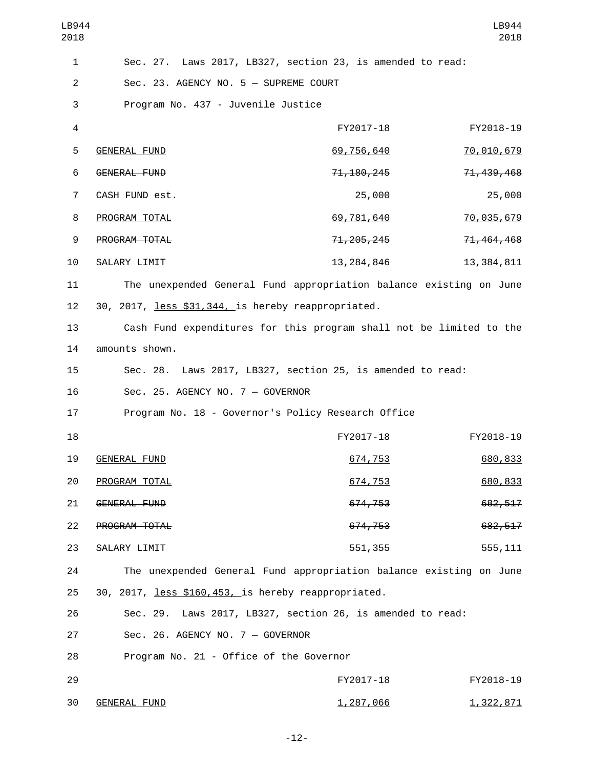| LB944<br>2018  |                                                                     |              | LB944<br>2018    |
|----------------|---------------------------------------------------------------------|--------------|------------------|
| 1              | Sec. 27. Laws 2017, LB327, section 23, is amended to read:          |              |                  |
| $\overline{2}$ | Sec. 23. AGENCY NO. 5 - SUPREME COURT                               |              |                  |
| 3              | Program No. 437 - Juvenile Justice                                  |              |                  |
| $\overline{4}$ |                                                                     | FY2017-18    | FY2018-19        |
| 5              | <b>GENERAL FUND</b>                                                 | 69,756,640   | 70,010,679       |
| 6              | <b>GENERAL FUND</b>                                                 | 71, 180, 245 | 71, 439, 468     |
| $\overline{7}$ | CASH FUND est.                                                      | 25,000       | 25,000           |
| 8              | PROGRAM TOTAL                                                       | 69,781,640   | 70,035,679       |
| 9              | PROGRAM TOTAL                                                       | 71, 205, 245 | 71, 464, 468     |
| 10             | SALARY LIMIT                                                        | 13, 284, 846 | 13, 384, 811     |
| 11             | The unexpended General Fund appropriation balance existing on June  |              |                  |
| 12             | 30, 2017, less \$31, 344, is hereby reappropriated.                 |              |                  |
| 13             | Cash Fund expenditures for this program shall not be limited to the |              |                  |
| 14             | amounts shown.                                                      |              |                  |
| 15             | Sec. 28. Laws 2017, LB327, section 25, is amended to read:          |              |                  |
| 16             | Sec. 25. AGENCY NO. 7 - GOVERNOR                                    |              |                  |
| 17             | Program No. 18 - Governor's Policy Research Office                  |              |                  |
| 18             |                                                                     | FY2017-18    | FY2018-19        |
| 19             | <b>GENERAL FUND</b>                                                 | 674,753      | 680,833          |
| 20             | PROGRAM TOTAL                                                       | 674,753      | 680,833          |
| 21             | GENERAL FUND                                                        | 674,753      | 682,517          |
| 22             | PROGRAM TOTAL                                                       | 674,753      | 682, 517         |
| 23             | SALARY LIMIT                                                        | 551,355      | 555, 111         |
| 24             | The unexpended General Fund appropriation balance existing on June  |              |                  |
| 25             | 30, 2017, less \$160,453, is hereby reappropriated.                 |              |                  |
| 26             | Sec. 29. Laws 2017, LB327, section 26, is amended to read:          |              |                  |
| 27             | Sec. 26. AGENCY NO. 7 - GOVERNOR                                    |              |                  |
| 28             | Program No. 21 - Office of the Governor                             |              |                  |
| 29             |                                                                     | FY2017-18    | FY2018-19        |
| 30             | <b>GENERAL FUND</b>                                                 | 1,287,066    | <u>1,322,871</u> |

-12-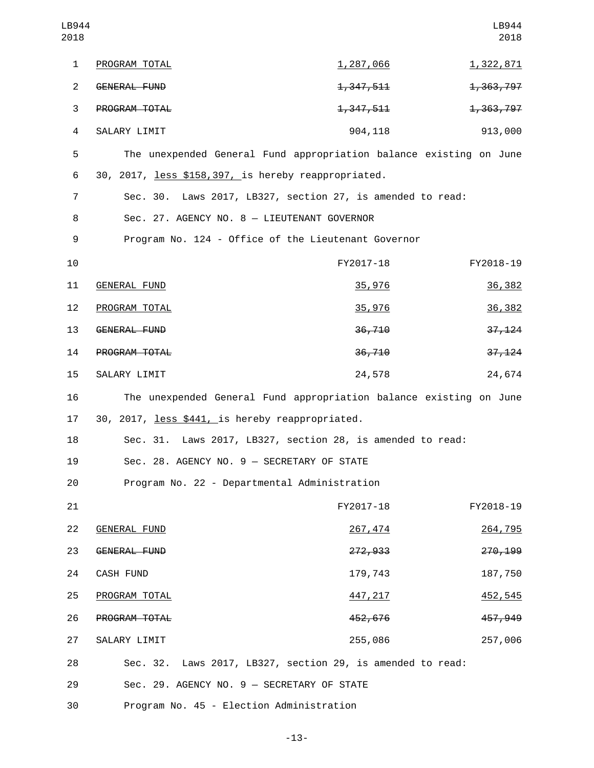| LB944<br>2018           |                                                                    |                        | LB944<br>2018 |
|-------------------------|--------------------------------------------------------------------|------------------------|---------------|
| $\mathbf{1}$            | PROGRAM TOTAL                                                      | <u>1,287,066</u>       | 1,322,871     |
| $\overline{2}$          | <b>GENERAL FUND</b>                                                | <del>1, 347, 511</del> | 1,363,797     |
| 3                       | PROGRAM TOTAL                                                      | 1,347,511              | 1,363,797     |
| $\overline{\mathbf{4}}$ | SALARY LIMIT                                                       | 904,118                | 913,000       |
| 5                       | The unexpended General Fund appropriation balance existing on June |                        |               |
| 6                       | 30, 2017, less \$158, 397, is hereby reappropriated.               |                        |               |
| 7                       | Sec. 30. Laws 2017, LB327, section 27, is amended to read:         |                        |               |
| 8                       | Sec. 27. AGENCY NO. 8 - LIEUTENANT GOVERNOR                        |                        |               |
| 9                       | Program No. 124 - Office of the Lieutenant Governor                |                        |               |
| 10                      |                                                                    | FY2017-18              | FY2018-19     |
| 11                      | <b>GENERAL FUND</b>                                                | 35,976                 | 36,382        |
| 12                      | PROGRAM TOTAL                                                      | 35,976                 | 36,382        |
| 13                      | <b>GENERAL FUND</b>                                                | 36,710                 | 37,124        |
| 14                      | PROGRAM TOTAL                                                      | 36,710                 | 37,124        |
| 15                      | SALARY LIMIT                                                       | 24,578                 | 24,674        |
| 16                      | The unexpended General Fund appropriation balance existing on June |                        |               |
| 17                      | 30, 2017, less \$441, is hereby reappropriated.                    |                        |               |
| 18                      | Sec. 31. Laws 2017, LB327, section 28, is amended to read:         |                        |               |
| 19                      | Sec. 28. AGENCY NO. 9 - SECRETARY OF STATE                         |                        |               |
| 20                      | Program No. 22 - Departmental Administration                       |                        |               |
| 21                      |                                                                    | FY2017-18              | FY2018-19     |
| 22                      | <b>GENERAL FUND</b>                                                | 267,474                | 264,795       |
| 23                      | <b>GENERAL FUND</b>                                                | 272,933                | 270,199       |
| 24                      | CASH FUND                                                          | 179,743                | 187,750       |
| 25                      | PROGRAM TOTAL                                                      | 447, 217               | 452,545       |
| 26                      | PROGRAM TOTAL                                                      | 452,676                | 457,949       |
| 27                      | SALARY LIMIT                                                       | 255,086                | 257,006       |
| 28                      | Sec. 32. Laws 2017, LB327, section 29, is amended to read:         |                        |               |
| 29                      | Sec. 29. AGENCY NO. 9 - SECRETARY OF STATE                         |                        |               |
| 30                      | Program No. 45 - Election Administration                           |                        |               |

-13-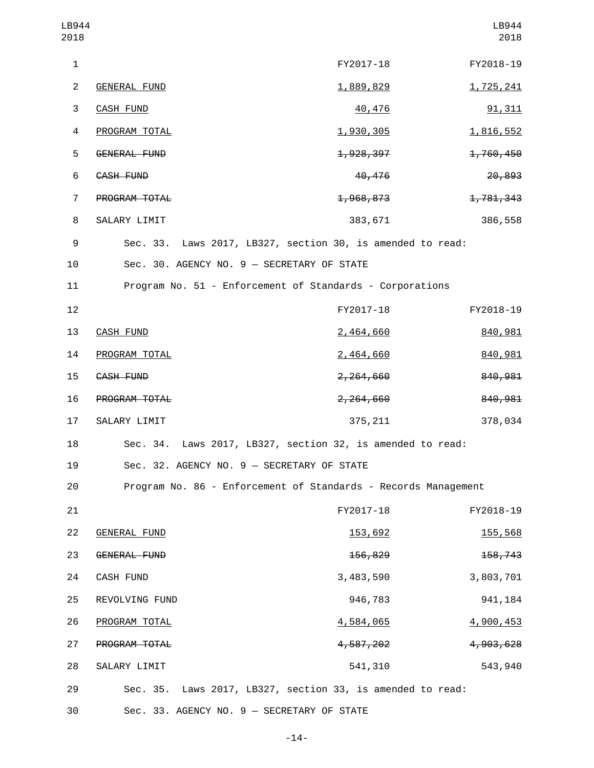| LB944<br>2018  |                                            |                                                                | LB944<br>2018 |
|----------------|--------------------------------------------|----------------------------------------------------------------|---------------|
| $\mathbf{1}$   |                                            | FY2017-18                                                      | FY2018-19     |
| $\overline{2}$ | <b>GENERAL FUND</b>                        | 1,889,829                                                      | 1,725,241     |
| 3              | <b>CASH FUND</b>                           | 40,476                                                         | 91,311        |
| 4              | PROGRAM TOTAL                              | 1,930,305                                                      | 1,816,552     |
| 5              | GENERAL FUND                               | 1,928,397                                                      | 1,760,450     |
| 6              | CASH FUND                                  | 40,476                                                         | 20,893        |
| $\overline{7}$ | PROGRAM TOTAL                              | 1,968,873                                                      | 1,781,343     |
| 8              | SALARY LIMIT                               | 383,671                                                        | 386,558       |
| 9              |                                            | Sec. 33. Laws 2017, LB327, section 30, is amended to read:     |               |
| 10             | Sec. 30. AGENCY NO. 9 - SECRETARY OF STATE |                                                                |               |
| 11             |                                            | Program No. 51 - Enforcement of Standards - Corporations       |               |
| 12             |                                            | FY2017-18                                                      | FY2018-19     |
| 13             | <b>CASH FUND</b>                           | 2,464,660                                                      | 840,981       |
| 14             | PROGRAM TOTAL                              | 2,464,660                                                      | 840,981       |
| 15             | CASH FUND                                  | 2,264,660                                                      | 840,981       |
| 16             | PROGRAM TOTAL                              | 2,264,660                                                      | 840,981       |
| 17             | SALARY LIMIT                               | 375, 211                                                       | 378,034       |
| 18             |                                            | Sec. 34. Laws 2017, LB327, section 32, is amended to read:     |               |
| 19             | Sec. 32. AGENCY NO. 9 - SECRETARY OF STATE |                                                                |               |
| 20             |                                            | Program No. 86 - Enforcement of Standards - Records Management |               |
| 21             |                                            | FY2017-18                                                      | FY2018-19     |
| 22             | <b>GENERAL FUND</b>                        | 153,692                                                        | 155,568       |
| 23             | GENERAL FUND                               | 156,829                                                        | 158,743       |
| 24             | CASH FUND                                  | 3,483,590                                                      | 3,803,701     |
| 25             | REVOLVING FUND                             | 946,783                                                        | 941, 184      |
| 26             | PROGRAM TOTAL                              | 4,584,065                                                      | 4,900,453     |
| 27             | PROGRAM TOTAL                              | 4,587,202                                                      | 4,903,628     |
| 28             | SALARY LIMIT                               | 541,310                                                        | 543,940       |
| 29             |                                            | Sec. 35. Laws 2017, LB327, section 33, is amended to read:     |               |
| 30             | Sec. 33. AGENCY NO. 9 - SECRETARY OF STATE |                                                                |               |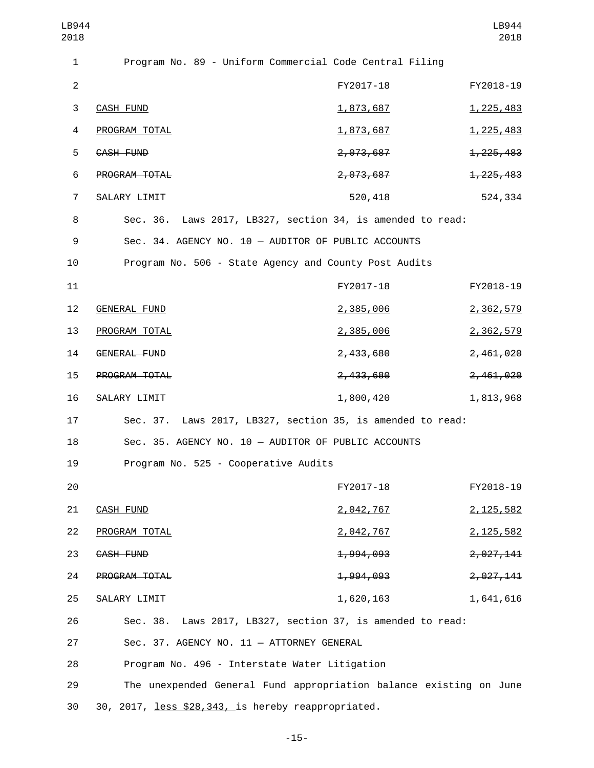| LB944<br>2018  |                                                                    |           | LB944<br>2018    |
|----------------|--------------------------------------------------------------------|-----------|------------------|
| 1              | Program No. 89 - Uniform Commercial Code Central Filing            |           |                  |
| $\overline{2}$ |                                                                    | FY2017-18 | FY2018-19        |
| $\sqrt{3}$     | <b>CASH FUND</b>                                                   | 1,873,687 | 1, 225, 483      |
| 4              | PROGRAM TOTAL                                                      | 1,873,687 | 1, 225, 483      |
| 5              | CASH FUND                                                          | 2,073,687 | 1, 225, 483      |
| 6              | PROGRAM TOTAL                                                      | 2,073,687 | 1, 225, 483      |
| $\overline{7}$ | SALARY LIMIT                                                       | 520,418   | 524,334          |
| 8              | Sec. 36. Laws 2017, LB327, section 34, is amended to read:         |           |                  |
| 9              | Sec. 34. AGENCY NO. 10 - AUDITOR OF PUBLIC ACCOUNTS                |           |                  |
| 10             | Program No. 506 - State Agency and County Post Audits              |           |                  |
| 11             |                                                                    | FY2017-18 | FY2018-19        |
| 12             | <b>GENERAL FUND</b>                                                | 2,385,006 | 2,362,579        |
| 13             | PROGRAM TOTAL                                                      | 2,385,006 | <u>2,362,579</u> |
| 14             | GENERAL FUND                                                       | 2,433,680 | 2,461,020        |
| 15             | PROGRAM TOTAL                                                      | 2,433,680 | 2,461,020        |
| 16             | SALARY LIMIT                                                       | 1,800,420 | 1,813,968        |
| 17             | Sec. 37. Laws 2017, LB327, section 35, is amended to read:         |           |                  |
| 18             | Sec. 35. AGENCY NO. 10 - AUDITOR OF PUBLIC ACCOUNTS                |           |                  |
| 19             | Program No. 525 - Cooperative Audits                               |           |                  |
| 20             |                                                                    | FY2017-18 | FY2018-19        |
| 21             | <b>CASH FUND</b>                                                   | 2,042,767 | 2, 125, 582      |
| 22             | PROGRAM TOTAL                                                      | 2,042,767 | 2, 125, 582      |
| 23             | CASH FUND                                                          | 1,994,093 | 2,027,141        |
| 24             | PROGRAM TOTAL                                                      | 1,994,093 | 2,027,141        |
| 25             | SALARY LIMIT                                                       | 1,620,163 | 1,641,616        |
| 26             | Sec. 38. Laws 2017, LB327, section 37, is amended to read:         |           |                  |
| 27             | Sec. 37. AGENCY NO. 11 - ATTORNEY GENERAL                          |           |                  |
| 28             | Program No. 496 - Interstate Water Litigation                      |           |                  |
| 29             | The unexpended General Fund appropriation balance existing on June |           |                  |
| 30             | 30, 2017, less \$28,343, is hereby reappropriated.                 |           |                  |

-15-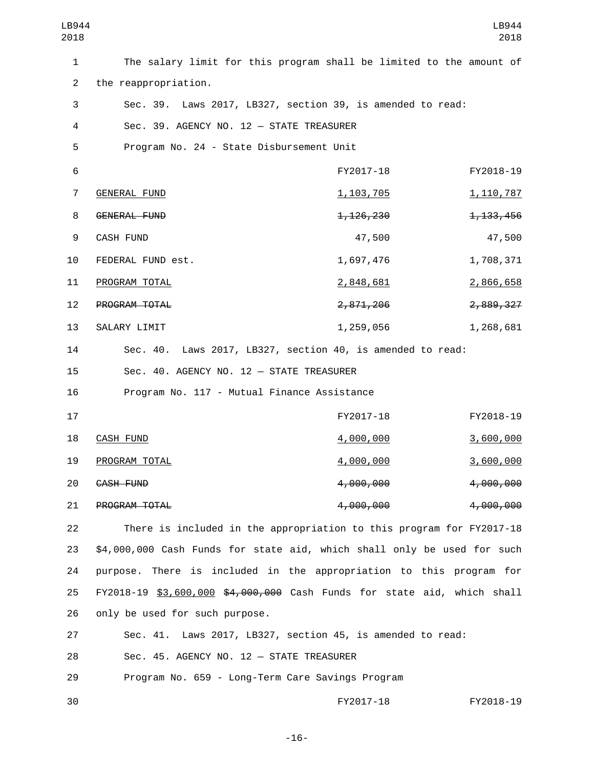| LB944<br>2018  |                                                                         |                  | LB944<br>2018      |
|----------------|-------------------------------------------------------------------------|------------------|--------------------|
| 1              | The salary limit for this program shall be limited to the amount of     |                  |                    |
| $\overline{2}$ | the reappropriation.                                                    |                  |                    |
| 3              | Sec. 39. Laws 2017, LB327, section 39, is amended to read:              |                  |                    |
| 4              | Sec. 39. AGENCY NO. 12 - STATE TREASURER                                |                  |                    |
| 5              | Program No. 24 - State Disbursement Unit                                |                  |                    |
| 6              |                                                                         | FY2017-18        | FY2018-19          |
| 7              | <b>GENERAL FUND</b>                                                     | 1, 103, 705      | <u>1, 110, 787</u> |
| 8              | <b>GENERAL FUND</b>                                                     | 1, 126, 230      | 1, 133, 456        |
| 9              | <b>CASH FUND</b>                                                        | 47,500           | 47,500             |
| 10             | FEDERAL FUND est.                                                       | 1,697,476        | 1,708,371          |
| 11             | PROGRAM TOTAL                                                           | 2,848,681        | 2,866,658          |
| 12             | PROGRAM TOTAL                                                           | 2,871,206        | 2,889,327          |
| 13             | SALARY LIMIT                                                            | 1,259,056        | 1,268,681          |
| 14             | Sec. 40. Laws 2017, LB327, section 40, is amended to read:              |                  |                    |
| 15             | Sec. 40. AGENCY NO. 12 - STATE TREASURER                                |                  |                    |
| 16             | Program No. 117 - Mutual Finance Assistance                             |                  |                    |
| 17             |                                                                         | FY2017-18        | FY2018-19          |
| 18             | <b>CASH FUND</b>                                                        | 4,000,000        | 3,600,000          |
| 19             | PROGRAM TOTAL                                                           | <u>4,000,000</u> | 3,600,000          |
| 20             | CASH FUND                                                               | 4,000,000        | 4,000,000          |
| 21             | PROGRAM TOTAL                                                           | 4,000,000        | 4,000,000          |
| 22             | There is included in the appropriation to this program for FY2017-18    |                  |                    |
| 23             | \$4,000,000 Cash Funds for state aid, which shall only be used for such |                  |                    |
| 24             | purpose. There is included in the appropriation to this program for     |                  |                    |
| 25             | FY2018-19 \$3,600,000 \$4,000,000 Cash Funds for state aid, which shall |                  |                    |
| 26             | only be used for such purpose.                                          |                  |                    |
| 27             | Sec. 41. Laws 2017, LB327, section 45, is amended to read:              |                  |                    |
| 28             | Sec. 45. AGENCY NO. 12 - STATE TREASURER                                |                  |                    |

29 Program No. 659 - Long-Term Care Savings Program

30 FY2017-18 FY2018-19

-16-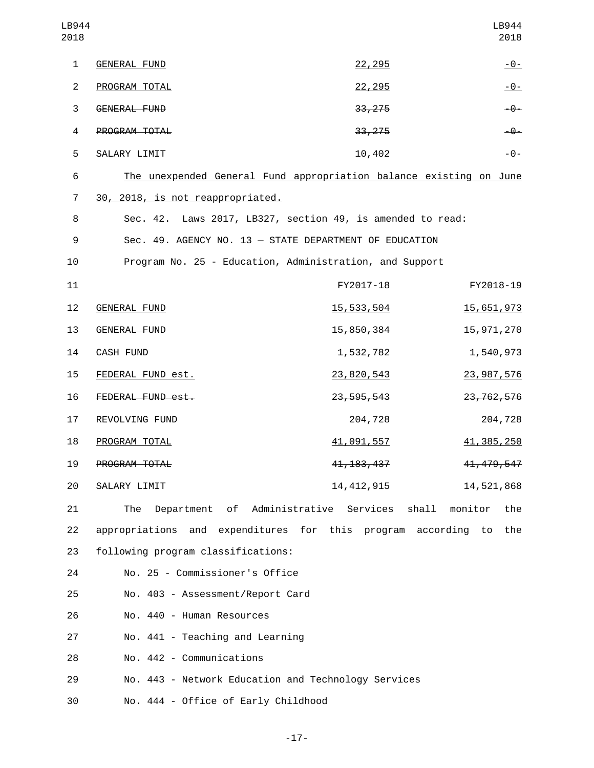| LB944<br>2018  |                                                                    |                          | LB944<br>2018           |
|----------------|--------------------------------------------------------------------|--------------------------|-------------------------|
| $\mathbf{1}$   | <b>GENERAL FUND</b>                                                | 22,295                   | $-0-$                   |
| $\overline{2}$ | PROGRAM TOTAL                                                      | 22,295                   | $-0-$                   |
| 3              | GENERAL FUND                                                       | 33,275                   | $-9-$                   |
| $\overline{a}$ | PROGRAM TOTAL                                                      | 33, 275                  | $-9-$                   |
| 5              | SALARY LIMIT                                                       | 10,402                   | $ \Theta$ –             |
| 6              | The unexpended General Fund appropriation balance existing on June |                          |                         |
| 7              | 30, 2018, is not reappropriated.                                   |                          |                         |
| 8              | Sec. 42. Laws 2017, LB327, section 49, is amended to read:         |                          |                         |
| 9              | Sec. 49. AGENCY NO. 13 - STATE DEPARTMENT OF EDUCATION             |                          |                         |
| 10             | Program No. 25 - Education, Administration, and Support            |                          |                         |
| 11             |                                                                    | FY2017-18                | FY2018-19               |
| 12             | <b>GENERAL FUND</b>                                                | 15,533,504               | 15,651,973              |
| 13             | GENERAL FUND                                                       | 15,850,384               | 15, 971, 270            |
| 14             | CASH FUND                                                          | 1,532,782                | 1,540,973               |
| 15             | FEDERAL FUND est.                                                  | 23,820,543               | 23,987,576              |
| 16             | FEDERAL FUND est.                                                  | 23, 595, 543             | 23, 762, 576            |
| 17             | REVOLVING FUND                                                     | 204,728                  | 204,728                 |
| 18             | PROGRAM TOTAL                                                      | 41,091,557               | 41, 385, 250            |
| 19             | PROGRAM TOTAL                                                      | 4 <del>1, 183, 437</del> | 41, 479, 547            |
| 20             | SALARY LIMIT                                                       | 14, 412, 915             | 14,521,868              |
| 21             | of Administrative Services<br>The<br>Department                    |                          | shall<br>monitor<br>the |
| 22             | appropriations and expenditures for this program                   |                          | according<br>to<br>the  |
| 23             | following program classifications:                                 |                          |                         |
| 24             | No. 25 - Commissioner's Office                                     |                          |                         |
| 25             | No. 403 - Assessment/Report Card                                   |                          |                         |
| 26             | No. 440 - Human Resources                                          |                          |                         |
| 27             | No. 441 - Teaching and Learning                                    |                          |                         |
| 28             | No. 442 - Communications                                           |                          |                         |
| 29             | No. 443 - Network Education and Technology Services                |                          |                         |
| 30             | No. 444 - Office of Early Childhood                                |                          |                         |

-17-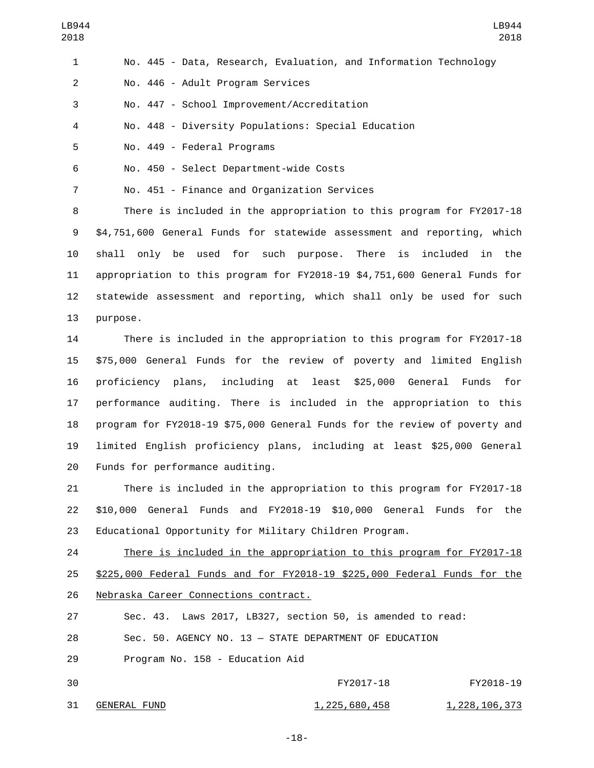| $\mathbf{1}$   | No. 445 - Data, Research, Evaluation, and Information Technology |
|----------------|------------------------------------------------------------------|
| 2              | No. 446 - Adult Program Services                                 |
| 3              | No. 447 - School Improvement/Accreditation                       |
| $\overline{4}$ | No. 448 - Diversity Populations: Special Education               |
| -5             | No. 449 - Federal Programs                                       |
| 6              | No. 450 - Select Department-wide Costs                           |

7 No. 451 - Finance and Organization Services

 There is included in the appropriation to this program for FY2017-18 \$4,751,600 General Funds for statewide assessment and reporting, which shall only be used for such purpose. There is included in the appropriation to this program for FY2018-19 \$4,751,600 General Funds for statewide assessment and reporting, which shall only be used for such 13 purpose.

 There is included in the appropriation to this program for FY2017-18 \$75,000 General Funds for the review of poverty and limited English proficiency plans, including at least \$25,000 General Funds for performance auditing. There is included in the appropriation to this program for FY2018-19 \$75,000 General Funds for the review of poverty and limited English proficiency plans, including at least \$25,000 General 20 Funds for performance auditing.

 There is included in the appropriation to this program for FY2017-18 \$10,000 General Funds and FY2018-19 \$10,000 General Funds for the Educational Opportunity for Military Children Program.

 There is included in the appropriation to this program for FY2017-18 \$225,000 Federal Funds and for FY2018-19 \$225,000 Federal Funds for the 26 Nebraska Career Connections contract.

Sec. 43. Laws 2017, LB327, section 50, is amended to read:

Sec. 50. AGENCY NO. 13 — STATE DEPARTMENT OF EDUCATION

29 Program No. 158 - Education Aid

| 30  |              | FY2017-18     | FY2018-19     |
|-----|--------------|---------------|---------------|
| -31 | GENERAL FUND | 1,225,680,458 | 1,228,106,373 |

-18-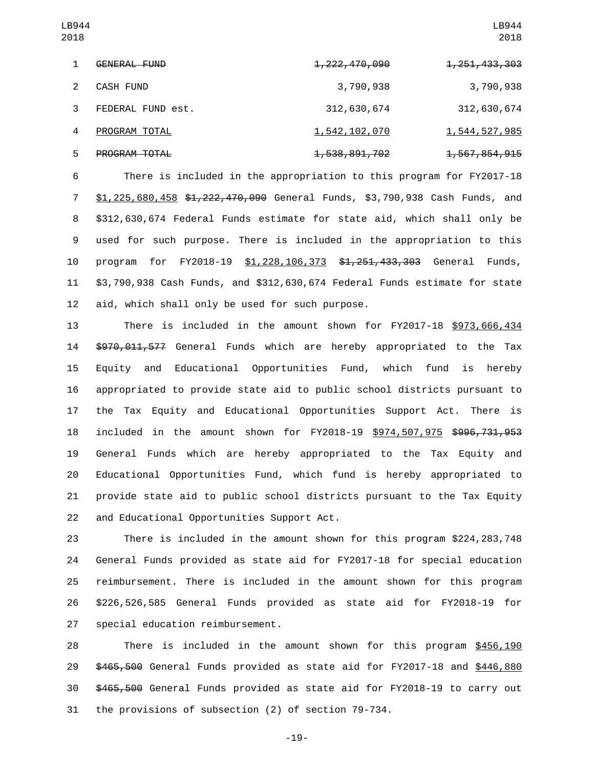| $\mathbf{1}$   | GENERAL FUND      | <del>1, 222, 470, 090</del> | <del>1, 251, 433, 303</del> |
|----------------|-------------------|-----------------------------|-----------------------------|
| $\mathcal{P}$  | CASH FUND         | 3,790,938                   | 3,790,938                   |
| $3^{\circ}$    | FEDERAL FUND est. | 312,630,674                 | 312,630,674                 |
| $\overline{4}$ | PROGRAM TOTAL     | 1,542,102,070               | 1,544,527,985               |
| 5              | PROGRAM TOTAL     | <del>1,538,891,702</del>    | <del>1,567,854,915</del>    |

 There is included in the appropriation to this program for FY2017-18 7 \$1,225,680,458 \$1,222,470,090 General Funds, \$3,790,938 Cash Funds, and \$312,630,674 Federal Funds estimate for state aid, which shall only be used for such purpose. There is included in the appropriation to this 10 program for FY2018-19 \$1,228,106,373 \$1,251,433,303 General Funds, \$3,790,938 Cash Funds, and \$312,630,674 Federal Funds estimate for state 12 aid, which shall only be used for such purpose.

 There is included in the amount shown for FY2017-18 \$973,666,434 14 \$970,011,577 General Funds which are hereby appropriated to the Tax Equity and Educational Opportunities Fund, which fund is hereby appropriated to provide state aid to public school districts pursuant to the Tax Equity and Educational Opportunities Support Act. There is included in the amount shown for FY2018-19 \$974,507,975 \$996,731,953 General Funds which are hereby appropriated to the Tax Equity and Educational Opportunities Fund, which fund is hereby appropriated to provide state aid to public school districts pursuant to the Tax Equity 22 and Educational Opportunities Support Act.

 There is included in the amount shown for this program \$224,283,748 General Funds provided as state aid for FY2017-18 for special education reimbursement. There is included in the amount shown for this program \$226,526,585 General Funds provided as state aid for FY2018-19 for 27 special education reimbursement.

 There is included in the amount shown for this program \$456,190 \$465,500 General Funds provided as state aid for FY2017-18 and \$446,880 \$465,500 General Funds provided as state aid for FY2018-19 to carry out the provisions of subsection (2) of section 79-734.

-19-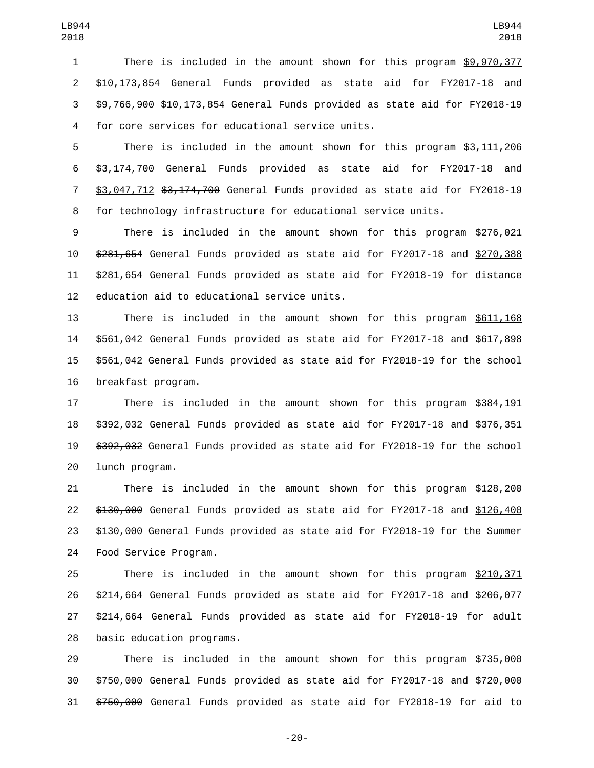There is included in the amount shown for this program \$9,970,377 \$10,173,854 General Funds provided as state aid for FY2017-18 and \$9,766,900 \$10,173,854 General Funds provided as state aid for FY2018-19 for core services for educational service units.4

 There is included in the amount shown for this program \$3,111,206 \$3,174,700 General Funds provided as state aid for FY2017-18 and \$3,047,712 \$3,174,700 General Funds provided as state aid for FY2018-19 for technology infrastructure for educational service units.

 There is included in the amount shown for this program \$276,021 \$281,654 General Funds provided as state aid for FY2017-18 and \$270,388 \$281,654 General Funds provided as state aid for FY2018-19 for distance 12 education aid to educational service units.

 There is included in the amount shown for this program \$611,168 \$561,042 General Funds provided as state aid for FY2017-18 and \$617,898 \$561,042 General Funds provided as state aid for FY2018-19 for the school 16 breakfast program.

 There is included in the amount shown for this program \$384,191 \$392,032 General Funds provided as state aid for FY2017-18 and \$376,351 \$392,032 General Funds provided as state aid for FY2018-19 for the school 20 lunch program.

 There is included in the amount shown for this program \$128,200 \$130,000 General Funds provided as state aid for FY2017-18 and \$126,400 23 \$130,000 General Funds provided as state aid for FY2018-19 for the Summer 24 Food Service Program.

 There is included in the amount shown for this program \$210,371 \$214,664 General Funds provided as state aid for FY2017-18 and \$206,077 \$214,664 General Funds provided as state aid for FY2018-19 for adult 28 basic education programs.

 There is included in the amount shown for this program \$735,000 \$750,000 General Funds provided as state aid for FY2017-18 and \$720,000 \$750,000 General Funds provided as state aid for FY2018-19 for aid to

-20-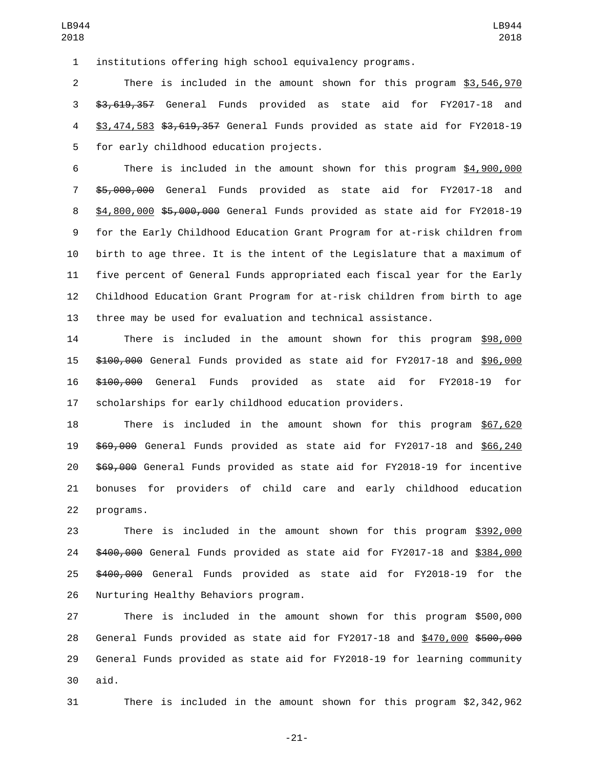institutions offering high school equivalency programs.

 There is included in the amount shown for this program \$3,546,970 \$3,619,357 General Funds provided as state aid for FY2017-18 and \$3,474,583 \$3,619,357 General Funds provided as state aid for FY2018-19 5 for early childhood education projects.

 There is included in the amount shown for this program \$4,900,000 \$5,000,000 General Funds provided as state aid for FY2017-18 and \$4,800,000 \$5,000,000 General Funds provided as state aid for FY2018-19 for the Early Childhood Education Grant Program for at-risk children from birth to age three. It is the intent of the Legislature that a maximum of five percent of General Funds appropriated each fiscal year for the Early Childhood Education Grant Program for at-risk children from birth to age three may be used for evaluation and technical assistance.

 There is included in the amount shown for this program \$98,000 \$100,000 General Funds provided as state aid for FY2017-18 and \$96,000 \$100,000 General Funds provided as state aid for FY2018-19 for scholarships for early childhood education providers.

 There is included in the amount shown for this program \$67,620 \$69,000 General Funds provided as state aid for FY2017-18 and \$66,240 \$69,000 General Funds provided as state aid for FY2018-19 for incentive bonuses for providers of child care and early childhood education 22 programs.

 There is included in the amount shown for this program \$392,000 \$400,000 General Funds provided as state aid for FY2017-18 and \$384,000 25 \$400,000 General Funds provided as state aid for FY2018-19 for the 26 Nurturing Healthy Behaviors program.

 There is included in the amount shown for this program \$500,000 28 General Funds provided as state aid for FY2017-18 and \$470,000 \$500,000 General Funds provided as state aid for FY2018-19 for learning community aid.

There is included in the amount shown for this program \$2,342,962

-21-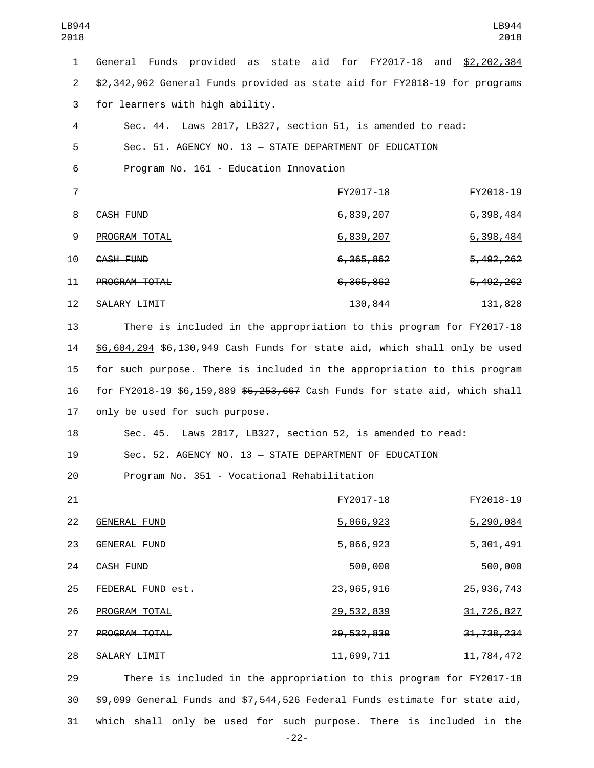| 1              | General Funds provided as state aid for FY2017-18 and \$2,202,384           |              |              |
|----------------|-----------------------------------------------------------------------------|--------------|--------------|
| $\overline{2}$ | \$2,342,962 General Funds provided as state aid for FY2018-19 for programs  |              |              |
| 3              | for learners with high ability.                                             |              |              |
| 4              | Sec. 44. Laws 2017, LB327, section 51, is amended to read:                  |              |              |
| 5              | Sec. 51. AGENCY NO. 13 - STATE DEPARTMENT OF EDUCATION                      |              |              |
| 6              | Program No. 161 - Education Innovation                                      |              |              |
| $\overline{7}$ |                                                                             | FY2017-18    | FY2018-19    |
| 8              | <b>CASH FUND</b>                                                            | 6,839,207    | 6,398,484    |
| 9              | PROGRAM TOTAL                                                               | 6,839,207    | 6,398,484    |
| 10             | CASH FUND                                                                   | 6, 365, 862  | 5, 492, 262  |
| 11             | PROGRAM TOTAL                                                               | 6, 365, 862  | 5, 492, 262  |
| 12             | SALARY LIMIT                                                                | 130,844      | 131,828      |
| 13             | There is included in the appropriation to this program for FY2017-18        |              |              |
| 14             | \$6,604,294 \$6,130,949 Cash Funds for state aid, which shall only be used  |              |              |
| 15             | for such purpose. There is included in the appropriation to this program    |              |              |
| 16             | for FY2018-19 \$6,159,889 \$5,253,667 Cash Funds for state aid, which shall |              |              |
| 17             | only be used for such purpose.                                              |              |              |
| 18             | Sec. 45. Laws 2017, LB327, section 52, is amended to read:                  |              |              |
| 19             | Sec. 52. AGENCY NO. 13 - STATE DEPARTMENT OF EDUCATION                      |              |              |
| 20             | Program No. 351 - Vocational Rehabilitation                                 |              |              |
| 21             |                                                                             | FY2017-18    | FY2018-19    |
| 22             | <b>GENERAL FUND</b>                                                         | 5,066,923    | 5,290,084    |
| 23             | <b>GENERAL FUND</b>                                                         | 5,066,023    | 5, 301, 491  |
| 24             | CASH FUND                                                                   | 500,000      | 500,000      |
| 25             | FEDERAL FUND est.                                                           | 23, 965, 916 | 25, 936, 743 |
| 26             | PROGRAM TOTAL                                                               | 29,532,839   | 31,726,827   |
| 27             | PROGRAM TOTAL                                                               | 29, 532, 839 | 31, 738, 234 |
| 28             | SALARY LIMIT                                                                | 11,699,711   | 11,784,472   |
|                |                                                                             |              |              |

29 There is included in the appropriation to this program for FY2017-18 30 \$9,099 General Funds and \$7,544,526 Federal Funds estimate for state aid, 31 which shall only be used for such purpose. There is included in the

-22-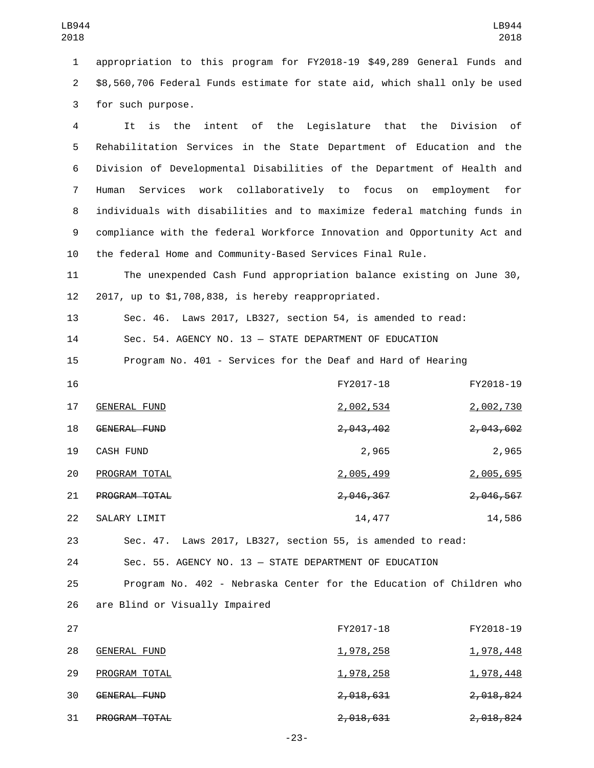1 appropriation to this program for FY2018-19 \$49,289 General Funds and 2 \$8,560,706 Federal Funds estimate for state aid, which shall only be used 3 for such purpose.

 It is the intent of the Legislature that the Division of Rehabilitation Services in the State Department of Education and the Division of Developmental Disabilities of the Department of Health and Human Services work collaboratively to focus on employment for individuals with disabilities and to maximize federal matching funds in compliance with the federal Workforce Innovation and Opportunity Act and the federal Home and Community-Based Services Final Rule.

11 The unexpended Cash Fund appropriation balance existing on June 30, 12  $2017$ , up to \$1,708,838, is hereby reappropriated.

13 Sec. 46. Laws 2017, LB327, section 54, is amended to read:

14 Sec. 54. AGENCY NO. 13 — STATE DEPARTMENT OF EDUCATION

15 Program No. 401 - Services for the Deaf and Hard of Hearing

| 16 |                  | FY2017-18            | FY2018-19            |
|----|------------------|----------------------|----------------------|
| 17 | GENERAL FUND     | 2,002,534            | 2,002,730            |
| 18 | GENERAL FUND     | 2,043,402            | 2,043,602            |
| 19 | <b>CASH FUND</b> | 2,965                | 2,965                |
| 20 | PROGRAM TOTAL    | 2,005,499            | 2,005,695            |
| 21 | PROGRAM TOTAL    | <del>2,046,367</del> | <del>2,046,567</del> |
| 22 | SALARY LIMIT     | 14,477               | 14,586               |

23 Sec. 47. Laws 2017, LB327, section 55, is amended to read:

24 Sec. 55. AGENCY NO. 13 — STATE DEPARTMENT OF EDUCATION

25 Program No. 402 - Nebraska Center for the Education of Children who 26 are Blind or Visually Impaired

| 27 |                      | FY2017-18            | FY2018-19            |
|----|----------------------|----------------------|----------------------|
| 28 | GENERAL FUND         | <u>1,978,258</u>     | <u>1,978,448</u>     |
| 29 | PROGRAM TOTAL        | <u>1,978,258</u>     | <u>1,978,448</u>     |
| 30 | GENERAL FUND         | <del>2,018,631</del> | <del>2,018,824</del> |
| 31 | <b>PROGRAM TOTAL</b> | <del>2,018,631</del> | <del>2,018,824</del> |

-23-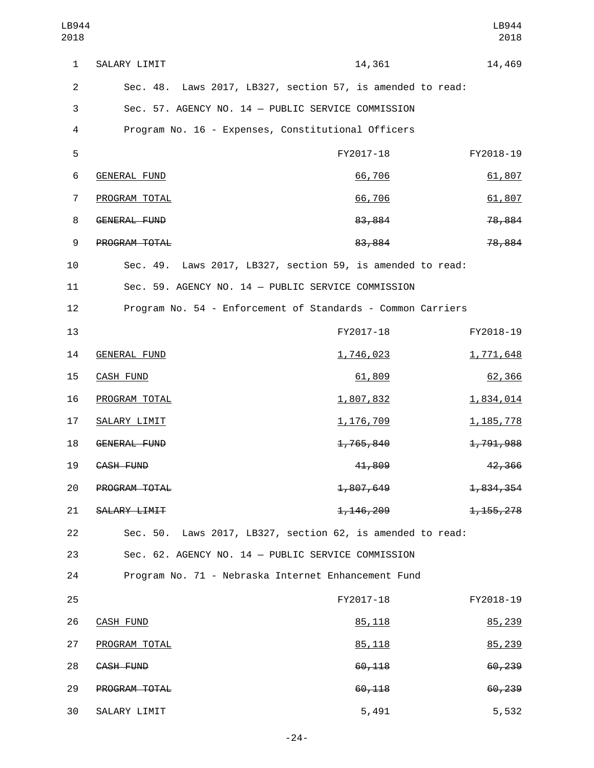| LB944<br>2018  |                                                               |                      | LB944<br>2018 |
|----------------|---------------------------------------------------------------|----------------------|---------------|
| $\mathbf{1}$   | SALARY LIMIT                                                  | 14,361               | 14,469        |
| $\overline{2}$ | Laws 2017, LB327, section 57, is amended to read:<br>Sec. 48. |                      |               |
| 3              | Sec. 57. AGENCY NO. 14 - PUBLIC SERVICE COMMISSION            |                      |               |
| 4              | Program No. 16 - Expenses, Constitutional Officers            |                      |               |
| 5              |                                                               | FY2017-18            | FY2018-19     |
| 6              | <b>GENERAL FUND</b>                                           | 66,706               | 61,807        |
| 7              | PROGRAM TOTAL                                                 | 66,706               | 61,807        |
| 8              | <b>GENERAL FUND</b>                                           | 83,884               | 78,884        |
| 9              | PROGRAM TOTAL                                                 | 83,884               | 78,884        |
| 10             | Sec. 49. Laws 2017, LB327, section 59, is amended to read:    |                      |               |
| 11             | Sec. 59. AGENCY NO. 14 - PUBLIC SERVICE COMMISSION            |                      |               |
| 12             | Program No. 54 - Enforcement of Standards - Common Carriers   |                      |               |
| 13             |                                                               | FY2017-18            | FY2018-19     |
| 14             | <b>GENERAL FUND</b>                                           | 1,746,023            | 1,771,648     |
| 15             | <b>CASH FUND</b>                                              | 61,809               | 62,366        |
| 16             | PROGRAM TOTAL                                                 | 1,807,832            | 1,834,014     |
| 17             | SALARY LIMIT                                                  | 1,176,709            | 1, 185, 778   |
| 18             | <b>GENERAL FUND</b>                                           | <del>1,765,840</del> | 1,791,988     |
| 19             | CASH FUND                                                     | 41,809               | 42,366        |
| 20             | PROGRAM TOTAL                                                 | 1,807,649            | 1,834,354     |
| 21             | SALARY LIMIT                                                  | 1, 146, 209          | 1, 155, 278   |
| 22             | Laws 2017, LB327, section 62, is amended to read:<br>Sec. 50. |                      |               |
| 23             | Sec. 62. AGENCY NO. 14 - PUBLIC SERVICE COMMISSION            |                      |               |
| 24             | Program No. 71 - Nebraska Internet Enhancement Fund           |                      |               |
| 25             |                                                               | FY2017-18            | FY2018-19     |
| 26             | <b>CASH FUND</b>                                              | 85, 118              | 85,239        |
| 27             | PROGRAM TOTAL                                                 | 85, 118              | 85,239        |
| 28             | CASH FUND                                                     | 60,118               | 60,239        |
| 29             | PROGRAM TOTAL                                                 | 60,118               | 60,239        |
| 30             | SALARY LIMIT                                                  | 5,491                | 5,532         |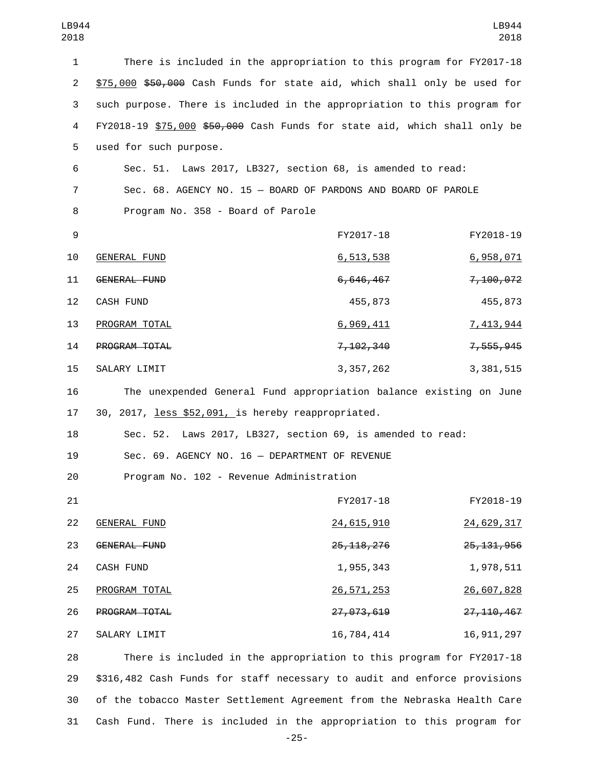| 1              | There is included in the appropriation to this program for FY2017-18      |                  |              |
|----------------|---------------------------------------------------------------------------|------------------|--------------|
| $\overline{2}$ | \$75,000 \$50,000 Cash Funds for state aid, which shall only be used for  |                  |              |
| 3              | such purpose. There is included in the appropriation to this program for  |                  |              |
| 4              | FY2018-19 \$75,000 \$50,000 Cash Funds for state aid, which shall only be |                  |              |
| 5              | used for such purpose.                                                    |                  |              |
| 6              | Sec. 51. Laws 2017, LB327, section 68, is amended to read:                |                  |              |
| 7              | Sec. 68. AGENCY NO. 15 - BOARD OF PARDONS AND BOARD OF PAROLE             |                  |              |
| 8              | Program No. 358 - Board of Parole                                         |                  |              |
| 9              |                                                                           | FY2017-18        | FY2018-19    |
| 10             | <b>GENERAL FUND</b>                                                       | <u>6,513,538</u> | 6,958,071    |
| 11             | GENERAL FUND                                                              | 6,646,467        | 7,100,072    |
| 12             | CASH FUND                                                                 | 455,873          | 455,873      |
| 13             | PROGRAM TOTAL                                                             | 6,969,411        | 7,413,944    |
| 14             | PROGRAM TOTAL                                                             | 7, 102, 340      | 7,555,945    |
| 15             | SALARY LIMIT                                                              | 3, 357, 262      | 3, 381, 515  |
| 16             | The unexpended General Fund appropriation balance existing on June        |                  |              |
| 17             | 30, 2017, less \$52,091, is hereby reappropriated.                        |                  |              |
| 18             | Sec. 52. Laws 2017, LB327, section 69, is amended to read:                |                  |              |
| 19             | Sec. 69. AGENCY NO. 16 - DEPARTMENT OF REVENUE                            |                  |              |
| 20             | Program No. 102 - Revenue Administration                                  |                  |              |
| 21             |                                                                           | FY2017-18        | FY2018-19    |
| 22             | <b>GENERAL FUND</b>                                                       | 24,615,910       | 24,629,317   |
| 23             | GENERAL FUND                                                              | 25, 118, 276     | 25, 131, 956 |
| 24             | <b>CASH FUND</b>                                                          | 1,955,343        | 1,978,511    |
| 25             | PROGRAM TOTAL                                                             | 26, 571, 253     | 26,607,828   |
| 26             | PROGRAM TOTAL                                                             | 27, 073, 619     | 27, 110, 467 |
| 27             | SALARY LIMIT                                                              | 16,784,414       | 16, 911, 297 |
| 28             | There is included in the appropriation to this program for FY2017-18      |                  |              |
|                |                                                                           |                  |              |

29 \$316,482 Cash Funds for staff necessary to audit and enforce provisions 30 of the tobacco Master Settlement Agreement from the Nebraska Health Care 31 Cash Fund. There is included in the appropriation to this program for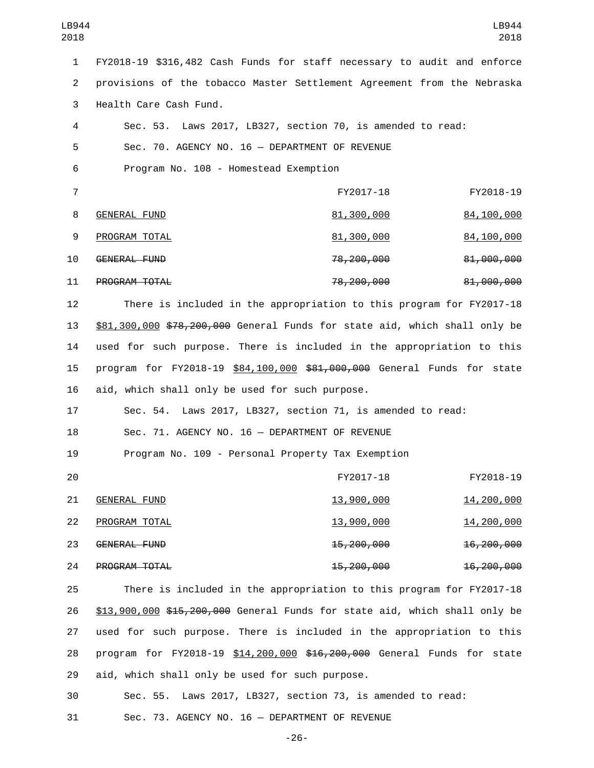1 FY2018-19 \$316,482 Cash Funds for staff necessary to audit and enforce 2 provisions of the tobacco Master Settlement Agreement from the Nebraska 3 Health Care Cash Fund.

4 Sec. 53. Laws 2017, LB327, section 70, is amended to read: 5 Sec. 70. AGENCY NO. 16 — DEPARTMENT OF REVENUE 6 Program No. 108 - Homestead Exemption 7 FY2017-18 FY2018-19 8 GENERAL FUND 81,300,000 84,100,000 9 PROGRAM TOTAL 200 81,300,000 84,100,000

10 GENERAL FUND 10 28,200,000 81,000,000 11 PROGRAM TOTAL 2000 81,000,000 81,000,000

12 There is included in the appropriation to this program for FY2017-18 13 \$81,300,000 \$78,200,000 General Funds for state aid, which shall only be 14 used for such purpose. There is included in the appropriation to this 15 program for FY2018-19 \$84,100,000 \$81,000,000 General Funds for state 16 aid, which shall only be used for such purpose.

17 Sec. 54. Laws 2017, LB327, section 71, is amended to read: 18 Sec. 71. AGENCY NO. 16 — DEPARTMENT OF REVENUE

19 Program No. 109 - Personal Property Tax Exemption

| -20 |                      | FY2017-18             | FY2018-19             |
|-----|----------------------|-----------------------|-----------------------|
| 21  | GENERAL FUND         | 13,900,000            | 14,200,000            |
| 22  | PROGRAM TOTAL        | 13,900,000            | 14,200,000            |
| 23  | GENERAL FUND         | <del>15,200,000</del> | <del>16,200,000</del> |
| 24  | <b>PROGRAM TOTAL</b> | <del>15,200,000</del> | <del>16,200,000</del> |

25 There is included in the appropriation to this program for FY2017-18 26 \$13,900,000 \$15,200,000 General Funds for state aid, which shall only be 27 used for such purpose. There is included in the appropriation to this 28 program for FY2018-19 \$14,200,000 \$16,200,000 General Funds for state 29 aid, which shall only be used for such purpose.

30 Sec. 55. Laws 2017, LB327, section 73, is amended to read:

31 Sec. 73. AGENCY NO. 16 — DEPARTMENT OF REVENUE

-26-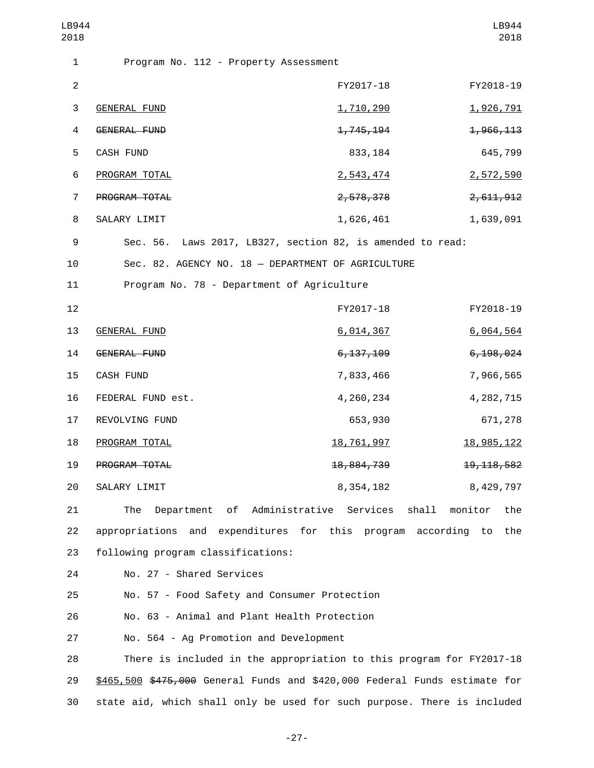| LB944<br>2018  |                                                                            |                       | LB944<br>2018          |
|----------------|----------------------------------------------------------------------------|-----------------------|------------------------|
| $\mathbf{1}$   | Program No. 112 - Property Assessment                                      |                       |                        |
| $\overline{2}$ |                                                                            | FY2017-18             | FY2018-19              |
| 3              | <b>GENERAL FUND</b>                                                        | 1,710,290             | 1,926,791              |
| 4              | GENERAL FUND                                                               | 1,745,194             | 1,966,113              |
| 5              | CASH FUND                                                                  | 833, 184              | 645,799                |
| 6              | PROGRAM TOTAL                                                              | 2,543,474             | 2,572,590              |
| $\overline{7}$ | PROGRAM TOTAL                                                              | 2,578,378             | <del>2, 611, 912</del> |
| 8              | SALARY LIMIT                                                               | 1,626,461             | 1,639,091              |
| 9              | Sec. 56. Laws 2017, LB327, section 82, is amended to read:                 |                       |                        |
| 10             | Sec. 82. AGENCY NO. 18 - DEPARTMENT OF AGRICULTURE                         |                       |                        |
| 11             | Program No. 78 - Department of Agriculture                                 |                       |                        |
| 12             |                                                                            | FY2017-18             | FY2018-19              |
| 13             | <b>GENERAL FUND</b>                                                        | 6,014,367             | 6,064,564              |
| 14             | GENERAL FUND                                                               | 6, 137, 109           | 6, 198, 024            |
| 15             | CASH FUND                                                                  | 7,833,466             | 7,966,565              |
| 16             | FEDERAL FUND est.                                                          | 4,260,234             | 4, 282, 715            |
| 17             | REVOLVING FUND                                                             | 653,930               | 671,278                |
| 18             | PROGRAM TOTAL                                                              | 18,761,997            | <u>18,985,122</u>      |
| 19             | PROGRAM TOTAL                                                              | <del>18,884,739</del> | 19, 118, 582           |
| 20             | SALARY LIMIT                                                               | 8,354,182             | 8,429,797              |
| 21             | Department of Administrative Services shall<br>The                         |                       | monitor<br>the         |
| 22             | appropriations and expenditures for this program according to              |                       | the                    |
| 23             | following program classifications:                                         |                       |                        |
| 24             | No. 27 - Shared Services                                                   |                       |                        |
| 25             | No. 57 - Food Safety and Consumer Protection                               |                       |                        |
| 26             | No. 63 - Animal and Plant Health Protection                                |                       |                        |
| 27             | No. 564 - Ag Promotion and Development                                     |                       |                        |
| 28             | There is included in the appropriation to this program for FY2017-18       |                       |                        |
| 29             | \$465,500 \$475,000 General Funds and \$420,000 Federal Funds estimate for |                       |                        |
| 30             | state aid, which shall only be used for such purpose. There is included    |                       |                        |

-27-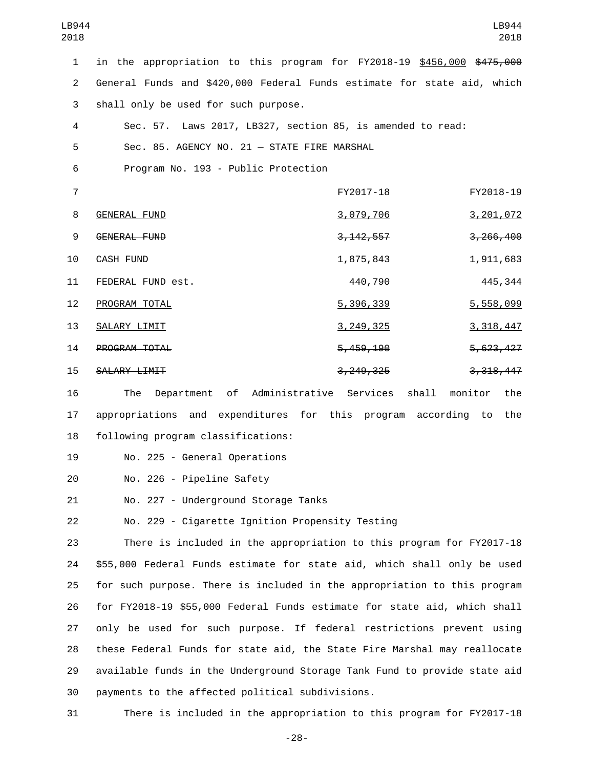| LB944<br>2018  |                                                                           |             | LB944<br>2018           |
|----------------|---------------------------------------------------------------------------|-------------|-------------------------|
| $\mathbf{1}$   | in the appropriation to this program for FY2018-19 \$456,000 \$475,000    |             |                         |
| $\overline{2}$ | General Funds and \$420,000 Federal Funds estimate for state aid, which   |             |                         |
| 3              | shall only be used for such purpose.                                      |             |                         |
| 4              | Sec. 57. Laws 2017, LB327, section 85, is amended to read:                |             |                         |
| 5              | Sec. 85. AGENCY NO. 21 - STATE FIRE MARSHAL                               |             |                         |
| 6              | Program No. 193 - Public Protection                                       |             |                         |
| $\overline{7}$ |                                                                           | FY2017-18   | FY2018-19               |
| 8              | <b>GENERAL FUND</b>                                                       | 3,079,706   | 3,201,072               |
| 9              | GENERAL FUND                                                              | 3, 142, 557 | 3,266,400               |
| 10             | <b>CASH FUND</b>                                                          | 1,875,843   | 1,911,683               |
| 11             | FEDERAL FUND est.                                                         | 440,790     | 445, 344                |
| 12             | PROGRAM TOTAL                                                             | 5,396,339   | 5,558,099               |
| 13             | SALARY LIMIT                                                              | 3, 249, 325 | 3, 318, 447             |
| 14             | PROGRAM TOTAL                                                             | 5, 459, 190 | 5,623,427               |
| 15             | SALARY LIMIT                                                              | 3, 249, 325 | 3, 318, 447             |
| 16             | of Administrative Services<br>The<br>Department                           |             | shall<br>monitor<br>the |
| 17             | appropriations and expenditures for this program according                |             | the<br>to               |
| 18             | following program classifications:                                        |             |                         |
| 19             | No. 225 - General Operations                                              |             |                         |
| 20             | No. 226 - Pipeline Safety                                                 |             |                         |
| 21             | No. 227 - Underground Storage Tanks                                       |             |                         |
| 22             | No. 229 - Cigarette Ignition Propensity Testing                           |             |                         |
| 23             | There is included in the appropriation to this program for FY2017-18      |             |                         |
| 24             | \$55,000 Federal Funds estimate for state aid, which shall only be used   |             |                         |
| 25             | for such purpose. There is included in the appropriation to this program  |             |                         |
| 26             | for FY2018-19 \$55,000 Federal Funds estimate for state aid, which shall  |             |                         |
| 27             | only be used for such purpose. If federal restrictions prevent using      |             |                         |
| 28             | these Federal Funds for state aid, the State Fire Marshal may reallocate  |             |                         |
| 29             | available funds in the Underground Storage Tank Fund to provide state aid |             |                         |
| 30             | payments to the affected political subdivisions.                          |             |                         |
| 31             | There is included in the appropriation to this program for FY2017-18      |             |                         |

-28-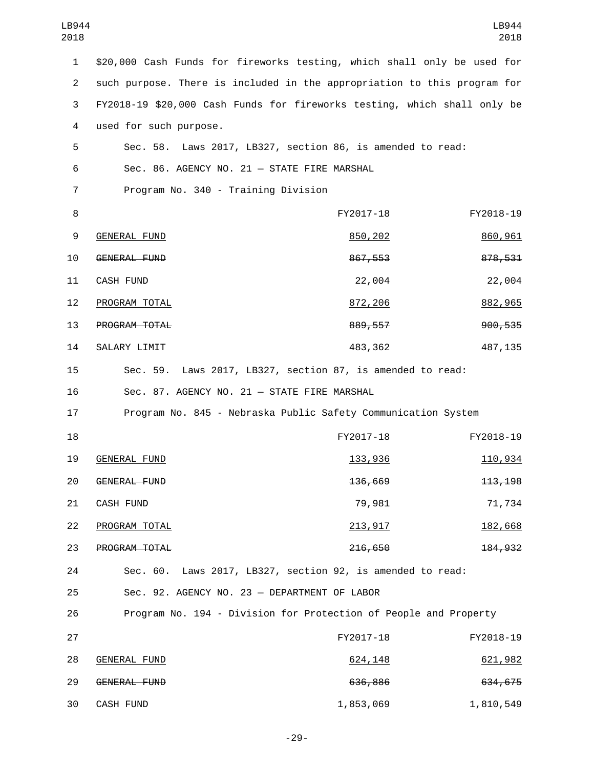| LB944<br>2018  |                                                                          |           | LB944<br>2018 |
|----------------|--------------------------------------------------------------------------|-----------|---------------|
| $\mathbf{1}$   | \$20,000 Cash Funds for fireworks testing, which shall only be used for  |           |               |
| $\overline{2}$ | such purpose. There is included in the appropriation to this program for |           |               |
| 3              | FY2018-19 \$20,000 Cash Funds for fireworks testing, which shall only be |           |               |
| 4              | used for such purpose.                                                   |           |               |
| 5              | Sec. 58. Laws 2017, LB327, section 86, is amended to read:               |           |               |
| 6              | Sec. 86. AGENCY NO. 21 - STATE FIRE MARSHAL                              |           |               |
| 7              | Program No. 340 - Training Division                                      |           |               |
| 8              |                                                                          | FY2017-18 | FY2018-19     |
| 9              | <b>GENERAL FUND</b>                                                      | 850,202   | 860,961       |
| 10             | <b>GENERAL FUND</b>                                                      | 867,553   | 878,531       |
| 11             | <b>CASH FUND</b>                                                         | 22,004    | 22,004        |
| 12             | PROGRAM TOTAL                                                            | 872,206   | 882,965       |
| 13             | PROGRAM TOTAL                                                            | 889, 557  | 900,535       |
| 14             | SALARY LIMIT                                                             | 483,362   | 487, 135      |
| 15             | Sec. 59. Laws 2017, LB327, section 87, is amended to read:               |           |               |
| 16             | Sec. 87. AGENCY NO. 21 - STATE FIRE MARSHAL                              |           |               |
| 17             | Program No. 845 - Nebraska Public Safety Communication System            |           |               |
| 18             |                                                                          | FY2017-18 | FY2018-19     |
| 19             | <b>GENERAL FUND</b>                                                      | 133,936   | 110,934       |
| 20             | GENERAL FUND                                                             | 136,669   | 113, 198      |
| 21             | CASH FUND                                                                | 79,981    | 71,734        |
| 22             | PROGRAM TOTAL                                                            | 213,917   | 182,668       |
| 23             | PROGRAM TOTAL                                                            | 216,650   | 184, 932      |
| 24             | Sec. 60. Laws 2017, LB327, section 92, is amended to read:               |           |               |
| 25             | Sec. 92. AGENCY NO. 23 - DEPARTMENT OF LABOR                             |           |               |
| 26             | Program No. 194 - Division for Protection of People and Property         |           |               |
| 27             |                                                                          | FY2017-18 | FY2018-19     |
| 28             | <b>GENERAL FUND</b>                                                      | 624, 148  | 621,982       |
| 29             | GENERAL FUND                                                             | 636,886   | 634,675       |
| 30             | CASH FUND                                                                | 1,853,069 | 1,810,549     |

-29-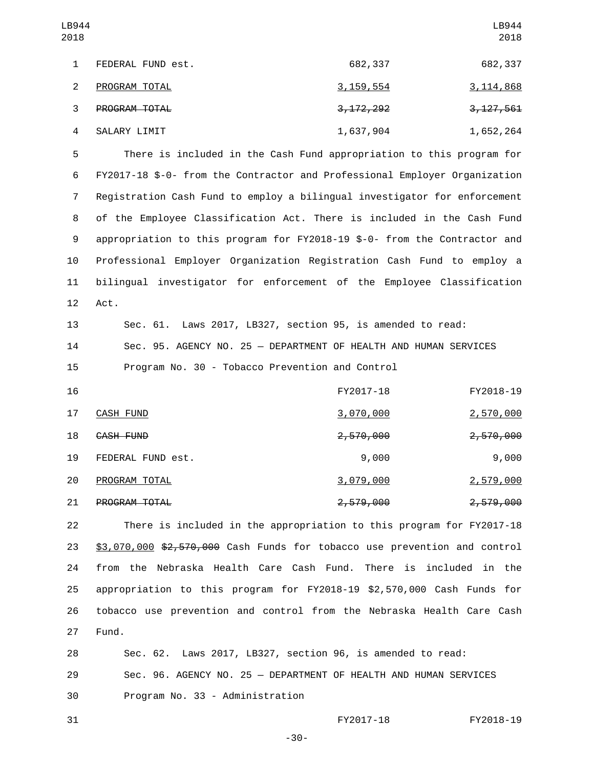| LB944<br>2018 |                   |             | LB944<br>2018 |
|---------------|-------------------|-------------|---------------|
|               | FEDERAL FUND est. | 682,337     | 682,337       |
| 2             | PROGRAM TOTAL     | 3, 159, 554 | 3, 114, 868   |
| 3             | PROGRAM TOTAL     | 3, 172, 292 | 3, 127, 561   |
| 4             | SALARY LIMIT      | 1,637,904   | 1,652,264     |

 There is included in the Cash Fund appropriation to this program for FY2017-18 \$-0- from the Contractor and Professional Employer Organization Registration Cash Fund to employ a bilingual investigator for enforcement of the Employee Classification Act. There is included in the Cash Fund appropriation to this program for FY2018-19 \$-0- from the Contractor and Professional Employer Organization Registration Cash Fund to employ a bilingual investigator for enforcement of the Employee Classification 12 Act.

13 Sec. 61. Laws 2017, LB327, section 95, is amended to read: 14 Sec. 95. AGENCY NO. 25 — DEPARTMENT OF HEALTH AND HUMAN SERVICES 15 Program No. 30 - Tobacco Prevention and Control

| 16 |                      | FY2017-18            | FY2018-19            |
|----|----------------------|----------------------|----------------------|
| 17 | CASH FUND            | <u>3,070,000</u>     | <u>2,570,000</u>     |
| 18 | CASH FUND            | <del>2,570,000</del> | <del>2,570,000</del> |
| 19 | FEDERAL FUND est.    | 9,000                | 9,000                |
| 20 | PROGRAM TOTAL        | 3,079,000            | <u>2,579,000</u>     |
| 21 | <b>PROGRAM TOTAL</b> | <del>2,579,000</del> | <del>2,579,000</del> |

 There is included in the appropriation to this program for FY2017-18 \$3,070,000 \$2,570,000 Cash Funds for tobacco use prevention and control from the Nebraska Health Care Cash Fund. There is included in the appropriation to this program for FY2018-19 \$2,570,000 Cash Funds for tobacco use prevention and control from the Nebraska Health Care Cash 27 Fund.

28 Sec. 62. Laws 2017, LB327, section 96, is amended to read: 29 Sec. 96. AGENCY NO. 25 — DEPARTMENT OF HEALTH AND HUMAN SERVICES 30 Program No. 33 - Administration

31 FY2017-18 FY2018-19

-30-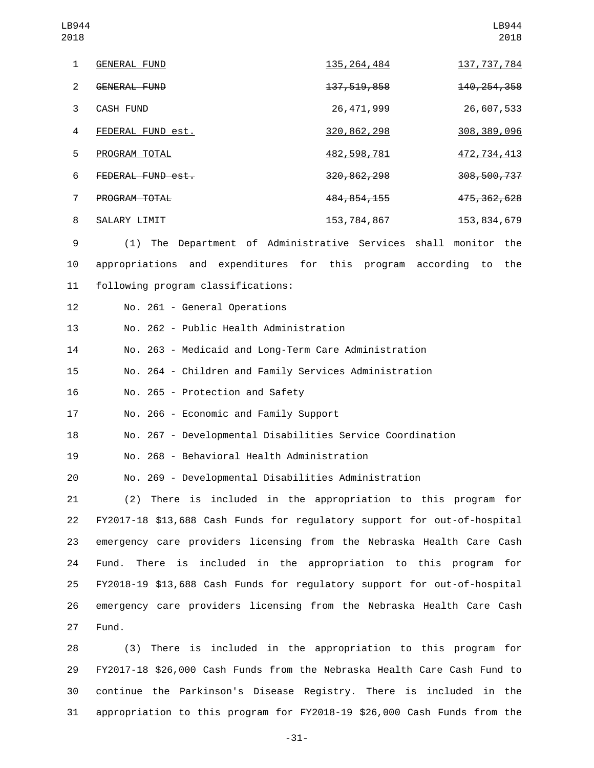| LB944<br>2018  |                      |                                             | LB944<br>2018  |
|----------------|----------------------|---------------------------------------------|----------------|
| $\mathbf{1}$   | <b>GENERAL FUND</b>  | 135, 264, 484                               | 137, 737, 784  |
| 2              | GENERAL FUND         | 137, 519, 858                               | 140, 254, 358  |
| 3              | <b>CASH FUND</b>     | 26, 471, 999                                | 26,607,533     |
| 4              | FEDERAL FUND est.    | 320, 862, 298                               | 308, 389, 096  |
| 5              | PROGRAM TOTAL        | 482, 598, 781                               | 472, 734, 413  |
| 6              | FEDERAL FUND est.    | 320, 862, 298                               | 308,500,737    |
| $\overline{7}$ | <b>PROGRAM TOTAL</b> | 484, 854, 155                               | 475, 362, 628  |
| 8              | SALARY LIMIT         | 153, 784, 867                               | 153, 834, 679  |
| 9              | The<br>(1)           | Department of Administrative Services shall | monitor<br>the |

10 appropriations and expenditures for this program according to the 11 following program classifications:

12 No. 261 - General Operations

13 No. 262 - Public Health Administration

14 No. 263 - Medicaid and Long-Term Care Administration

15 No. 264 - Children and Family Services Administration

16 No. 265 - Protection and Safety

17 No. 266 - Economic and Family Support

18 No. 267 - Developmental Disabilities Service Coordination

No. 268 - Behavioral Health Administration19

20 No. 269 - Developmental Disabilities Administration

 (2) There is included in the appropriation to this program for FY2017-18 \$13,688 Cash Funds for regulatory support for out-of-hospital emergency care providers licensing from the Nebraska Health Care Cash Fund. There is included in the appropriation to this program for FY2018-19 \$13,688 Cash Funds for regulatory support for out-of-hospital emergency care providers licensing from the Nebraska Health Care Cash 27 Fund.

 (3) There is included in the appropriation to this program for FY2017-18 \$26,000 Cash Funds from the Nebraska Health Care Cash Fund to continue the Parkinson's Disease Registry. There is included in the appropriation to this program for FY2018-19 \$26,000 Cash Funds from the

-31-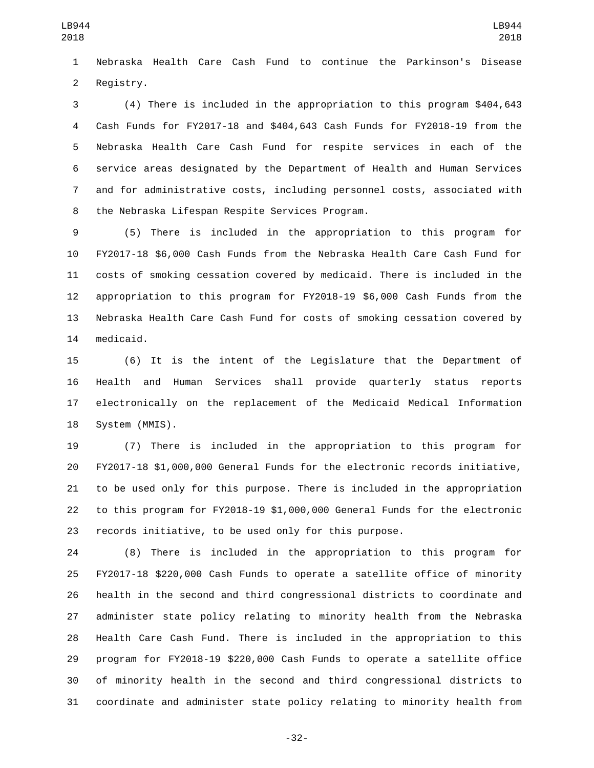Nebraska Health Care Cash Fund to continue the Parkinson's Disease 2 Registry.

 (4) There is included in the appropriation to this program \$404,643 Cash Funds for FY2017-18 and \$404,643 Cash Funds for FY2018-19 from the Nebraska Health Care Cash Fund for respite services in each of the service areas designated by the Department of Health and Human Services and for administrative costs, including personnel costs, associated with 8 the Nebraska Lifespan Respite Services Program.

 (5) There is included in the appropriation to this program for FY2017-18 \$6,000 Cash Funds from the Nebraska Health Care Cash Fund for costs of smoking cessation covered by medicaid. There is included in the appropriation to this program for FY2018-19 \$6,000 Cash Funds from the Nebraska Health Care Cash Fund for costs of smoking cessation covered by 14 medicaid.

 (6) It is the intent of the Legislature that the Department of Health and Human Services shall provide quarterly status reports electronically on the replacement of the Medicaid Medical Information 18 System (MMIS).

 (7) There is included in the appropriation to this program for FY2017-18 \$1,000,000 General Funds for the electronic records initiative, to be used only for this purpose. There is included in the appropriation to this program for FY2018-19 \$1,000,000 General Funds for the electronic records initiative, to be used only for this purpose.

 (8) There is included in the appropriation to this program for FY2017-18 \$220,000 Cash Funds to operate a satellite office of minority health in the second and third congressional districts to coordinate and administer state policy relating to minority health from the Nebraska Health Care Cash Fund. There is included in the appropriation to this program for FY2018-19 \$220,000 Cash Funds to operate a satellite office of minority health in the second and third congressional districts to coordinate and administer state policy relating to minority health from

-32-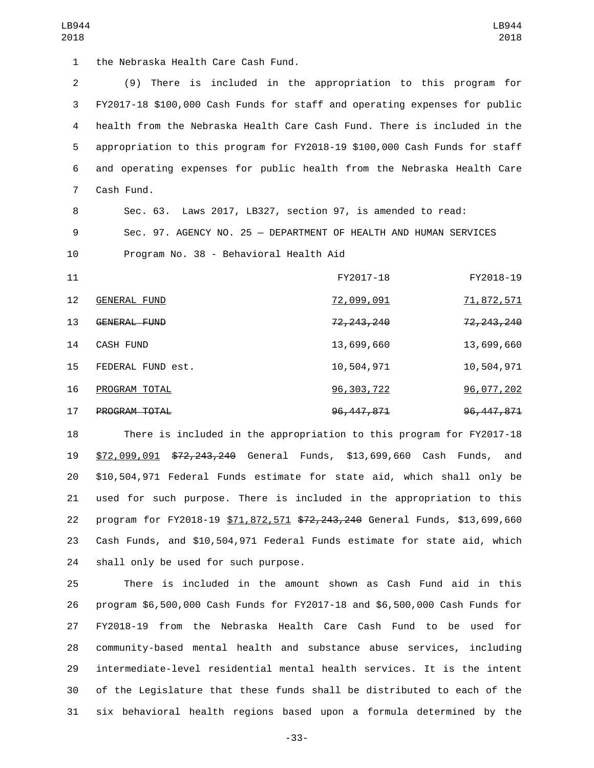1 the Nebraska Health Care Cash Fund.

 (9) There is included in the appropriation to this program for FY2017-18 \$100,000 Cash Funds for staff and operating expenses for public health from the Nebraska Health Care Cash Fund. There is included in the appropriation to this program for FY2018-19 \$100,000 Cash Funds for staff and operating expenses for public health from the Nebraska Health Care 7 Cash Fund.

Sec. 63. Laws 2017, LB327, section 97, is amended to read:

Sec. 97. AGENCY NO. 25 — DEPARTMENT OF HEALTH AND HUMAN SERVICES

10 Program No. 38 - Behavioral Health Aid

| 11                |                   | FY2017-18               | FY2018-19               |
|-------------------|-------------------|-------------------------|-------------------------|
| $12 \overline{ }$ | GENERAL FUND      | 72,099,091              | <u>71,872,571</u>       |
| 13                | GENERAL FUND      | <del>72, 243, 240</del> | <del>72, 243, 240</del> |
| 14                | CASH FUND         | 13,699,660              | 13,699,660              |
| 15                | FEDERAL FUND est. | 10,504,971              | 10,504,971              |
| 16                | PROGRAM TOTAL     | 96, 303, 722            | 96,077,202              |
| 17                | PROGRAM TOTAL     | 96, 447, 871            | 96, 447, 871            |

 There is included in the appropriation to this program for FY2017-18 \$72,099,091 \$72,243,240 General Funds, \$13,699,660 Cash Funds, and \$10,504,971 Federal Funds estimate for state aid, which shall only be used for such purpose. There is included in the appropriation to this 22 program for FY2018-19 \$71,872,571 \$72,243,240 General Funds, \$13,699,660 Cash Funds, and \$10,504,971 Federal Funds estimate for state aid, which 24 shall only be used for such purpose.

 There is included in the amount shown as Cash Fund aid in this program \$6,500,000 Cash Funds for FY2017-18 and \$6,500,000 Cash Funds for FY2018-19 from the Nebraska Health Care Cash Fund to be used for community-based mental health and substance abuse services, including intermediate-level residential mental health services. It is the intent of the Legislature that these funds shall be distributed to each of the six behavioral health regions based upon a formula determined by the

-33-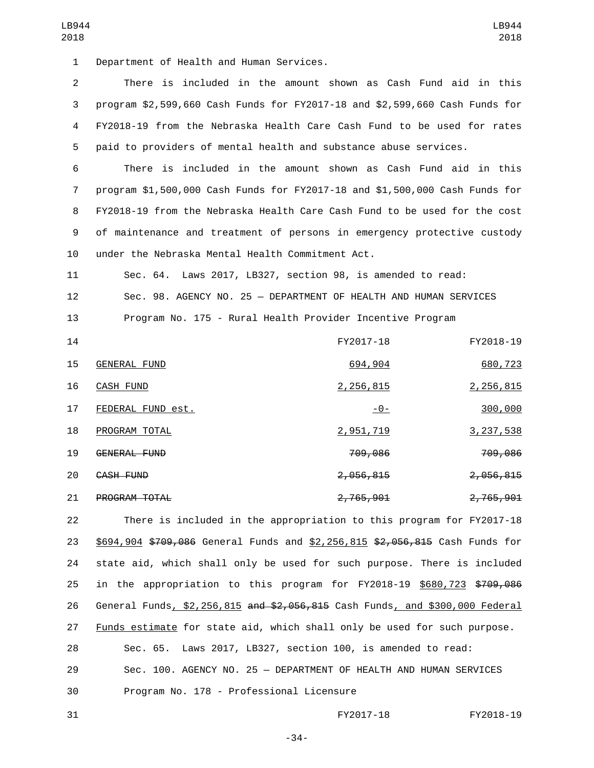1 Department of Health and Human Services.

 There is included in the amount shown as Cash Fund aid in this program \$2,599,660 Cash Funds for FY2017-18 and \$2,599,660 Cash Funds for FY2018-19 from the Nebraska Health Care Cash Fund to be used for rates paid to providers of mental health and substance abuse services.

 There is included in the amount shown as Cash Fund aid in this program \$1,500,000 Cash Funds for FY2017-18 and \$1,500,000 Cash Funds for FY2018-19 from the Nebraska Health Care Cash Fund to be used for the cost of maintenance and treatment of persons in emergency protective custody 10 under the Nebraska Mental Health Commitment Act.

11 Sec. 64. Laws 2017, LB327, section 98, is amended to read: 12 Sec. 98. AGENCY NO. 25 — DEPARTMENT OF HEALTH AND HUMAN SERVICES 13 Program No. 175 - Rural Health Provider Incentive Program

| 14 |                      | FY2017-18      | FY2018-19            |
|----|----------------------|----------------|----------------------|
| 15 | GENERAL FUND         | 694,904        | 680,723              |
| 16 | CASH FUND            | 2,256,815      | 2,256,815            |
| 17 | FEDERAL FUND est.    | <u> - 0 - </u> | 300,000              |
| 18 | PROGRAM TOTAL        | 2,951,719      | 3, 237, 538          |
| 19 | GENERAL FUND         | 709,086        | 709,086              |
| 20 | CASH FUND            | 2,056,815      | <del>2,056,815</del> |
| 21 | <b>PROGRAM TOTAL</b> | 2,765,901      | 2,765,901            |

 There is included in the appropriation to this program for FY2017-18 23 \$694,904 \$709,086 General Funds and \$2,256,815 \$2,056,815 Cash Funds for state aid, which shall only be used for such purpose. There is included in the appropriation to this program for FY2018-19 \$680,723 \$709,086 26 General Funds, \$2,256,815 and \$2,056,815 Cash Funds, and \$300,000 Federal Funds estimate for state aid, which shall only be used for such purpose.

28 Sec. 65. Laws 2017, LB327, section 100, is amended to read: 29 Sec. 100. AGENCY NO. 25 — DEPARTMENT OF HEALTH AND HUMAN SERVICES 30 Program No. 178 - Professional Licensure

31 FY2017-18 FY2018-19

-34-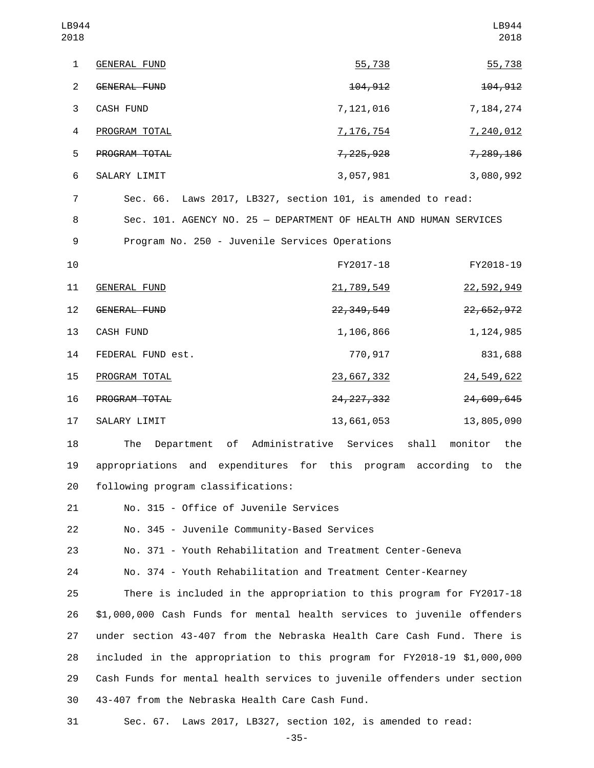| LB944<br>2018  |                                                                   |                         | LB944<br>2018 |
|----------------|-------------------------------------------------------------------|-------------------------|---------------|
| $\mathbf{1}$   | <b>GENERAL FUND</b>                                               | 55,738                  | 55,738        |
| $\overline{2}$ | GENERAL FUND                                                      | 104, 912                | 104, 912      |
| 3              | CASH FUND                                                         | 7,121,016               | 7,184,274     |
| 4              | PROGRAM TOTAL                                                     | <u>7, 176, 754</u>      | 7,240,012     |
| 5              | PROGRAM TOTAL                                                     | 7, 225, 928             | 7,289,186     |
| 6              | SALARY LIMIT                                                      | 3,057,981               | 3,080,992     |
| $\overline{7}$ | Sec. 66. Laws 2017, LB327, section 101, is amended to read:       |                         |               |
| 8              | Sec. 101. AGENCY NO. 25 - DEPARTMENT OF HEALTH AND HUMAN SERVICES |                         |               |
| 9              | Program No. 250 - Juvenile Services Operations                    |                         |               |
| 10             |                                                                   | FY2017-18               | FY2018-19     |
| 11             | <b>GENERAL FUND</b>                                               | 21,789,549              | 22,592,949    |
| 12             | GENERAL FUND                                                      | 22, 349, 549            | 22, 652, 972  |
| 13             | CASH FUND                                                         | 1,106,866               | 1, 124, 985   |
| 14             | FEDERAL FUND est.                                                 | 770,917                 | 831,688       |
| 15             | PROGRAM TOTAL                                                     | 23,667,332              | 24, 549, 622  |
| 16             | PROGRAM TOTAL                                                     | <del>24, 227, 332</del> | 24,609,645    |
| 17             | SALARY LIMIT                                                      | 13,661,053              | 13,805,090    |
| 18             | The Department of Administrative Services shall monitor the       |                         |               |
| 19             | appropriations and expenditures for this program according to     |                         | the           |
| 20             | following program classifications:                                |                         |               |
| 21             | No. 315 - Office of Juvenile Services                             |                         |               |
| 22             | No. 345 - Juvenile Community-Based Services                       |                         |               |
| 23             | No. 371 - Youth Rehabilitation and Treatment Center-Geneva        |                         |               |
| 24             | No. 374 - Youth Rehabilitation and Treatment Center-Kearney       |                         |               |

 There is included in the appropriation to this program for FY2017-18 \$1,000,000 Cash Funds for mental health services to juvenile offenders under section 43-407 from the Nebraska Health Care Cash Fund. There is included in the appropriation to this program for FY2018-19 \$1,000,000 Cash Funds for mental health services to juvenile offenders under section 43-407 from the Nebraska Health Care Cash Fund.30

31 Sec. 67. Laws 2017, LB327, section 102, is amended to read:

-35-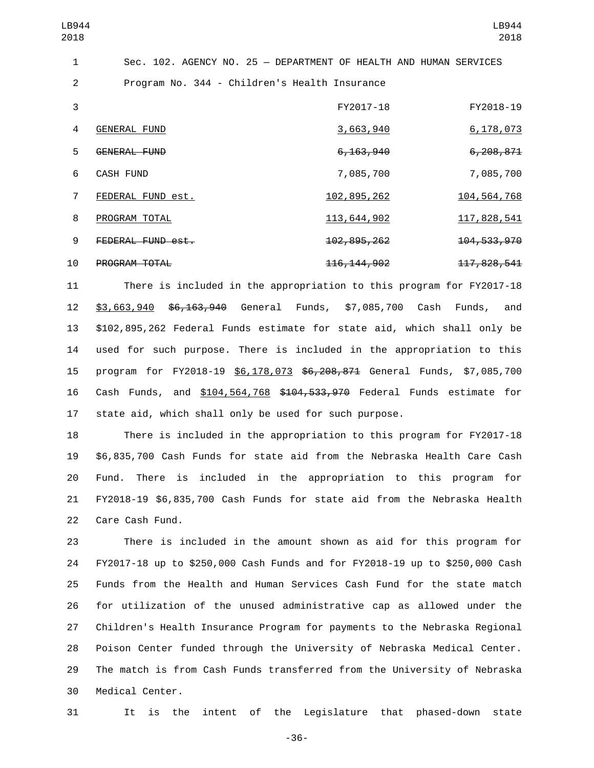| LB944<br>2018  |                     |                                                                   | LB944<br>2018            |
|----------------|---------------------|-------------------------------------------------------------------|--------------------------|
| 1              |                     | Sec. 102. AGENCY NO. 25 - DEPARTMENT OF HEALTH AND HUMAN SERVICES |                          |
| 2              |                     | Program No. 344 - Children's Health Insurance                     |                          |
| 3              |                     | FY2017-18                                                         | FY2018-19                |
| 4              | <b>GENERAL FUND</b> | 3,663,940                                                         | 6, 178, 073              |
| 5              | GENERAL FUND        | <del>6,163,940</del>                                              | 6, 208, 871              |
| 6              | <b>CASH FUND</b>    | 7,085,700                                                         | 7,085,700                |
| $\overline{7}$ | FEDERAL FUND est.   | 102,895,262                                                       | 104, 564, 768            |
| 8              | PROGRAM TOTAL       | 113,644,902                                                       | <u>117,828,541</u>       |
| 9              | FEDERAL FUND est.   | 102, 895, 262                                                     | <del>104, 533, 970</del> |
| 10             | PROGRAM TOTAL       | 116, 144, 902                                                     | 117, 828, 541            |

 There is included in the appropriation to this program for FY2017-18 \$3,663,940 \$6,163,940 General Funds, \$7,085,700 Cash Funds, and \$102,895,262 Federal Funds estimate for state aid, which shall only be used for such purpose. There is included in the appropriation to this program for FY2018-19 \$6,178,073 \$6,208,871 General Funds, \$7,085,700 Cash Funds, and \$104,564,768 \$104,533,970 Federal Funds estimate for state aid, which shall only be used for such purpose.

 There is included in the appropriation to this program for FY2017-18 \$6,835,700 Cash Funds for state aid from the Nebraska Health Care Cash Fund. There is included in the appropriation to this program for FY2018-19 \$6,835,700 Cash Funds for state aid from the Nebraska Health 22 Care Cash Fund.

 There is included in the amount shown as aid for this program for FY2017-18 up to \$250,000 Cash Funds and for FY2018-19 up to \$250,000 Cash Funds from the Health and Human Services Cash Fund for the state match for utilization of the unused administrative cap as allowed under the Children's Health Insurance Program for payments to the Nebraska Regional Poison Center funded through the University of Nebraska Medical Center. The match is from Cash Funds transferred from the University of Nebraska 30 Medical Center.

It is the intent of the Legislature that phased-down state

-36-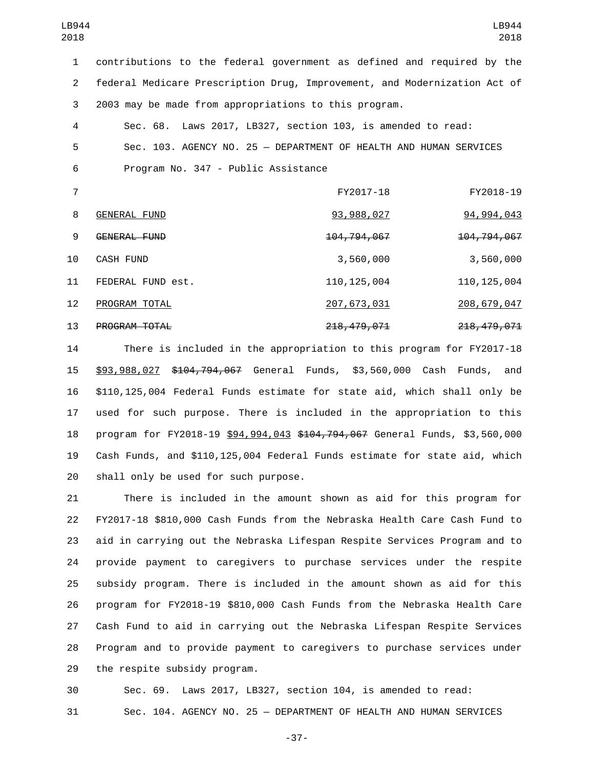contributions to the federal government as defined and required by the federal Medicare Prescription Drug, Improvement, and Modernization Act of 2003 may be made from appropriations to this program.

 Sec. 68. Laws 2017, LB327, section 103, is amended to read: Sec. 103. AGENCY NO. 25 — DEPARTMENT OF HEALTH AND HUMAN SERVICES 6 Program No. 347 - Public Assistance

|    |                      | FY2017-18                | FY2018-19                |
|----|----------------------|--------------------------|--------------------------|
| 8  | GENERAL FUND         | 93, 988, 027             | 94, 994, 043             |
| 9  | GENERAL FUND         | <del>104,794,067</del>   | 104, 794, 067            |
| 10 | CASH FUND            | 3,560,000                | 3,560,000                |
| 11 | FEDERAL FUND est.    | 110, 125, 004            | 110, 125, 004            |
| 12 | PROGRAM TOTAL        | 207,673,031              | 208,679,047              |
| 13 | <b>PROGRAM TOTAL</b> | <del>218, 479, 071</del> | <del>218, 479, 071</del> |

 There is included in the appropriation to this program for FY2017-18 \$93,988,027 \$104,794,067 General Funds, \$3,560,000 Cash Funds, and \$110,125,004 Federal Funds estimate for state aid, which shall only be used for such purpose. There is included in the appropriation to this program for FY2018-19 \$94,994,043 \$104,794,067 General Funds, \$3,560,000 Cash Funds, and \$110,125,004 Federal Funds estimate for state aid, which 20 shall only be used for such purpose.

 There is included in the amount shown as aid for this program for FY2017-18 \$810,000 Cash Funds from the Nebraska Health Care Cash Fund to aid in carrying out the Nebraska Lifespan Respite Services Program and to provide payment to caregivers to purchase services under the respite subsidy program. There is included in the amount shown as aid for this program for FY2018-19 \$810,000 Cash Funds from the Nebraska Health Care Cash Fund to aid in carrying out the Nebraska Lifespan Respite Services Program and to provide payment to caregivers to purchase services under 29 the respite subsidy program.

 Sec. 69. Laws 2017, LB327, section 104, is amended to read: Sec. 104. AGENCY NO. 25 — DEPARTMENT OF HEALTH AND HUMAN SERVICES

-37-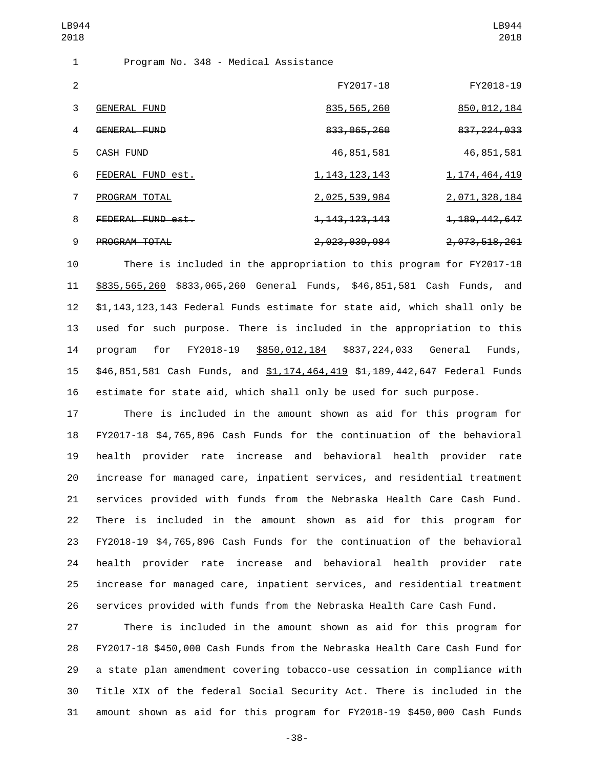| LB944<br>2018  |                                      |                             | LB944<br>2018    |
|----------------|--------------------------------------|-----------------------------|------------------|
| 1              | Program No. 348 - Medical Assistance |                             |                  |
| 2              |                                      | FY2017-18                   | FY2018-19        |
| 3              | <b>GENERAL FUND</b>                  | 835, 565, 260               | 850,012,184      |
| 4              | GENERAL FUND                         | 833, 065, 260               | 837, 224, 033    |
| 5              | <b>CASH FUND</b>                     | 46,851,581                  | 46,851,581       |
| 6              | FEDERAL FUND est.                    | 1, 143, 123, 143            | 1, 174, 464, 419 |
| $\overline{7}$ | PROGRAM TOTAL                        | 2,025,539,984               | 2,071,328,184    |
| 8              | FEDERAL FUND est.                    | <del>1, 143, 123, 143</del> | 1, 189, 442, 647 |
| 9              | <b>PROGRAM TOTAL</b>                 | 2,023,039,984               | 2, 073, 518, 261 |

 There is included in the appropriation to this program for FY2017-18 \$835,565,260 \$833,065,260 General Funds, \$46,851,581 Cash Funds, and \$1,143,123,143 Federal Funds estimate for state aid, which shall only be used for such purpose. There is included in the appropriation to this program for FY2018-19 \$850,012,184 \$837,224,033 General Funds, 15 \$46,851,581 Cash Funds, and \$1,174,464,419 \$1,189,442,647 Federal Funds estimate for state aid, which shall only be used for such purpose.

 There is included in the amount shown as aid for this program for FY2017-18 \$4,765,896 Cash Funds for the continuation of the behavioral health provider rate increase and behavioral health provider rate increase for managed care, inpatient services, and residential treatment services provided with funds from the Nebraska Health Care Cash Fund. There is included in the amount shown as aid for this program for FY2018-19 \$4,765,896 Cash Funds for the continuation of the behavioral health provider rate increase and behavioral health provider rate increase for managed care, inpatient services, and residential treatment services provided with funds from the Nebraska Health Care Cash Fund.

 There is included in the amount shown as aid for this program for FY2017-18 \$450,000 Cash Funds from the Nebraska Health Care Cash Fund for a state plan amendment covering tobacco-use cessation in compliance with Title XIX of the federal Social Security Act. There is included in the amount shown as aid for this program for FY2018-19 \$450,000 Cash Funds

-38-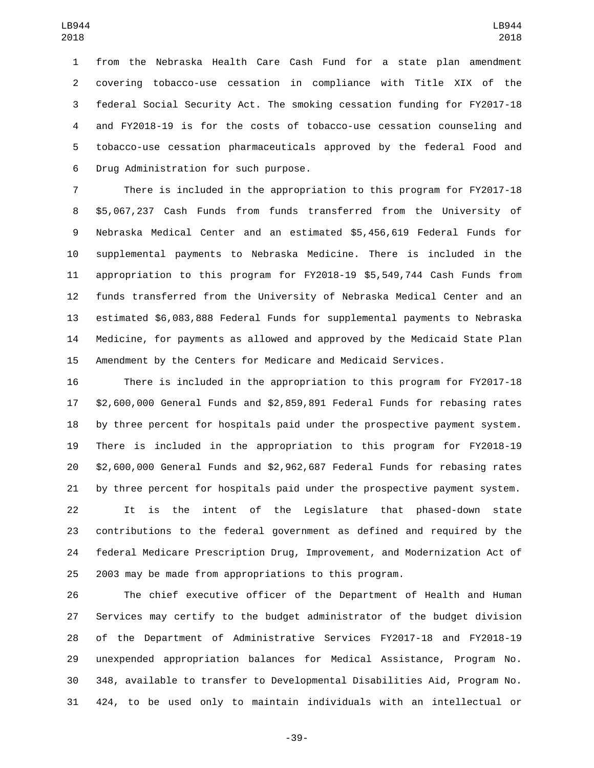from the Nebraska Health Care Cash Fund for a state plan amendment covering tobacco-use cessation in compliance with Title XIX of the federal Social Security Act. The smoking cessation funding for FY2017-18 and FY2018-19 is for the costs of tobacco-use cessation counseling and tobacco-use cessation pharmaceuticals approved by the federal Food and 6 Drug Administration for such purpose.

 There is included in the appropriation to this program for FY2017-18 \$5,067,237 Cash Funds from funds transferred from the University of Nebraska Medical Center and an estimated \$5,456,619 Federal Funds for supplemental payments to Nebraska Medicine. There is included in the appropriation to this program for FY2018-19 \$5,549,744 Cash Funds from funds transferred from the University of Nebraska Medical Center and an estimated \$6,083,888 Federal Funds for supplemental payments to Nebraska Medicine, for payments as allowed and approved by the Medicaid State Plan Amendment by the Centers for Medicare and Medicaid Services.

 There is included in the appropriation to this program for FY2017-18 \$2,600,000 General Funds and \$2,859,891 Federal Funds for rebasing rates by three percent for hospitals paid under the prospective payment system. There is included in the appropriation to this program for FY2018-19 \$2,600,000 General Funds and \$2,962,687 Federal Funds for rebasing rates by three percent for hospitals paid under the prospective payment system.

 It is the intent of the Legislature that phased-down state contributions to the federal government as defined and required by the federal Medicare Prescription Drug, Improvement, and Modernization Act of 2003 may be made from appropriations to this program.

 The chief executive officer of the Department of Health and Human Services may certify to the budget administrator of the budget division of the Department of Administrative Services FY2017-18 and FY2018-19 unexpended appropriation balances for Medical Assistance, Program No. 348, available to transfer to Developmental Disabilities Aid, Program No. 424, to be used only to maintain individuals with an intellectual or

-39-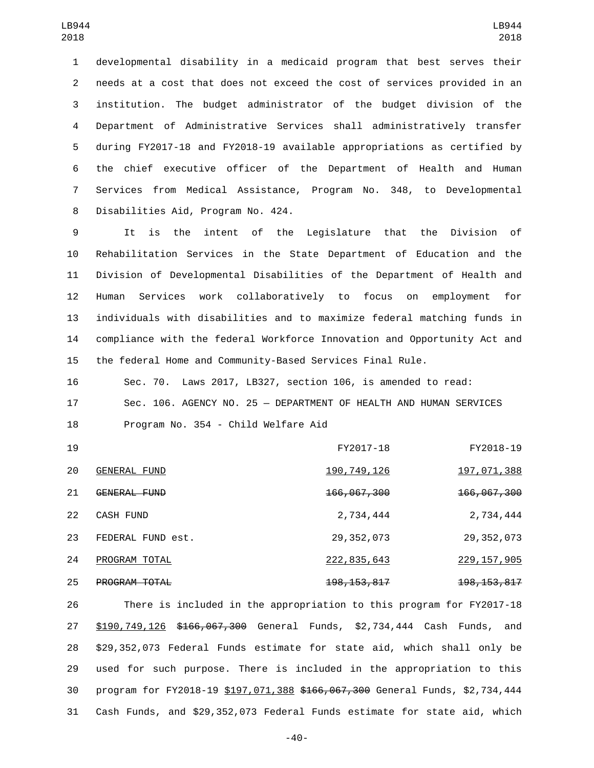developmental disability in a medicaid program that best serves their needs at a cost that does not exceed the cost of services provided in an institution. The budget administrator of the budget division of the Department of Administrative Services shall administratively transfer during FY2017-18 and FY2018-19 available appropriations as certified by the chief executive officer of the Department of Health and Human Services from Medical Assistance, Program No. 348, to Developmental 8 Disabilities Aid, Program No. 424.

 It is the intent of the Legislature that the Division of Rehabilitation Services in the State Department of Education and the Division of Developmental Disabilities of the Department of Health and Human Services work collaboratively to focus on employment for individuals with disabilities and to maximize federal matching funds in compliance with the federal Workforce Innovation and Opportunity Act and the federal Home and Community-Based Services Final Rule.

 Sec. 70. Laws 2017, LB327, section 106, is amended to read: Sec. 106. AGENCY NO. 25 — DEPARTMENT OF HEALTH AND HUMAN SERVICES 18 Program No. 354 - Child Welfare Aid

| 19 |                      | FY2017-18                | FY2018-19                |
|----|----------------------|--------------------------|--------------------------|
| 20 | <b>GENERAL FUND</b>  | 190, 749, 126            | 197,071,388              |
| 21 | GENERAL FUND         | <del>166,067,300</del>   | <del>166,067,300</del>   |
| 22 | <b>CASH FUND</b>     | 2,734,444                | 2,734,444                |
| 23 | FEDERAL FUND est.    | 29, 352, 073             | 29, 352, 073             |
| 24 | PROGRAM TOTAL        | 222, 835, 643            | 229, 157, 905            |
| 25 | <b>PROGRAM TOTAL</b> | <del>198, 153, 817</del> | <del>198, 153, 817</del> |

 There is included in the appropriation to this program for FY2017-18 27 \$190,749,126 \$166,067,300 General Funds, \$2,734,444 Cash Funds, and \$29,352,073 Federal Funds estimate for state aid, which shall only be used for such purpose. There is included in the appropriation to this 30 program for FY2018-19 \$197,071,388 \$166,067,300 General Funds, \$2,734,444 Cash Funds, and \$29,352,073 Federal Funds estimate for state aid, which

-40-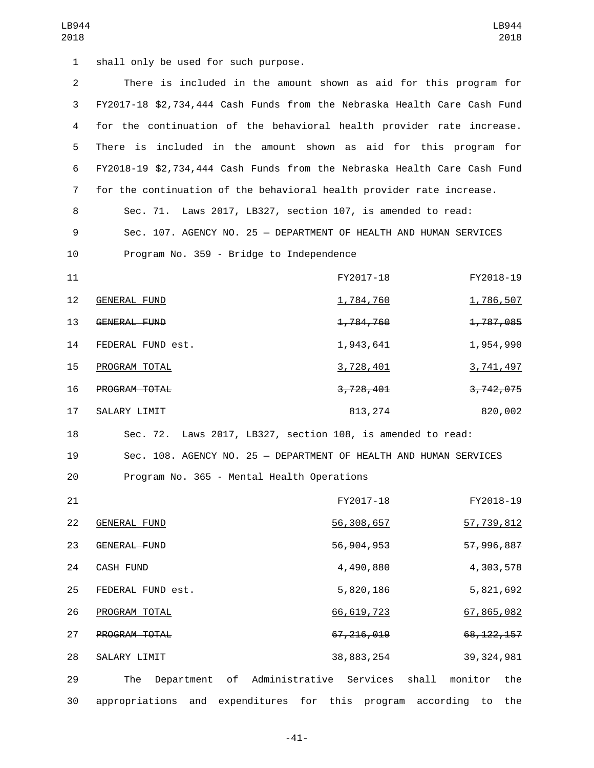1 shall only be used for such purpose.

| $\overline{2}$ | There is included in the amount shown as aid for this program for        |                                  |                   |
|----------------|--------------------------------------------------------------------------|----------------------------------|-------------------|
| 3              | FY2017-18 \$2,734,444 Cash Funds from the Nebraska Health Care Cash Fund |                                  |                   |
|                |                                                                          |                                  |                   |
| 4              | for the continuation of the behavioral health provider rate increase.    |                                  |                   |
| 5              | There is included in the amount shown as aid for this program for        |                                  |                   |
| 6              | FY2018-19 \$2,734,444 Cash Funds from the Nebraska Health Care Cash Fund |                                  |                   |
| $\overline{7}$ | for the continuation of the behavioral health provider rate increase.    |                                  |                   |
| 8              | Sec. 71. Laws 2017, LB327, section 107, is amended to read:              |                                  |                   |
| 9              | Sec. 107. AGENCY NO. 25 - DEPARTMENT OF HEALTH AND HUMAN SERVICES        |                                  |                   |
| 10             | Program No. 359 - Bridge to Independence                                 |                                  |                   |
| 11             |                                                                          | FY2017-18                        | FY2018-19         |
| 12             | <b>GENERAL FUND</b>                                                      | 1,784,760                        | 1,786,507         |
| 13             | GENERAL FUND                                                             | 1,784,760                        | 1,787,085         |
| 14             | FEDERAL FUND est.                                                        | 1,943,641                        | 1,954,990         |
| 15             | PROGRAM TOTAL                                                            | 3,728,401                        | 3,741,497         |
| 16             | PROGRAM TOTAL                                                            | 3,728,401                        | 3,742,075         |
| 17             | SALARY LIMIT                                                             | 813, 274                         | 820,002           |
| 18             | Sec. 72. Laws 2017, LB327, section 108, is amended to read:              |                                  |                   |
| 19             | Sec. 108. AGENCY NO. 25 - DEPARTMENT OF HEALTH AND HUMAN SERVICES        |                                  |                   |
| 20             | Program No. 365 - Mental Health Operations                               |                                  |                   |
| 21             |                                                                          | FY2017-18                        | FY2018-19         |
| 22             | <b>GENERAL FUND</b>                                                      | 56, 308, 657                     | <u>57,739,812</u> |
| 23             | GENERAL FUND                                                             | 56, 904, 953                     | 57, 996, 887      |
| 24             | CASH FUND                                                                | 4,490,880                        | 4,303,578         |
| 25             | FEDERAL FUND est.                                                        | 5,820,186                        | 5,821,692         |
| 26             | PROGRAM TOTAL                                                            | 66, 619, 723                     | 67,865,082        |
| 27             | PROGRAM TOTAL                                                            | 67, 216, 019                     | 68, 122, 157      |
| 28             | SALARY LIMIT                                                             | 38,883,254                       | 39, 324, 981      |
| 29             | The<br>Department<br>of                                                  | shall<br>Administrative Services | monitor<br>the    |
| 30             | appropriations and expenditures for this program according               |                                  | the<br>to         |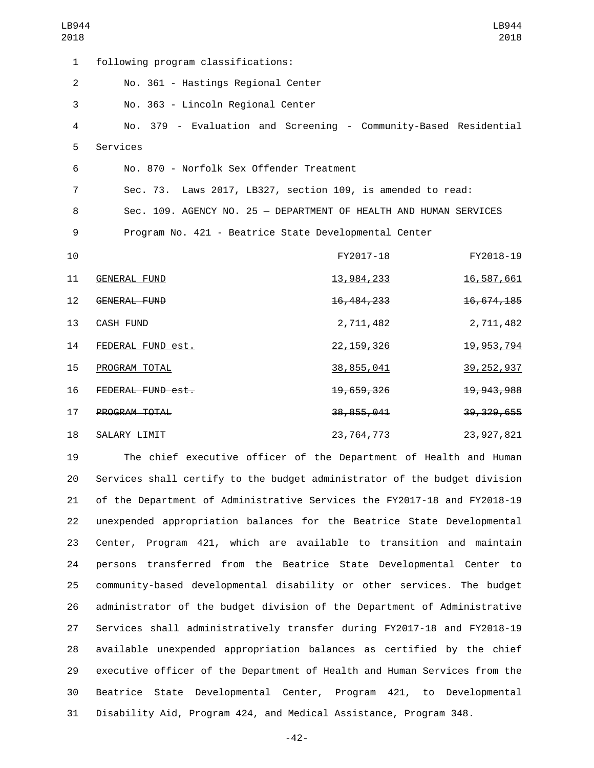| LB944<br>2018  |                                                                   |              | LB944<br>2018 |
|----------------|-------------------------------------------------------------------|--------------|---------------|
| $\mathbf{1}$   | following program classifications:                                |              |               |
| $\overline{2}$ | No. 361 - Hastings Regional Center                                |              |               |
| 3              | No. 363 - Lincoln Regional Center                                 |              |               |
| $\overline{4}$ | No. 379 - Evaluation and Screening - Community-Based Residential  |              |               |
| 5              | Services                                                          |              |               |
| 6              | No. 870 - Norfolk Sex Offender Treatment                          |              |               |
| 7              | Sec. 73. Laws 2017, LB327, section 109, is amended to read:       |              |               |
| 8              | Sec. 109. AGENCY NO. 25 - DEPARTMENT OF HEALTH AND HUMAN SERVICES |              |               |
| 9              | Program No. 421 - Beatrice State Developmental Center             |              |               |
| 10             |                                                                   | FY2017-18    | FY2018-19     |
| 11             | <b>GENERAL FUND</b>                                               | 13,984,233   | 16,587,661    |
| 12             | <b>GENERAL FUND</b>                                               | 16, 484, 233 | 16,674,185    |
| 13             | <b>CASH FUND</b>                                                  | 2,711,482    | 2,711,482     |
| 14             | FEDERAL FUND est.                                                 | 22, 159, 326 | 19, 953, 794  |
| 15             | PROGRAM TOTAL                                                     | 38, 855, 041 | 39, 252, 937  |
| 16             | FEDERAL FUND est.                                                 | 19,659,326   | 19, 943, 988  |
| 17             | PROGRAM TOTAL                                                     | 38, 855, 041 | 39, 329, 655  |
| 18             | SALARY LIMIT                                                      | 23,764,773   | 23, 927, 821  |
| 10             | The chief executive efficer of the Department of Health and Human |              |               |

 The chief executive officer of the Department of Health and Human Services shall certify to the budget administrator of the budget division of the Department of Administrative Services the FY2017-18 and FY2018-19 unexpended appropriation balances for the Beatrice State Developmental Center, Program 421, which are available to transition and maintain persons transferred from the Beatrice State Developmental Center to community-based developmental disability or other services. The budget administrator of the budget division of the Department of Administrative Services shall administratively transfer during FY2017-18 and FY2018-19 available unexpended appropriation balances as certified by the chief executive officer of the Department of Health and Human Services from the Beatrice State Developmental Center, Program 421, to Developmental Disability Aid, Program 424, and Medical Assistance, Program 348.

-42-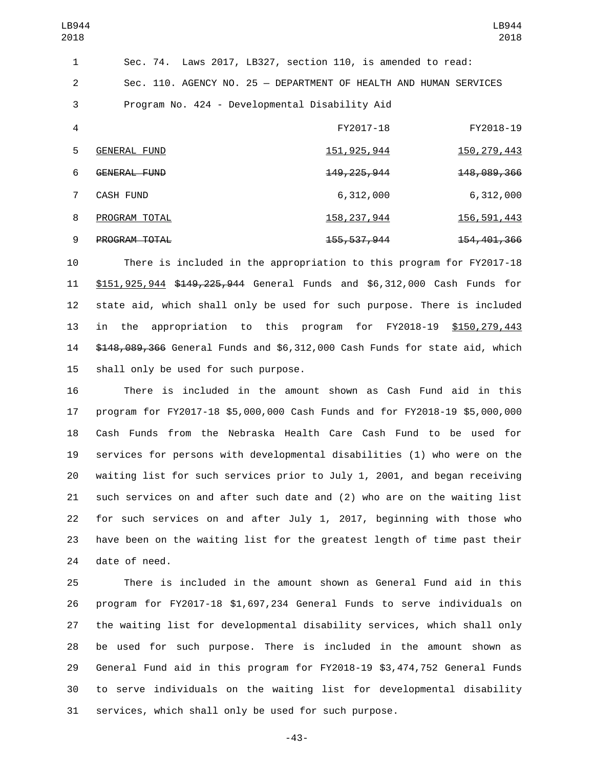| LB944<br>2018  |                     |                                                                   | LB944<br>2018            |
|----------------|---------------------|-------------------------------------------------------------------|--------------------------|
| 1              |                     | Sec. 74. Laws 2017, LB327, section 110, is amended to read:       |                          |
| 2              |                     | Sec. 110. AGENCY NO. 25 - DEPARTMENT OF HEALTH AND HUMAN SERVICES |                          |
| 3              |                     | Program No. 424 - Developmental Disability Aid                    |                          |
| 4              |                     | FY2017-18                                                         | FY2018-19                |
| 5              | <b>GENERAL FUND</b> | 151, 925, 944                                                     | 150, 279, 443            |
| 6              | GENERAL FUND        | <del>149, 225, 944</del>                                          | 148,089,366              |
| $\overline{7}$ | <b>CASH FUND</b>    | 6,312,000                                                         | 6,312,000                |
| 8              | PROGRAM TOTAL       | 158, 237, 944                                                     | 156, 591, 443            |
| 9              | PROGRAM TOTAL       | 155, 537, 944                                                     | <del>154, 401, 366</del> |

 There is included in the appropriation to this program for FY2017-18 \$151,925,944 \$149,225,944 General Funds and \$6,312,000 Cash Funds for state aid, which shall only be used for such purpose. There is included in the appropriation to this program for FY2018-19 \$150,279,443 \$148,089,366 General Funds and \$6,312,000 Cash Funds for state aid, which 15 shall only be used for such purpose.

 There is included in the amount shown as Cash Fund aid in this program for FY2017-18 \$5,000,000 Cash Funds and for FY2018-19 \$5,000,000 Cash Funds from the Nebraska Health Care Cash Fund to be used for services for persons with developmental disabilities (1) who were on the waiting list for such services prior to July 1, 2001, and began receiving such services on and after such date and (2) who are on the waiting list for such services on and after July 1, 2017, beginning with those who have been on the waiting list for the greatest length of time past their 24 date of need.

 There is included in the amount shown as General Fund aid in this program for FY2017-18 \$1,697,234 General Funds to serve individuals on the waiting list for developmental disability services, which shall only be used for such purpose. There is included in the amount shown as General Fund aid in this program for FY2018-19 \$3,474,752 General Funds to serve individuals on the waiting list for developmental disability services, which shall only be used for such purpose.

-43-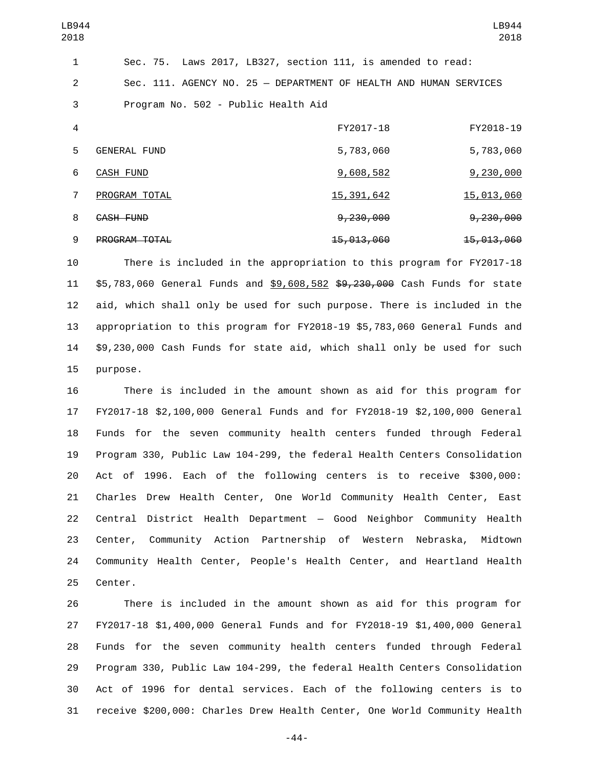| LB944<br>2018  |                                     |                                                                   | LB944<br>2018         |
|----------------|-------------------------------------|-------------------------------------------------------------------|-----------------------|
| 1              |                                     | Sec. 75. Laws 2017, LB327, section 111, is amended to read:       |                       |
| 2              |                                     | Sec. 111. AGENCY NO. 25 - DEPARTMENT OF HEALTH AND HUMAN SERVICES |                       |
| 3              | Program No. 502 - Public Health Aid |                                                                   |                       |
| $\overline{4}$ |                                     | FY2017-18                                                         | FY2018-19             |
| 5              | <b>GENERAL FUND</b>                 | 5,783,060                                                         | 5,783,060             |
| 6              | CASH FUND                           | 9,608,582                                                         | 9,230,000             |
| 7              | PROGRAM TOTAL                       | 15, 391, 642                                                      | 15,013,060            |
| 8              | <b>CASH FUND</b>                    | <del>9,230,000</del>                                              | <del>9,230,000</del>  |
| 9              | PROGRAM TOTAL                       | <del>15,013,060</del>                                             | <del>15,013,060</del> |

 There is included in the appropriation to this program for FY2017-18 \$5,783,060 General Funds and \$9,608,582 \$9,230,000 Cash Funds for state aid, which shall only be used for such purpose. There is included in the appropriation to this program for FY2018-19 \$5,783,060 General Funds and \$9,230,000 Cash Funds for state aid, which shall only be used for such 15 purpose.

 There is included in the amount shown as aid for this program for FY2017-18 \$2,100,000 General Funds and for FY2018-19 \$2,100,000 General Funds for the seven community health centers funded through Federal Program 330, Public Law 104-299, the federal Health Centers Consolidation Act of 1996. Each of the following centers is to receive \$300,000: Charles Drew Health Center, One World Community Health Center, East Central District Health Department — Good Neighbor Community Health Center, Community Action Partnership of Western Nebraska, Midtown Community Health Center, People's Health Center, and Heartland Health 25 Center.

 There is included in the amount shown as aid for this program for FY2017-18 \$1,400,000 General Funds and for FY2018-19 \$1,400,000 General Funds for the seven community health centers funded through Federal Program 330, Public Law 104-299, the federal Health Centers Consolidation Act of 1996 for dental services. Each of the following centers is to receive \$200,000: Charles Drew Health Center, One World Community Health

-44-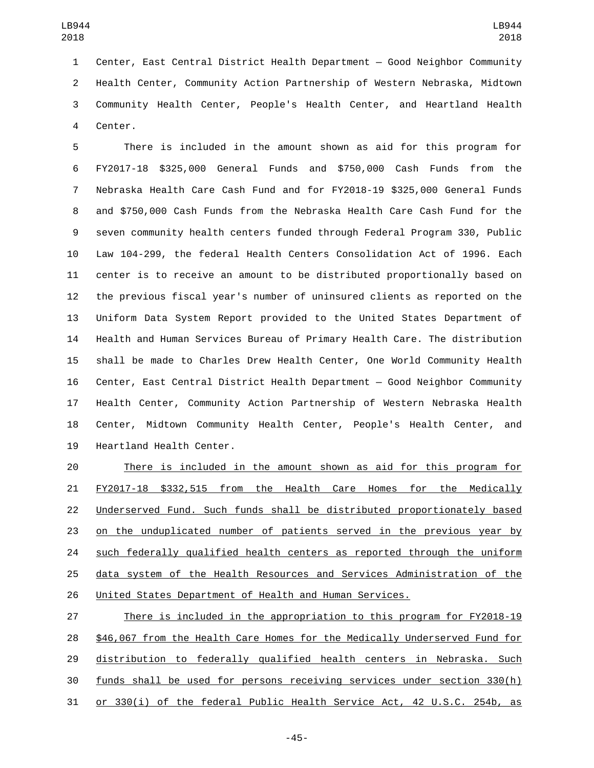Center, East Central District Health Department — Good Neighbor Community Health Center, Community Action Partnership of Western Nebraska, Midtown Community Health Center, People's Health Center, and Heartland Health 4 Center.

 There is included in the amount shown as aid for this program for FY2017-18 \$325,000 General Funds and \$750,000 Cash Funds from the Nebraska Health Care Cash Fund and for FY2018-19 \$325,000 General Funds and \$750,000 Cash Funds from the Nebraska Health Care Cash Fund for the seven community health centers funded through Federal Program 330, Public Law 104-299, the federal Health Centers Consolidation Act of 1996. Each center is to receive an amount to be distributed proportionally based on the previous fiscal year's number of uninsured clients as reported on the Uniform Data System Report provided to the United States Department of Health and Human Services Bureau of Primary Health Care. The distribution shall be made to Charles Drew Health Center, One World Community Health Center, East Central District Health Department — Good Neighbor Community Health Center, Community Action Partnership of Western Nebraska Health Center, Midtown Community Health Center, People's Health Center, and 19 Heartland Health Center.

 There is included in the amount shown as aid for this program for 21 FY2017-18 \$332,515 from the Health Care Homes for the Medically Underserved Fund. Such funds shall be distributed proportionately based on the unduplicated number of patients served in the previous year by 24 such federally qualified health centers as reported through the uniform data system of the Health Resources and Services Administration of the United States Department of Health and Human Services.

 There is included in the appropriation to this program for FY2018-19 \$46,067 from the Health Care Homes for the Medically Underserved Fund for distribution to federally qualified health centers in Nebraska. Such funds shall be used for persons receiving services under section 330(h) or 330(i) of the federal Public Health Service Act, 42 U.S.C. 254b, as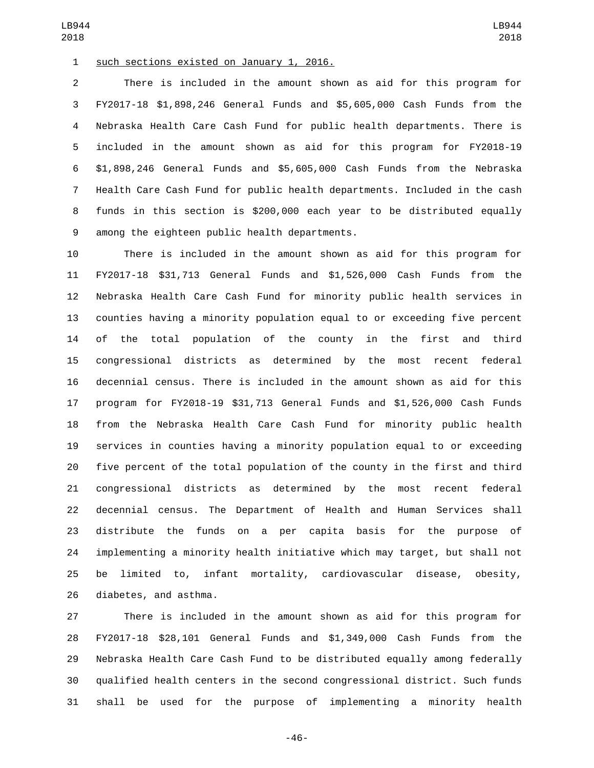such sections existed on January 1, 2016.

 There is included in the amount shown as aid for this program for FY2017-18 \$1,898,246 General Funds and \$5,605,000 Cash Funds from the Nebraska Health Care Cash Fund for public health departments. There is included in the amount shown as aid for this program for FY2018-19 \$1,898,246 General Funds and \$5,605,000 Cash Funds from the Nebraska Health Care Cash Fund for public health departments. Included in the cash funds in this section is \$200,000 each year to be distributed equally 9 among the eighteen public health departments.

 There is included in the amount shown as aid for this program for FY2017-18 \$31,713 General Funds and \$1,526,000 Cash Funds from the Nebraska Health Care Cash Fund for minority public health services in counties having a minority population equal to or exceeding five percent of the total population of the county in the first and third congressional districts as determined by the most recent federal decennial census. There is included in the amount shown as aid for this program for FY2018-19 \$31,713 General Funds and \$1,526,000 Cash Funds from the Nebraska Health Care Cash Fund for minority public health services in counties having a minority population equal to or exceeding five percent of the total population of the county in the first and third congressional districts as determined by the most recent federal decennial census. The Department of Health and Human Services shall distribute the funds on a per capita basis for the purpose of implementing a minority health initiative which may target, but shall not be limited to, infant mortality, cardiovascular disease, obesity, 26 diabetes, and asthma.

 There is included in the amount shown as aid for this program for FY2017-18 \$28,101 General Funds and \$1,349,000 Cash Funds from the Nebraska Health Care Cash Fund to be distributed equally among federally qualified health centers in the second congressional district. Such funds shall be used for the purpose of implementing a minority health

-46-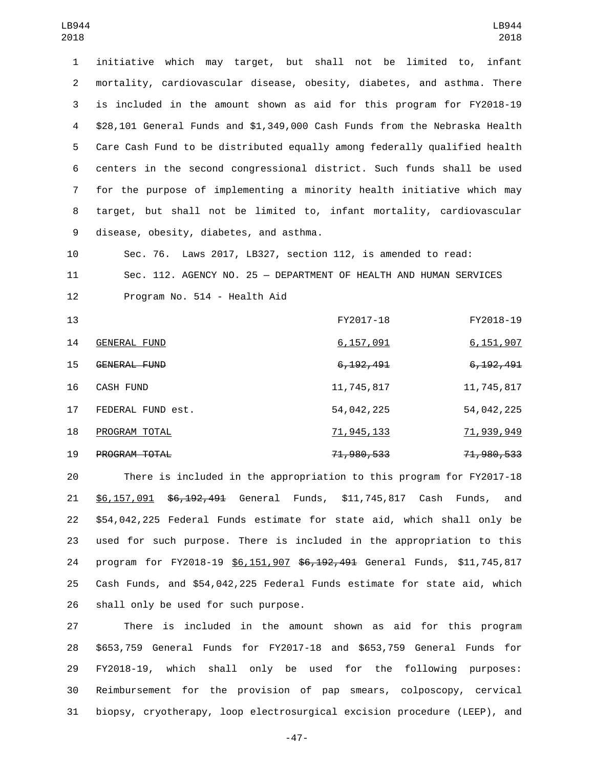initiative which may target, but shall not be limited to, infant mortality, cardiovascular disease, obesity, diabetes, and asthma. There is included in the amount shown as aid for this program for FY2018-19 \$28,101 General Funds and \$1,349,000 Cash Funds from the Nebraska Health Care Cash Fund to be distributed equally among federally qualified health centers in the second congressional district. Such funds shall be used for the purpose of implementing a minority health initiative which may target, but shall not be limited to, infant mortality, cardiovascular 9 disease, obesity, diabetes, and asthma.

 Sec. 76. Laws 2017, LB327, section 112, is amended to read: Sec. 112. AGENCY NO. 25 — DEPARTMENT OF HEALTH AND HUMAN SERVICES 12 Program No. 514 - Health Aid

| 13 |                      | FY2017-18             | FY2018-19              |
|----|----------------------|-----------------------|------------------------|
| 14 | GENERAL FUND         | 6,157,091             | 6,151,907              |
| 15 | GENERAL FUND         | 6, 192, 491           | <del>6, 192, 491</del> |
| 16 | <b>CASH FUND</b>     | 11,745,817            | 11,745,817             |
| 17 | FEDERAL FUND est.    | 54,042,225            | 54,042,225             |
| 18 | PROGRAM TOTAL        | 71,945,133            | 71,939,949             |
| 19 | <b>PROGRAM TOTAL</b> | <del>71,980,533</del> | <del>71,980,533</del>  |

 There is included in the appropriation to this program for FY2017-18 \$6,157,091 \$6,192,491 General Funds, \$11,745,817 Cash Funds, and \$54,042,225 Federal Funds estimate for state aid, which shall only be used for such purpose. There is included in the appropriation to this 24 program for FY2018-19 \$6,151,907 \$6,192,491 General Funds, \$11,745,817 Cash Funds, and \$54,042,225 Federal Funds estimate for state aid, which 26 shall only be used for such purpose.

 There is included in the amount shown as aid for this program \$653,759 General Funds for FY2017-18 and \$653,759 General Funds for FY2018-19, which shall only be used for the following purposes: Reimbursement for the provision of pap smears, colposcopy, cervical biopsy, cryotherapy, loop electrosurgical excision procedure (LEEP), and

-47-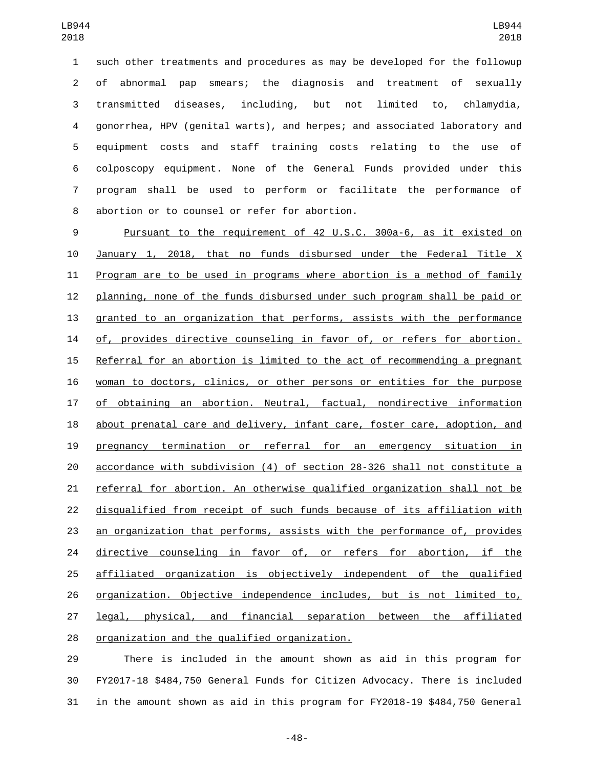such other treatments and procedures as may be developed for the followup of abnormal pap smears; the diagnosis and treatment of sexually transmitted diseases, including, but not limited to, chlamydia, gonorrhea, HPV (genital warts), and herpes; and associated laboratory and equipment costs and staff training costs relating to the use of colposcopy equipment. None of the General Funds provided under this program shall be used to perform or facilitate the performance of 8 abortion or to counsel or refer for abortion.

 Pursuant to the requirement of 42 U.S.C. 300a-6, as it existed on January 1, 2018, that no funds disbursed under the Federal Title X Program are to be used in programs where abortion is a method of family planning, none of the funds disbursed under such program shall be paid or granted to an organization that performs, assists with the performance of, provides directive counseling in favor of, or refers for abortion. Referral for an abortion is limited to the act of recommending a pregnant woman to doctors, clinics, or other persons or entities for the purpose of obtaining an abortion. Neutral, factual, nondirective information 18 about prenatal care and delivery, infant care, foster care, adoption, and pregnancy termination or referral for an emergency situation in accordance with subdivision (4) of section 28-326 shall not constitute a referral for abortion. An otherwise qualified organization shall not be disqualified from receipt of such funds because of its affiliation with an organization that performs, assists with the performance of, provides 24 directive counseling in favor of, or refers for abortion, if the affiliated organization is objectively independent of the qualified organization. Objective independence includes, but is not limited to, legal, physical, and financial separation between the affiliated 28 organization and the qualified organization.

 There is included in the amount shown as aid in this program for FY2017-18 \$484,750 General Funds for Citizen Advocacy. There is included in the amount shown as aid in this program for FY2018-19 \$484,750 General

-48-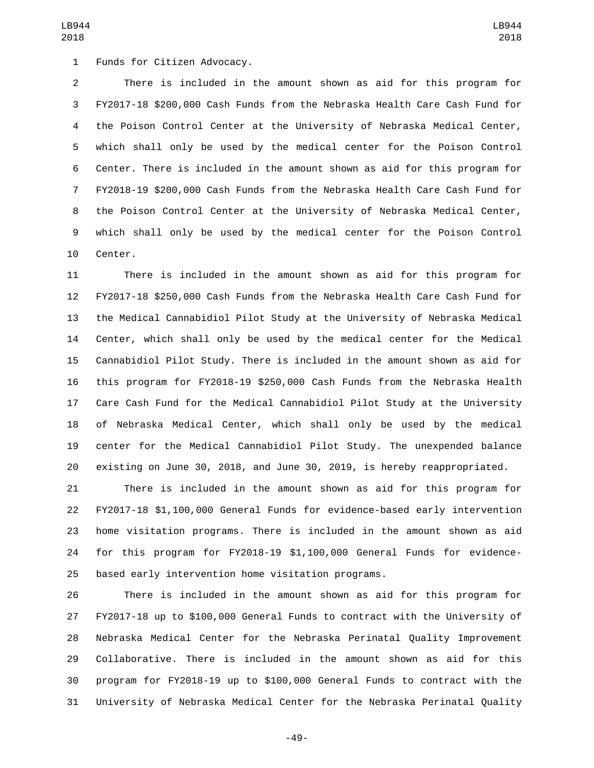1 Funds for Citizen Advocacy.

 There is included in the amount shown as aid for this program for FY2017-18 \$200,000 Cash Funds from the Nebraska Health Care Cash Fund for the Poison Control Center at the University of Nebraska Medical Center, which shall only be used by the medical center for the Poison Control Center. There is included in the amount shown as aid for this program for FY2018-19 \$200,000 Cash Funds from the Nebraska Health Care Cash Fund for the Poison Control Center at the University of Nebraska Medical Center, which shall only be used by the medical center for the Poison Control 10 Center.

 There is included in the amount shown as aid for this program for FY2017-18 \$250,000 Cash Funds from the Nebraska Health Care Cash Fund for the Medical Cannabidiol Pilot Study at the University of Nebraska Medical Center, which shall only be used by the medical center for the Medical Cannabidiol Pilot Study. There is included in the amount shown as aid for this program for FY2018-19 \$250,000 Cash Funds from the Nebraska Health Care Cash Fund for the Medical Cannabidiol Pilot Study at the University of Nebraska Medical Center, which shall only be used by the medical center for the Medical Cannabidiol Pilot Study. The unexpended balance existing on June 30, 2018, and June 30, 2019, is hereby reappropriated.

 There is included in the amount shown as aid for this program for FY2017-18 \$1,100,000 General Funds for evidence-based early intervention home visitation programs. There is included in the amount shown as aid for this program for FY2018-19 \$1,100,000 General Funds for evidence-based early intervention home visitation programs.

 There is included in the amount shown as aid for this program for FY2017-18 up to \$100,000 General Funds to contract with the University of Nebraska Medical Center for the Nebraska Perinatal Quality Improvement Collaborative. There is included in the amount shown as aid for this program for FY2018-19 up to \$100,000 General Funds to contract with the University of Nebraska Medical Center for the Nebraska Perinatal Quality

-49-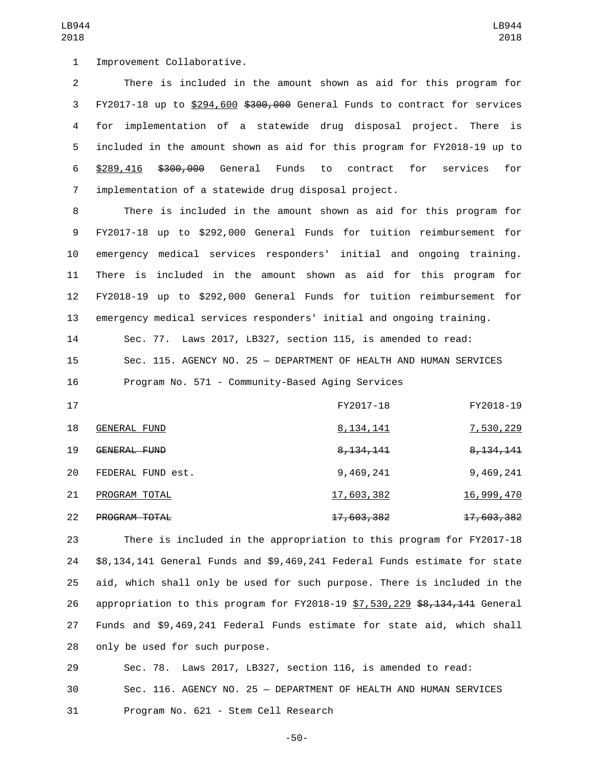1 Improvement Collaborative.

 There is included in the amount shown as aid for this program for FY2017-18 up to \$294,600 \$300,000 General Funds to contract for services for implementation of a statewide drug disposal project. There is included in the amount shown as aid for this program for FY2018-19 up to \$289,416 \$300,000 General Funds to contract for services for implementation of a statewide drug disposal project.

 There is included in the amount shown as aid for this program for FY2017-18 up to \$292,000 General Funds for tuition reimbursement for emergency medical services responders' initial and ongoing training. There is included in the amount shown as aid for this program for FY2018-19 up to \$292,000 General Funds for tuition reimbursement for emergency medical services responders' initial and ongoing training.

 Sec. 77. Laws 2017, LB327, section 115, is amended to read: Sec. 115. AGENCY NO. 25 — DEPARTMENT OF HEALTH AND HUMAN SERVICES Program No. 571 - Community-Based Aging Services

| 17 |                      | FY2017-18             | FY2018-19              |
|----|----------------------|-----------------------|------------------------|
| 18 | GENERAL FUND         | 8, 134, 141           | <u>7,530,229</u>       |
| 19 | GENERAL FUND         | <del>8,134,141</del>  | <del>8, 134, 141</del> |
| 20 | FEDERAL FUND est.    | 9,469,241             | 9,469,241              |
| 21 | PROGRAM TOTAL        | 17,603,382            | <u>16,999,470</u>      |
| 22 | <b>PROGRAM TOTAL</b> | <del>17,603,382</del> | <del>17,603,382</del>  |

 There is included in the appropriation to this program for FY2017-18 \$8,134,141 General Funds and \$9,469,241 Federal Funds estimate for state aid, which shall only be used for such purpose. There is included in the 26 appropriation to this program for FY2018-19 \$7,530,229 \$8,134,141 General Funds and \$9,469,241 Federal Funds estimate for state aid, which shall 28 only be used for such purpose.

 Sec. 78. Laws 2017, LB327, section 116, is amended to read: Sec. 116. AGENCY NO. 25 — DEPARTMENT OF HEALTH AND HUMAN SERVICES 31 Program No. 621 - Stem Cell Research

-50-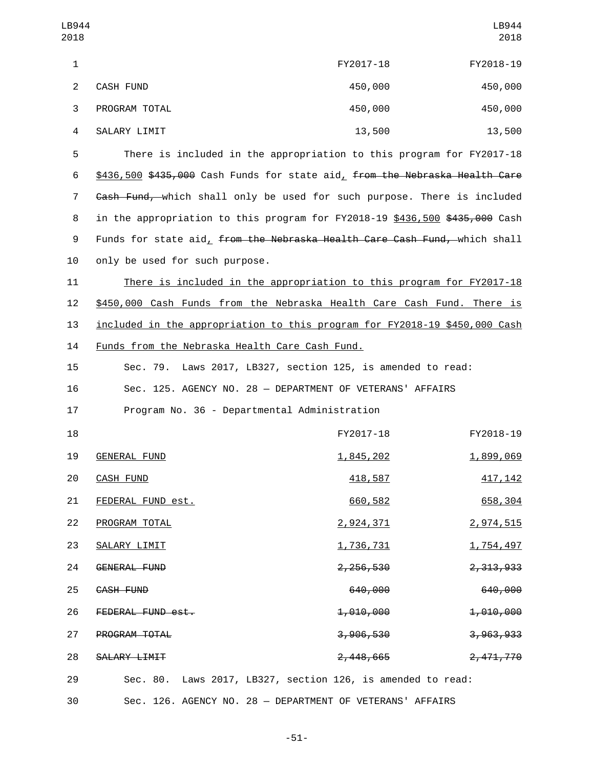| LB944<br>2018 |                  |           | LB944<br>2018 |
|---------------|------------------|-----------|---------------|
| 1             |                  | FY2017-18 | FY2018-19     |
| 2             | <b>CASH FUND</b> | 450,000   | 450,000       |
| 3             | PROGRAM TOTAL    | 450,000   | 450,000       |
| 4             | SALARY LIMIT     | 13,500    | 13,500        |

5 There is included in the appropriation to this program for FY2017-18 6 \$436,500 \$435,000 Cash Funds for state aid, from the Nebraska Health Care 7 Gash Fund, which shall only be used for such purpose. There is included 8 in the appropriation to this program for FY2018-19 \$436,500 \$435,000 Cash 9 Funds for state aid, from the Nebraska Health Care Cash Fund, which shall 10 only be used for such purpose.

11 There is included in the appropriation to this program for FY2017-18 12 \$450,000 Cash Funds from the Nebraska Health Care Cash Fund. There is 13 included in the appropriation to this program for FY2018-19 \$450,000 Cash 14 Funds from the Nebraska Health Care Cash Fund.

15 Sec. 79. Laws 2017, LB327, section 125, is amended to read: 16 Sec. 125. AGENCY NO. 28 — DEPARTMENT OF VETERANS' AFFAIRS

17 Program No. 36 - Departmental Administration

| 18 |                      | FY2017-18                                                   | FY2018-19            |
|----|----------------------|-------------------------------------------------------------|----------------------|
| 19 | <b>GENERAL FUND</b>  | 1,845,202                                                   | 1,899,069            |
| 20 | CASH FUND            | 418,587                                                     | <u>417, 142</u>      |
| 21 | FEDERAL FUND est.    | 660,582                                                     | 658,304              |
| 22 | PROGRAM TOTAL        | 2,924,371                                                   | 2,974,515            |
| 23 | SALARY LIMIT         | <u>1,736,731</u>                                            | <u>1,754,497</u>     |
| 24 | GENERAL FUND         | 2, 256, 530                                                 | 2,313,933            |
| 25 | CASH FUND            | 640,000                                                     | 640,000              |
| 26 | FEDERAL FUND est.    | <del>1,010,000</del>                                        | <del>1,010,000</del> |
| 27 | <b>PROGRAM TOTAL</b> | <del>3,906,530</del>                                        | 3,963,933            |
| 28 | SALARY LIMIT         | <del>2,448,665</del>                                        | <del>2,471,770</del> |
| 29 |                      | Sec. 80. Laws 2017, LB327, section 126, is amended to read: |                      |

30 Sec. 126. AGENCY NO. 28 — DEPARTMENT OF VETERANS' AFFAIRS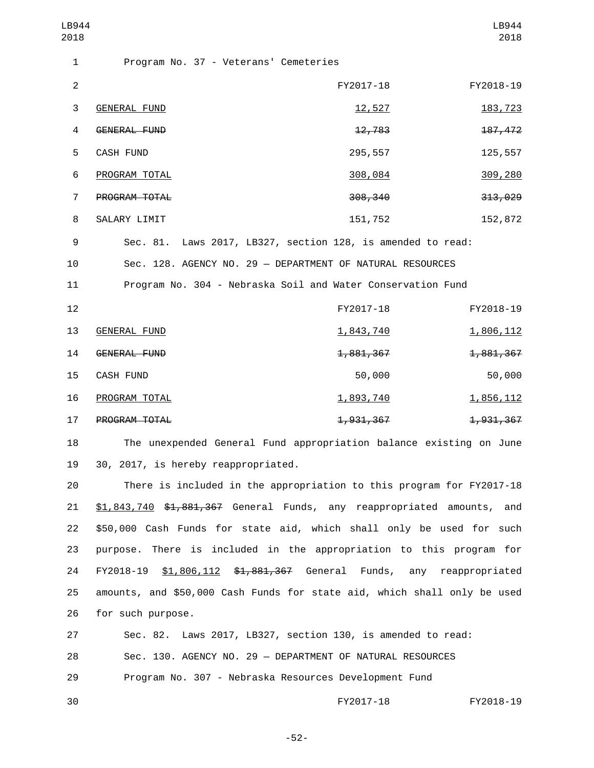| LB944<br>2018    |                                                                      |           | LB944<br>2018 |
|------------------|----------------------------------------------------------------------|-----------|---------------|
| 1                | Program No. 37 - Veterans' Cemeteries                                |           |               |
| $\boldsymbol{2}$ |                                                                      | FY2017-18 | FY2018-19     |
| 3                | <b>GENERAL FUND</b>                                                  | 12,527    | 183, 723      |
| 4                | <b>GENERAL FUND</b>                                                  | 12,783    | 187, 472      |
| 5                | CASH FUND                                                            | 295,557   | 125,557       |
| 6                | PROGRAM TOTAL                                                        | 308,084   | 309,280       |
| $\overline{7}$   | PROGRAM TOTAL                                                        | 308, 340  | 313,029       |
| 8                | SALARY LIMIT                                                         | 151,752   | 152,872       |
| 9                | Sec. 81. Laws 2017, LB327, section 128, is amended to read:          |           |               |
| 10               | Sec. 128. AGENCY NO. 29 - DEPARTMENT OF NATURAL RESOURCES            |           |               |
| 11               | Program No. 304 - Nebraska Soil and Water Conservation Fund          |           |               |
| 12               |                                                                      | FY2017-18 | FY2018-19     |
| 13               | <b>GENERAL FUND</b>                                                  | 1,843,740 | 1,806,112     |
| 14               | <b>GENERAL FUND</b>                                                  | 1,881,367 | 1,881,367     |
| 15               | CASH FUND                                                            | 50,000    | 50,000        |
| 16               | PROGRAM TOTAL                                                        | 1,893,740 | 1,856,112     |
| 17               | PROGRAM TOTAL                                                        | 1,931,367 | 1,931,367     |
| 18               | The unexpended General Fund appropriation balance existing on June   |           |               |
| 19               | 30, 2017, is hereby reappropriated.                                  |           |               |
| 20               | There is included in the appropriation to this program for FY2017-18 |           |               |
|                  |                                                                      |           |               |

21 \$1,843,740 \$1,881,367 General Funds, any reappropriated amounts, and 22 \$50,000 Cash Funds for state aid, which shall only be used for such 23 purpose. There is included in the appropriation to this program for 24 FY2018-19 \$1,806,112 \$1,881,367 General Funds, any reappropriated 25 amounts, and \$50,000 Cash Funds for state aid, which shall only be used 26 for such purpose.

27 Sec. 82. Laws 2017, LB327, section 130, is amended to read: 28 Sec. 130. AGENCY NO. 29 — DEPARTMENT OF NATURAL RESOURCES 29 Program No. 307 - Nebraska Resources Development Fund

30 FY2017-18 FY2018-19

-52-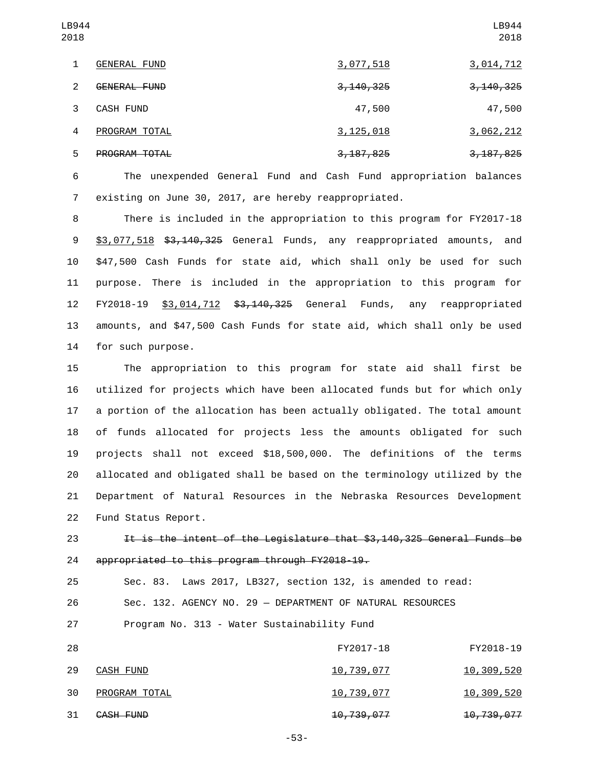| LB944<br>2018  |                     |                        | LB944<br>2018          |
|----------------|---------------------|------------------------|------------------------|
| 1              | <b>GENERAL FUND</b> | <u>3,077,518</u>       | <u>3,014,712</u>       |
| 2              | GENERAL FUND        | <del>3, 140, 325</del> | <del>3, 140, 325</del> |
| 3              | CASH FUND           | 47,500                 | 47,500                 |
| $\overline{4}$ | PROGRAM TOTAL       | <u>3,125,018</u>       | 3,062,212              |
| 5              | PROGRAM TOTAL       | 3, 187, 825            | 3, 187, 825            |

6 The unexpended General Fund and Cash Fund appropriation balances 7 existing on June 30, 2017, are hereby reappropriated.

8 There is included in the appropriation to this program for FY2017-18 9 \$3,077,518 \$3,140,325 General Funds, any reappropriated amounts, and 10 \$47,500 Cash Funds for state aid, which shall only be used for such 11 purpose. There is included in the appropriation to this program for 12 FY2018-19 \$3,014,712 \$<del>3,140,325</del> General Funds, any reappropriated 13 amounts, and \$47,500 Cash Funds for state aid, which shall only be used 14 for such purpose.

 The appropriation to this program for state aid shall first be utilized for projects which have been allocated funds but for which only a portion of the allocation has been actually obligated. The total amount of funds allocated for projects less the amounts obligated for such projects shall not exceed \$18,500,000. The definitions of the terms allocated and obligated shall be based on the terminology utilized by the Department of Natural Resources in the Nebraska Resources Development 22 Fund Status Report.

23 It is the intent of the Legislature that \$3,140,325 General Funds be 24 appropriated to this program through FY2018-19.

25 Sec. 83. Laws 2017, LB327, section 132, is amended to read:

26 Sec. 132. AGENCY NO. 29 — DEPARTMENT OF NATURAL RESOURCES

27 Program No. 313 - Water Sustainability Fund

| 28 |               | FY2017-18             | FY2018-19             |
|----|---------------|-----------------------|-----------------------|
| 29 | CASH FUND     | 10,739,077            | <u>10,309,520</u>     |
| 30 | PROGRAM TOTAL | 10,739,077            | <u>10,309,520</u>     |
| 31 | CASH FUND     | <del>10,739,077</del> | <del>10,739,077</del> |

-53-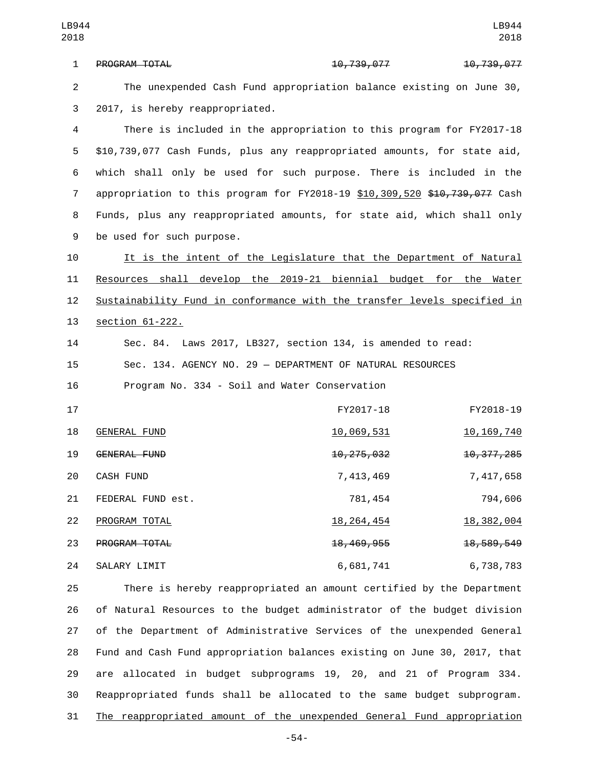1 PROGRAM TOTAL 10,739,077 10,739,077 10,739,077 2 The unexpended Cash Fund appropriation balance existing on June 30, 3 2017, is hereby reappropriated.

 There is included in the appropriation to this program for FY2017-18 \$10,739,077 Cash Funds, plus any reappropriated amounts, for state aid, which shall only be used for such purpose. There is included in the 7 appropriation to this program for FY2018-19 \$10,309,520 \$10,739,077 Cash Funds, plus any reappropriated amounts, for state aid, which shall only 9 be used for such purpose.

 It is the intent of the Legislature that the Department of Natural Resources shall develop the 2019-21 biennial budget for the Water Sustainability Fund in conformance with the transfer levels specified in 13 section 61-222.

14 Sec. 84. Laws 2017, LB327, section 134, is amended to read: 15 Sec. 134. AGENCY NO. 29 — DEPARTMENT OF NATURAL RESOURCES 16 Program No. 334 - Soil and Water Conservation

| 17 |                      | FY2017-18               | FY2018-19    |
|----|----------------------|-------------------------|--------------|
| 18 | GENERAL FUND         | 10,069,531              | 10, 169, 740 |
| 19 | GENERAL FUND         | 10, 275, 032            | 10, 377, 285 |
| 20 | <b>CASH FUND</b>     | 7,413,469               | 7,417,658    |
| 21 | FEDERAL FUND est.    | 781,454                 | 794,606      |
| 22 | PROGRAM TOTAL        | <u>18, 264, 454</u>     | 18, 382, 004 |
| 23 | <b>PROGRAM TOTAL</b> | <del>18, 469, 955</del> | 18, 589, 549 |
| 24 | SALARY LIMIT         | 6,681,741               | 6,738,783    |

 There is hereby reappropriated an amount certified by the Department of Natural Resources to the budget administrator of the budget division of the Department of Administrative Services of the unexpended General Fund and Cash Fund appropriation balances existing on June 30, 2017, that are allocated in budget subprograms 19, 20, and 21 of Program 334. Reappropriated funds shall be allocated to the same budget subprogram. The reappropriated amount of the unexpended General Fund appropriation

-54-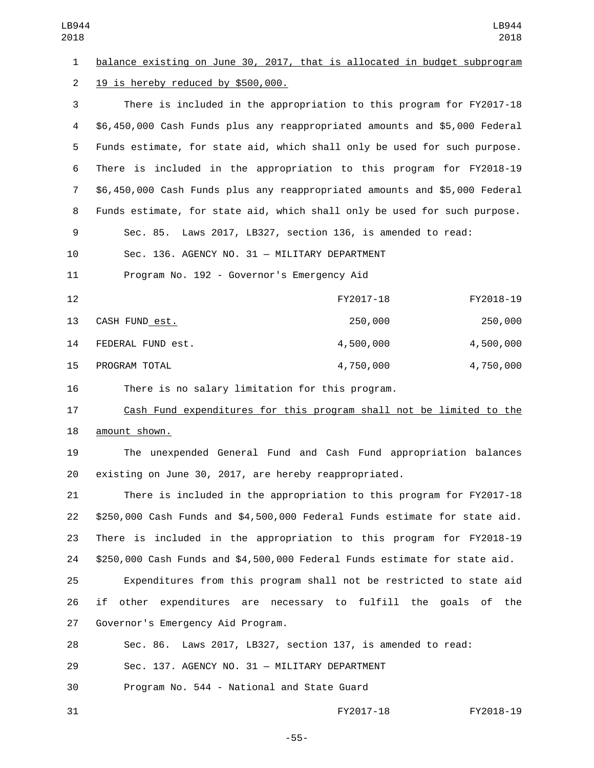| LB944<br>2018  | LB944<br>2018                                                              |
|----------------|----------------------------------------------------------------------------|
| $\mathbf{1}$   | balance existing on June 30, 2017, that is allocated in budget subprogram  |
| $\overline{2}$ | 19 is hereby reduced by \$500,000.                                         |
| 3              | There is included in the appropriation to this program for FY2017-18       |
| 4              | \$6,450,000 Cash Funds plus any reappropriated amounts and \$5,000 Federal |
| 5              | Funds estimate, for state aid, which shall only be used for such purpose.  |
| 6              | There is included in the appropriation to this program for FY2018-19       |
| $\overline{7}$ | \$6,450,000 Cash Funds plus any reappropriated amounts and \$5,000 Federal |
| 8              | Funds estimate, for state aid, which shall only be used for such purpose.  |
| 9              | Sec. 85. Laws 2017, LB327, section 136, is amended to read:                |
| 10             | Sec. 136. AGENCY NO. 31 - MILITARY DEPARTMENT                              |
| 11             | Program No. 192 - Governor's Emergency Aid                                 |
| 12             | FY2017-18<br>FY2018-19                                                     |
| 13             | 250,000<br>250,000<br>CASH FUND est.                                       |
| 14             | FEDERAL FUND est.<br>4,500,000<br>4,500,000                                |
| 15             | 4,750,000<br>PROGRAM TOTAL<br>4,750,000                                    |
| 16             | There is no salary limitation for this program.                            |
| 17             | Cash Fund expenditures for this program shall not be limited to the        |
| 18             | amount shown.                                                              |
| 19             | The unexpended General Fund and Cash Fund appropriation balances           |
| 20             | existing on June 30, 2017, are hereby reappropriated.                      |
| 21             | There is included in the appropriation to this program for FY2017-18       |
| 22             | \$250,000 Cash Funds and \$4,500,000 Federal Funds estimate for state aid. |
| 23             | There is included in the appropriation to this program for FY2018-19       |
| 24             | \$250,000 Cash Funds and \$4,500,000 Federal Funds estimate for state aid. |
| 25             | Expenditures from this program shall not be restricted to state aid        |
| 26             | other expenditures are necessary to fulfill the goals of the<br>if         |
| 27             | Governor's Emergency Aid Program.                                          |
| 28             | Laws 2017, LB327, section 137, is amended to read:<br>Sec. 86.             |
| 29             | Sec. 137. AGENCY NO. 31 - MILITARY DEPARTMENT                              |
| 30             | Program No. 544 - National and State Guard                                 |

FY2017-18 FY2018-19

-55-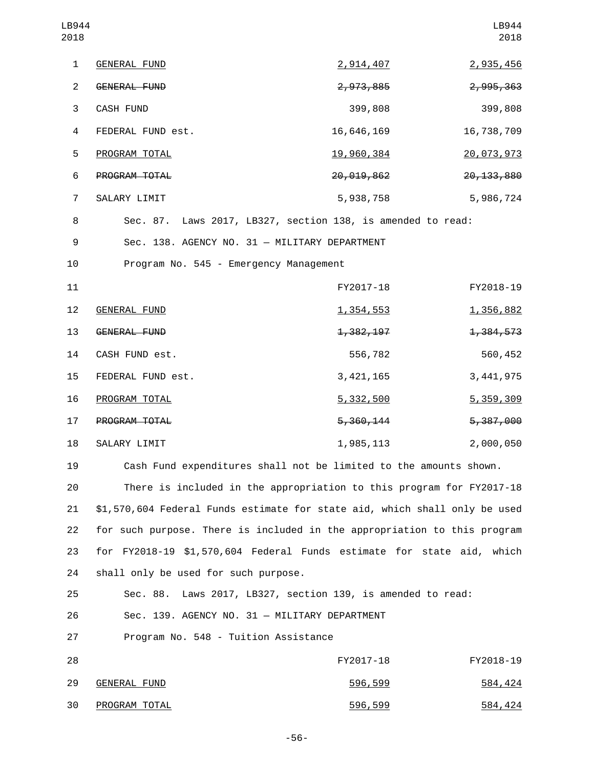| LB944<br>2018  |                                                                            |                        | LB944<br>2018 |
|----------------|----------------------------------------------------------------------------|------------------------|---------------|
| 1              | <b>GENERAL FUND</b>                                                        | 2,914,407              | 2,935,456     |
| $\overline{2}$ | <b>GENERAL FUND</b>                                                        | 2,973,885              | 2,995,363     |
| 3              | <b>CASH FUND</b>                                                           | 399,808                | 399,808       |
| 4              | FEDERAL FUND est.                                                          | 16,646,169             | 16,738,709    |
| 5              | PROGRAM TOTAL                                                              | <u>19,960,384</u>      | 20,073,973    |
| 6              | PROGRAM TOTAL                                                              | 20,019,862             | 20, 133, 880  |
| $\overline{7}$ | SALARY LIMIT                                                               | 5,938,758              | 5,986,724     |
| 8              | Sec. 87. Laws 2017, LB327, section 138, is amended to read:                |                        |               |
| 9              | Sec. 138. AGENCY NO. 31 - MILITARY DEPARTMENT                              |                        |               |
| 10             | Program No. 545 - Emergency Management                                     |                        |               |
| 11             |                                                                            | FY2017-18              | FY2018-19     |
| 12             | <b>GENERAL FUND</b>                                                        | <u>1,354,553</u>       | 1,356,882     |
| 13             | GENERAL FUND                                                               | <del>1, 382, 197</del> | 1,384,573     |
| 14             | CASH FUND est.                                                             | 556,782                | 560,452       |
| 15             | FEDERAL FUND est.                                                          | 3, 421, 165            | 3, 441, 975   |
| 16             | PROGRAM TOTAL                                                              | 5,332,500              | 5, 359, 309   |
| 17             | PROGRAM TOTAL                                                              | <del>5, 360, 144</del> | 5,387,000     |
| 18             | SALARY LIMIT                                                               | 1,985,113              | 2,000,050     |
| 19             | Cash Fund expenditures shall not be limited to the amounts shown.          |                        |               |
| 20             | There is included in the appropriation to this program for FY2017-18       |                        |               |
| 21             | \$1,570,604 Federal Funds estimate for state aid, which shall only be used |                        |               |
| 22             | for such purpose. There is included in the appropriation to this program   |                        |               |
| 23             | for FY2018-19 \$1,570,604 Federal Funds estimate for state aid, which      |                        |               |
| 24             | shall only be used for such purpose.                                       |                        |               |
| 25             | Sec. 88. Laws 2017, LB327, section 139, is amended to read:                |                        |               |
| 26             | Sec. 139. AGENCY NO. 31 - MILITARY DEPARTMENT                              |                        |               |
| 27             | Program No. 548 - Tuition Assistance                                       |                        |               |
| 28             |                                                                            | FY2017-18              | FY2018-19     |
| 29             | <b>GENERAL FUND</b>                                                        | 596,599                | 584, 424      |
| 30             | PROGRAM TOTAL                                                              | 596,599                | 584, 424      |

-56-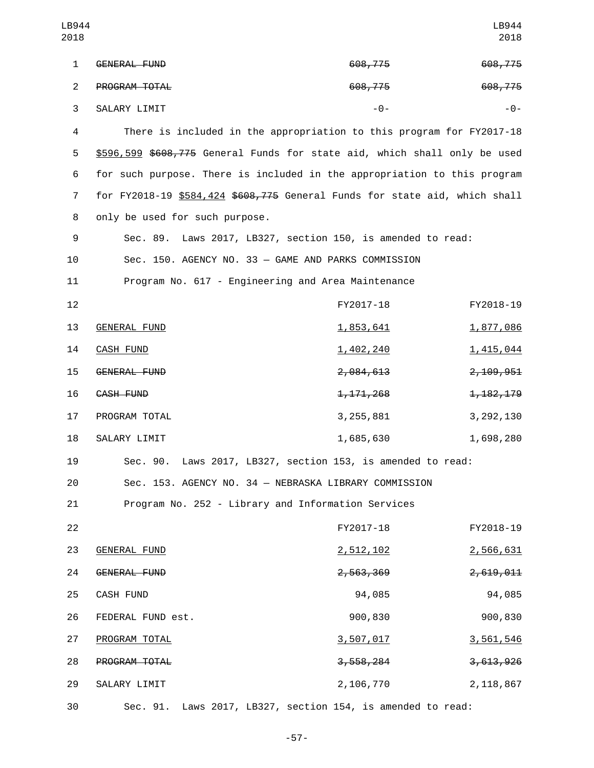| LB944<br>2018  |                                                                            |                                                    | LB944<br>2018 |
|----------------|----------------------------------------------------------------------------|----------------------------------------------------|---------------|
| $\mathbf{1}$   | GENERAL FUND                                                               | 608,775                                            | 608,775       |
| $\overline{2}$ | PROGRAM TOTAL                                                              | 608,775                                            | 608,775       |
| 3              | SALARY LIMIT                                                               | $-0-$                                              | - 0 -         |
| $\overline{4}$ | There is included in the appropriation to this program for FY2017-18       |                                                    |               |
| 5              | \$596,599 \$608,775 General Funds for state aid, which shall only be used  |                                                    |               |
| 6              | for such purpose. There is included in the appropriation to this program   |                                                    |               |
| 7              | for FY2018-19 \$584,424 \$608,775 General Funds for state aid, which shall |                                                    |               |
| 8              | only be used for such purpose.                                             |                                                    |               |
| 9              | Sec. 89.                                                                   | Laws 2017, LB327, section 150, is amended to read: |               |
| 10             | Sec. 150. AGENCY NO. 33 - GAME AND PARKS COMMISSION                        |                                                    |               |
| 11             | Program No. 617 - Engineering and Area Maintenance                         |                                                    |               |
| 12             |                                                                            | FY2017-18                                          | FY2018-19     |
| 13             | <b>GENERAL FUND</b>                                                        | 1,853,641                                          | 1,877,086     |
| 14             | <b>CASH FUND</b>                                                           | 1,402,240                                          | 1,415,044     |
| 15             | <b>GENERAL FUND</b>                                                        | 2,084,613                                          | 2,109,951     |
| 16             | CASH FUND                                                                  | 1, 171, 268                                        | 1, 182, 179   |
| 17             | PROGRAM TOTAL                                                              | 3, 255, 881                                        | 3, 292, 130   |
| 18             | SALARY LIMIT                                                               | 1,685,630                                          | 1,698,280     |
| 19             | Sec. 90. Laws 2017, LB327, section 153, is amended to read:                |                                                    |               |
| 20             | Sec. 153. AGENCY NO. 34 - NEBRASKA LIBRARY COMMISSION                      |                                                    |               |
| 21             | Program No. 252 - Library and Information Services                         |                                                    |               |
| 22             |                                                                            | FY2017-18                                          | FY2018-19     |
| 23             | <b>GENERAL FUND</b>                                                        | 2,512,102                                          | 2,566,631     |
| 24             | <b>GENERAL FUND</b>                                                        | 2,563,369                                          | 2,619,011     |
| 25             | CASH FUND                                                                  | 94,085                                             | 94,085        |
| 26             | FEDERAL FUND est.                                                          | 900,830                                            | 900,830       |
| 27             | PROGRAM TOTAL                                                              | 3,507,017                                          | 3,561,546     |
| 28             | PROGRAM TOTAL                                                              | 3,558,284                                          | 3,613,926     |
| 29             | SALARY LIMIT                                                               | 2,106,770                                          | 2, 118, 867   |
| 30             | Sec. 91. Laws 2017, LB327, section 154, is amended to read:                |                                                    |               |

-57-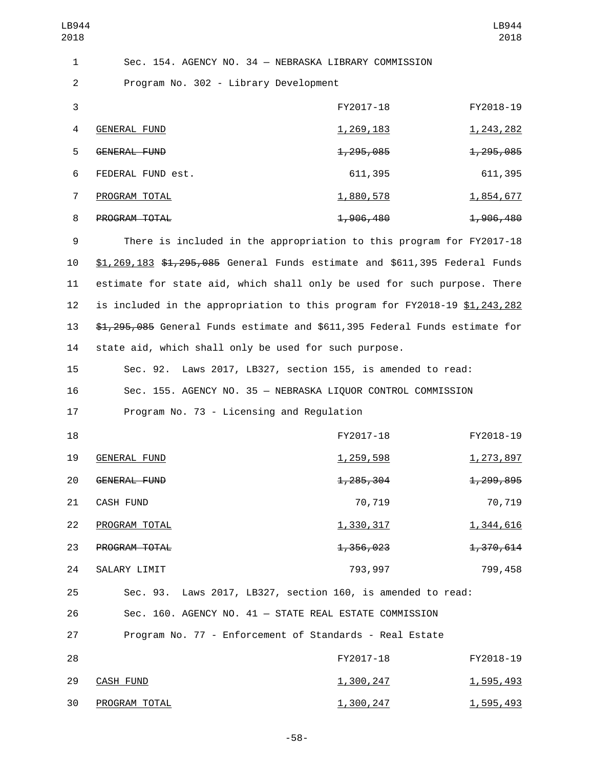| LB944          |                                                                               |                    | LB944              |
|----------------|-------------------------------------------------------------------------------|--------------------|--------------------|
| 2018           |                                                                               |                    | 2018               |
| $\mathbf{1}$   | Sec. 154. AGENCY NO. 34 - NEBRASKA LIBRARY COMMISSION                         |                    |                    |
| $\overline{2}$ | Program No. 302 - Library Development                                         |                    |                    |
| 3              |                                                                               | FY2017-18          | FY2018-19          |
| 4              | <b>GENERAL FUND</b>                                                           | 1,269,183          | <u>1, 243, 282</u> |
| 5              | <b>GENERAL FUND</b>                                                           | 1, 295, 085        | 1, 295, 085        |
| 6              | FEDERAL FUND est.                                                             | 611,395            | 611,395            |
| $\overline{7}$ | PROGRAM TOTAL                                                                 | <u>1,880,578</u>   | 1,854,677          |
| 8              | PROGRAM TOTAL                                                                 | 1,906,480          | 1,906,480          |
| 9              | There is included in the appropriation to this program for FY2017-18          |                    |                    |
| 10             | $$1,269,183$ $$1,295,085$ General Funds estimate and $$611,395$ Federal Funds |                    |                    |
| 11             | estimate for state aid, which shall only be used for such purpose. There      |                    |                    |
| 12             | is included in the appropriation to this program for FY2018-19 \$1,243,282    |                    |                    |
| 13             | \$1,295,085 General Funds estimate and \$611,395 Federal Funds estimate for   |                    |                    |
| 14             | state aid, which shall only be used for such purpose.                         |                    |                    |
| 15             | Sec. 92. Laws 2017, LB327, section 155, is amended to read:                   |                    |                    |
| 16             | Sec. 155. AGENCY NO. 35 - NEBRASKA LIQUOR CONTROL COMMISSION                  |                    |                    |
| 17             | Program No. 73 - Licensing and Regulation                                     |                    |                    |
| 18             |                                                                               | FY2017-18          | FY2018-19          |
| 19             | GENERAL FUND                                                                  | <u>1, 259, 598</u> | <u>1,273,897</u>   |
| 20             | <b>GENERAL FUND</b>                                                           | 1, 285, 304        | 1,299,895          |
| 21             | CASH FUND                                                                     | 70,719             | 70,719             |
| 22             | PROGRAM TOTAL                                                                 | 1,330,317          | 1,344,616          |
| 23             | PROGRAM TOTAL                                                                 | 1,356,023          | 1,370,614          |
| 24             | SALARY LIMIT                                                                  | 793,997            | 799,458            |
| 25             | Sec. 93. Laws 2017, LB327, section 160, is amended to read:                   |                    |                    |
| 26             | Sec. 160. AGENCY NO. 41 - STATE REAL ESTATE COMMISSION                        |                    |                    |
| 27             | Program No. 77 - Enforcement of Standards - Real Estate                       |                    |                    |
| 28             |                                                                               | FY2017-18          | FY2018-19          |
| 29             | <b>CASH FUND</b>                                                              | <u>1,300,247</u>   | 1,595,493          |
| 30             | PROGRAM TOTAL                                                                 | 1,300,247          | 1,595,493          |

-58-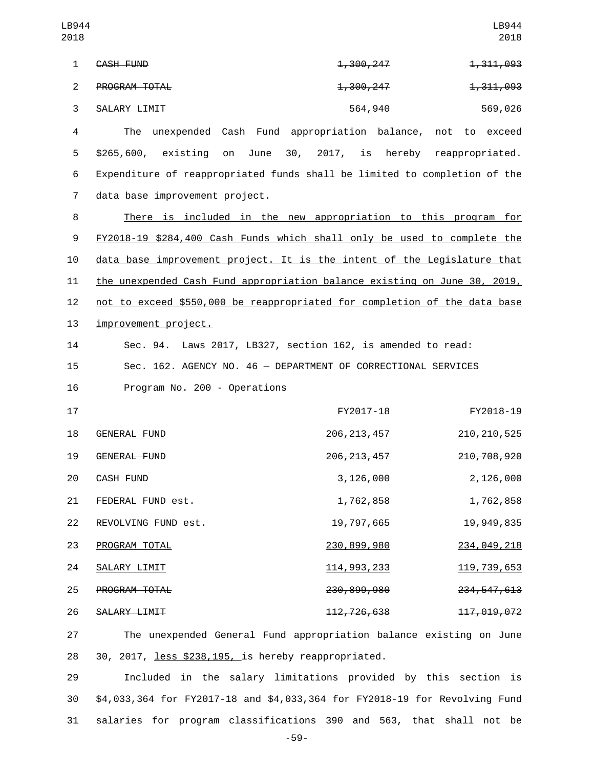| LB944<br>2018  |                                                                           |                                     | LB944<br>2018            |
|----------------|---------------------------------------------------------------------------|-------------------------------------|--------------------------|
| $\mathbf{1}$   | CASH FUND                                                                 | <del>1,300,247</del>                | 1,311,093                |
| $\overline{2}$ | PROGRAM TOTAL                                                             | <del>1,300,247</del>                | 1,311,093                |
| 3              | SALARY LIMIT                                                              | 564,940                             | 569,026                  |
| $\overline{4}$ | The<br>unexpended Cash Fund appropriation balance, not to exceed          |                                     |                          |
| 5              | \$265,600, existing<br>June<br>on                                         | 30, 2017, is hereby reappropriated. |                          |
| 6              | Expenditure of reappropriated funds shall be limited to completion of the |                                     |                          |
| $\overline{7}$ | data base improvement project.                                            |                                     |                          |
| 8              | There is included in the new appropriation to this program for            |                                     |                          |
| 9              | FY2018-19 \$284,400 Cash Funds which shall only be used to complete the   |                                     |                          |
| 10             | data base improvement project. It is the intent of the Legislature that   |                                     |                          |
| 11             | the unexpended Cash Fund appropriation balance existing on June 30, 2019, |                                     |                          |
| 12             | not to exceed \$550,000 be reappropriated for completion of the data base |                                     |                          |
| 13             | improvement project.                                                      |                                     |                          |
| 14             | Sec. 94. Laws 2017, LB327, section 162, is amended to read:               |                                     |                          |
| 15             | Sec. 162. AGENCY NO. 46 - DEPARTMENT OF CORRECTIONAL SERVICES             |                                     |                          |
| 16             | Program No. 200 - Operations                                              |                                     |                          |
| 17             |                                                                           | FY2017-18                           | FY2018-19                |
| 18             | <b>GENERAL FUND</b>                                                       | <u> 206, 213, 457</u>               | 210, 210, 525            |
| 19             | GENERAL FUND                                                              | 206, 213, 457                       | 210, 708, 920            |
| 20             | CASH FUND                                                                 | 3, 126, 000                         | 2,126,000                |
| 21             | FEDERAL FUND est.                                                         | 1,762,858                           | 1,762,858                |
| 22             | REVOLVING FUND est.                                                       | 19,797,665                          | 19,949,835               |
| 23             | PROGRAM TOTAL                                                             | 230,899,980                         | 234,049,218              |
| 24             | SALARY LIMIT                                                              | <u>114, 993, 233</u>                | <u>119, 739, 653</u>     |
| 25             | PROGRAM TOTAL                                                             | 230,899,980                         | <del>234, 547, 613</del> |
| 26             | SALARY LIMIT                                                              | <del>112, 726, 638</del>            | 117,019,072              |
| 27             | The unexpended General Fund appropriation balance existing on June        |                                     |                          |
| 28             | 30, 2017, less \$238, 195, is hereby reappropriated.                      |                                     |                          |

29 Included in the salary limitations provided by this section is 30 \$4,033,364 for FY2017-18 and \$4,033,364 for FY2018-19 for Revolving Fund 31 salaries for program classifications 390 and 563, that shall not be

-59-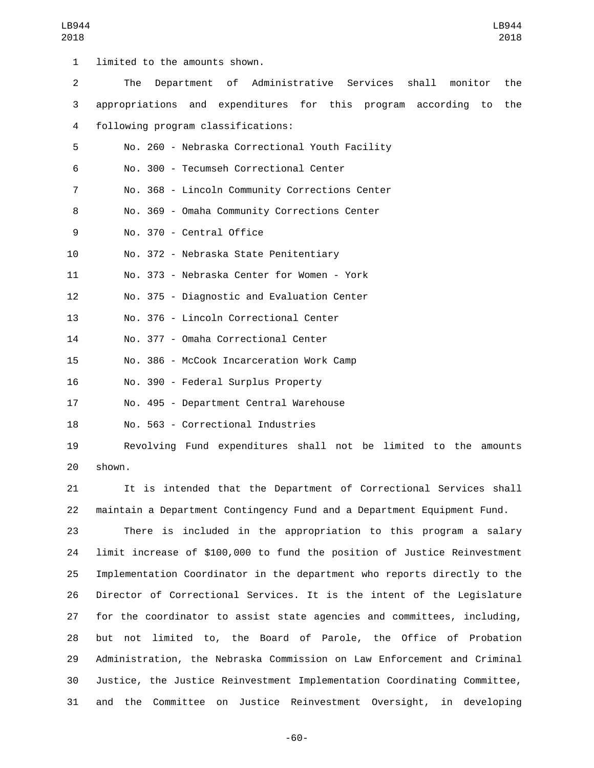| $\mathbf{1}$   | limited to the amounts shown.                                           |
|----------------|-------------------------------------------------------------------------|
| $\overline{2}$ | Department of Administrative Services<br>shall<br>The<br>monitor<br>the |
| 3              | appropriations and expenditures for this program according<br>to<br>the |
| 4              | following program classifications:                                      |
| 5              | No. 260 - Nebraska Correctional Youth Facility                          |
| 6              | No. 300 - Tecumseh Correctional Center                                  |
| $\overline{7}$ | No. 368 - Lincoln Community Corrections Center                          |
| 8              | No. 369 - Omaha Community Corrections Center                            |
| 9              | No. 370 - Central Office                                                |
| 10             | No. 372 - Nebraska State Penitentiary                                   |
| 11             | No. 373 - Nebraska Center for Women - York                              |
| 12             | No. 375 - Diagnostic and Evaluation Center                              |
| 13             | No. 376 - Lincoln Correctional Center                                   |
| 14             | No. 377 - Omaha Correctional Center                                     |
| 15             | No. 386 - McCook Incarceration Work Camp                                |
| 16             | No. 390 - Federal Surplus Property                                      |
| 17             | No. 495 - Department Central Warehouse                                  |
| 18             | No. 563 - Correctional Industries                                       |
| 19             | Revolving Fund expenditures shall not be limited to the amounts         |

20 shown.

21 It is intended that the Department of Correctional Services shall 22 maintain a Department Contingency Fund and a Department Equipment Fund.

 There is included in the appropriation to this program a salary limit increase of \$100,000 to fund the position of Justice Reinvestment Implementation Coordinator in the department who reports directly to the Director of Correctional Services. It is the intent of the Legislature for the coordinator to assist state agencies and committees, including, but not limited to, the Board of Parole, the Office of Probation Administration, the Nebraska Commission on Law Enforcement and Criminal Justice, the Justice Reinvestment Implementation Coordinating Committee, and the Committee on Justice Reinvestment Oversight, in developing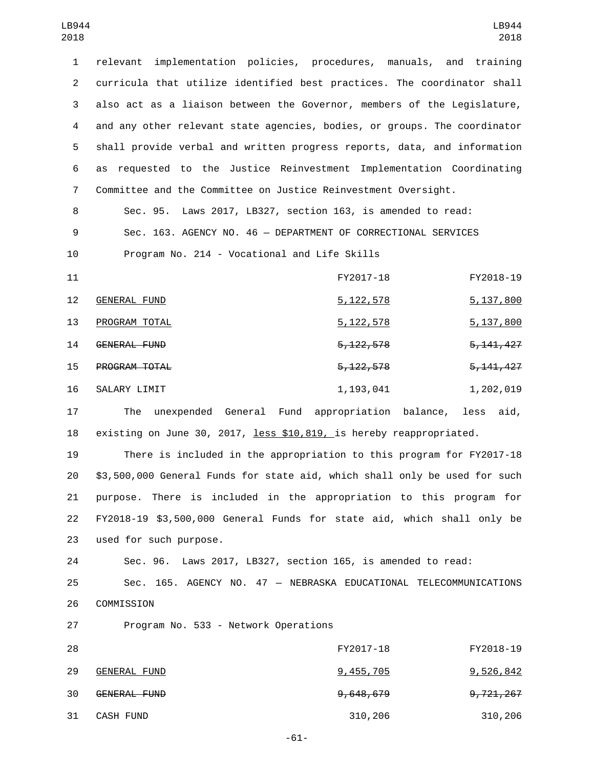relevant implementation policies, procedures, manuals, and training curricula that utilize identified best practices. The coordinator shall also act as a liaison between the Governor, members of the Legislature, and any other relevant state agencies, bodies, or groups. The coordinator shall provide verbal and written progress reports, data, and information as requested to the Justice Reinvestment Implementation Coordinating Committee and the Committee on Justice Reinvestment Oversight.

8 Sec. 95. Laws 2017, LB327, section 163, is amended to read: 9 Sec. 163. AGENCY NO. 46 — DEPARTMENT OF CORRECTIONAL SERVICES

10 Program No. 214 - Vocational and Life Skills

| 11                |                      | FY2017-18              | FY2018-19              |
|-------------------|----------------------|------------------------|------------------------|
| $12 \overline{ }$ | GENERAL FUND         | <u>5,122,578</u>       | 5,137,800              |
| 13                | PROGRAM TOTAL        | <u>5,122,578</u>       | 5,137,800              |
| 14                | GENERAL FUND         | <del>5, 122, 578</del> | 5, 141, 427            |
| 15                | <b>PROGRAM TOTAL</b> | <del>5, 122, 578</del> | <del>5, 141, 427</del> |
| 16                | SALARY LIMIT         | 1,193,041              | 1,202,019              |

17 The unexpended General Fund appropriation balance, less aid, 18 existing on June 30, 2017, less \$10,819, is hereby reappropriated.

 There is included in the appropriation to this program for FY2017-18 \$3,500,000 General Funds for state aid, which shall only be used for such purpose. There is included in the appropriation to this program for FY2018-19 \$3,500,000 General Funds for state aid, which shall only be 23 used for such purpose.

24 Sec. 96. Laws 2017, LB327, section 165, is amended to read:

25 Sec. 165. AGENCY NO. 47 — NEBRASKA EDUCATIONAL TELECOMMUNICATIONS 26 COMMISSION

27 Program No. 533 - Network Operations

| 28 |              | FY2017-18            | FY2018-19            |
|----|--------------|----------------------|----------------------|
| 29 | GENERAL FUND | 9,455,705            | <u>9,526,842</u>     |
| 30 | GENERAL FUND | <del>9,648,679</del> | <del>9,721,267</del> |
| 31 | CASH FUND    | 310,206              | 310,206              |

-61-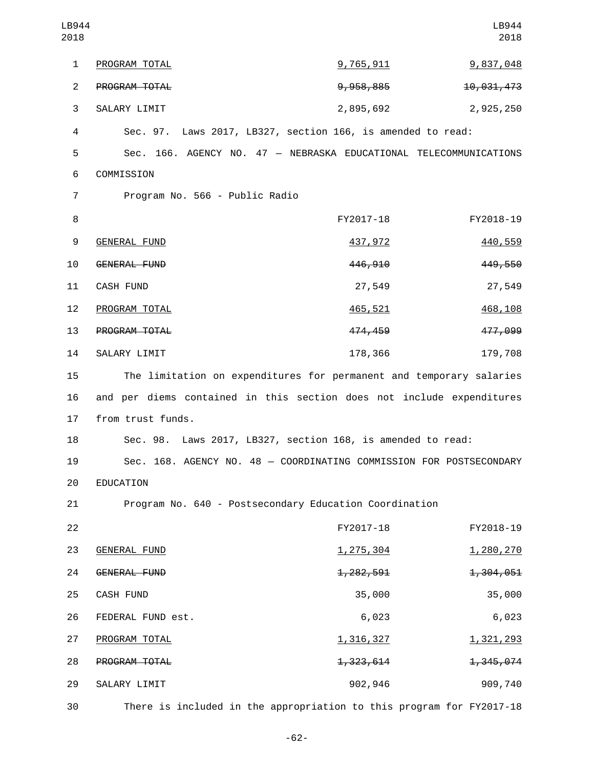| LB944<br>2018  |                                                                       |                        | LB944<br>2018 |
|----------------|-----------------------------------------------------------------------|------------------------|---------------|
| 1              | PROGRAM TOTAL                                                         | <u>9,765,911</u>       | 9,837,048     |
| $\overline{2}$ | PROGRAM TOTAL                                                         | 9,958,885              | 10,031,473    |
| 3              | SALARY LIMIT                                                          | 2,895,692              | 2,925,250     |
| 4              | Sec. 97. Laws 2017, LB327, section 166, is amended to read:           |                        |               |
| 5              | Sec. 166. AGENCY NO. 47 - NEBRASKA EDUCATIONAL TELECOMMUNICATIONS     |                        |               |
| 6              | COMMISSION                                                            |                        |               |
| $\overline{7}$ | Program No. 566 - Public Radio                                        |                        |               |
| 8              |                                                                       | FY2017-18              | FY2018-19     |
| 9              | <b>GENERAL FUND</b>                                                   | 437,972                | 440,559       |
| 10             | <b>GENERAL FUND</b>                                                   | 446, 910               | 449,550       |
| 11             | <b>CASH FUND</b>                                                      | 27,549                 | 27,549        |
| 12             | PROGRAM TOTAL                                                         | 465,521                | 468,108       |
| 13             | PROGRAM TOTAL                                                         | 474,459                | 477,099       |
| 14             | SALARY LIMIT                                                          | 178,366                | 179,708       |
| 15             | The limitation on expenditures for permanent and temporary salaries   |                        |               |
| 16             | and per diems contained in this section does not include expenditures |                        |               |
| 17             | from trust funds.                                                     |                        |               |
| 18             | Sec. 98. Laws 2017, LB327, section 168, is amended to read:           |                        |               |
| 19             | Sec. 168. AGENCY NO. 48 - COORDINATING COMMISSION FOR POSTSECONDARY   |                        |               |
| 20             | EDUCATION                                                             |                        |               |
| 21             | Program No. 640 - Postsecondary Education Coordination                |                        |               |
| 22             |                                                                       | FY2017-18              | FY2018-19     |
| 23             | <b>GENERAL FUND</b>                                                   | 1, 275, 304            | 1,280,270     |
| 24             | GENERAL FUND                                                          | <del>1, 282, 591</del> | 1,304,051     |
| 25             | CASH FUND                                                             | 35,000                 | 35,000        |
| 26             | FEDERAL FUND est.                                                     | 6,023                  | 6,023         |
| 27             | PROGRAM TOTAL                                                         | 1,316,327              | 1,321,293     |
| 28             | PROGRAM TOTAL                                                         | 1,323,614              | 1,345,074     |
| 29             | SALARY LIMIT                                                          | 902,946                | 909,740       |
| 30             | There is included in the appropriation to this program for FY2017-18  |                        |               |

-62-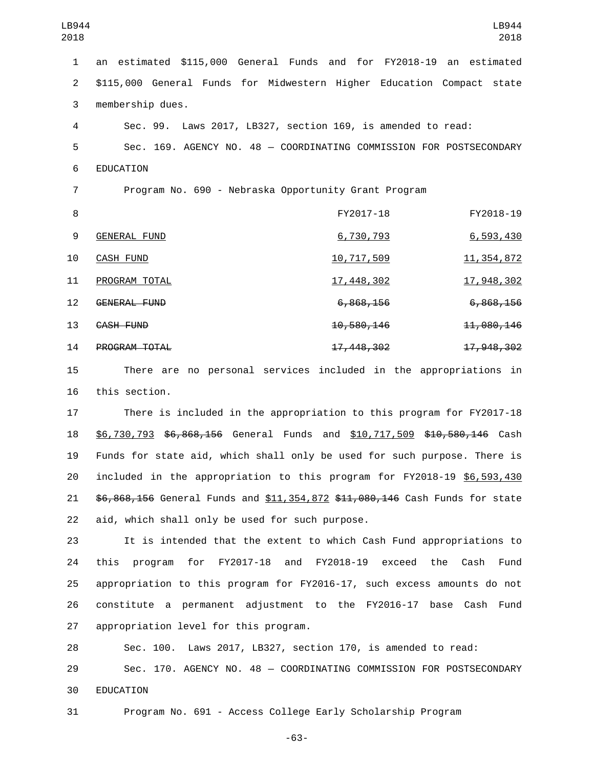| $\mathbf{1}$   | an estimated \$115,000 General Funds and for FY2018-19 an estimated   |                       |                                                                     |
|----------------|-----------------------------------------------------------------------|-----------------------|---------------------------------------------------------------------|
| $\overline{2}$ | \$115,000 General Funds for Midwestern Higher Education Compact state |                       |                                                                     |
| 3              | membership dues.                                                      |                       |                                                                     |
| 4              | Sec. 99. Laws 2017, LB327, section 169, is amended to read:           |                       |                                                                     |
| 5              |                                                                       |                       | Sec. 169. AGENCY NO. 48 - COORDINATING COMMISSION FOR POSTSECONDARY |
| 6              | EDUCATION                                                             |                       |                                                                     |
| $\overline{7}$ | Program No. 690 - Nebraska Opportunity Grant Program                  |                       |                                                                     |
| 8              |                                                                       | FY2017-18             | FY2018-19                                                           |
| 9              | <b>GENERAL FUND</b>                                                   | 6,730,793             | 6,593,430                                                           |
| 10             | <b>CASH FUND</b>                                                      | <u>10,717,509</u>     | 11, 354, 872                                                        |
| 11             | PROGRAM TOTAL                                                         | <u>17,448,302</u>     | 17,948,302                                                          |
| 12             | <b>GENERAL FUND</b>                                                   | <del>6,868,156</del>  | 6,868,156                                                           |
| 13             | CASH FUND                                                             | <del>10,580,146</del> | 11,080,146                                                          |
| 14             | PROGRAM TOTAL                                                         | 17, 448, 302          | 17,948,302                                                          |
| 15             |                                                                       |                       | There are no personal services included in the appropriations in    |

16 this section.

17 There is included in the appropriation to this program for FY2017-18 18 \$6,730,793 \$6,868,156 General Funds and \$10,717,509 \$10,580,146 Cash 19 Funds for state aid, which shall only be used for such purpose. There is 20 included in the appropriation to this program for FY2018-19 \$6,593,430 21 \$6,868,156 General Funds and \$11,354,872 \$11,080,146 Cash Funds for state 22 aid, which shall only be used for such purpose.

 It is intended that the extent to which Cash Fund appropriations to this program for FY2017-18 and FY2018-19 exceed the Cash Fund appropriation to this program for FY2016-17, such excess amounts do not constitute a permanent adjustment to the FY2016-17 base Cash Fund 27 appropriation level for this program.

28 Sec. 100. Laws 2017, LB327, section 170, is amended to read: 29 Sec. 170. AGENCY NO. 48 — COORDINATING COMMISSION FOR POSTSECONDARY 30 EDUCATION

31 Program No. 691 - Access College Early Scholarship Program

-63-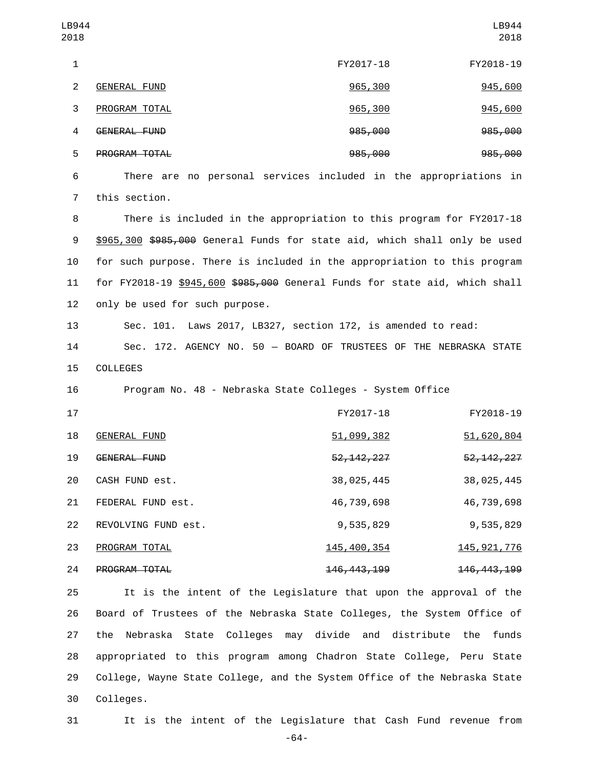|                                |               | LB944<br>2018                                                                                                                                                                                                                                                                                                                                                                                                                                                                                                                                                                    |
|--------------------------------|---------------|----------------------------------------------------------------------------------------------------------------------------------------------------------------------------------------------------------------------------------------------------------------------------------------------------------------------------------------------------------------------------------------------------------------------------------------------------------------------------------------------------------------------------------------------------------------------------------|
|                                | FY2017-18     | FY2018-19                                                                                                                                                                                                                                                                                                                                                                                                                                                                                                                                                                        |
| <b>GENERAL FUND</b>            | 965,300       | 945,600                                                                                                                                                                                                                                                                                                                                                                                                                                                                                                                                                                          |
| PROGRAM TOTAL                  | 965,300       | 945,600                                                                                                                                                                                                                                                                                                                                                                                                                                                                                                                                                                          |
| <b>GENERAL FUND</b>            | 985,000       | 985,000                                                                                                                                                                                                                                                                                                                                                                                                                                                                                                                                                                          |
| PROGRAM TOTAL                  | 985,000       | 985,000                                                                                                                                                                                                                                                                                                                                                                                                                                                                                                                                                                          |
|                                |               |                                                                                                                                                                                                                                                                                                                                                                                                                                                                                                                                                                                  |
| this section.                  |               |                                                                                                                                                                                                                                                                                                                                                                                                                                                                                                                                                                                  |
|                                |               |                                                                                                                                                                                                                                                                                                                                                                                                                                                                                                                                                                                  |
|                                |               |                                                                                                                                                                                                                                                                                                                                                                                                                                                                                                                                                                                  |
|                                |               |                                                                                                                                                                                                                                                                                                                                                                                                                                                                                                                                                                                  |
|                                |               |                                                                                                                                                                                                                                                                                                                                                                                                                                                                                                                                                                                  |
| only be used for such purpose. |               |                                                                                                                                                                                                                                                                                                                                                                                                                                                                                                                                                                                  |
|                                |               |                                                                                                                                                                                                                                                                                                                                                                                                                                                                                                                                                                                  |
|                                |               |                                                                                                                                                                                                                                                                                                                                                                                                                                                                                                                                                                                  |
| COLLEGES                       |               |                                                                                                                                                                                                                                                                                                                                                                                                                                                                                                                                                                                  |
|                                |               |                                                                                                                                                                                                                                                                                                                                                                                                                                                                                                                                                                                  |
|                                | FY2017-18     | FY2018-19                                                                                                                                                                                                                                                                                                                                                                                                                                                                                                                                                                        |
| <b>GENERAL FUND</b>            | 51,099,382    | 51,620,804                                                                                                                                                                                                                                                                                                                                                                                                                                                                                                                                                                       |
| GENERAL FUND                   | 52, 142, 227  | 52, 142, 227                                                                                                                                                                                                                                                                                                                                                                                                                                                                                                                                                                     |
| CASH FUND est.                 | 38,025,445    | 38,025,445                                                                                                                                                                                                                                                                                                                                                                                                                                                                                                                                                                       |
| FEDERAL FUND est.              | 46,739,698    | 46,739,698                                                                                                                                                                                                                                                                                                                                                                                                                                                                                                                                                                       |
| REVOLVING FUND est.            | 9,535,829     | 9,535,829                                                                                                                                                                                                                                                                                                                                                                                                                                                                                                                                                                        |
| PROGRAM TOTAL                  | 145, 400, 354 | 145, 921, 776                                                                                                                                                                                                                                                                                                                                                                                                                                                                                                                                                                    |
|                                |               | There are no personal services included in the appropriations in<br>There is included in the appropriation to this program for FY2017-18<br>\$965,300 \$985,000 General Funds for state aid, which shall only be used<br>for such purpose. There is included in the appropriation to this program<br>for FY2018-19 \$945,600 \$985,000 General Funds for state aid, which shall<br>Sec. 101. Laws 2017, LB327, section 172, is amended to read:<br>Sec. 172. AGENCY NO. 50 - BOARD OF TRUSTEES OF THE NEBRASKA STATE<br>Program No. 48 - Nebraska State Colleges - System Office |

 It is the intent of the Legislature that upon the approval of the Board of Trustees of the Nebraska State Colleges, the System Office of the Nebraska State Colleges may divide and distribute the funds appropriated to this program among Chadron State College, Peru State College, Wayne State College, and the System Office of the Nebraska State 30 Colleges.

24 **PROGRAM TOTAL** 24 246,443,199 146,443,199



31 It is the intent of the Legislature that Cash Fund revenue from

-64-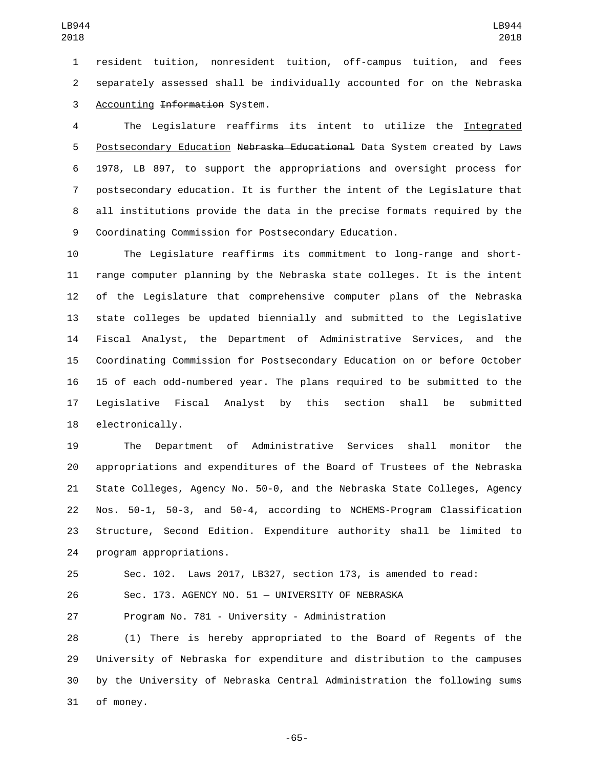resident tuition, nonresident tuition, off-campus tuition, and fees separately assessed shall be individually accounted for on the Nebraska 3 Accounting Information System.

 The Legislature reaffirms its intent to utilize the Integrated 5 Postsecondary Education Nebraska Educational Data System created by Laws 1978, LB 897, to support the appropriations and oversight process for postsecondary education. It is further the intent of the Legislature that all institutions provide the data in the precise formats required by the Coordinating Commission for Postsecondary Education.

 The Legislature reaffirms its commitment to long-range and short- range computer planning by the Nebraska state colleges. It is the intent of the Legislature that comprehensive computer plans of the Nebraska state colleges be updated biennially and submitted to the Legislative Fiscal Analyst, the Department of Administrative Services, and the Coordinating Commission for Postsecondary Education on or before October 15 of each odd-numbered year. The plans required to be submitted to the Legislative Fiscal Analyst by this section shall be submitted 18 electronically.

 The Department of Administrative Services shall monitor the appropriations and expenditures of the Board of Trustees of the Nebraska State Colleges, Agency No. 50-0, and the Nebraska State Colleges, Agency Nos. 50-1, 50-3, and 50-4, according to NCHEMS-Program Classification Structure, Second Edition. Expenditure authority shall be limited to 24 program appropriations.

Sec. 102. Laws 2017, LB327, section 173, is amended to read:

Sec. 173. AGENCY NO. 51 — UNIVERSITY OF NEBRASKA

Program No. 781 - University - Administration

 (1) There is hereby appropriated to the Board of Regents of the University of Nebraska for expenditure and distribution to the campuses by the University of Nebraska Central Administration the following sums 31 of money.

-65-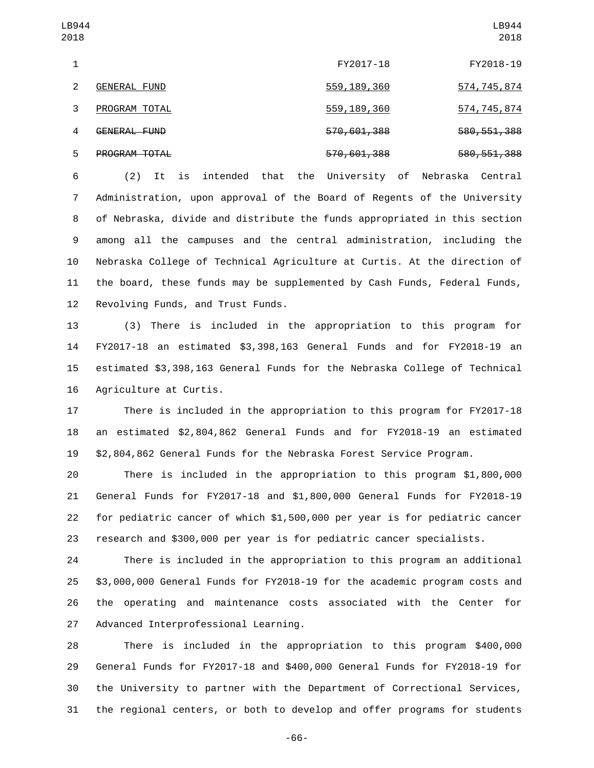| LB944<br>2018 |                     |               | LB944<br>2018 |
|---------------|---------------------|---------------|---------------|
| 1             |                     | FY2017-18     | FY2018-19     |
| 2             | <b>GENERAL FUND</b> | 559, 189, 360 | 574, 745, 874 |
| 3             | PROGRAM TOTAL       | 559, 189, 360 | 574, 745, 874 |
| 4             | GENERAL FUND        | 570,601,388   | 580, 551, 388 |
| 5             | PROGRAM TOTAL       | 570, 601, 388 | 580, 551, 388 |

 (2) It is intended that the University of Nebraska Central Administration, upon approval of the Board of Regents of the University of Nebraska, divide and distribute the funds appropriated in this section among all the campuses and the central administration, including the Nebraska College of Technical Agriculture at Curtis. At the direction of the board, these funds may be supplemented by Cash Funds, Federal Funds, 12 Revolving Funds, and Trust Funds.

 (3) There is included in the appropriation to this program for FY2017-18 an estimated \$3,398,163 General Funds and for FY2018-19 an estimated \$3,398,163 General Funds for the Nebraska College of Technical 16 Agriculture at Curtis.

 There is included in the appropriation to this program for FY2017-18 an estimated \$2,804,862 General Funds and for FY2018-19 an estimated \$2,804,862 General Funds for the Nebraska Forest Service Program.

 There is included in the appropriation to this program \$1,800,000 General Funds for FY2017-18 and \$1,800,000 General Funds for FY2018-19 for pediatric cancer of which \$1,500,000 per year is for pediatric cancer research and \$300,000 per year is for pediatric cancer specialists.

 There is included in the appropriation to this program an additional \$3,000,000 General Funds for FY2018-19 for the academic program costs and the operating and maintenance costs associated with the Center for 27 Advanced Interprofessional Learning.

 There is included in the appropriation to this program \$400,000 General Funds for FY2017-18 and \$400,000 General Funds for FY2018-19 for the University to partner with the Department of Correctional Services, the regional centers, or both to develop and offer programs for students

-66-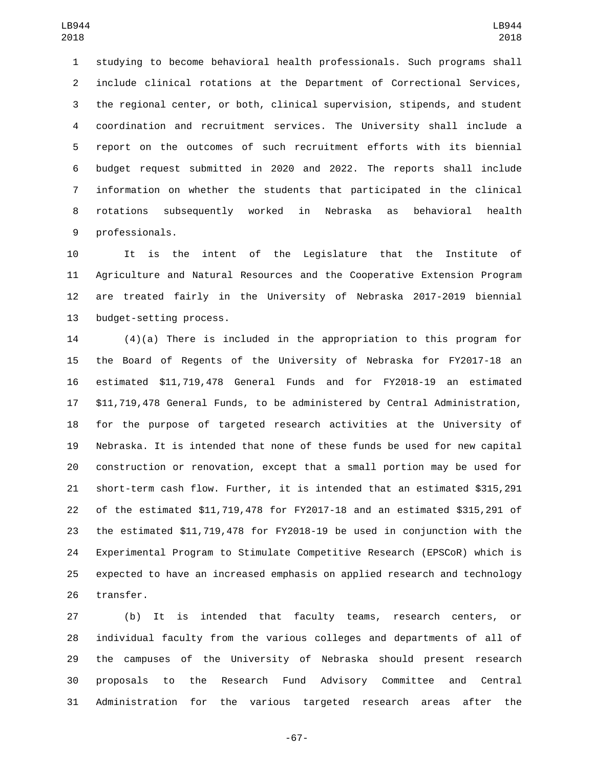studying to become behavioral health professionals. Such programs shall include clinical rotations at the Department of Correctional Services, the regional center, or both, clinical supervision, stipends, and student coordination and recruitment services. The University shall include a report on the outcomes of such recruitment efforts with its biennial budget request submitted in 2020 and 2022. The reports shall include information on whether the students that participated in the clinical rotations subsequently worked in Nebraska as behavioral health 9 professionals.

 It is the intent of the Legislature that the Institute of Agriculture and Natural Resources and the Cooperative Extension Program are treated fairly in the University of Nebraska 2017-2019 biennial 13 budget-setting process.

 (4)(a) There is included in the appropriation to this program for the Board of Regents of the University of Nebraska for FY2017-18 an estimated \$11,719,478 General Funds and for FY2018-19 an estimated \$11,719,478 General Funds, to be administered by Central Administration, for the purpose of targeted research activities at the University of Nebraska. It is intended that none of these funds be used for new capital construction or renovation, except that a small portion may be used for short-term cash flow. Further, it is intended that an estimated \$315,291 of the estimated \$11,719,478 for FY2017-18 and an estimated \$315,291 of the estimated \$11,719,478 for FY2018-19 be used in conjunction with the Experimental Program to Stimulate Competitive Research (EPSCoR) which is expected to have an increased emphasis on applied research and technology 26 transfer.

 (b) It is intended that faculty teams, research centers, or individual faculty from the various colleges and departments of all of the campuses of the University of Nebraska should present research proposals to the Research Fund Advisory Committee and Central Administration for the various targeted research areas after the

-67-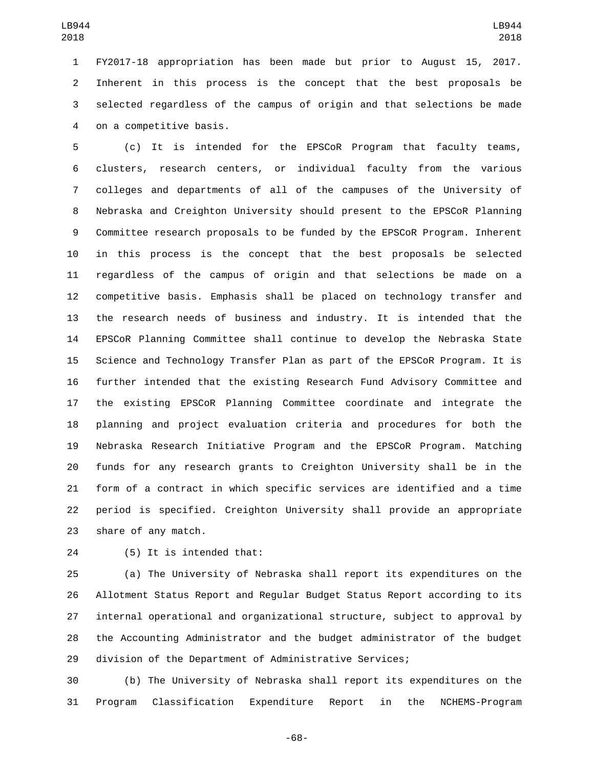FY2017-18 appropriation has been made but prior to August 15, 2017. Inherent in this process is the concept that the best proposals be selected regardless of the campus of origin and that selections be made 4 on a competitive basis.

 (c) It is intended for the EPSCoR Program that faculty teams, clusters, research centers, or individual faculty from the various colleges and departments of all of the campuses of the University of Nebraska and Creighton University should present to the EPSCoR Planning Committee research proposals to be funded by the EPSCoR Program. Inherent in this process is the concept that the best proposals be selected regardless of the campus of origin and that selections be made on a competitive basis. Emphasis shall be placed on technology transfer and the research needs of business and industry. It is intended that the EPSCoR Planning Committee shall continue to develop the Nebraska State Science and Technology Transfer Plan as part of the EPSCoR Program. It is further intended that the existing Research Fund Advisory Committee and the existing EPSCoR Planning Committee coordinate and integrate the planning and project evaluation criteria and procedures for both the Nebraska Research Initiative Program and the EPSCoR Program. Matching funds for any research grants to Creighton University shall be in the form of a contract in which specific services are identified and a time period is specified. Creighton University shall provide an appropriate 23 share of any match.

(5) It is intended that:24

 (a) The University of Nebraska shall report its expenditures on the Allotment Status Report and Regular Budget Status Report according to its internal operational and organizational structure, subject to approval by the Accounting Administrator and the budget administrator of the budget division of the Department of Administrative Services;

 (b) The University of Nebraska shall report its expenditures on the Program Classification Expenditure Report in the NCHEMS-Program

-68-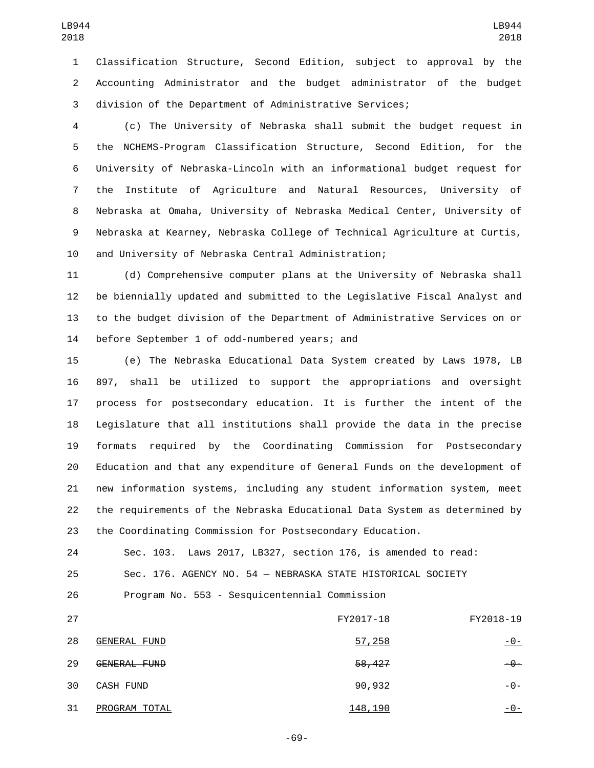Classification Structure, Second Edition, subject to approval by the Accounting Administrator and the budget administrator of the budget division of the Department of Administrative Services;

 (c) The University of Nebraska shall submit the budget request in the NCHEMS-Program Classification Structure, Second Edition, for the University of Nebraska-Lincoln with an informational budget request for the Institute of Agriculture and Natural Resources, University of Nebraska at Omaha, University of Nebraska Medical Center, University of Nebraska at Kearney, Nebraska College of Technical Agriculture at Curtis, and University of Nebraska Central Administration;

 (d) Comprehensive computer plans at the University of Nebraska shall be biennially updated and submitted to the Legislative Fiscal Analyst and to the budget division of the Department of Administrative Services on or 14 before September 1 of odd-numbered years; and

 (e) The Nebraska Educational Data System created by Laws 1978, LB 897, shall be utilized to support the appropriations and oversight process for postsecondary education. It is further the intent of the Legislature that all institutions shall provide the data in the precise formats required by the Coordinating Commission for Postsecondary Education and that any expenditure of General Funds on the development of new information systems, including any student information system, meet the requirements of the Nebraska Educational Data System as determined by the Coordinating Commission for Postsecondary Education.

 Sec. 103. Laws 2017, LB327, section 176, is amended to read: Sec. 176. AGENCY NO. 54 — NEBRASKA STATE HISTORICAL SOCIETY

Program No. 553 - Sesquicentennial Commission

 FY2017-18 FY2018-19 28 GENERAL FUND - 0-29 GENERAL FUND<br>29 GENERAL FUND 30 CASH FUND -0-2000 -0-2000 -0-2000 -0-2000 -0-2000 -0-2000 -0-2000 -0-2000 -0-PROGRAM TOTAL31 148,190 -0-

-69-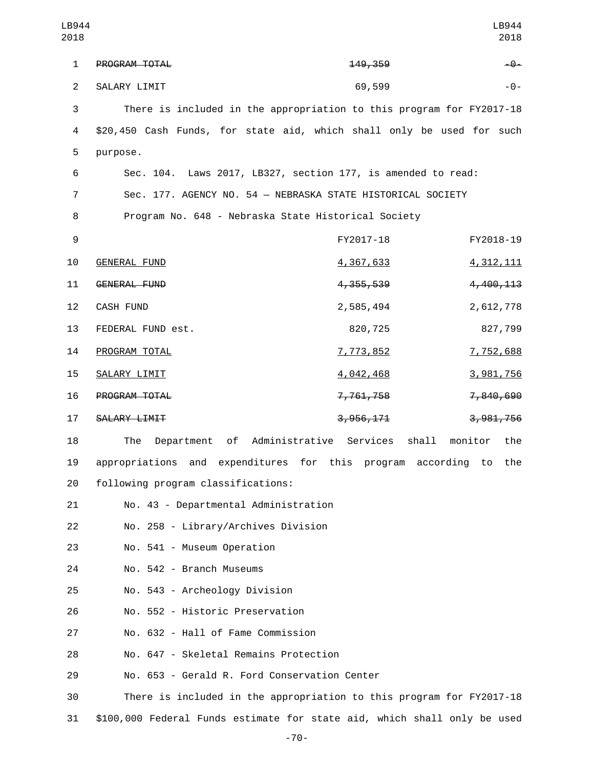| LB944<br>2018  |                                                                          |             | LB944<br>2018           |
|----------------|--------------------------------------------------------------------------|-------------|-------------------------|
| 1              | PROGRAM TOTAL                                                            | 149, 359    | $-9-$                   |
| $\overline{2}$ | SALARY LIMIT                                                             | 69,599      | $-0-$                   |
| 3              | There is included in the appropriation to this program for FY2017-18     |             |                         |
| 4              | \$20,450 Cash Funds, for state aid, which shall only be used for such    |             |                         |
| 5              | purpose.                                                                 |             |                         |
| 6              | Sec. 104. Laws 2017, LB327, section 177, is amended to read:             |             |                         |
| 7              | Sec. 177. AGENCY NO. 54 - NEBRASKA STATE HISTORICAL SOCIETY              |             |                         |
| 8              | Program No. 648 - Nebraska State Historical Society                      |             |                         |
| 9              |                                                                          | FY2017-18   | FY2018-19               |
| 10             | <b>GENERAL FUND</b>                                                      | 4,367,633   | 4, 312, 111             |
| 11             | <b>GENERAL FUND</b>                                                      | 4, 355, 539 | 4,400,113               |
| 12             | <b>CASH FUND</b>                                                         | 2,585,494   | 2,612,778               |
| 13             | FEDERAL FUND est.                                                        | 820,725     | 827,799                 |
| 14             | PROGRAM TOTAL                                                            | 7,773,852   | 7,752,688               |
| 15             | SALARY LIMIT                                                             | 4,042,468   | 3,981,756               |
| 16             | PROGRAM TOTAL                                                            | 7,761,758   | 7,840,690               |
| 17             | SALARY LIMIT                                                             | 3,956,171   | 3, 981, 756             |
| 18             | of Administrative Services<br>The<br>Department                          |             | shall<br>monitor<br>the |
| 19             | appropriations and expenditures for this program according to            |             | the                     |
| 20             | following program classifications:                                       |             |                         |
| 21             | No. 43 - Departmental Administration                                     |             |                         |
| 22             | No. 258 - Library/Archives Division                                      |             |                         |
| 23             | No. 541 - Museum Operation                                               |             |                         |
| 24             | No. 542 - Branch Museums                                                 |             |                         |
| 25             | No. 543 - Archeology Division                                            |             |                         |
| 26             | No. 552 - Historic Preservation                                          |             |                         |
| 27             | No. 632 - Hall of Fame Commission                                        |             |                         |
| 28             | No. 647 - Skeletal Remains Protection                                    |             |                         |
| 29             | No. 653 - Gerald R. Ford Conservation Center                             |             |                         |
| 30             | There is included in the appropriation to this program for FY2017-18     |             |                         |
| 31             | \$100,000 Federal Funds estimate for state aid, which shall only be used |             |                         |

-70-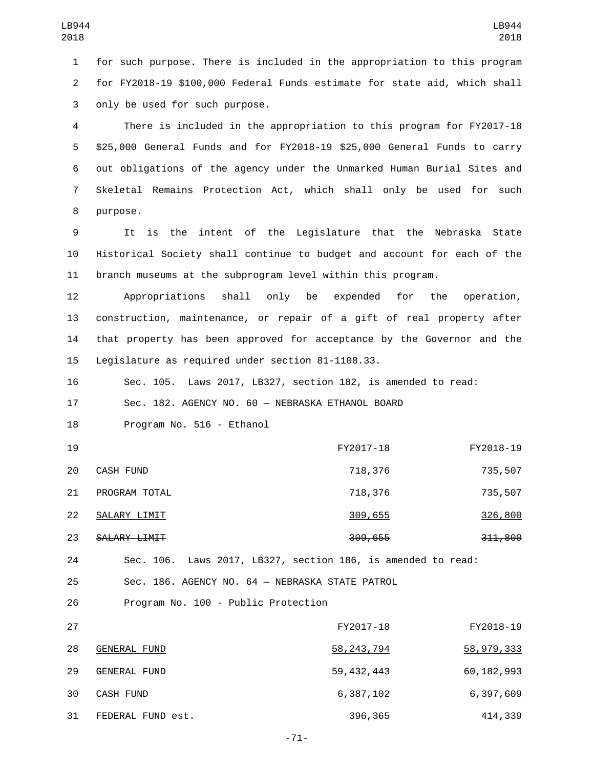1 for such purpose. There is included in the appropriation to this program 2 for FY2018-19 \$100,000 Federal Funds estimate for state aid, which shall 3 only be used for such purpose.

 There is included in the appropriation to this program for FY2017-18 \$25,000 General Funds and for FY2018-19 \$25,000 General Funds to carry out obligations of the agency under the Unmarked Human Burial Sites and Skeletal Remains Protection Act, which shall only be used for such 8 purpose.

9 It is the intent of the Legislature that the Nebraska State 10 Historical Society shall continue to budget and account for each of the 11 branch museums at the subprogram level within this program.

 Appropriations shall only be expended for the operation, construction, maintenance, or repair of a gift of real property after that property has been approved for acceptance by the Governor and the 15 Legislature as required under section 81-1108.33.

16 Sec. 105. Laws 2017, LB327, section 182, is amended to read:

17 Sec. 182. AGENCY NO. 60 — NEBRASKA ETHANOL BOARD

18 Program No. 516 - Ethanol

| 19 |                  | FY2017-18           | FY2018-19 |
|----|------------------|---------------------|-----------|
| 20 | <b>CASH FUND</b> | 718,376             | 735,507   |
| 21 | PROGRAM TOTAL    | 718,376             | 735,507   |
| 22 | SALARY LIMIT     | 309,655             | 326,800   |
| 23 | SALARY LIMIT     | <del>309, 655</del> | 311,800   |

24 Sec. 106. Laws 2017, LB327, section 186, is amended to read:

25 Sec. 186. AGENCY NO. 64 — NEBRASKA STATE PATROL

26 Program No. 100 - Public Protection

| 27 |                   | FY2017-18               | FY2018-19               |
|----|-------------------|-------------------------|-------------------------|
| 28 | GENERAL FUND      | 58, 243, 794            | 58,979,333              |
| 29 | GENERAL FUND      | <del>59, 432, 443</del> | <del>60, 182, 993</del> |
| 30 | CASH FUND         | 6,387,102               | 6,397,609               |
| 31 | FEDERAL FUND est. | 396,365                 | 414,339                 |

-71-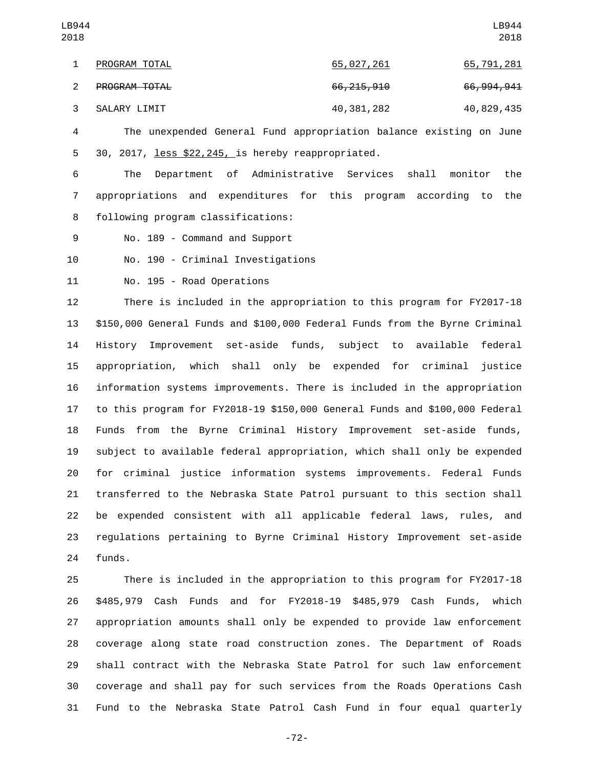The unexpended General Fund appropriation balance existing on June 30, 2017, less \$22,245, is hereby reappropriated.5

 The Department of Administrative Services shall monitor the appropriations and expenditures for this program according to the 8 following program classifications:

9 No. 189 - Command and Support

10 No. 190 - Criminal Investigations

11 No. 195 - Road Operations

 There is included in the appropriation to this program for FY2017-18 \$150,000 General Funds and \$100,000 Federal Funds from the Byrne Criminal History Improvement set-aside funds, subject to available federal appropriation, which shall only be expended for criminal justice information systems improvements. There is included in the appropriation to this program for FY2018-19 \$150,000 General Funds and \$100,000 Federal Funds from the Byrne Criminal History Improvement set-aside funds, subject to available federal appropriation, which shall only be expended for criminal justice information systems improvements. Federal Funds transferred to the Nebraska State Patrol pursuant to this section shall be expended consistent with all applicable federal laws, rules, and regulations pertaining to Byrne Criminal History Improvement set-aside 24 funds.

 There is included in the appropriation to this program for FY2017-18 \$485,979 Cash Funds and for FY2018-19 \$485,979 Cash Funds, which appropriation amounts shall only be expended to provide law enforcement coverage along state road construction zones. The Department of Roads shall contract with the Nebraska State Patrol for such law enforcement coverage and shall pay for such services from the Roads Operations Cash Fund to the Nebraska State Patrol Cash Fund in four equal quarterly

-72-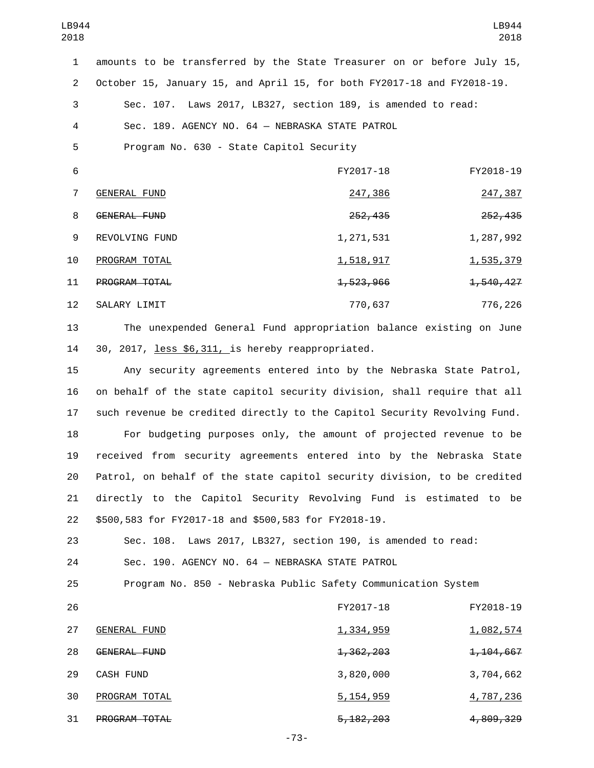| LB944<br>2018  |                                                                           |                        | LB944<br>2018          |
|----------------|---------------------------------------------------------------------------|------------------------|------------------------|
| $\mathbf{1}$   | amounts to be transferred by the State Treasurer on or before July 15,    |                        |                        |
| $\overline{2}$ | October 15, January 15, and April 15, for both FY2017-18 and FY2018-19.   |                        |                        |
| 3              | Sec. 107. Laws 2017, LB327, section 189, is amended to read:              |                        |                        |
| 4              | Sec. 189. AGENCY NO. 64 - NEBRASKA STATE PATROL                           |                        |                        |
| 5              | Program No. 630 - State Capitol Security                                  |                        |                        |
| 6              |                                                                           | FY2017-18              | FY2018-19              |
| $\overline{7}$ | <b>GENERAL FUND</b>                                                       | 247,386                | 247,387                |
| 8              | GENERAL FUND                                                              | 252,435                | 252,435                |
| 9              | REVOLVING FUND                                                            | 1, 271, 531            | 1,287,992              |
| 10             | PROGRAM TOTAL                                                             | <u>1,518,917</u>       | <u>1,535,379</u>       |
| 11             | PROGRAM TOTAL                                                             | 1,523,966              | 1,540,427              |
| 12             | SALARY LIMIT                                                              | 770,637                | 776,226                |
| 13             | The unexpended General Fund appropriation balance existing on June        |                        |                        |
| 14             | 30, 2017, less \$6,311, is hereby reappropriated.                         |                        |                        |
| 15             | Any security agreements entered into by the Nebraska State Patrol,        |                        |                        |
| 16             | on behalf of the state capitol security division, shall require that all  |                        |                        |
| 17             | such revenue be credited directly to the Capitol Security Revolving Fund. |                        |                        |
| 18             | For budgeting purposes only, the amount of projected revenue to be        |                        |                        |
| 19             | received from security agreements entered into by the Nebraska State      |                        |                        |
| 20             | Patrol, on behalf of the state capitol security division, to be credited  |                        |                        |
| 21             | directly to the Capitol Security Revolving Fund is estimated to           |                        | be                     |
| 22             | \$500,583 for FY2017-18 and \$500,583 for FY2018-19.                      |                        |                        |
| 23             | Sec. 108. Laws 2017, LB327, section 190, is amended to read:              |                        |                        |
| 24             | Sec. 190. AGENCY NO. 64 - NEBRASKA STATE PATROL                           |                        |                        |
| 25             | Program No. 850 - Nebraska Public Safety Communication System             |                        |                        |
| 26             |                                                                           | FY2017-18              | FY2018-19              |
| 27             | <b>GENERAL FUND</b>                                                       | <u>1,334,959</u>       | <u>1,082,574</u>       |
| 28             | GENERAL FUND                                                              | <del>1, 362, 203</del> | <del>1, 104, 667</del> |
| 29             | CASH FUND                                                                 | 3,820,000              | 3,704,662              |

31 PROGRAM TOTAL 2003 5,182,203 4,809,329 -73-

30 PROGRAM TOTAL 30 PROGRAM TOTAL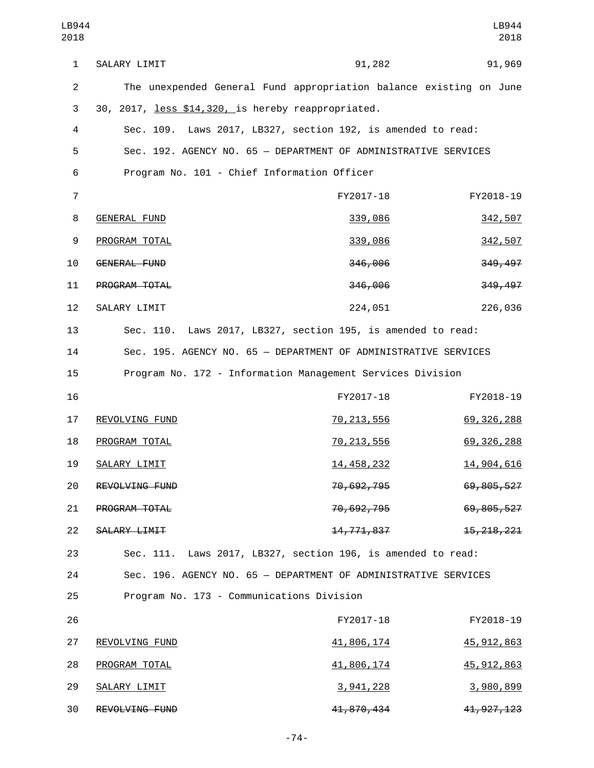| LB944<br>2018  |                                                                    |                                                    | LB944<br>2018 |
|----------------|--------------------------------------------------------------------|----------------------------------------------------|---------------|
| $\mathbf{1}$   | SALARY LIMIT                                                       | 91,282                                             | 91,969        |
| $\overline{2}$ | The unexpended General Fund appropriation balance existing on June |                                                    |               |
| 3              | 30, 2017, less \$14,320, is hereby reappropriated.                 |                                                    |               |
| 4              | Sec. 109.                                                          | Laws 2017, LB327, section 192, is amended to read: |               |
| 5              | Sec. 192. AGENCY NO. 65 - DEPARTMENT OF ADMINISTRATIVE SERVICES    |                                                    |               |
| 6              | Program No. 101 - Chief Information Officer                        |                                                    |               |
| $\overline{7}$ |                                                                    | FY2017-18                                          | FY2018-19     |
| 8              | <b>GENERAL FUND</b>                                                | 339,086                                            | 342,507       |
| 9              | PROGRAM TOTAL                                                      | 339,086                                            | 342,507       |
| 10             | GENERAL FUND                                                       | 346,006                                            | 349,497       |
| 11             | PROGRAM TOTAL                                                      | 346,006                                            | 349,497       |
| 12             | SALARY LIMIT                                                       | 224,051                                            | 226,036       |
| 13             | Sec. 110. Laws 2017, LB327, section 195, is amended to read:       |                                                    |               |
| 14             | Sec. 195. AGENCY NO. 65 - DEPARTMENT OF ADMINISTRATIVE SERVICES    |                                                    |               |
| 15             | Program No. 172 - Information Management Services Division         |                                                    |               |
| 16             |                                                                    | FY2017-18                                          | FY2018-19     |
| 17             | REVOLVING FUND                                                     | <u>70, 213, 556</u>                                | 69, 326, 288  |
| 18             | PROGRAM TOTAL                                                      | 70, 213, 556                                       | 69, 326, 288  |
| 19             | SALARY LIMIT                                                       | <u>14,458,232</u>                                  | 14,904,616    |
| 20             | REVOLVING FUND                                                     | <del>70,692,795</del>                              | 69,805,527    |
| 21             | PROGRAM TOTAL                                                      | <del>70, 692, 795</del>                            | 69,805,527    |
| 22             | SALARY LIMIT                                                       | <del>14,771,837</del>                              | 15, 218, 221  |
| 23             | Sec. 111. Laws 2017, LB327, section 196, is amended to read:       |                                                    |               |
| 24             | Sec. 196. AGENCY NO. 65 - DEPARTMENT OF ADMINISTRATIVE SERVICES    |                                                    |               |
| 25             | Program No. 173 - Communications Division                          |                                                    |               |
| 26             |                                                                    | FY2017-18                                          | FY2018-19     |
| 27             | REVOLVING FUND                                                     | <u>41,806,174</u>                                  | 45, 912, 863  |
| 28             | PROGRAM TOTAL                                                      | 41,806,174                                         | 45, 912, 863  |
| 29             | SALARY LIMIT                                                       | <u>3,941,228</u>                                   | 3,980,899     |
| 30             | REVOLVING FUND                                                     | 41,870,434                                         | 41, 927, 123  |

-74-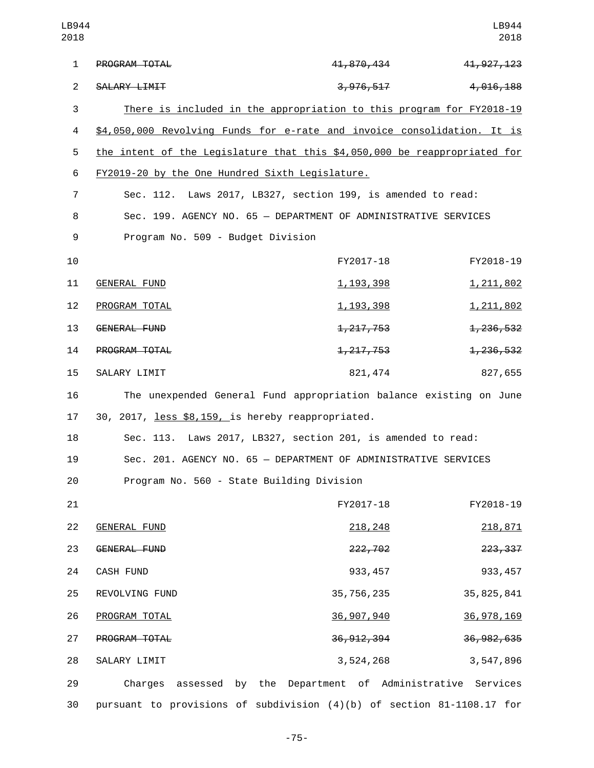| LB944<br>2018  |                                                                           |                         | LB944<br>2018 |
|----------------|---------------------------------------------------------------------------|-------------------------|---------------|
| $\mathbf{1}$   | PROGRAM TOTAL                                                             | <del>41, 870, 434</del> | 41, 927, 123  |
| $\overline{2}$ | SALARY LIMIT                                                              | 3,976,517               | 4, 016, 188   |
| 3              | There is included in the appropriation to this program for FY2018-19      |                         |               |
| 4              | \$4,050,000 Revolving Funds for e-rate and invoice consolidation. It is   |                         |               |
| 5              | the intent of the Legislature that this \$4,050,000 be reappropriated for |                         |               |
| 6              | FY2019-20 by the One Hundred Sixth Legislature.                           |                         |               |
| $\overline{7}$ | Sec. 112. Laws 2017, LB327, section 199, is amended to read:              |                         |               |
| 8              | Sec. 199. AGENCY NO. 65 - DEPARTMENT OF ADMINISTRATIVE SERVICES           |                         |               |
| 9              | Program No. 509 - Budget Division                                         |                         |               |
| 10             |                                                                           | FY2017-18               | FY2018-19     |
| 11             | GENERAL FUND                                                              | <u>1, 193, 398</u>      | 1, 211, 802   |
| 12             | PROGRAM TOTAL                                                             | <u>1, 193, 398</u>      | 1, 211, 802   |
| 13             | GENERAL FUND                                                              | <del>1, 217, 753</del>  | 1, 236, 532   |
| 14             | PROGRAM TOTAL                                                             | <del>1, 217, 753</del>  | 1, 236, 532   |
| 15             | SALARY LIMIT                                                              | 821, 474                | 827,655       |
| 16             | The unexpended General Fund appropriation balance existing on June        |                         |               |
| 17             | 30, 2017, less \$8,159, is hereby reappropriated.                         |                         |               |
| 18             | Sec. 113. Laws 2017, LB327, section 201, is amended to read:              |                         |               |
| 19             | Sec. 201. AGENCY NO. 65 - DEPARTMENT OF ADMINISTRATIVE SERVICES           |                         |               |
| 20             | Program No. 560 - State Building Division                                 |                         |               |
| 21             |                                                                           | FY2017-18               | FY2018-19     |
| 22             | <b>GENERAL FUND</b>                                                       | <u> 218, 248</u>        | 218,871       |
| 23             | GENERAL FUND                                                              | 222,702                 | 223, 337      |
| 24             | CASH FUND                                                                 | 933, 457                | 933, 457      |
| 25             | REVOLVING FUND                                                            | 35, 756, 235            | 35, 825, 841  |
| 26             | PROGRAM TOTAL                                                             | <u>36,907,940</u>       | 36, 978, 169  |
| 27             | PROGRAM TOTAL                                                             | 36, 912, 394            | 36, 982, 635  |
| 28             | SALARY LIMIT                                                              | 3,524,268               | 3,547,896     |
| 29             | Charges<br>assessed by the Department of Administrative Services          |                         |               |
| 30             | pursuant to provisions of subdivision (4)(b) of section 81-1108.17 for    |                         |               |

-75-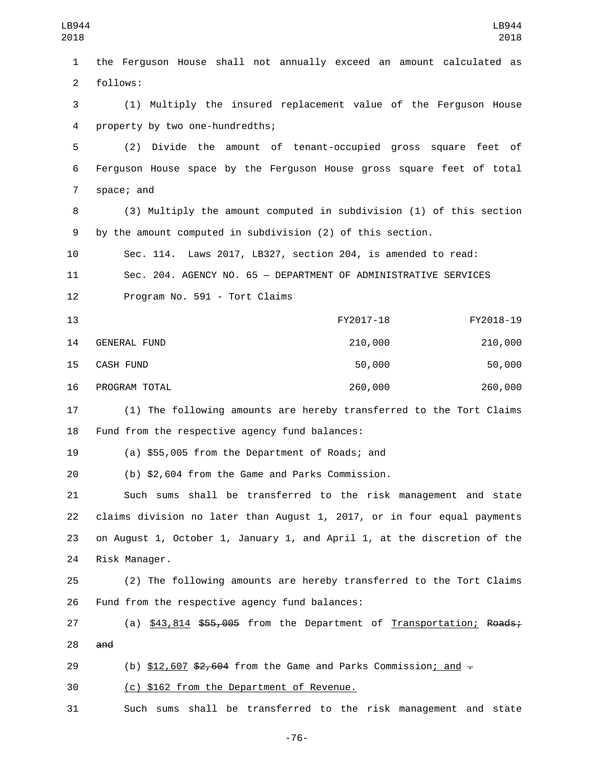1 the Ferguson House shall not annually exceed an amount calculated as 2 follows: 3 (1) Multiply the insured replacement value of the Ferguson House 4 property by two one-hundredths; 5 (2) Divide the amount of tenant-occupied gross square feet of 6 Ferguson House space by the Ferguson House gross square feet of total 7 space; and 8 (3) Multiply the amount computed in subdivision (1) of this section 9 by the amount computed in subdivision (2) of this section. 10 Sec. 114. Laws 2017, LB327, section 204, is amended to read: 11 Sec. 204. AGENCY NO. 65 — DEPARTMENT OF ADMINISTRATIVE SERVICES 12 Program No. 591 - Tort Claims 13 FY2017-18 FY2018-19 GENERAL FUND14 210,000 210,000 CASH FUND15 50,000 50,000 16 PROGRAM TOTAL 260,000 260,000 260,000 17 (1) The following amounts are hereby transferred to the Tort Claims 18 Fund from the respective agency fund balances: 19 (a) \$55,005 from the Department of Roads; and 20 (b) \$2,604 from the Game and Parks Commission. 21 Such sums shall be transferred to the risk management and state 22 claims division no later than August 1, 2017, or in four equal payments 23 on August 1, October 1, January 1, and April 1, at the discretion of the 24 Risk Manager. 25 (2) The following amounts are hereby transferred to the Tort Claims 26 Fund from the respective agency fund balances: 27 (a) \$43,814 \$55,005 from the Department of Transportation; Roads;  $28$  and 29 (b)  $$12,607$   $$2,604$  from the Game and Parks Commission; and  $-$ 30 (c) \$162 from the Department of Revenue. 31 Such sums shall be transferred to the risk management and state LB944 2018 LB944 2018

-76-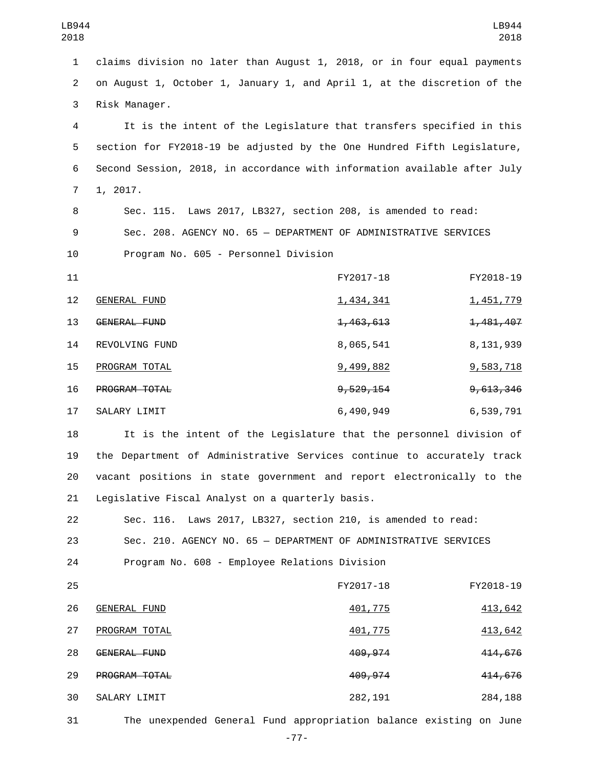1 claims division no later than August 1, 2018, or in four equal payments 2 on August 1, October 1, January 1, and April 1, at the discretion of the 3 Risk Manager.

 It is the intent of the Legislature that transfers specified in this section for FY2018-19 be adjusted by the One Hundred Fifth Legislature, Second Session, 2018, in accordance with information available after July 7 1, 2017.

8 Sec. 115. Laws 2017, LB327, section 208, is amended to read: 9 Sec. 208. AGENCY NO. 65 — DEPARTMENT OF ADMINISTRATIVE SERVICES 10 Program No. 605 - Personnel Division

| 11 |                      | FY2017-18              | FY2018-19              |
|----|----------------------|------------------------|------------------------|
| 12 | GENERAL FUND         | <u>1,434,341</u>       | 1,451,779              |
| 13 | <b>GENERAL FUND</b>  | <del>1, 463, 613</del> | <del>1, 481, 407</del> |
| 14 | REVOLVING FUND       | 8,065,541              | 8, 131, 939            |
| 15 | PROGRAM TOTAL        | 9,499,882              | 9,583,718              |
| 16 | <b>PROGRAM TOTAL</b> | <del>9, 529, 154</del> | <del>9,613,346</del>   |
| 17 | SALARY LIMIT         | 6,490,949              | 6,539,791              |

 It is the intent of the Legislature that the personnel division of the Department of Administrative Services continue to accurately track vacant positions in state government and report electronically to the 21 Legislative Fiscal Analyst on a quarterly basis.

22 Sec. 116. Laws 2017, LB327, section 210, is amended to read: 23 Sec. 210. AGENCY NO. 65 — DEPARTMENT OF ADMINISTRATIVE SERVICES 24 Program No. 608 - Employee Relations Division

| 25 |                      | FY2017-18 | FY2018-19 |
|----|----------------------|-----------|-----------|
| 26 | <b>GENERAL FUND</b>  | 401,775   | 413,642   |
| 27 | PROGRAM TOTAL        | 401,775   | 413,642   |
| 28 | GENERAL FUND         | 409,974   | 414,676   |
| 29 | <b>PROGRAM TOTAL</b> | 409, 974  | 414,676   |
| 30 | SALARY LIMIT         | 282,191   | 284,188   |
|    |                      |           |           |

31 The unexpended General Fund appropriation balance existing on June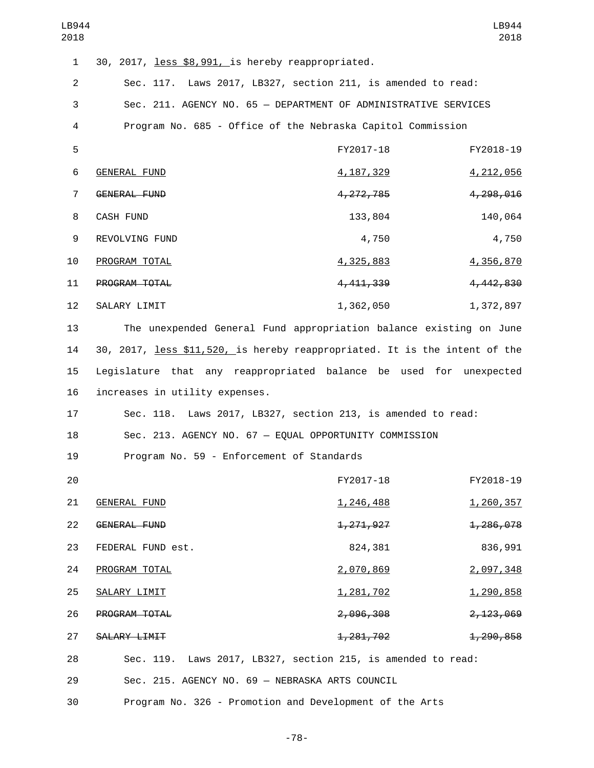| LB944<br>2018  |                                                                            |                    | LB944<br>2018     |
|----------------|----------------------------------------------------------------------------|--------------------|-------------------|
| $\mathbf{1}$   | 30, 2017, less \$8,991, is hereby reappropriated.                          |                    |                   |
| $\overline{2}$ | Sec. 117. Laws 2017, LB327, section 211, is amended to read:               |                    |                   |
| 3              | Sec. 211. AGENCY NO. 65 - DEPARTMENT OF ADMINISTRATIVE SERVICES            |                    |                   |
| 4              | Program No. 685 - Office of the Nebraska Capitol Commission                |                    |                   |
| 5              |                                                                            | FY2017-18          | FY2018-19         |
| 6              | <b>GENERAL FUND</b>                                                        | <u>4, 187, 329</u> | 4,212,056         |
| $\overline{7}$ | GENERAL FUND                                                               | 4, 272, 785        | 4,298,016         |
| 8              | CASH FUND                                                                  | 133,804            | 140,064           |
| 9              | REVOLVING FUND                                                             | 4,750              | 4,750             |
| 10             | PROGRAM TOTAL                                                              | 4,325,883          | 4,356,870         |
| 11             | PROGRAM TOTAL                                                              | 4, 411, 339        | 4,442,830         |
| 12             | SALARY LIMIT                                                               | 1,362,050          | 1,372,897         |
| 13             | The unexpended General Fund appropriation balance existing on June         |                    |                   |
| 14             | 30, 2017, less \$11,520, is hereby reappropriated. It is the intent of the |                    |                   |
| 15             | Legislature that any reappropriated balance be used                        |                    | for<br>unexpected |
| 16             | increases in utility expenses.                                             |                    |                   |
| 17             | Sec. 118. Laws 2017, LB327, section 213, is amended to read:               |                    |                   |
| 18             | Sec. 213. AGENCY NO. 67 - EQUAL OPPORTUNITY COMMISSION                     |                    |                   |
| 19             | Program No. 59 - Enforcement of Standards                                  |                    |                   |
| 20             |                                                                            | FY2017-18          | FY2018-19         |
| 21             | <b>GENERAL FUND</b>                                                        | <u>1,246,488</u>   | 1,260,357         |
| 22             | GENERAL FUND                                                               | 1, 271, 927        | 1,286,078         |
| 23             | FEDERAL FUND est.                                                          | 824,381            | 836,991           |
| 24             | PROGRAM TOTAL                                                              | 2,070,869          | 2,097,348         |
| 25             | SALARY LIMIT                                                               | 1,281,702          | 1,290,858         |
| 26             | PROGRAM TOTAL                                                              | 2,096,308          | 2, 123, 069       |
| 27             | SALARY LIMIT                                                               | 1, 281, 702        | 1,290,858         |
| 28             | Sec. 119. Laws 2017, LB327, section 215, is amended to read:               |                    |                   |
| 29             | Sec. 215. AGENCY NO. 69 - NEBRASKA ARTS COUNCIL                            |                    |                   |
| 30             | Program No. 326 - Promotion and Development of the Arts                    |                    |                   |

-78-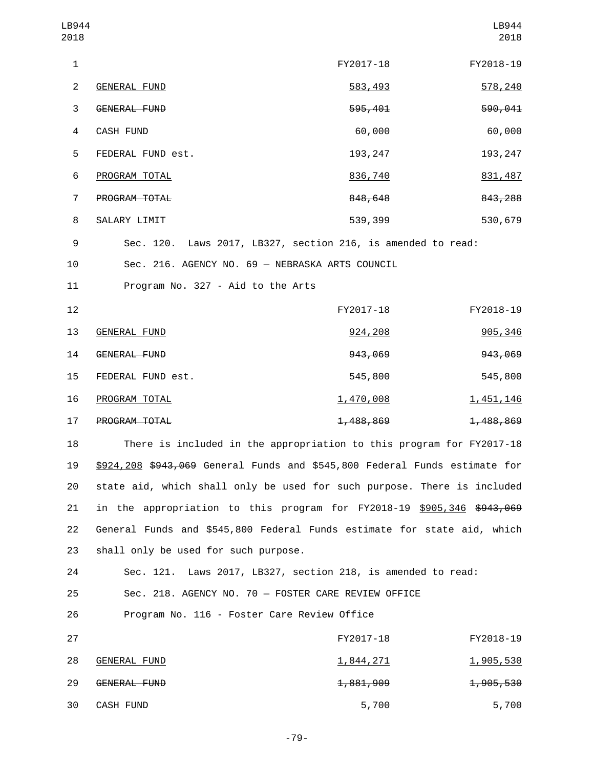| LB944<br>2018  |                                                              |           | LB944<br>2018 |
|----------------|--------------------------------------------------------------|-----------|---------------|
| 1              |                                                              | FY2017-18 | FY2018-19     |
| 2              | <b>GENERAL FUND</b>                                          | 583,493   | 578,240       |
| 3              | GENERAL FUND                                                 | 595,401   | 590,041       |
| 4              | <b>CASH FUND</b>                                             | 60,000    | 60,000        |
| 5              | FEDERAL FUND est.                                            | 193, 247  | 193, 247      |
| 6              | PROGRAM TOTAL                                                | 836,740   | 831,487       |
| $\overline{7}$ | <b>PROGRAM TOTAL</b>                                         | 848,648   | 843, 288      |
| 8              | SALARY LIMIT                                                 | 539,399   | 530,679       |
| 9              | Sec. 120. Laws 2017, LB327, section 216, is amended to read: |           |               |
| 10             | Sec. 216. AGENCY NO. 69 - NEBRASKA ARTS COUNCIL              |           |               |
|                |                                                              |           |               |

11 Program No. 327 - Aid to the Arts

| 12 |                      | FY2017-18            | FY2018-19              |
|----|----------------------|----------------------|------------------------|
| 13 | GENERAL FUND         | 924, 208             | 905, 346               |
| 14 | GENERAL FUND         | 943,069              | 943,069                |
| 15 | FEDERAL FUND est.    | 545,800              | 545,800                |
| 16 | PROGRAM TOTAL        | 1,470,008            | <u>1,451,146</u>       |
| 17 | <b>PROGRAM TOTAL</b> | <del>1,488,869</del> | <del>1, 488, 869</del> |

 There is included in the appropriation to this program for FY2017-18 \$924,208 \$943,069 General Funds and \$545,800 Federal Funds estimate for state aid, which shall only be used for such purpose. There is included 21 in the appropriation to this program for FY2018-19 \$905,346 \$943,069 General Funds and \$545,800 Federal Funds estimate for state aid, which 23 shall only be used for such purpose.

24 Sec. 121. Laws 2017, LB327, section 218, is amended to read: 25 Sec. 218. AGENCY NO. 70 — FOSTER CARE REVIEW OFFICE 26 Program No. 116 - Foster Care Review Office

| 27 |                     | FY2017-18            | FY2018-19            |
|----|---------------------|----------------------|----------------------|
| 28 | GENERAL FUND        | <u>1,844,271</u>     | <u>1,905,530</u>     |
| 29 | <b>GENERAL FUND</b> | <del>1,881,909</del> | <del>1,905,530</del> |
| 30 | CASH FUND           | 5,700                | 5,700                |

-79-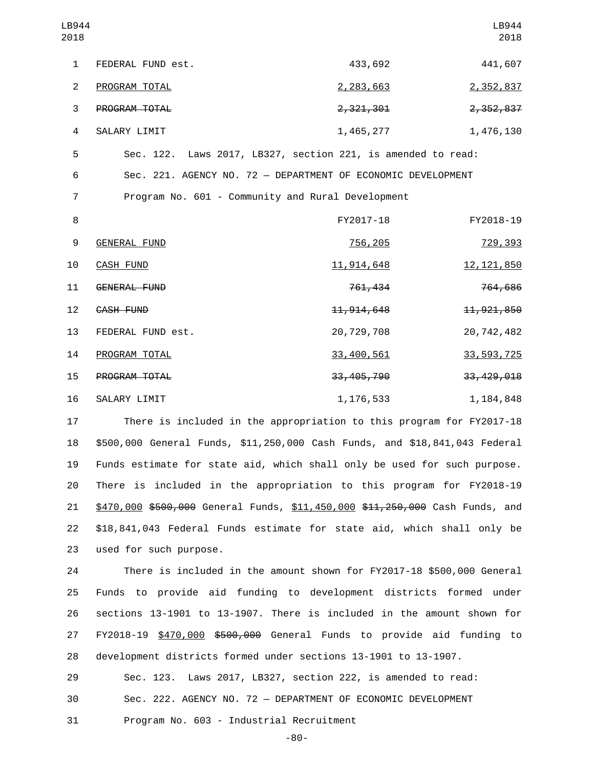| LB944<br>2018  |                                                              |              | LB944<br>2018 |
|----------------|--------------------------------------------------------------|--------------|---------------|
| $\mathbf{1}$   | FEDERAL FUND est.                                            | 433,692      | 441,607       |
| $\overline{2}$ | PROGRAM TOTAL                                                | 2,283,663    | 2,352,837     |
| 3              | PROGRAM TOTAL                                                | 2,321,301    | 2,352,837     |
| 4              | SALARY LIMIT                                                 | 1,465,277    | 1,476,130     |
| 5              | Sec. 122. Laws 2017, LB327, section 221, is amended to read: |              |               |
| 6              | Sec. 221. AGENCY NO. 72 - DEPARTMENT OF ECONOMIC DEVELOPMENT |              |               |
| $\overline{7}$ | Program No. 601 - Community and Rural Development            |              |               |
| 8              |                                                              | FY2017-18    | FY2018-19     |
| 9              | GENERAL FUND                                                 | 756,205      | 729,393       |
| 10             | <b>CASH FUND</b>                                             | 11, 914, 648 | 12, 121, 850  |
| 11             | <b>GENERAL FUND</b>                                          | 761,434      | 764,686       |
| 12             | CASH FUND                                                    | 11, 914, 648 | 11, 921, 850  |
| 13             | FEDERAL FUND est.                                            | 20,729,708   | 20,742,482    |
| 14             | PROGRAM TOTAL                                                | 33,400,561   | 33, 593, 725  |
| 15             | PROGRAM TOTAL                                                | 33, 405, 790 | 33, 429, 018  |
| 16             | SALARY LIMIT                                                 | 1, 176, 533  | 1,184,848     |

 There is included in the appropriation to this program for FY2017-18 \$500,000 General Funds, \$11,250,000 Cash Funds, and \$18,841,043 Federal Funds estimate for state aid, which shall only be used for such purpose. There is included in the appropriation to this program for FY2018-19 21 \$470,000 \$500,000 General Funds, \$11,450,000 \$11,250,000 Cash Funds, and \$18,841,043 Federal Funds estimate for state aid, which shall only be 23 used for such purpose.

 There is included in the amount shown for FY2017-18 \$500,000 General Funds to provide aid funding to development districts formed under sections 13-1901 to 13-1907. There is included in the amount shown for 27 FY2018-19 \$470,000 \$500,000 General Funds to provide aid funding to development districts formed under sections 13-1901 to 13-1907.

29 Sec. 123. Laws 2017, LB327, section 222, is amended to read:

30 Sec. 222. AGENCY NO. 72 — DEPARTMENT OF ECONOMIC DEVELOPMENT

31 Program No. 603 - Industrial Recruitment

-80-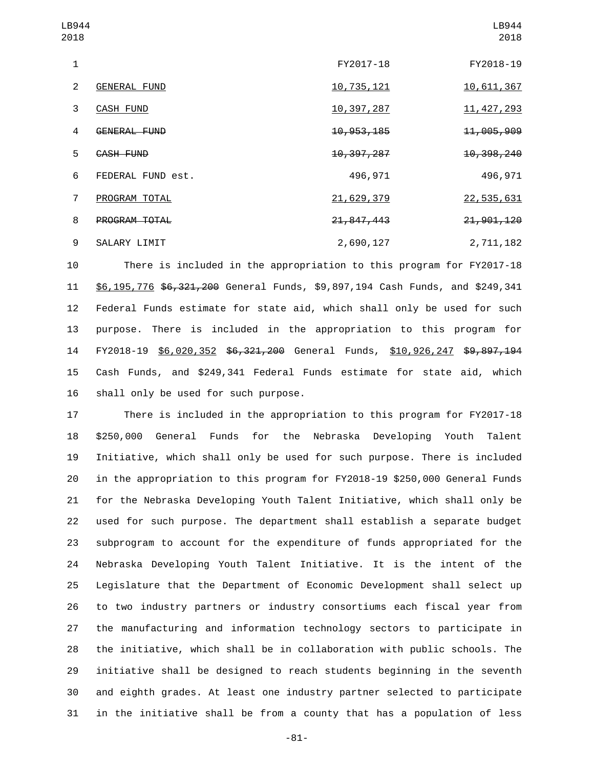| LB944<br>2018 |                     |              | LB944<br>2018         |
|---------------|---------------------|--------------|-----------------------|
| 1             |                     | FY2017-18    | FY2018-19             |
| 2             | <b>GENERAL FUND</b> | 10,735,121   | 10,611,367            |
| 3             | CASH FUND           | 10,397,287   | 11, 427, 293          |
| 4             | <b>GENERAL FUND</b> | 10, 953, 185 | <del>11,005,909</del> |
| 5             | <b>CASH FUND</b>    | 10, 397, 287 | 10, 398, 240          |
| 6             | FEDERAL FUND est.   | 496,971      | 496,971               |
| 7             | PROGRAM TOTAL       | 21,629,379   | 22,535,631            |
| 8             | PROGRAM TOTAL       | 21, 847, 443 | 21, 901, 120          |
| 9             | SALARY LIMIT        | 2,690,127    | 2,711,182             |

 There is included in the appropriation to this program for FY2017-18 11 \$6,195,776 \$6,321,200 General Funds, \$9,897,194 Cash Funds, and \$249,341 Federal Funds estimate for state aid, which shall only be used for such purpose. There is included in the appropriation to this program for 14 FY2018-19 \$6,020,352 \$6,321,200 General Funds, \$10,926,247 \$9,897,194 Cash Funds, and \$249,341 Federal Funds estimate for state aid, which 16 shall only be used for such purpose.

 There is included in the appropriation to this program for FY2017-18 \$250,000 General Funds for the Nebraska Developing Youth Talent Initiative, which shall only be used for such purpose. There is included in the appropriation to this program for FY2018-19 \$250,000 General Funds for the Nebraska Developing Youth Talent Initiative, which shall only be used for such purpose. The department shall establish a separate budget subprogram to account for the expenditure of funds appropriated for the Nebraska Developing Youth Talent Initiative. It is the intent of the Legislature that the Department of Economic Development shall select up to two industry partners or industry consortiums each fiscal year from the manufacturing and information technology sectors to participate in the initiative, which shall be in collaboration with public schools. The initiative shall be designed to reach students beginning in the seventh and eighth grades. At least one industry partner selected to participate in the initiative shall be from a county that has a population of less

-81-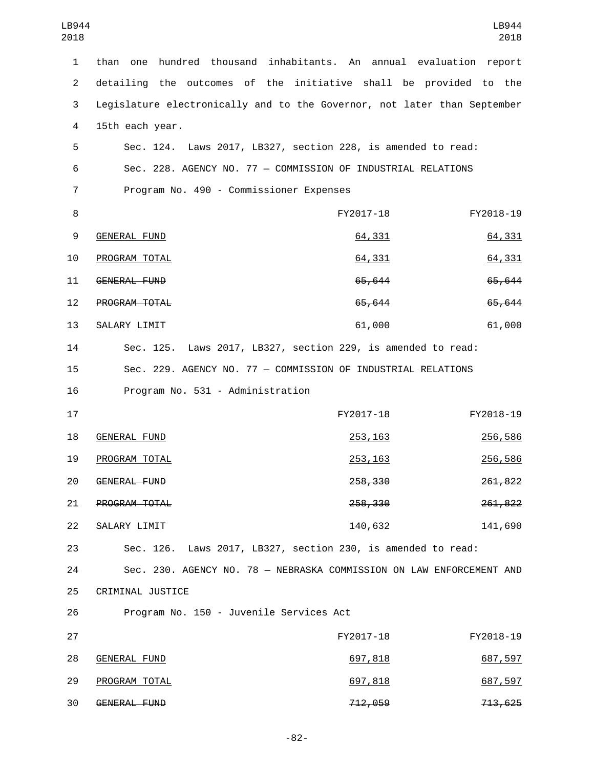| LB944<br>2018  |                                                                          |                                                           | LB944<br>2018  |
|----------------|--------------------------------------------------------------------------|-----------------------------------------------------------|----------------|
| 1              | than<br>one                                                              | hundred thousand inhabitants. An annual evaluation report |                |
| $\overline{2}$ | detailing the outcomes of the initiative shall be provided to the        |                                                           |                |
| 3              | Legislature electronically and to the Governor, not later than September |                                                           |                |
| 4              | 15th each year.                                                          |                                                           |                |
| 5              | Sec. 124. Laws 2017, LB327, section 228, is amended to read:             |                                                           |                |
| 6              | Sec. 228. AGENCY NO. 77 - COMMISSION OF INDUSTRIAL RELATIONS             |                                                           |                |
| 7              | Program No. 490 - Commissioner Expenses                                  |                                                           |                |
| 8              |                                                                          | FY2017-18                                                 | FY2018-19      |
| 9              | <b>GENERAL FUND</b>                                                      | 64,331                                                    | 64,331         |
| 10             | PROGRAM TOTAL                                                            | 64,331                                                    | 64,331         |
| 11             | <b>GENERAL FUND</b>                                                      | 65,644                                                    | 65,644         |
| 12             | PROGRAM TOTAL                                                            | 65,644                                                    | 65,644         |
| 13             | SALARY LIMIT                                                             | 61,000                                                    | 61,000         |
| 14             | Sec. 125. Laws 2017, LB327, section 229, is amended to read:             |                                                           |                |
| 15             | Sec. 229. AGENCY NO. 77 - COMMISSION OF INDUSTRIAL RELATIONS             |                                                           |                |
| 16             | Program No. 531 - Administration                                         |                                                           |                |
| 17             |                                                                          | FY2017-18                                                 | FY2018-19      |
| 18             | <b>GENERAL FUND</b>                                                      | 253, 163                                                  | 256,586        |
| 19             | PROGRAM TOTAL                                                            | 253, 163                                                  | <u>256,586</u> |
| 20             | GENERAL FUND                                                             | 258,330                                                   | 261,822        |
| 21             | PROGRAM TOTAL                                                            | 258,330                                                   | 261,822        |
| 22             | SALARY LIMIT                                                             | 140,632                                                   | 141,690        |
| 23             | Sec. 126. Laws 2017, LB327, section 230, is amended to read:             |                                                           |                |
| 24             | Sec. 230. AGENCY NO. 78 - NEBRASKA COMMISSION ON LAW ENFORCEMENT AND     |                                                           |                |
| 25             | CRIMINAL JUSTICE                                                         |                                                           |                |
| 26             | Program No. 150 - Juvenile Services Act                                  |                                                           |                |
| 27             |                                                                          | FY2017-18                                                 | FY2018-19      |
| 28             | <b>GENERAL FUND</b>                                                      | 697,818                                                   | 687,597        |
| 29             | PROGRAM TOTAL                                                            | 697,818                                                   | 687,597        |
| 30             | GENERAL FUND                                                             | 712,059                                                   | 713,625        |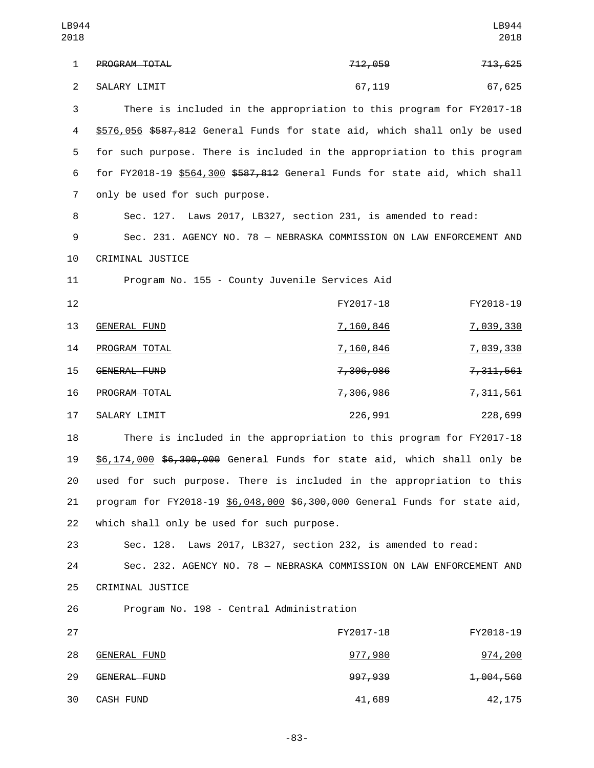| LB944          |                                                                            |                    | LB944       |
|----------------|----------------------------------------------------------------------------|--------------------|-------------|
| 2018           |                                                                            |                    | 2018        |
| $\mathbf{1}$   | PROGRAM TOTAL                                                              | <del>712,059</del> | 713,625     |
| $\overline{2}$ | SALARY LIMIT                                                               | 67,119             | 67,625      |
| 3              | There is included in the appropriation to this program for FY2017-18       |                    |             |
| 4              | \$576,056 \$587,812 General Funds for state aid, which shall only be used  |                    |             |
| 5              | for such purpose. There is included in the appropriation to this program   |                    |             |
| 6              | for FY2018-19 \$564,300 \$587,812 General Funds for state aid, which shall |                    |             |
| $\overline{7}$ | only be used for such purpose.                                             |                    |             |
| 8              | Sec. 127. Laws 2017, LB327, section 231, is amended to read:               |                    |             |
| 9              | Sec. 231. AGENCY NO. 78 - NEBRASKA COMMISSION ON LAW ENFORCEMENT AND       |                    |             |
| 10             | CRIMINAL JUSTICE                                                           |                    |             |
| 11             | Program No. 155 - County Juvenile Services Aid                             |                    |             |
| 12             |                                                                            | FY2017-18          | FY2018-19   |
| 13             | <b>GENERAL FUND</b>                                                        | <u>7,160,846</u>   | 7,039,330   |
| 14             | PROGRAM TOTAL                                                              | <u>7,160,846</u>   | 7,039,330   |
| 15             | GENERAL FUND                                                               | 7,306,986          | 7, 311, 561 |
| 16             | PROGRAM TOTAL                                                              | 7,306,986          | 7, 311, 561 |
| 17             | SALARY LIMIT                                                               | 226,991            | 228,699     |
| 18             | There is included in the appropriation to this program for FY2017-18       |                    |             |
| 19             | \$6,174,000 \$6,300,000 General Funds for state aid, which shall only be   |                    |             |
| 20             | used for such purpose. There is included in the appropriation to this      |                    |             |
| 21             | program for FY2018-19 \$6,048,000 \$6,300,000 General Funds for state aid, |                    |             |
| 22             | which shall only be used for such purpose.                                 |                    |             |
| 23             | Sec. 128. Laws 2017, LB327, section 232, is amended to read:               |                    |             |
| 24             | Sec. 232. AGENCY NO. 78 - NEBRASKA COMMISSION ON LAW ENFORCEMENT AND       |                    |             |
| 25             | CRIMINAL JUSTICE                                                           |                    |             |
| 26             | Program No. 198 - Central Administration                                   |                    |             |
| 27             |                                                                            | FY2017-18          | FY2018-19   |
| 28             | <b>GENERAL FUND</b>                                                        | 977,980            | 974,200     |

29 GENERAL FUND<br>29 397,939 1,004,560 30 CASH FUND 41,689 42,175

-83-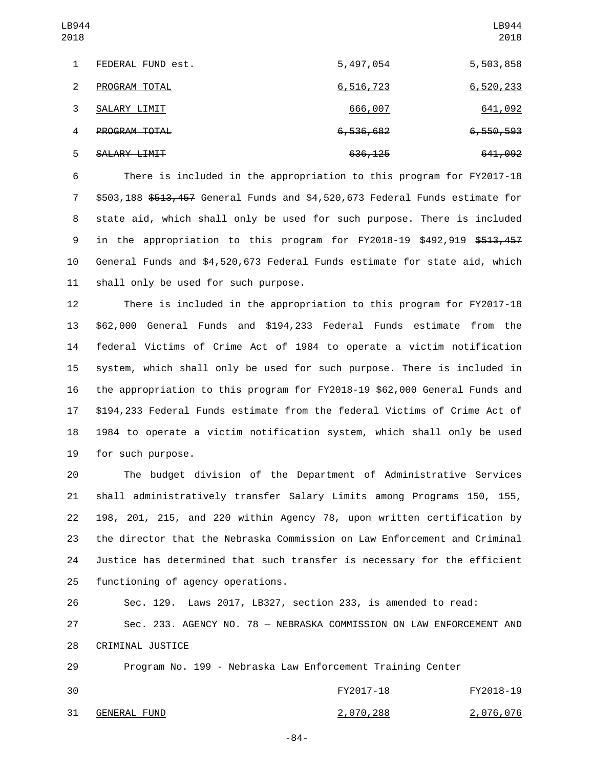| LB944<br>2018 |                   |           | LB944<br>2018        |
|---------------|-------------------|-----------|----------------------|
| 1             | FEDERAL FUND est. | 5,497,054 | 5,503,858            |
| 2             | PROGRAM TOTAL     | 6,516,723 | 6,520,233            |
| 3             | SALARY LIMIT      | 666,007   | 641,092              |
| 4             | PROGRAM TOTAL     | 6,536,682 | <del>6,550,593</del> |
| 5             | SALARY LIMIT      | 636, 125  | 641,092              |

 There is included in the appropriation to this program for FY2017-18 \$503,188 \$513,457 General Funds and \$4,520,673 Federal Funds estimate for state aid, which shall only be used for such purpose. There is included 9 in the appropriation to this program for FY2018-19 \$492,919 \$513,457 General Funds and \$4,520,673 Federal Funds estimate for state aid, which 11 shall only be used for such purpose.

 There is included in the appropriation to this program for FY2017-18 \$62,000 General Funds and \$194,233 Federal Funds estimate from the federal Victims of Crime Act of 1984 to operate a victim notification system, which shall only be used for such purpose. There is included in the appropriation to this program for FY2018-19 \$62,000 General Funds and \$194,233 Federal Funds estimate from the federal Victims of Crime Act of 1984 to operate a victim notification system, which shall only be used 19 for such purpose.

 The budget division of the Department of Administrative Services shall administratively transfer Salary Limits among Programs 150, 155, 198, 201, 215, and 220 within Agency 78, upon written certification by the director that the Nebraska Commission on Law Enforcement and Criminal Justice has determined that such transfer is necessary for the efficient 25 functioning of agency operations.

 Sec. 129. Laws 2017, LB327, section 233, is amended to read: Sec. 233. AGENCY NO. 78 — NEBRASKA COMMISSION ON LAW ENFORCEMENT AND 28 CRIMINAL JUSTICE

 Program No. 199 - Nebraska Law Enforcement Training Center FY2017-18 FY2018-19 31 GENERAL FUND 31 2,070,288 2,076,076

-84-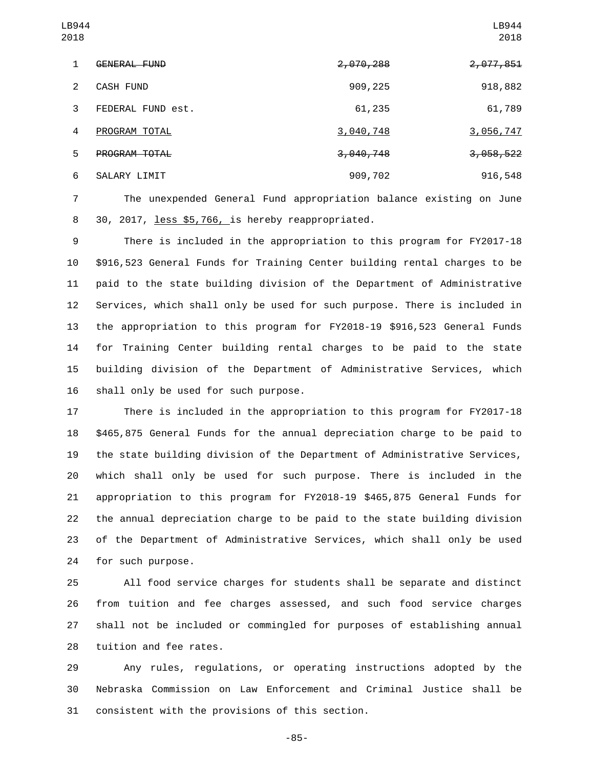| LB944<br>2018 |                     |           | LB944<br>2018 |
|---------------|---------------------|-----------|---------------|
| 1             | <b>GENERAL FUND</b> | 2,070,288 | 2,077,851     |
| 2             | <b>CASH FUND</b>    | 909,225   | 918,882       |
| 3             | FEDERAL FUND est.   | 61,235    | 61,789        |
| 4             | PROGRAM TOTAL       | 3,040,748 | 3,056,747     |
| 5             | PROGRAM TOTAL       | 3,040,748 | 3,058,522     |
| 6             | SALARY LIMIT        | 909,702   | 916,548       |

 The unexpended General Fund appropriation balance existing on June 30, 2017, less \$5,766, is hereby reappropriated.8

 There is included in the appropriation to this program for FY2017-18 \$916,523 General Funds for Training Center building rental charges to be paid to the state building division of the Department of Administrative Services, which shall only be used for such purpose. There is included in the appropriation to this program for FY2018-19 \$916,523 General Funds for Training Center building rental charges to be paid to the state building division of the Department of Administrative Services, which 16 shall only be used for such purpose.

 There is included in the appropriation to this program for FY2017-18 \$465,875 General Funds for the annual depreciation charge to be paid to the state building division of the Department of Administrative Services, which shall only be used for such purpose. There is included in the appropriation to this program for FY2018-19 \$465,875 General Funds for the annual depreciation charge to be paid to the state building division of the Department of Administrative Services, which shall only be used 24 for such purpose.

 All food service charges for students shall be separate and distinct from tuition and fee charges assessed, and such food service charges shall not be included or commingled for purposes of establishing annual 28 tuition and fee rates.

 Any rules, regulations, or operating instructions adopted by the Nebraska Commission on Law Enforcement and Criminal Justice shall be 31 consistent with the provisions of this section.

-85-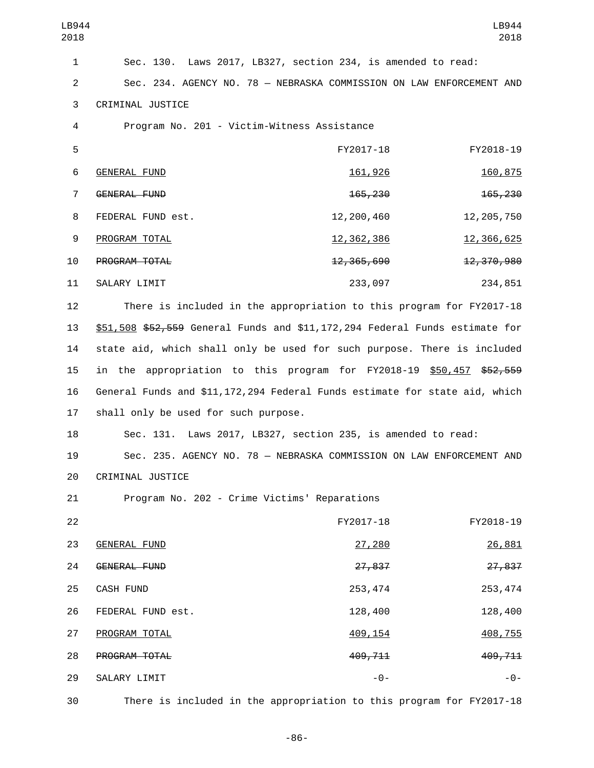| LB944<br>2018  |                                                                             |                | LB944<br>2018  |
|----------------|-----------------------------------------------------------------------------|----------------|----------------|
| $\mathbf{1}$   | Sec. 130. Laws 2017, LB327, section 234, is amended to read:                |                |                |
| $\overline{2}$ | Sec. 234. AGENCY NO. 78 - NEBRASKA COMMISSION ON LAW ENFORCEMENT AND        |                |                |
| 3              | CRIMINAL JUSTICE                                                            |                |                |
| 4              | Program No. 201 - Victim-Witness Assistance                                 |                |                |
| 5              |                                                                             | FY2017-18      | FY2018-19      |
| 6              | <b>GENERAL FUND</b>                                                         | <u>161,926</u> | 160,875        |
| $\overline{7}$ | <b>GENERAL FUND</b>                                                         | 165,230        | 165,230        |
| 8              | FEDERAL FUND est.                                                           | 12,200,460     | 12, 205, 750   |
| 9              | PROGRAM TOTAL                                                               | 12, 362, 386   | 12, 366, 625   |
| 10             | PROGRAM TOTAL                                                               | 12, 365, 690   | 12,370,980     |
| 11             | SALARY LIMIT                                                                | 233,097        | 234,851        |
| 12             | There is included in the appropriation to this program for FY2017-18        |                |                |
| 13             | \$51,508 \$52,559 General Funds and \$11,172,294 Federal Funds estimate for |                |                |
| 14             | state aid, which shall only be used for such purpose. There is included     |                |                |
| 15             | in the appropriation to this program for FY2018-19 \$50,457 \$52,559        |                |                |
| 16             | General Funds and \$11,172,294 Federal Funds estimate for state aid, which  |                |                |
| 17             | shall only be used for such purpose.                                        |                |                |
| 18             | Sec. 131. Laws 2017, LB327, section 235, is amended to read:                |                |                |
| 19             | Sec. 235. AGENCY NO. 78 - NEBRASKA COMMISSION ON LAW ENFORCEMENT AND        |                |                |
| 20             | CRIMINAL JUSTICE                                                            |                |                |
| 21             | Program No. 202 - Crime Victims' Reparations                                |                |                |
| 22             |                                                                             | FY2017-18      | FY2018-19      |
| 23             | <b>GENERAL FUND</b>                                                         | 27,280         | 26,881         |
| 24             | GENERAL FUND                                                                | 27,837         | 27,837         |
| 25             | CASH FUND                                                                   | 253, 474       | 253, 474       |
| 26             | FEDERAL FUND est.                                                           | 128,400        | 128,400        |
| 27             | PROGRAM TOTAL                                                               | 409, 154       | <u>408,755</u> |
| 28             | PROGRAM TOTAL                                                               | 409,711        | 409,711        |
| 29             | SALARY LIMIT                                                                | $-0-$          | $-0-$          |
| 30             | There is included in the appropriation to this program for FY2017-18        |                |                |

-86-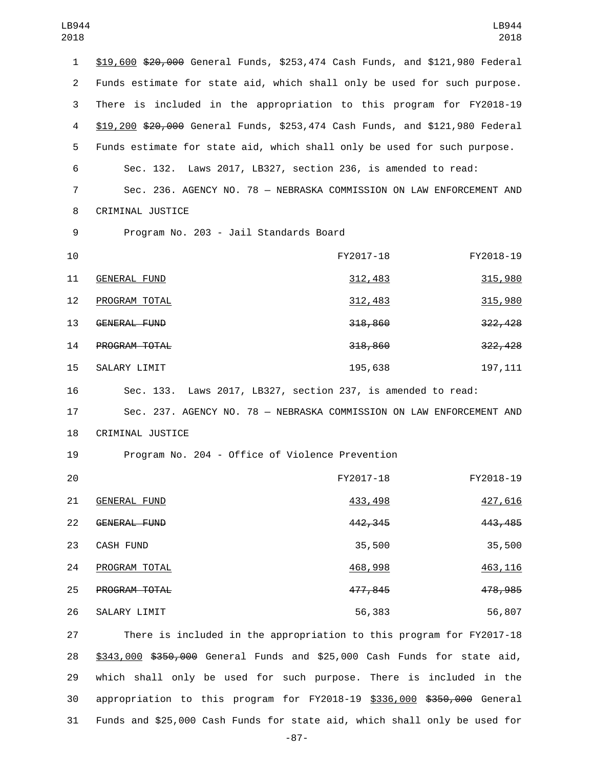| 1  | \$19,600 \$20,000 General Funds, \$253,474 Cash Funds, and \$121,980 Federal |           |           |
|----|------------------------------------------------------------------------------|-----------|-----------|
| 2  | Funds estimate for state aid, which shall only be used for such purpose.     |           |           |
| 3  | There is included in the appropriation to this program for FY2018-19         |           |           |
| 4  | \$19,200 \$20,000 General Funds, \$253,474 Cash Funds, and \$121,980 Federal |           |           |
| 5  | Funds estimate for state aid, which shall only be used for such purpose.     |           |           |
| 6  | Sec. 132. Laws 2017, LB327, section 236, is amended to read:                 |           |           |
| 7  | Sec. 236. AGENCY NO. 78 - NEBRASKA COMMISSION ON LAW ENFORCEMENT AND         |           |           |
| 8  | CRIMINAL JUSTICE                                                             |           |           |
| 9  | Program No. 203 - Jail Standards Board                                       |           |           |
| 10 |                                                                              | FY2017-18 | FY2018-19 |
| 11 | <b>GENERAL FUND</b>                                                          | 312,483   | 315,980   |
| 12 | PROGRAM TOTAL                                                                | 312,483   | 315,980   |
| 13 | GENERAL FUND                                                                 | 318,860   | 322, 428  |
| 14 | PROGRAM TOTAL                                                                | 318,860   | 322,428   |
| 15 | SALARY LIMIT                                                                 | 195,638   | 197, 111  |
| 16 | Sec. 133. Laws 2017, LB327, section 237, is amended to read:                 |           |           |
| 17 | Sec. 237. AGENCY NO. 78 - NEBRASKA COMMISSION ON LAW ENFORCEMENT AND         |           |           |
| 18 | CRIMINAL JUSTICE                                                             |           |           |
| 19 | Program No. 204 - Office of Violence Prevention                              |           |           |
| 20 |                                                                              | FY2017-18 | FY2018-19 |
| 21 | <b>GENERAL FUND</b>                                                          | 433,498   | 427,616   |
| 22 | GENERAL FUND                                                                 | 442, 345  | 443, 485  |
| 23 | CASH FUND                                                                    | 35,500    | 35,500    |
| 24 | PROGRAM TOTAL                                                                | 468,998   | 463, 116  |
| 25 | PROGRAM TOTAL                                                                | 477,845   | 478, 985  |
| 26 | SALARY LIMIT                                                                 | 56,383    | 56,807    |
| 27 | There is included in the appropriation to this program for FY2017-18         |           |           |

 \$343,000 \$350,000 General Funds and \$25,000 Cash Funds for state aid, which shall only be used for such purpose. There is included in the 30 appropriation to this program for FY2018-19 \$336,000 \$350,000 General Funds and \$25,000 Cash Funds for state aid, which shall only be used for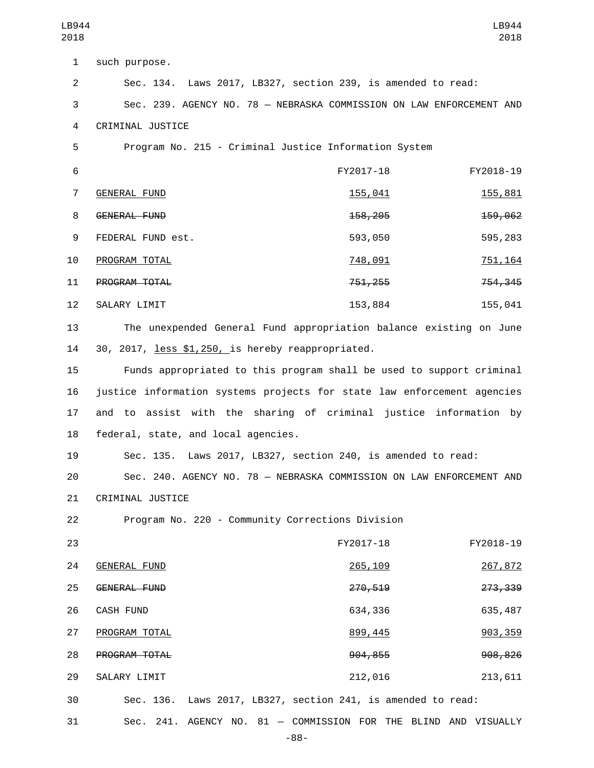1 such purpose. 2 Sec. 134. Laws 2017, LB327, section 239, is amended to read: 3 Sec. 239. AGENCY NO. 78 — NEBRASKA COMMISSION ON LAW ENFORCEMENT AND 4 CRIMINAL JUSTICE 5 Program No. 215 - Criminal Justice Information System 6 FY2017-18 FY2018-19 T GENERAL FUND 2001 155,041 155,041 155,881 8 GENERAL FUND 258,205 158,205 159,062 FEDERAL FUND est.9 593,050 595,283 PROGRAM TOTAL10 748,091 751,164 11 PROGRAM TOTAL 255 754,345 12 SALARY LIMIT 153,884 155,041 13 The unexpended General Fund appropriation balance existing on June 14 30, 2017, less \$1,250, is hereby reappropriated. 15 Funds appropriated to this program shall be used to support criminal 16 justice information systems projects for state law enforcement agencies 17 and to assist with the sharing of criminal justice information by 18 federal, state, and local agencies. 19 Sec. 135. Laws 2017, LB327, section 240, is amended to read: 20 Sec. 240. AGENCY NO. 78 — NEBRASKA COMMISSION ON LAW ENFORCEMENT AND 21 CRIMINAL JUSTICE 22 Program No. 220 - Community Corrections Division 23 FY2017-18 FY2018-19 24 GENERAL FUND 265,109 265,109 267,872 25 GENERAL FUND<br>270,519 273,339 26 CASH FUND 26 CASH FUND 27 PROGRAM TOTAL 2003, 2004 12:30 12:445 27 PROGRAM TOTAL

PROGRAM TOTAL28 904,855 908,826 29 SALARY LIMIT 212,016 212,016 30 Sec. 136. Laws 2017, LB327, section 241, is amended to read:

31 Sec. 241. AGENCY NO. 81 — COMMISSION FOR THE BLIND AND VISUALLY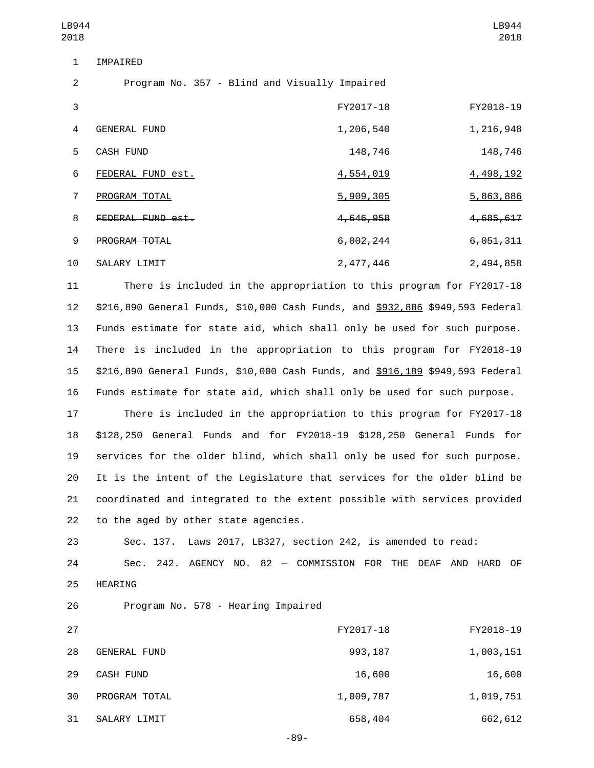| LB944<br>2018  |                                               |                      | LB944<br>2018        |
|----------------|-----------------------------------------------|----------------------|----------------------|
| $\mathbf 1$    | IMPAIRED                                      |                      |                      |
| 2              | Program No. 357 - Blind and Visually Impaired |                      |                      |
| 3              |                                               | FY2017-18            | FY2018-19            |
| 4              | <b>GENERAL FUND</b>                           | 1,206,540            | 1,216,948            |
| 5              | <b>CASH FUND</b>                              | 148,746              | 148,746              |
| 6              | FEDERAL FUND est.                             | 4,554,019            | 4,498,192            |
| $\overline{7}$ | PROGRAM TOTAL                                 | 5,909,305            | 5,863,886            |
| 8              | FEDERAL FUND est.                             | <del>4,646,958</del> | <del>4,685,617</del> |
| 9              | <b>PROGRAM TOTAL</b>                          | 6,002,244            | 6,051,311            |

10 SALARY LIMIT 2,477,446 2,494,858 11 There is included in the appropriation to this program for FY2017-18

 \$216,890 General Funds, \$10,000 Cash Funds, and \$932,886 \$949,593 Federal Funds estimate for state aid, which shall only be used for such purpose. There is included in the appropriation to this program for FY2018-19 \$216,890 General Funds, \$10,000 Cash Funds, and \$916,189 \$949,593 Federal Funds estimate for state aid, which shall only be used for such purpose.

 There is included in the appropriation to this program for FY2017-18 \$128,250 General Funds and for FY2018-19 \$128,250 General Funds for services for the older blind, which shall only be used for such purpose. It is the intent of the Legislature that services for the older blind be coordinated and integrated to the extent possible with services provided 22 to the aged by other state agencies.

23 Sec. 137. Laws 2017, LB327, section 242, is amended to read: 24 Sec. 242. AGENCY NO. 82 — COMMISSION FOR THE DEAF AND HARD OF 25 HEARING

26 Program No. 578 - Hearing Impaired

| 27 |                     | FY2017-18 | FY2018-19 |
|----|---------------------|-----------|-----------|
| 28 | <b>GENERAL FUND</b> | 993,187   | 1,003,151 |
| 29 | <b>CASH FUND</b>    | 16,600    | 16,600    |
| 30 | PROGRAM TOTAL       | 1,009,787 | 1,019,751 |
| 31 | SALARY LIMIT        | 658,404   | 662,612   |

-89-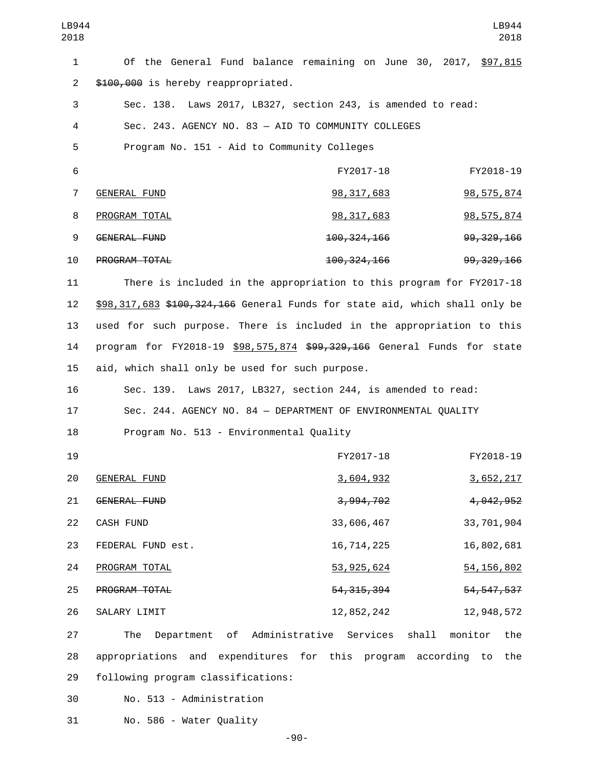| LB944<br>2018  |                                                                             |               | LB944<br>2018           |
|----------------|-----------------------------------------------------------------------------|---------------|-------------------------|
| $\mathbf{1}$   | Of the General Fund balance remaining on June 30, 2017, \$97,815            |               |                         |
| $\overline{2}$ | \$100,000 is hereby reappropriated.                                         |               |                         |
| 3              | Sec. 138. Laws 2017, LB327, section 243, is amended to read:                |               |                         |
| 4              | Sec. 243. AGENCY NO. 83 - AID TO COMMUNITY COLLEGES                         |               |                         |
| 5              | Program No. 151 - Aid to Community Colleges                                 |               |                         |
| 6              |                                                                             | FY2017-18     | FY2018-19               |
| $\overline{7}$ | <b>GENERAL FUND</b>                                                         | 98, 317, 683  | 98, 575, 874            |
| 8              | PROGRAM TOTAL                                                               | 98, 317, 683  | 98, 575, 874            |
| 9              | <b>GENERAL FUND</b>                                                         | 100, 324, 166 | 99, 329, 166            |
| 10             | PROGRAM TOTAL                                                               | 100, 324, 166 | 99, 329, 166            |
| 11             | There is included in the appropriation to this program for FY2017-18        |               |                         |
| 12             | \$98,317,683 \$400,324,466 General Funds for state aid, which shall only be |               |                         |
| 13             | used for such purpose. There is included in the appropriation to this       |               |                         |
| 14             | program for FY2018-19 \$98,575,874 \$99,329,166 General Funds for state     |               |                         |
| 15             | aid, which shall only be used for such purpose.                             |               |                         |
| 16             | Sec. 139. Laws 2017, LB327, section 244, is amended to read:                |               |                         |
| 17             | Sec. 244. AGENCY NO. 84 - DEPARTMENT OF ENVIRONMENTAL QUALITY               |               |                         |
| 18             | Program No. 513 - Environmental Quality                                     |               |                         |
| 19             |                                                                             | FY2017-18     | FY2018-19               |
| 20             | GENERAL FUND                                                                | 3,604,932     | 3,652,217               |
| 21             | <b>GENERAL FUND</b>                                                         | 3,994,702     | 4, 042, 952             |
| 22             | CASH FUND                                                                   | 33,606,467    | 33,701,904              |
| 23             | FEDERAL FUND est.                                                           | 16,714,225    | 16,802,681              |
| 24             | PROGRAM TOTAL                                                               | 53, 925, 624  | 54, 156, 802            |
| 25             | PROGRAM TOTAL                                                               | 54, 315, 394  | 54, 547, 537            |
| 26             | SALARY LIMIT                                                                | 12,852,242    | 12,948,572              |
| 27             | of<br>Administrative<br>The<br>Department                                   | Services      | shall<br>monitor<br>the |
| 28             | appropriations and expenditures for this program                            |               | according<br>the<br>to  |
| 29             | following program classifications:                                          |               |                         |
| 30             | No. 513 - Administration                                                    |               |                         |

31 No. 586 - Water Quality

-90-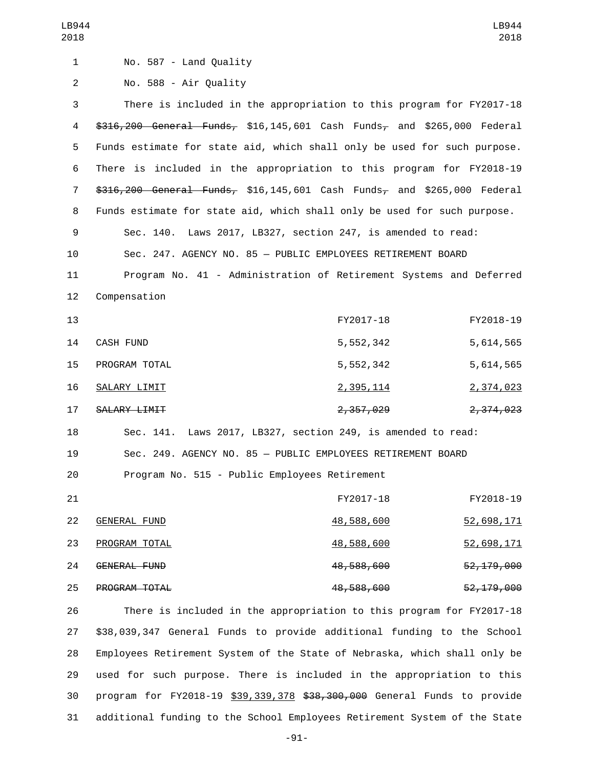| LB944<br>2018  |                                                                           |                   | LB944<br>2018 |
|----------------|---------------------------------------------------------------------------|-------------------|---------------|
| $\mathbf{1}$   | No. 587 - Land Quality                                                    |                   |               |
| $\overline{c}$ | No. 588 - Air Quality                                                     |                   |               |
| 3              | There is included in the appropriation to this program for FY2017-18      |                   |               |
| 4              | $$316,200$ General Funds, \$16,145,601 Cash Funds, and \$265,000 Federal  |                   |               |
| 5              | Funds estimate for state aid, which shall only be used for such purpose.  |                   |               |
| 6              | There is included in the appropriation to this program for FY2018-19      |                   |               |
| 7              | $$316,200$ General Funds, \$16,145,601 Cash Funds, and \$265,000 Federal  |                   |               |
| 8              | Funds estimate for state aid, which shall only be used for such purpose.  |                   |               |
| 9              | Sec. 140. Laws 2017, LB327, section 247, is amended to read:              |                   |               |
| 10             | Sec. 247. AGENCY NO. 85 - PUBLIC EMPLOYEES RETIREMENT BOARD               |                   |               |
| 11             | Program No. 41 - Administration of Retirement Systems and Deferred        |                   |               |
| 12             | Compensation                                                              |                   |               |
| 13             |                                                                           | FY2017-18         | FY2018-19     |
| 14             | CASH FUND                                                                 | 5,552,342         | 5,614,565     |
| 15             | PROGRAM TOTAL                                                             | 5,552,342         | 5,614,565     |
| 16             | <b>SALARY LIMIT</b>                                                       | <u>2,395,114</u>  | 2,374,023     |
| 17             | <b>SALARY LIMIT</b>                                                       | 2,357,029         | 2,374,023     |
| 18             | Laws 2017, LB327, section 249, is amended to read:<br>Sec. 141.           |                   |               |
| 19             | Sec. 249. AGENCY NO. 85 - PUBLIC EMPLOYEES RETIREMENT BOARD               |                   |               |
| 20             | Program No. 515 - Public Employees Retirement                             |                   |               |
| 21             |                                                                           | FY2017-18         | FY2018-19     |
| 22             | <b>GENERAL FUND</b>                                                       | <u>48,588,600</u> | 52,698,171    |
| 23             | PROGRAM TOTAL                                                             | <u>48,588,600</u> | 52,698,171    |
| 24             | GENERAL FUND                                                              | 48,588,600        | 52, 179, 000  |
| 25             | PROGRAM TOTAL                                                             | 48,588,600        | 52, 179, 000  |
| 26             | There is included in the appropriation to this program for FY2017-18      |                   |               |
| 27             | \$38,039,347 General Funds to provide additional funding to the School    |                   |               |
| 28             | Employees Retirement System of the State of Nebraska, which shall only be |                   |               |
| 29             | used for such purpose. There is included in the appropriation to this     |                   |               |
| 30             | program for FY2018-19 \$39,339,378 \$38,300,000 General Funds to provide  |                   |               |
| 31             | additional funding to the School Employees Retirement System of the State |                   |               |

-91-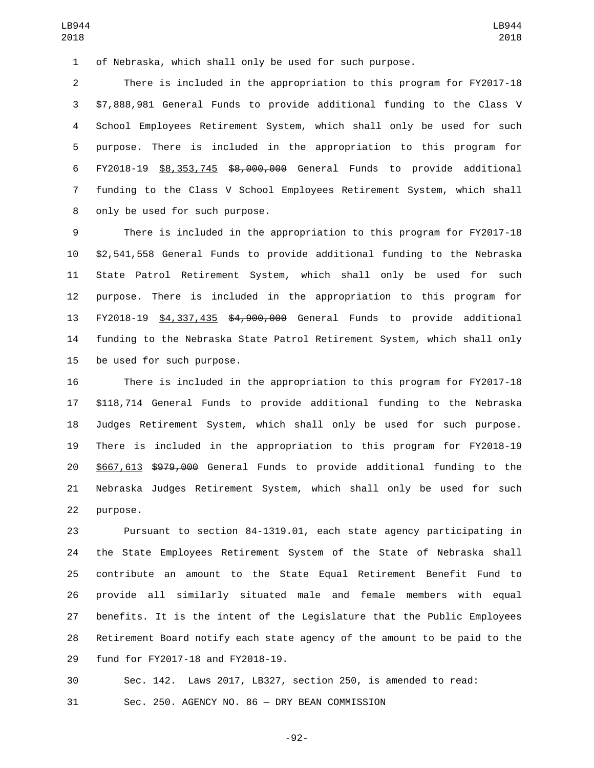of Nebraska, which shall only be used for such purpose.

 There is included in the appropriation to this program for FY2017-18 \$7,888,981 General Funds to provide additional funding to the Class V School Employees Retirement System, which shall only be used for such purpose. There is included in the appropriation to this program for FY2018-19 \$8,353,745 \$8,000,000 General Funds to provide additional funding to the Class V School Employees Retirement System, which shall 8 only be used for such purpose.

 There is included in the appropriation to this program for FY2017-18 \$2,541,558 General Funds to provide additional funding to the Nebraska State Patrol Retirement System, which shall only be used for such purpose. There is included in the appropriation to this program for FY2018-19 \$4,337,435 \$4,900,000 General Funds to provide additional funding to the Nebraska State Patrol Retirement System, which shall only 15 be used for such purpose.

 There is included in the appropriation to this program for FY2017-18 \$118,714 General Funds to provide additional funding to the Nebraska Judges Retirement System, which shall only be used for such purpose. There is included in the appropriation to this program for FY2018-19 \$667,613 \$979,000 General Funds to provide additional funding to the Nebraska Judges Retirement System, which shall only be used for such 22 purpose.

 Pursuant to section 84-1319.01, each state agency participating in the State Employees Retirement System of the State of Nebraska shall contribute an amount to the State Equal Retirement Benefit Fund to provide all similarly situated male and female members with equal benefits. It is the intent of the Legislature that the Public Employees Retirement Board notify each state agency of the amount to be paid to the 29 fund for FY2017-18 and FY2018-19.

 Sec. 142. Laws 2017, LB327, section 250, is amended to read: Sec. 250. AGENCY NO. 86 — DRY BEAN COMMISSION

-92-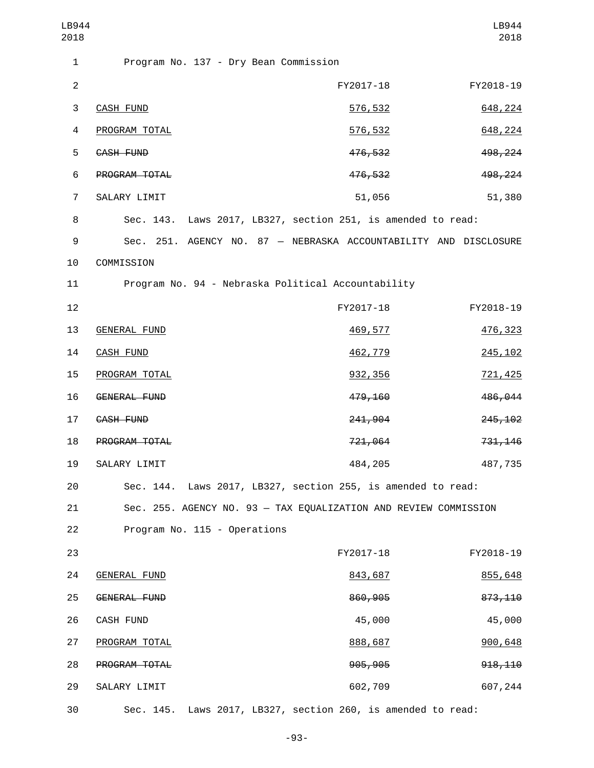| LB944<br>2018  |                                                                  |           | LB944<br>2018 |
|----------------|------------------------------------------------------------------|-----------|---------------|
| $\mathbf{1}$   | Program No. 137 - Dry Bean Commission                            |           |               |
| $\mathbf{2}$   |                                                                  | FY2017-18 | FY2018-19     |
| 3              | <b>CASH FUND</b>                                                 | 576,532   | 648,224       |
| 4              | PROGRAM TOTAL                                                    | 576,532   | 648,224       |
| 5              | CASH FUND                                                        | 476,532   | 498, 224      |
| 6              | PROGRAM TOTAL                                                    | 476,532   | 498,224       |
| $\overline{7}$ | SALARY LIMIT                                                     | 51,056    | 51,380        |
| 8              | Sec. 143. Laws 2017, LB327, section 251, is amended to read:     |           |               |
| 9              | Sec. 251. AGENCY NO. 87 - NEBRASKA ACCOUNTABILITY AND DISCLOSURE |           |               |
| 10             | COMMISSION                                                       |           |               |
| 11             | Program No. 94 - Nebraska Political Accountability               |           |               |
| 12             |                                                                  | FY2017-18 | FY2018-19     |
| 13             | <b>GENERAL FUND</b>                                              | 469,577   | 476,323       |
| 14             | <b>CASH FUND</b>                                                 | 462,779   | 245, 102      |
| 15             | PROGRAM TOTAL                                                    | 932, 356  | 721,425       |
| 16             | <b>GENERAL FUND</b>                                              | 479,160   | 486,044       |
| 17             | CASH FUND                                                        | 241,904   | 245,102       |
| 18             | PROGRAM TOTAL                                                    | 721,064   | 731, 146      |
| 19             | SALARY LIMIT                                                     | 484,205   | 487,735       |
| 20             | Sec. 144. Laws 2017, LB327, section 255, is amended to read:     |           |               |
| 21             | Sec. 255. AGENCY NO. 93 - TAX EQUALIZATION AND REVIEW COMMISSION |           |               |
| 22             | Program No. 115 - Operations                                     |           |               |
| 23             |                                                                  | FY2017-18 | FY2018-19     |
| 24             | <b>GENERAL FUND</b>                                              | 843,687   | 855,648       |
| 25             | <b>GENERAL FUND</b>                                              | 860,905   | 873, 110      |
| 26             | CASH FUND                                                        | 45,000    | 45,000        |
| 27             | PROGRAM TOTAL                                                    | 888,687   | 900,648       |
| 28             | PROGRAM TOTAL                                                    | 905,905   | 918, 110      |
| 29             | SALARY LIMIT                                                     | 602,709   | 607,244       |
| 30             | Sec. 145. Laws 2017, LB327, section 260, is amended to read:     |           |               |

-93-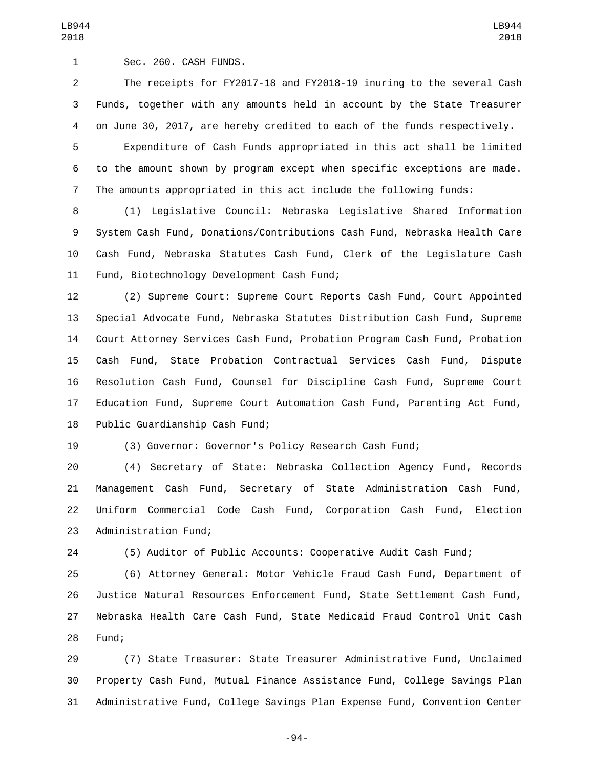Sec. 260. CASH FUNDS.1

 The receipts for FY2017-18 and FY2018-19 inuring to the several Cash Funds, together with any amounts held in account by the State Treasurer on June 30, 2017, are hereby credited to each of the funds respectively.

 Expenditure of Cash Funds appropriated in this act shall be limited to the amount shown by program except when specific exceptions are made. The amounts appropriated in this act include the following funds:

 (1) Legislative Council: Nebraska Legislative Shared Information System Cash Fund, Donations/Contributions Cash Fund, Nebraska Health Care Cash Fund, Nebraska Statutes Cash Fund, Clerk of the Legislature Cash 11 Fund, Biotechnology Development Cash Fund;

 (2) Supreme Court: Supreme Court Reports Cash Fund, Court Appointed Special Advocate Fund, Nebraska Statutes Distribution Cash Fund, Supreme Court Attorney Services Cash Fund, Probation Program Cash Fund, Probation Cash Fund, State Probation Contractual Services Cash Fund, Dispute Resolution Cash Fund, Counsel for Discipline Cash Fund, Supreme Court Education Fund, Supreme Court Automation Cash Fund, Parenting Act Fund, 18 Public Guardianship Cash Fund;

(3) Governor: Governor's Policy Research Cash Fund;

 (4) Secretary of State: Nebraska Collection Agency Fund, Records Management Cash Fund, Secretary of State Administration Cash Fund, Uniform Commercial Code Cash Fund, Corporation Cash Fund, Election 23 Administration Fund;

(5) Auditor of Public Accounts: Cooperative Audit Cash Fund;

 (6) Attorney General: Motor Vehicle Fraud Cash Fund, Department of Justice Natural Resources Enforcement Fund, State Settlement Cash Fund, Nebraska Health Care Cash Fund, State Medicaid Fraud Control Unit Cash 28 Fund;

 (7) State Treasurer: State Treasurer Administrative Fund, Unclaimed Property Cash Fund, Mutual Finance Assistance Fund, College Savings Plan Administrative Fund, College Savings Plan Expense Fund, Convention Center

-94-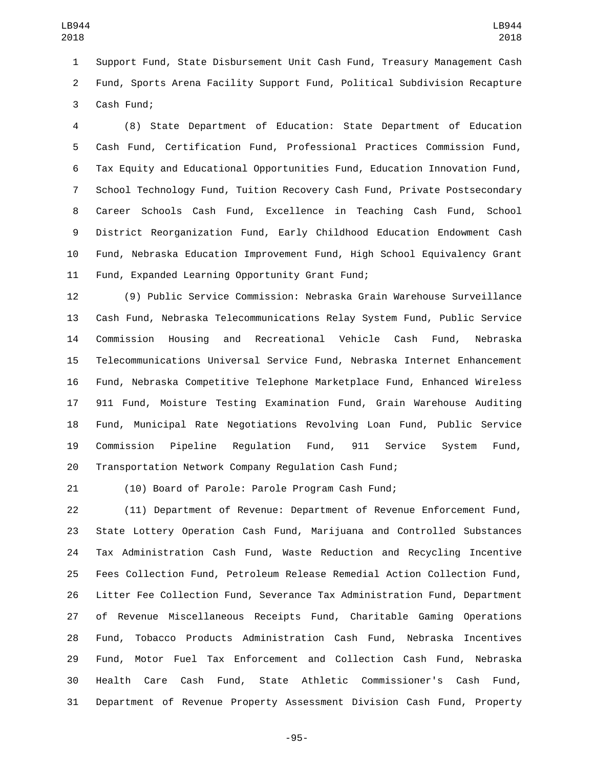Support Fund, State Disbursement Unit Cash Fund, Treasury Management Cash Fund, Sports Arena Facility Support Fund, Political Subdivision Recapture 3 Cash Fund;

 (8) State Department of Education: State Department of Education Cash Fund, Certification Fund, Professional Practices Commission Fund, Tax Equity and Educational Opportunities Fund, Education Innovation Fund, School Technology Fund, Tuition Recovery Cash Fund, Private Postsecondary Career Schools Cash Fund, Excellence in Teaching Cash Fund, School District Reorganization Fund, Early Childhood Education Endowment Cash Fund, Nebraska Education Improvement Fund, High School Equivalency Grant 11 Fund, Expanded Learning Opportunity Grant Fund;

 (9) Public Service Commission: Nebraska Grain Warehouse Surveillance Cash Fund, Nebraska Telecommunications Relay System Fund, Public Service Commission Housing and Recreational Vehicle Cash Fund, Nebraska Telecommunications Universal Service Fund, Nebraska Internet Enhancement Fund, Nebraska Competitive Telephone Marketplace Fund, Enhanced Wireless 911 Fund, Moisture Testing Examination Fund, Grain Warehouse Auditing Fund, Municipal Rate Negotiations Revolving Loan Fund, Public Service Commission Pipeline Regulation Fund, 911 Service System Fund, Transportation Network Company Regulation Cash Fund;

(10) Board of Parole: Parole Program Cash Fund;

 (11) Department of Revenue: Department of Revenue Enforcement Fund, State Lottery Operation Cash Fund, Marijuana and Controlled Substances Tax Administration Cash Fund, Waste Reduction and Recycling Incentive Fees Collection Fund, Petroleum Release Remedial Action Collection Fund, Litter Fee Collection Fund, Severance Tax Administration Fund, Department of Revenue Miscellaneous Receipts Fund, Charitable Gaming Operations Fund, Tobacco Products Administration Cash Fund, Nebraska Incentives Fund, Motor Fuel Tax Enforcement and Collection Cash Fund, Nebraska Health Care Cash Fund, State Athletic Commissioner's Cash Fund, Department of Revenue Property Assessment Division Cash Fund, Property

-95-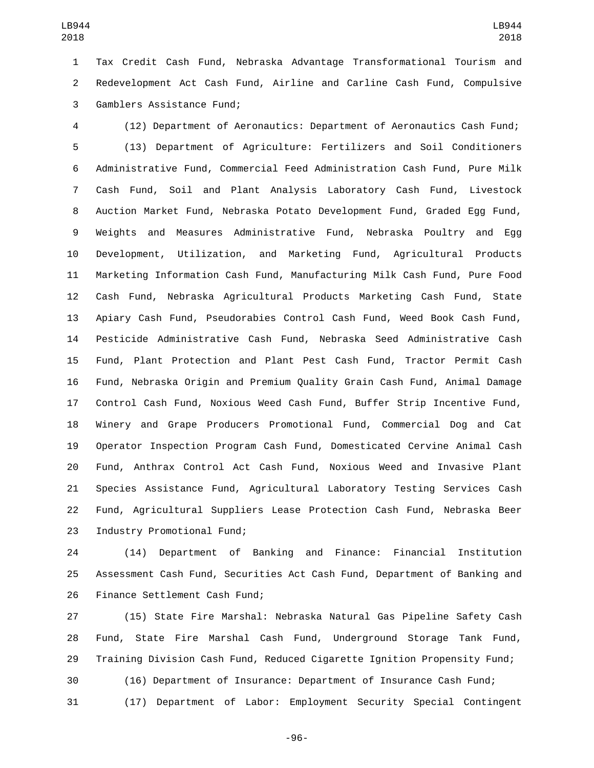Tax Credit Cash Fund, Nebraska Advantage Transformational Tourism and Redevelopment Act Cash Fund, Airline and Carline Cash Fund, Compulsive 3 Gamblers Assistance Fund;

 (12) Department of Aeronautics: Department of Aeronautics Cash Fund; (13) Department of Agriculture: Fertilizers and Soil Conditioners Administrative Fund, Commercial Feed Administration Cash Fund, Pure Milk Cash Fund, Soil and Plant Analysis Laboratory Cash Fund, Livestock Auction Market Fund, Nebraska Potato Development Fund, Graded Egg Fund, Weights and Measures Administrative Fund, Nebraska Poultry and Egg Development, Utilization, and Marketing Fund, Agricultural Products Marketing Information Cash Fund, Manufacturing Milk Cash Fund, Pure Food Cash Fund, Nebraska Agricultural Products Marketing Cash Fund, State Apiary Cash Fund, Pseudorabies Control Cash Fund, Weed Book Cash Fund, Pesticide Administrative Cash Fund, Nebraska Seed Administrative Cash Fund, Plant Protection and Plant Pest Cash Fund, Tractor Permit Cash Fund, Nebraska Origin and Premium Quality Grain Cash Fund, Animal Damage Control Cash Fund, Noxious Weed Cash Fund, Buffer Strip Incentive Fund, Winery and Grape Producers Promotional Fund, Commercial Dog and Cat Operator Inspection Program Cash Fund, Domesticated Cervine Animal Cash Fund, Anthrax Control Act Cash Fund, Noxious Weed and Invasive Plant Species Assistance Fund, Agricultural Laboratory Testing Services Cash Fund, Agricultural Suppliers Lease Protection Cash Fund, Nebraska Beer 23 Industry Promotional Fund;

 (14) Department of Banking and Finance: Financial Institution Assessment Cash Fund, Securities Act Cash Fund, Department of Banking and 26 Finance Settlement Cash Fund;

 (15) State Fire Marshal: Nebraska Natural Gas Pipeline Safety Cash Fund, State Fire Marshal Cash Fund, Underground Storage Tank Fund, Training Division Cash Fund, Reduced Cigarette Ignition Propensity Fund; (16) Department of Insurance: Department of Insurance Cash Fund; (17) Department of Labor: Employment Security Special Contingent

-96-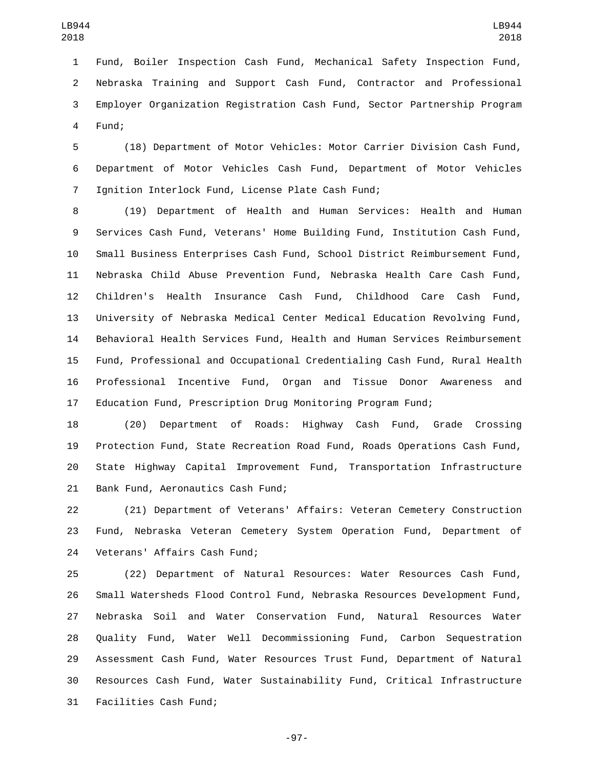Fund, Boiler Inspection Cash Fund, Mechanical Safety Inspection Fund, Nebraska Training and Support Cash Fund, Contractor and Professional Employer Organization Registration Cash Fund, Sector Partnership Program 4 Fund;

 (18) Department of Motor Vehicles: Motor Carrier Division Cash Fund, Department of Motor Vehicles Cash Fund, Department of Motor Vehicles 7 Ignition Interlock Fund, License Plate Cash Fund;

 (19) Department of Health and Human Services: Health and Human Services Cash Fund, Veterans' Home Building Fund, Institution Cash Fund, Small Business Enterprises Cash Fund, School District Reimbursement Fund, Nebraska Child Abuse Prevention Fund, Nebraska Health Care Cash Fund, Children's Health Insurance Cash Fund, Childhood Care Cash Fund, University of Nebraska Medical Center Medical Education Revolving Fund, Behavioral Health Services Fund, Health and Human Services Reimbursement Fund, Professional and Occupational Credentialing Cash Fund, Rural Health Professional Incentive Fund, Organ and Tissue Donor Awareness and Education Fund, Prescription Drug Monitoring Program Fund;

 (20) Department of Roads: Highway Cash Fund, Grade Crossing Protection Fund, State Recreation Road Fund, Roads Operations Cash Fund, State Highway Capital Improvement Fund, Transportation Infrastructure 21 Bank Fund, Aeronautics Cash Fund;

 (21) Department of Veterans' Affairs: Veteran Cemetery Construction Fund, Nebraska Veteran Cemetery System Operation Fund, Department of 24 Veterans' Affairs Cash Fund;

 (22) Department of Natural Resources: Water Resources Cash Fund, Small Watersheds Flood Control Fund, Nebraska Resources Development Fund, Nebraska Soil and Water Conservation Fund, Natural Resources Water Quality Fund, Water Well Decommissioning Fund, Carbon Sequestration Assessment Cash Fund, Water Resources Trust Fund, Department of Natural Resources Cash Fund, Water Sustainability Fund, Critical Infrastructure 31 Facilities Cash Fund;

-97-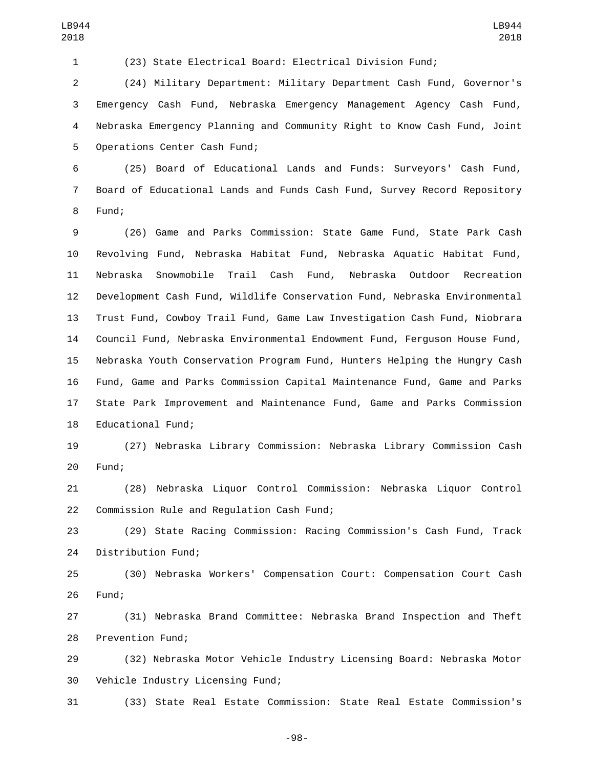(23) State Electrical Board: Electrical Division Fund;

 (24) Military Department: Military Department Cash Fund, Governor's Emergency Cash Fund, Nebraska Emergency Management Agency Cash Fund, Nebraska Emergency Planning and Community Right to Know Cash Fund, Joint 5 Operations Center Cash Fund;

 (25) Board of Educational Lands and Funds: Surveyors' Cash Fund, Board of Educational Lands and Funds Cash Fund, Survey Record Repository 8 Fund;

 (26) Game and Parks Commission: State Game Fund, State Park Cash Revolving Fund, Nebraska Habitat Fund, Nebraska Aquatic Habitat Fund, Nebraska Snowmobile Trail Cash Fund, Nebraska Outdoor Recreation Development Cash Fund, Wildlife Conservation Fund, Nebraska Environmental Trust Fund, Cowboy Trail Fund, Game Law Investigation Cash Fund, Niobrara Council Fund, Nebraska Environmental Endowment Fund, Ferguson House Fund, Nebraska Youth Conservation Program Fund, Hunters Helping the Hungry Cash Fund, Game and Parks Commission Capital Maintenance Fund, Game and Parks State Park Improvement and Maintenance Fund, Game and Parks Commission 18 Educational Fund;

 (27) Nebraska Library Commission: Nebraska Library Commission Cash 20 Fund;

 (28) Nebraska Liquor Control Commission: Nebraska Liquor Control 22 Commission Rule and Requlation Cash Fund;

 (29) State Racing Commission: Racing Commission's Cash Fund, Track 24 Distribution Fund;

 (30) Nebraska Workers' Compensation Court: Compensation Court Cash 26 Fund;

 (31) Nebraska Brand Committee: Nebraska Brand Inspection and Theft 28 Prevention Fund;

 (32) Nebraska Motor Vehicle Industry Licensing Board: Nebraska Motor 30 Vehicle Industry Licensing Fund;

(33) State Real Estate Commission: State Real Estate Commission's

-98-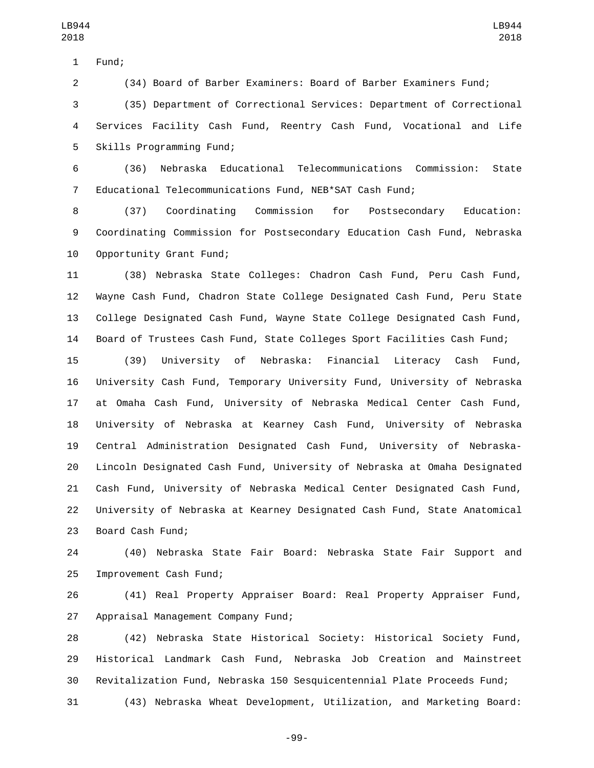1 Fund;

(34) Board of Barber Examiners: Board of Barber Examiners Fund;

 (35) Department of Correctional Services: Department of Correctional Services Facility Cash Fund, Reentry Cash Fund, Vocational and Life 5 Skills Programming Fund;

 (36) Nebraska Educational Telecommunications Commission: State Educational Telecommunications Fund, NEB\*SAT Cash Fund;

 (37) Coordinating Commission for Postsecondary Education: Coordinating Commission for Postsecondary Education Cash Fund, Nebraska 10 Opportunity Grant Fund;

 (38) Nebraska State Colleges: Chadron Cash Fund, Peru Cash Fund, Wayne Cash Fund, Chadron State College Designated Cash Fund, Peru State College Designated Cash Fund, Wayne State College Designated Cash Fund, Board of Trustees Cash Fund, State Colleges Sport Facilities Cash Fund;

 (39) University of Nebraska: Financial Literacy Cash Fund, University Cash Fund, Temporary University Fund, University of Nebraska at Omaha Cash Fund, University of Nebraska Medical Center Cash Fund, University of Nebraska at Kearney Cash Fund, University of Nebraska Central Administration Designated Cash Fund, University of Nebraska- Lincoln Designated Cash Fund, University of Nebraska at Omaha Designated Cash Fund, University of Nebraska Medical Center Designated Cash Fund, University of Nebraska at Kearney Designated Cash Fund, State Anatomical 23 Board Cash Fund;

 (40) Nebraska State Fair Board: Nebraska State Fair Support and 25 Improvement Cash Fund;

 (41) Real Property Appraiser Board: Real Property Appraiser Fund, 27 Appraisal Management Company Fund;

 (42) Nebraska State Historical Society: Historical Society Fund, Historical Landmark Cash Fund, Nebraska Job Creation and Mainstreet Revitalization Fund, Nebraska 150 Sesquicentennial Plate Proceeds Fund;

(43) Nebraska Wheat Development, Utilization, and Marketing Board:

-99-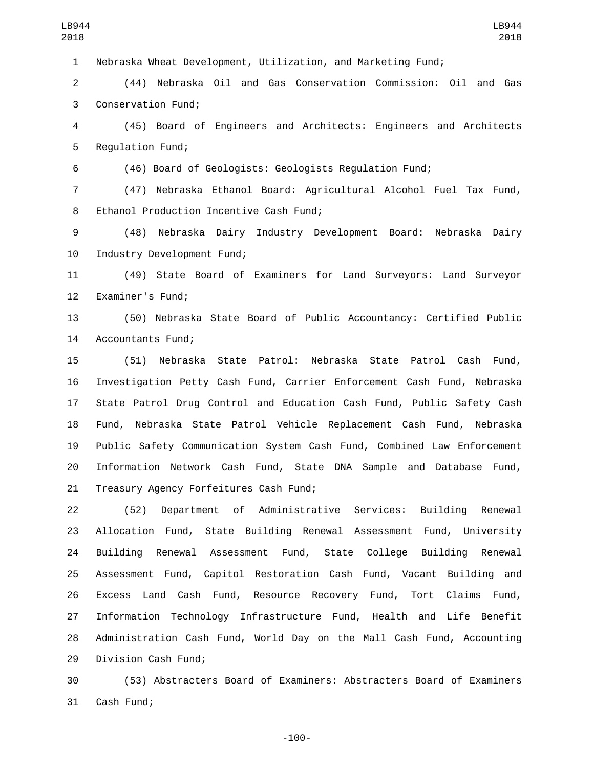Nebraska Wheat Development, Utilization, and Marketing Fund;

 (44) Nebraska Oil and Gas Conservation Commission: Oil and Gas 3 Conservation Fund;

 (45) Board of Engineers and Architects: Engineers and Architects 5 Regulation Fund;

(46) Board of Geologists: Geologists Regulation Fund;

 (47) Nebraska Ethanol Board: Agricultural Alcohol Fuel Tax Fund, 8 Ethanol Production Incentive Cash Fund;

 (48) Nebraska Dairy Industry Development Board: Nebraska Dairy 10 Industry Development Fund;

 (49) State Board of Examiners for Land Surveyors: Land Surveyor 12 Examiner's Fund;

 (50) Nebraska State Board of Public Accountancy: Certified Public 14 Accountants Fund;

 (51) Nebraska State Patrol: Nebraska State Patrol Cash Fund, Investigation Petty Cash Fund, Carrier Enforcement Cash Fund, Nebraska State Patrol Drug Control and Education Cash Fund, Public Safety Cash Fund, Nebraska State Patrol Vehicle Replacement Cash Fund, Nebraska Public Safety Communication System Cash Fund, Combined Law Enforcement Information Network Cash Fund, State DNA Sample and Database Fund, 21 Treasury Agency Forfeitures Cash Fund;

 (52) Department of Administrative Services: Building Renewal Allocation Fund, State Building Renewal Assessment Fund, University Building Renewal Assessment Fund, State College Building Renewal Assessment Fund, Capitol Restoration Cash Fund, Vacant Building and Excess Land Cash Fund, Resource Recovery Fund, Tort Claims Fund, Information Technology Infrastructure Fund, Health and Life Benefit Administration Cash Fund, World Day on the Mall Cash Fund, Accounting 29 Division Cash Fund;

 (53) Abstracters Board of Examiners: Abstracters Board of Examiners 31 Cash Fund;

-100-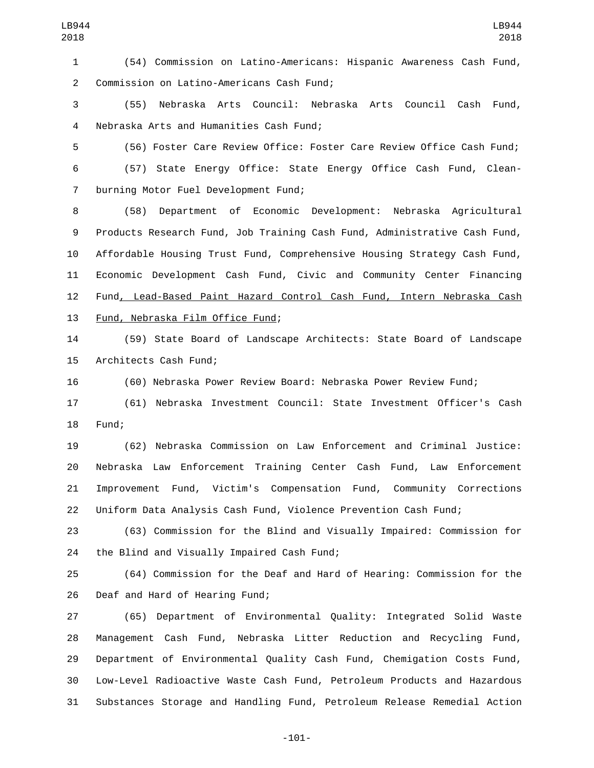(54) Commission on Latino-Americans: Hispanic Awareness Cash Fund, 2 Commission on Latino-Americans Cash Fund;

 (55) Nebraska Arts Council: Nebraska Arts Council Cash Fund, Nebraska Arts and Humanities Cash Fund;4

 (56) Foster Care Review Office: Foster Care Review Office Cash Fund; (57) State Energy Office: State Energy Office Cash Fund, Clean-7 burning Motor Fuel Development Fund;

 (58) Department of Economic Development: Nebraska Agricultural Products Research Fund, Job Training Cash Fund, Administrative Cash Fund, Affordable Housing Trust Fund, Comprehensive Housing Strategy Cash Fund, Economic Development Cash Fund, Civic and Community Center Financing Fund, Lead-Based Paint Hazard Control Cash Fund, Intern Nebraska Cash 13 Fund, Nebraska Film Office Fund;

 (59) State Board of Landscape Architects: State Board of Landscape 15 Architects Cash Fund;

(60) Nebraska Power Review Board: Nebraska Power Review Fund;

 (61) Nebraska Investment Council: State Investment Officer's Cash 18 Fund:

 (62) Nebraska Commission on Law Enforcement and Criminal Justice: Nebraska Law Enforcement Training Center Cash Fund, Law Enforcement Improvement Fund, Victim's Compensation Fund, Community Corrections Uniform Data Analysis Cash Fund, Violence Prevention Cash Fund;

 (63) Commission for the Blind and Visually Impaired: Commission for 24 the Blind and Visually Impaired Cash Fund;

 (64) Commission for the Deaf and Hard of Hearing: Commission for the 26 Deaf and Hard of Hearing Fund;

 (65) Department of Environmental Quality: Integrated Solid Waste Management Cash Fund, Nebraska Litter Reduction and Recycling Fund, Department of Environmental Quality Cash Fund, Chemigation Costs Fund, Low-Level Radioactive Waste Cash Fund, Petroleum Products and Hazardous Substances Storage and Handling Fund, Petroleum Release Remedial Action

-101-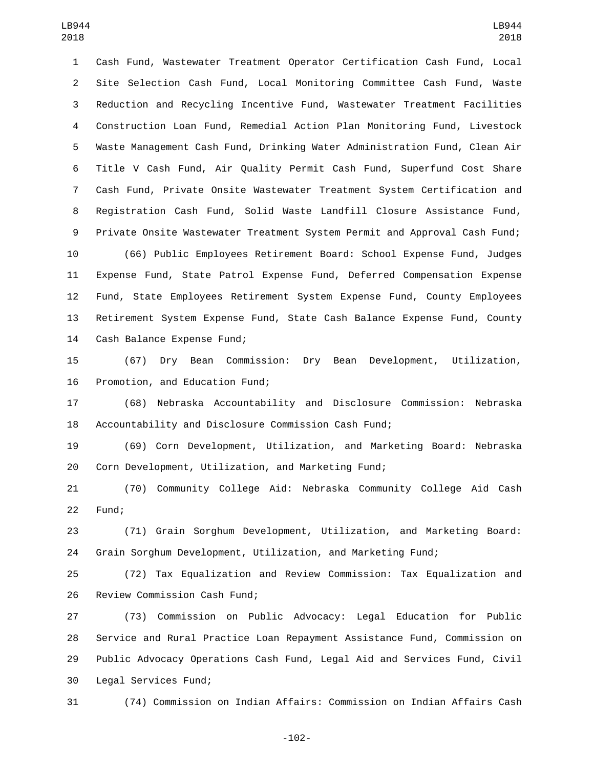Cash Fund, Wastewater Treatment Operator Certification Cash Fund, Local Site Selection Cash Fund, Local Monitoring Committee Cash Fund, Waste Reduction and Recycling Incentive Fund, Wastewater Treatment Facilities Construction Loan Fund, Remedial Action Plan Monitoring Fund, Livestock Waste Management Cash Fund, Drinking Water Administration Fund, Clean Air Title V Cash Fund, Air Quality Permit Cash Fund, Superfund Cost Share Cash Fund, Private Onsite Wastewater Treatment System Certification and Registration Cash Fund, Solid Waste Landfill Closure Assistance Fund, Private Onsite Wastewater Treatment System Permit and Approval Cash Fund; (66) Public Employees Retirement Board: School Expense Fund, Judges

 Expense Fund, State Patrol Expense Fund, Deferred Compensation Expense Fund, State Employees Retirement System Expense Fund, County Employees Retirement System Expense Fund, State Cash Balance Expense Fund, County 14 Cash Balance Expense Fund;

 (67) Dry Bean Commission: Dry Bean Development, Utilization, 16 Promotion, and Education Fund;

 (68) Nebraska Accountability and Disclosure Commission: Nebraska Accountability and Disclosure Commission Cash Fund;

 (69) Corn Development, Utilization, and Marketing Board: Nebraska Corn Development, Utilization, and Marketing Fund;

 (70) Community College Aid: Nebraska Community College Aid Cash 22 Fund;

 (71) Grain Sorghum Development, Utilization, and Marketing Board: Grain Sorghum Development, Utilization, and Marketing Fund;

 (72) Tax Equalization and Review Commission: Tax Equalization and 26 Review Commission Cash Fund;

 (73) Commission on Public Advocacy: Legal Education for Public Service and Rural Practice Loan Repayment Assistance Fund, Commission on Public Advocacy Operations Cash Fund, Legal Aid and Services Fund, Civil 30 Legal Services Fund;

(74) Commission on Indian Affairs: Commission on Indian Affairs Cash

-102-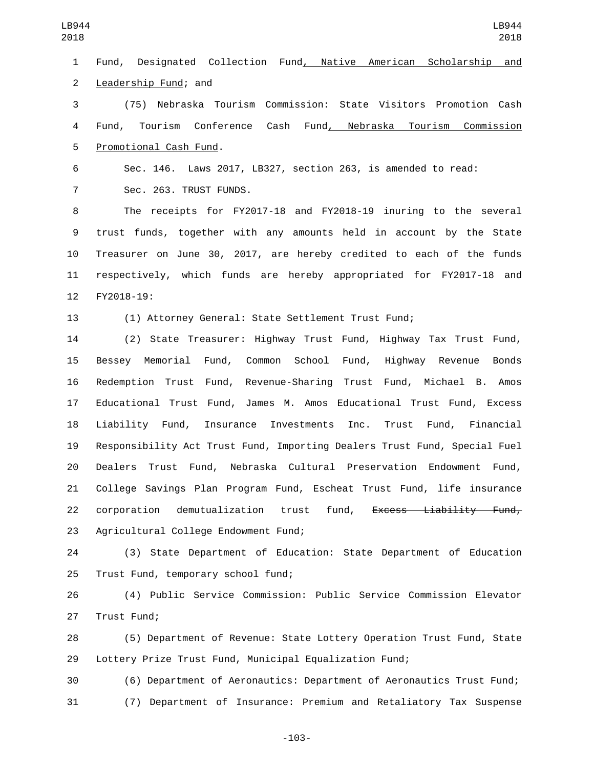Fund, Designated Collection Fund, Native American Scholarship and 2 Leadership Fund; and (75) Nebraska Tourism Commission: State Visitors Promotion Cash 4 Fund, Tourism Conference Cash Fund<u>, Nebraska Tourism C</u>ommission 5 Promotional Cash Fund. Sec. 146. Laws 2017, LB327, section 263, is amended to read: 7 Sec. 263. TRUST FUNDS. The receipts for FY2017-18 and FY2018-19 inuring to the several trust funds, together with any amounts held in account by the State Treasurer on June 30, 2017, are hereby credited to each of the funds respectively, which funds are hereby appropriated for FY2017-18 and 12 FY2018-19: (1) Attorney General: State Settlement Trust Fund; (2) State Treasurer: Highway Trust Fund, Highway Tax Trust Fund, Bessey Memorial Fund, Common School Fund, Highway Revenue Bonds Redemption Trust Fund, Revenue-Sharing Trust Fund, Michael B. Amos Educational Trust Fund, James M. Amos Educational Trust Fund, Excess Liability Fund, Insurance Investments Inc. Trust Fund, Financial Responsibility Act Trust Fund, Importing Dealers Trust Fund, Special Fuel Dealers Trust Fund, Nebraska Cultural Preservation Endowment Fund, College Savings Plan Program Fund, Escheat Trust Fund, life insurance 22 corporation demutualization trust fund, Excess Liability Fund, 23 Agricultural College Endowment Fund; (3) State Department of Education: State Department of Education 25 Trust Fund, temporary school fund; (4) Public Service Commission: Public Service Commission Elevator 27 Trust Fund; (5) Department of Revenue: State Lottery Operation Trust Fund, State Lottery Prize Trust Fund, Municipal Equalization Fund; LB944 LB944 

 (6) Department of Aeronautics: Department of Aeronautics Trust Fund; (7) Department of Insurance: Premium and Retaliatory Tax Suspense

-103-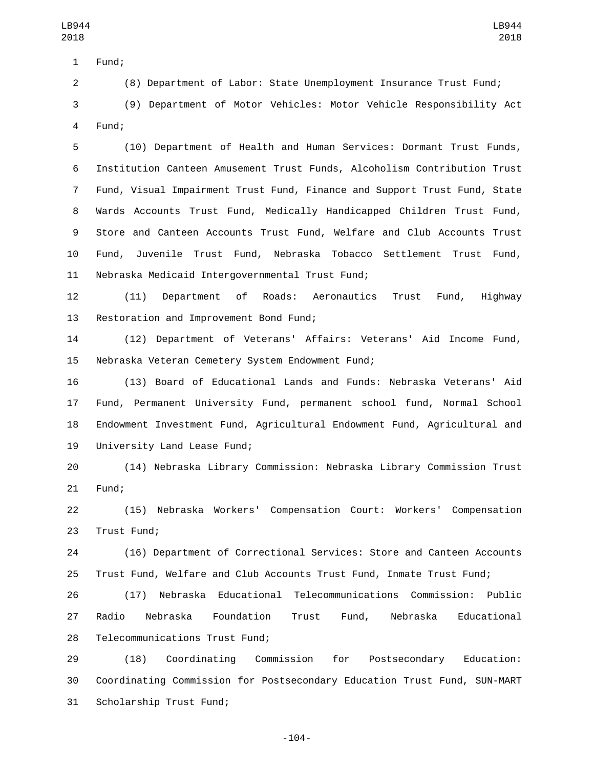1 Fund;

(8) Department of Labor: State Unemployment Insurance Trust Fund;

 (9) Department of Motor Vehicles: Motor Vehicle Responsibility Act 4 Fund:

 (10) Department of Health and Human Services: Dormant Trust Funds, Institution Canteen Amusement Trust Funds, Alcoholism Contribution Trust Fund, Visual Impairment Trust Fund, Finance and Support Trust Fund, State Wards Accounts Trust Fund, Medically Handicapped Children Trust Fund, Store and Canteen Accounts Trust Fund, Welfare and Club Accounts Trust Fund, Juvenile Trust Fund, Nebraska Tobacco Settlement Trust Fund, 11 Nebraska Medicaid Intergovernmental Trust Fund;

 (11) Department of Roads: Aeronautics Trust Fund, Highway 13 Restoration and Improvement Bond Fund;

 (12) Department of Veterans' Affairs: Veterans' Aid Income Fund, 15 Nebraska Veteran Cemetery System Endowment Fund;

 (13) Board of Educational Lands and Funds: Nebraska Veterans' Aid Fund, Permanent University Fund, permanent school fund, Normal School Endowment Investment Fund, Agricultural Endowment Fund, Agricultural and 19 University Land Lease Fund;

 (14) Nebraska Library Commission: Nebraska Library Commission Trust 21 Fund;

 (15) Nebraska Workers' Compensation Court: Workers' Compensation 23 Trust Fund;

 (16) Department of Correctional Services: Store and Canteen Accounts Trust Fund, Welfare and Club Accounts Trust Fund, Inmate Trust Fund;

 (17) Nebraska Educational Telecommunications Commission: Public Radio Nebraska Foundation Trust Fund, Nebraska Educational 28 Telecommunications Trust Fund;

 (18) Coordinating Commission for Postsecondary Education: Coordinating Commission for Postsecondary Education Trust Fund, SUN-MART 31 Scholarship Trust Fund;

-104-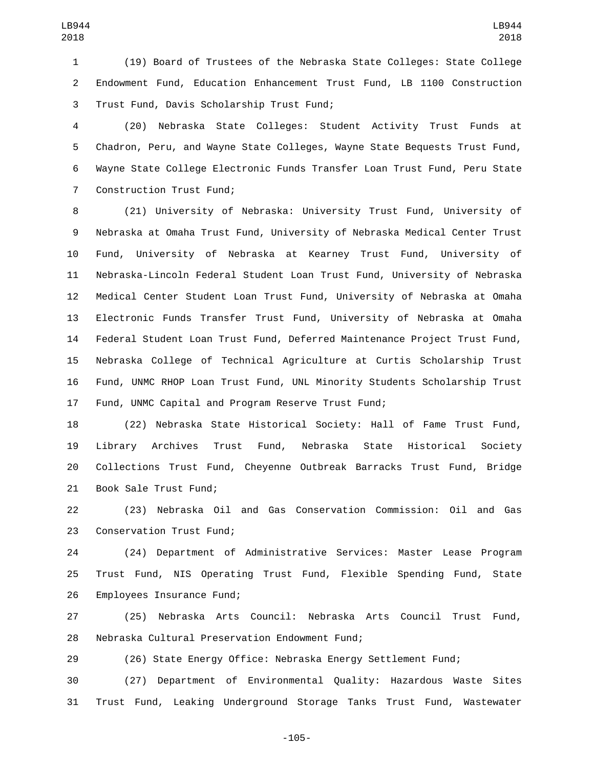(19) Board of Trustees of the Nebraska State Colleges: State College Endowment Fund, Education Enhancement Trust Fund, LB 1100 Construction 3 Trust Fund, Davis Scholarship Trust Fund;

 (20) Nebraska State Colleges: Student Activity Trust Funds at Chadron, Peru, and Wayne State Colleges, Wayne State Bequests Trust Fund, Wayne State College Electronic Funds Transfer Loan Trust Fund, Peru State 7 Construction Trust Fund;

 (21) University of Nebraska: University Trust Fund, University of Nebraska at Omaha Trust Fund, University of Nebraska Medical Center Trust Fund, University of Nebraska at Kearney Trust Fund, University of Nebraska-Lincoln Federal Student Loan Trust Fund, University of Nebraska Medical Center Student Loan Trust Fund, University of Nebraska at Omaha Electronic Funds Transfer Trust Fund, University of Nebraska at Omaha Federal Student Loan Trust Fund, Deferred Maintenance Project Trust Fund, Nebraska College of Technical Agriculture at Curtis Scholarship Trust Fund, UNMC RHOP Loan Trust Fund, UNL Minority Students Scholarship Trust Fund, UNMC Capital and Program Reserve Trust Fund;

 (22) Nebraska State Historical Society: Hall of Fame Trust Fund, Library Archives Trust Fund, Nebraska State Historical Society Collections Trust Fund, Cheyenne Outbreak Barracks Trust Fund, Bridge 21 Book Sale Trust Fund;

 (23) Nebraska Oil and Gas Conservation Commission: Oil and Gas 23 Conservation Trust Fund;

 (24) Department of Administrative Services: Master Lease Program Trust Fund, NIS Operating Trust Fund, Flexible Spending Fund, State 26 Employees Insurance Fund;

 (25) Nebraska Arts Council: Nebraska Arts Council Trust Fund, 28 Nebraska Cultural Preservation Endowment Fund;

(26) State Energy Office: Nebraska Energy Settlement Fund;

 (27) Department of Environmental Quality: Hazardous Waste Sites Trust Fund, Leaking Underground Storage Tanks Trust Fund, Wastewater

-105-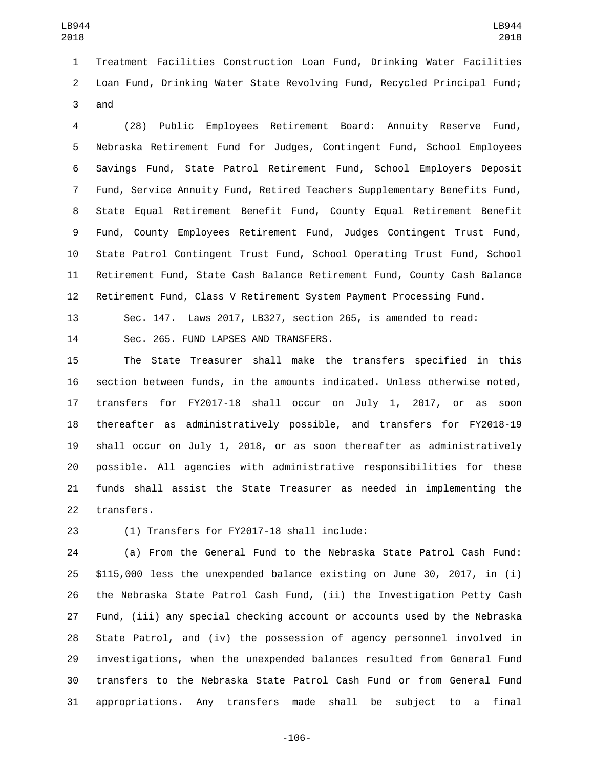Treatment Facilities Construction Loan Fund, Drinking Water Facilities Loan Fund, Drinking Water State Revolving Fund, Recycled Principal Fund; 3 and

 (28) Public Employees Retirement Board: Annuity Reserve Fund, Nebraska Retirement Fund for Judges, Contingent Fund, School Employees Savings Fund, State Patrol Retirement Fund, School Employers Deposit Fund, Service Annuity Fund, Retired Teachers Supplementary Benefits Fund, State Equal Retirement Benefit Fund, County Equal Retirement Benefit Fund, County Employees Retirement Fund, Judges Contingent Trust Fund, State Patrol Contingent Trust Fund, School Operating Trust Fund, School Retirement Fund, State Cash Balance Retirement Fund, County Cash Balance Retirement Fund, Class V Retirement System Payment Processing Fund.

 Sec. 147. Laws 2017, LB327, section 265, is amended to read: 14 Sec. 265. FUND LAPSES AND TRANSFERS.

 The State Treasurer shall make the transfers specified in this section between funds, in the amounts indicated. Unless otherwise noted, transfers for FY2017-18 shall occur on July 1, 2017, or as soon thereafter as administratively possible, and transfers for FY2018-19 shall occur on July 1, 2018, or as soon thereafter as administratively possible. All agencies with administrative responsibilities for these funds shall assist the State Treasurer as needed in implementing the 22 transfers.

(1) Transfers for FY2017-18 shall include:23

 (a) From the General Fund to the Nebraska State Patrol Cash Fund: \$115,000 less the unexpended balance existing on June 30, 2017, in (i) the Nebraska State Patrol Cash Fund, (ii) the Investigation Petty Cash Fund, (iii) any special checking account or accounts used by the Nebraska State Patrol, and (iv) the possession of agency personnel involved in investigations, when the unexpended balances resulted from General Fund transfers to the Nebraska State Patrol Cash Fund or from General Fund appropriations. Any transfers made shall be subject to a final

-106-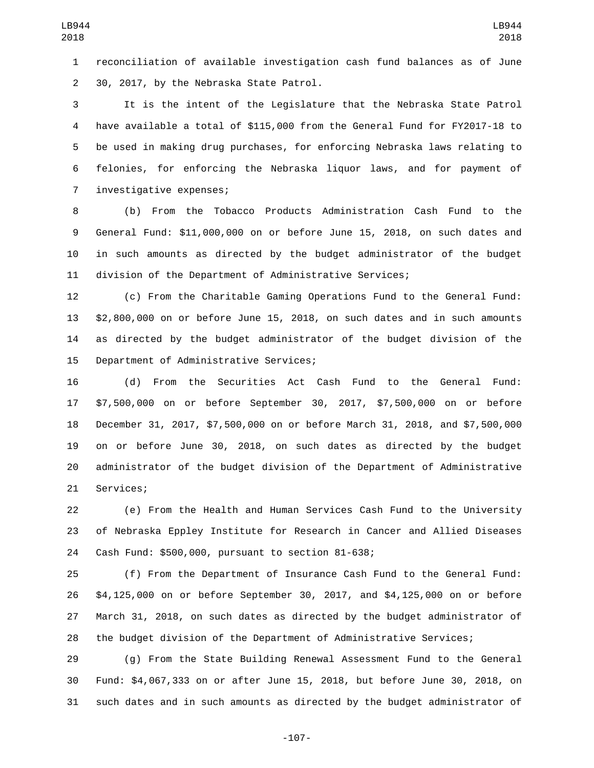reconciliation of available investigation cash fund balances as of June 30, 2017, by the Nebraska State Patrol.2

 It is the intent of the Legislature that the Nebraska State Patrol have available a total of \$115,000 from the General Fund for FY2017-18 to be used in making drug purchases, for enforcing Nebraska laws relating to felonies, for enforcing the Nebraska liquor laws, and for payment of 7 investigative expenses;

 (b) From the Tobacco Products Administration Cash Fund to the General Fund: \$11,000,000 on or before June 15, 2018, on such dates and in such amounts as directed by the budget administrator of the budget division of the Department of Administrative Services;

 (c) From the Charitable Gaming Operations Fund to the General Fund: \$2,800,000 on or before June 15, 2018, on such dates and in such amounts as directed by the budget administrator of the budget division of the 15 Department of Administrative Services;

 (d) From the Securities Act Cash Fund to the General Fund: \$7,500,000 on or before September 30, 2017, \$7,500,000 on or before December 31, 2017, \$7,500,000 on or before March 31, 2018, and \$7,500,000 on or before June 30, 2018, on such dates as directed by the budget administrator of the budget division of the Department of Administrative 21 Services;

 (e) From the Health and Human Services Cash Fund to the University of Nebraska Eppley Institute for Research in Cancer and Allied Diseases Cash Fund: \$500,000, pursuant to section 81-638;24

 (f) From the Department of Insurance Cash Fund to the General Fund: \$4,125,000 on or before September 30, 2017, and \$4,125,000 on or before March 31, 2018, on such dates as directed by the budget administrator of the budget division of the Department of Administrative Services;

 (g) From the State Building Renewal Assessment Fund to the General Fund: \$4,067,333 on or after June 15, 2018, but before June 30, 2018, on such dates and in such amounts as directed by the budget administrator of

-107-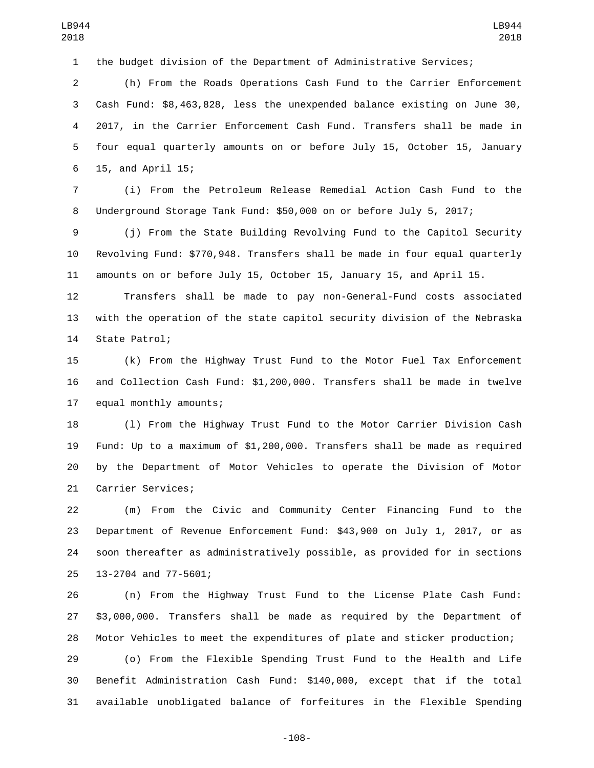the budget division of the Department of Administrative Services;

 (h) From the Roads Operations Cash Fund to the Carrier Enforcement Cash Fund: \$8,463,828, less the unexpended balance existing on June 30, 2017, in the Carrier Enforcement Cash Fund. Transfers shall be made in four equal quarterly amounts on or before July 15, October 15, January 15, and April 15;6

 (i) From the Petroleum Release Remedial Action Cash Fund to the Underground Storage Tank Fund: \$50,000 on or before July 5, 2017;

 (j) From the State Building Revolving Fund to the Capitol Security Revolving Fund: \$770,948. Transfers shall be made in four equal quarterly amounts on or before July 15, October 15, January 15, and April 15.

 Transfers shall be made to pay non-General-Fund costs associated with the operation of the state capitol security division of the Nebraska 14 State Patrol;

 (k) From the Highway Trust Fund to the Motor Fuel Tax Enforcement and Collection Cash Fund: \$1,200,000. Transfers shall be made in twelve 17 equal monthly amounts;

 (l) From the Highway Trust Fund to the Motor Carrier Division Cash Fund: Up to a maximum of \$1,200,000. Transfers shall be made as required by the Department of Motor Vehicles to operate the Division of Motor 21 Carrier Services;

 (m) From the Civic and Community Center Financing Fund to the Department of Revenue Enforcement Fund: \$43,900 on July 1, 2017, or as soon thereafter as administratively possible, as provided for in sections 25 13-2704 and 77-5601;

 (n) From the Highway Trust Fund to the License Plate Cash Fund: \$3,000,000. Transfers shall be made as required by the Department of Motor Vehicles to meet the expenditures of plate and sticker production;

 (o) From the Flexible Spending Trust Fund to the Health and Life Benefit Administration Cash Fund: \$140,000, except that if the total available unobligated balance of forfeitures in the Flexible Spending

-108-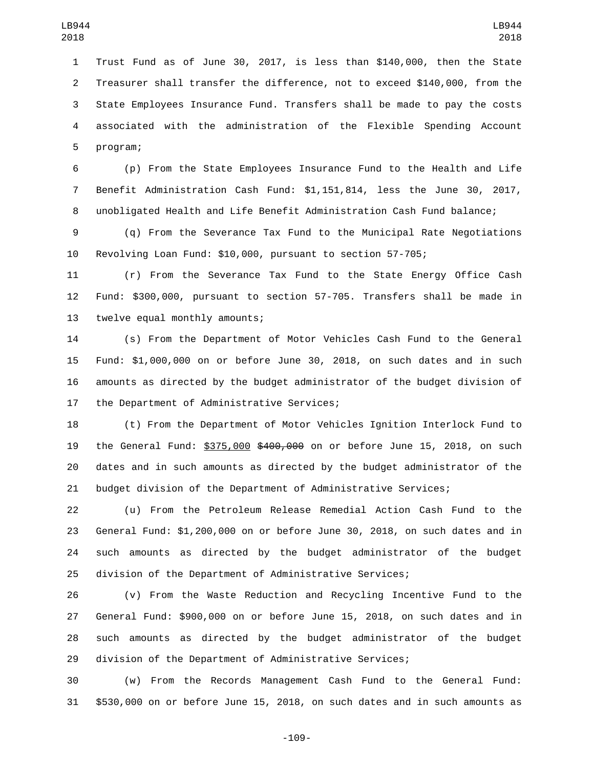Trust Fund as of June 30, 2017, is less than \$140,000, then the State Treasurer shall transfer the difference, not to exceed \$140,000, from the State Employees Insurance Fund. Transfers shall be made to pay the costs associated with the administration of the Flexible Spending Account 5 program;

 (p) From the State Employees Insurance Fund to the Health and Life Benefit Administration Cash Fund: \$1,151,814, less the June 30, 2017, unobligated Health and Life Benefit Administration Cash Fund balance;

 (q) From the Severance Tax Fund to the Municipal Rate Negotiations Revolving Loan Fund: \$10,000, pursuant to section 57-705;

 (r) From the Severance Tax Fund to the State Energy Office Cash Fund: \$300,000, pursuant to section 57-705. Transfers shall be made in 13 twelve equal monthly amounts;

 (s) From the Department of Motor Vehicles Cash Fund to the General Fund: \$1,000,000 on or before June 30, 2018, on such dates and in such amounts as directed by the budget administrator of the budget division of 17 the Department of Administrative Services;

 (t) From the Department of Motor Vehicles Ignition Interlock Fund to 19 the General Fund: \$375,000 \$400,000 on or before June 15, 2018, on such dates and in such amounts as directed by the budget administrator of the budget division of the Department of Administrative Services;

 (u) From the Petroleum Release Remedial Action Cash Fund to the General Fund: \$1,200,000 on or before June 30, 2018, on such dates and in such amounts as directed by the budget administrator of the budget division of the Department of Administrative Services;

 (v) From the Waste Reduction and Recycling Incentive Fund to the General Fund: \$900,000 on or before June 15, 2018, on such dates and in such amounts as directed by the budget administrator of the budget division of the Department of Administrative Services;

 (w) From the Records Management Cash Fund to the General Fund: \$530,000 on or before June 15, 2018, on such dates and in such amounts as

-109-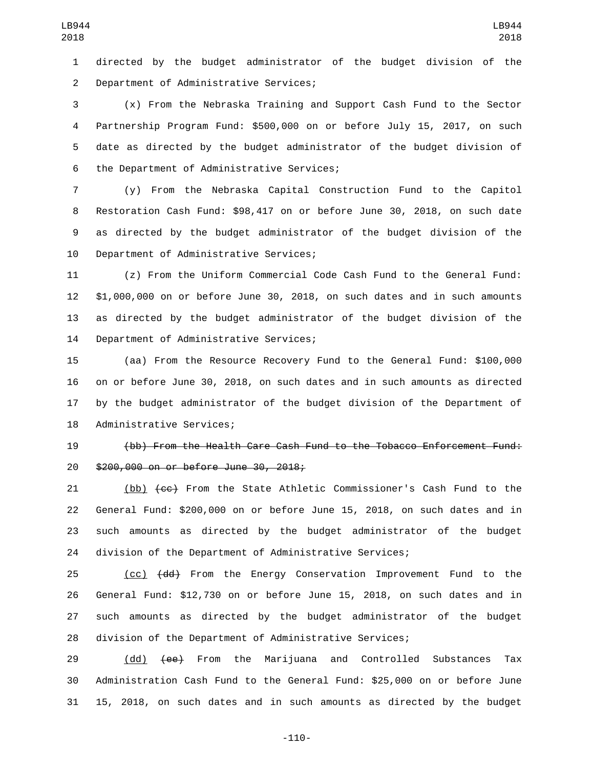directed by the budget administrator of the budget division of the 2 Department of Administrative Services;

 (x) From the Nebraska Training and Support Cash Fund to the Sector Partnership Program Fund: \$500,000 on or before July 15, 2017, on such date as directed by the budget administrator of the budget division of 6 the Department of Administrative Services;

 (y) From the Nebraska Capital Construction Fund to the Capitol Restoration Cash Fund: \$98,417 on or before June 30, 2018, on such date as directed by the budget administrator of the budget division of the 10 Department of Administrative Services;

 (z) From the Uniform Commercial Code Cash Fund to the General Fund: \$1,000,000 on or before June 30, 2018, on such dates and in such amounts as directed by the budget administrator of the budget division of the 14 Department of Administrative Services;

 (aa) From the Resource Recovery Fund to the General Fund: \$100,000 on or before June 30, 2018, on such dates and in such amounts as directed by the budget administrator of the budget division of the Department of 18 Administrative Services;

 (bb) From the Health Care Cash Fund to the Tobacco Enforcement Fund: 20 \$200,000 on or before June 30, 2018;

21 (bb)  $\{c\epsilon\}$  From the State Athletic Commissioner's Cash Fund to the General Fund: \$200,000 on or before June 15, 2018, on such dates and in such amounts as directed by the budget administrator of the budget division of the Department of Administrative Services;

25 (cc) <del>(dd)</del> From the Energy Conservation Improvement Fund to the General Fund: \$12,730 on or before June 15, 2018, on such dates and in such amounts as directed by the budget administrator of the budget division of the Department of Administrative Services;

29 (dd) <del>(ee)</del> From the Marijuana and Controlled Substances Tax Administration Cash Fund to the General Fund: \$25,000 on or before June 15, 2018, on such dates and in such amounts as directed by the budget

-110-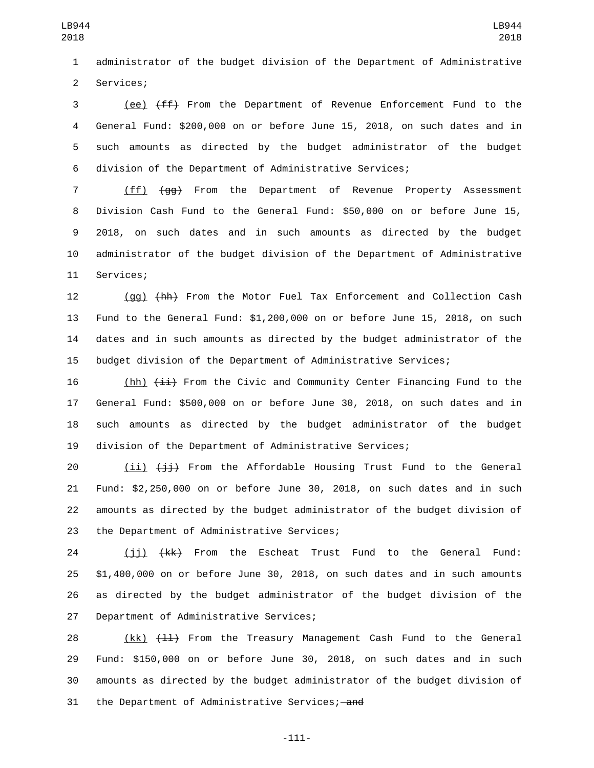administrator of the budget division of the Department of Administrative 2 Services;

3 (ee)  $\{ff\}$  From the Department of Revenue Enforcement Fund to the General Fund: \$200,000 on or before June 15, 2018, on such dates and in such amounts as directed by the budget administrator of the budget division of the Department of Administrative Services;

 (ff) (gg) From the Department of Revenue Property Assessment Division Cash Fund to the General Fund: \$50,000 on or before June 15, 2018, on such dates and in such amounts as directed by the budget administrator of the budget division of the Department of Administrative 11 Services;

 (gg) (hh) From the Motor Fuel Tax Enforcement and Collection Cash Fund to the General Fund: \$1,200,000 on or before June 15, 2018, on such dates and in such amounts as directed by the budget administrator of the budget division of the Department of Administrative Services;

16 (hh)  $\{\pm\pm\}$  From the Civic and Community Center Financing Fund to the General Fund: \$500,000 on or before June 30, 2018, on such dates and in such amounts as directed by the budget administrator of the budget division of the Department of Administrative Services;

 $(i)$   $(i)$   $(i)$  From the Affordable Housing Trust Fund to the General Fund: \$2,250,000 on or before June 30, 2018, on such dates and in such amounts as directed by the budget administrator of the budget division of 23 the Department of Administrative Services;

 (jj) (kk) From the Escheat Trust Fund to the General Fund: \$1,400,000 on or before June 30, 2018, on such dates and in such amounts as directed by the budget administrator of the budget division of the 27 Department of Administrative Services;

28 (kk) (11) From the Treasury Management Cash Fund to the General Fund: \$150,000 on or before June 30, 2018, on such dates and in such amounts as directed by the budget administrator of the budget division of 31 the Department of Administrative Services; and

-111-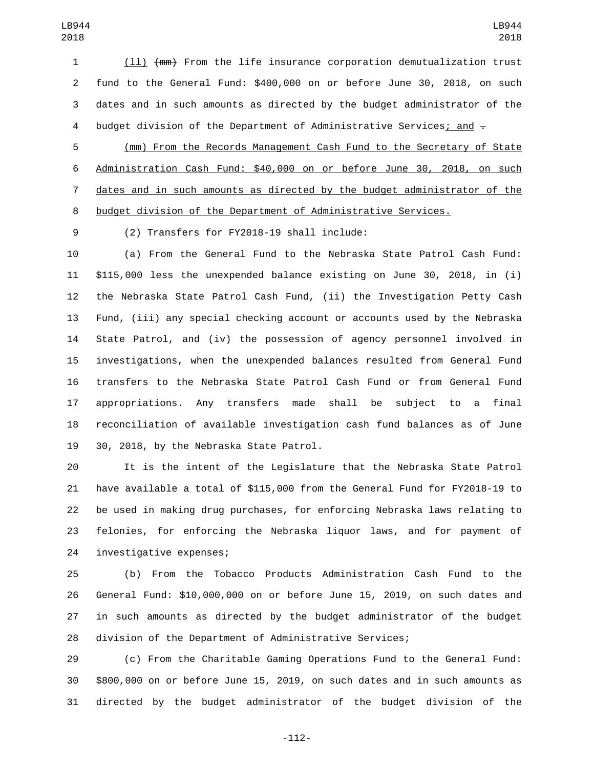(ll) (mm) From the life insurance corporation demutualization trust fund to the General Fund: \$400,000 on or before June 30, 2018, on such dates and in such amounts as directed by the budget administrator of the 4 budget division of the Department of Administrative Services; and  $-$ 

 (mm) From the Records Management Cash Fund to the Secretary of State Administration Cash Fund: \$40,000 on or before June 30, 2018, on such dates and in such amounts as directed by the budget administrator of the budget division of the Department of Administrative Services.

(2) Transfers for FY2018-19 shall include:9

 (a) From the General Fund to the Nebraska State Patrol Cash Fund: \$115,000 less the unexpended balance existing on June 30, 2018, in (i) the Nebraska State Patrol Cash Fund, (ii) the Investigation Petty Cash Fund, (iii) any special checking account or accounts used by the Nebraska State Patrol, and (iv) the possession of agency personnel involved in investigations, when the unexpended balances resulted from General Fund transfers to the Nebraska State Patrol Cash Fund or from General Fund appropriations. Any transfers made shall be subject to a final reconciliation of available investigation cash fund balances as of June 19 30, 2018, by the Nebraska State Patrol.

 It is the intent of the Legislature that the Nebraska State Patrol have available a total of \$115,000 from the General Fund for FY2018-19 to be used in making drug purchases, for enforcing Nebraska laws relating to felonies, for enforcing the Nebraska liquor laws, and for payment of 24 investigative expenses;

 (b) From the Tobacco Products Administration Cash Fund to the General Fund: \$10,000,000 on or before June 15, 2019, on such dates and in such amounts as directed by the budget administrator of the budget division of the Department of Administrative Services;

 (c) From the Charitable Gaming Operations Fund to the General Fund: \$800,000 on or before June 15, 2019, on such dates and in such amounts as directed by the budget administrator of the budget division of the

-112-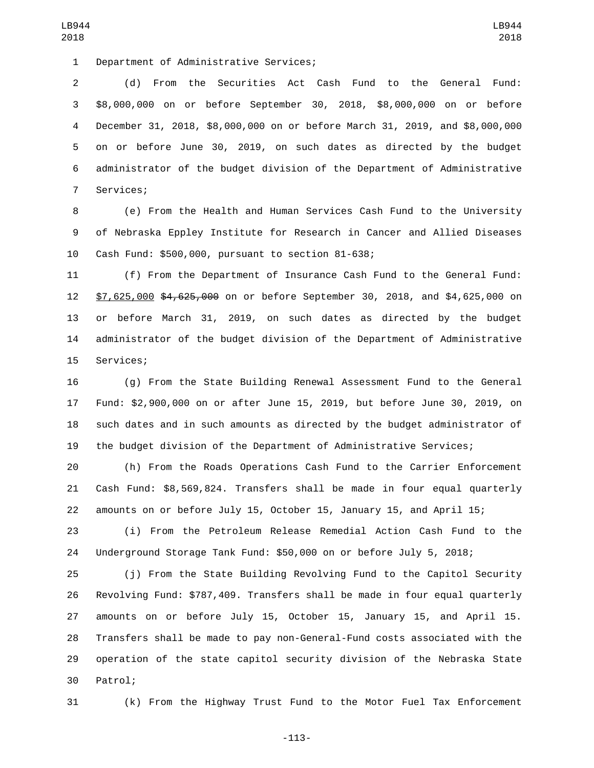1 Department of Administrative Services;

 (d) From the Securities Act Cash Fund to the General Fund: \$8,000,000 on or before September 30, 2018, \$8,000,000 on or before December 31, 2018, \$8,000,000 on or before March 31, 2019, and \$8,000,000 on or before June 30, 2019, on such dates as directed by the budget administrator of the budget division of the Department of Administrative 7 Services;

 (e) From the Health and Human Services Cash Fund to the University of Nebraska Eppley Institute for Research in Cancer and Allied Diseases 10 Cash Fund: \$500,000, pursuant to section 81-638;

 (f) From the Department of Insurance Cash Fund to the General Fund: \$7,625,000 \$4,625,000 on or before September 30, 2018, and \$4,625,000 on or before March 31, 2019, on such dates as directed by the budget administrator of the budget division of the Department of Administrative 15 Services;

 (g) From the State Building Renewal Assessment Fund to the General Fund: \$2,900,000 on or after June 15, 2019, but before June 30, 2019, on such dates and in such amounts as directed by the budget administrator of the budget division of the Department of Administrative Services;

 (h) From the Roads Operations Cash Fund to the Carrier Enforcement Cash Fund: \$8,569,824. Transfers shall be made in four equal quarterly amounts on or before July 15, October 15, January 15, and April 15;

 (i) From the Petroleum Release Remedial Action Cash Fund to the Underground Storage Tank Fund: \$50,000 on or before July 5, 2018;

 (j) From the State Building Revolving Fund to the Capitol Security Revolving Fund: \$787,409. Transfers shall be made in four equal quarterly amounts on or before July 15, October 15, January 15, and April 15. Transfers shall be made to pay non-General-Fund costs associated with the operation of the state capitol security division of the Nebraska State 30 Patrol;

(k) From the Highway Trust Fund to the Motor Fuel Tax Enforcement

-113-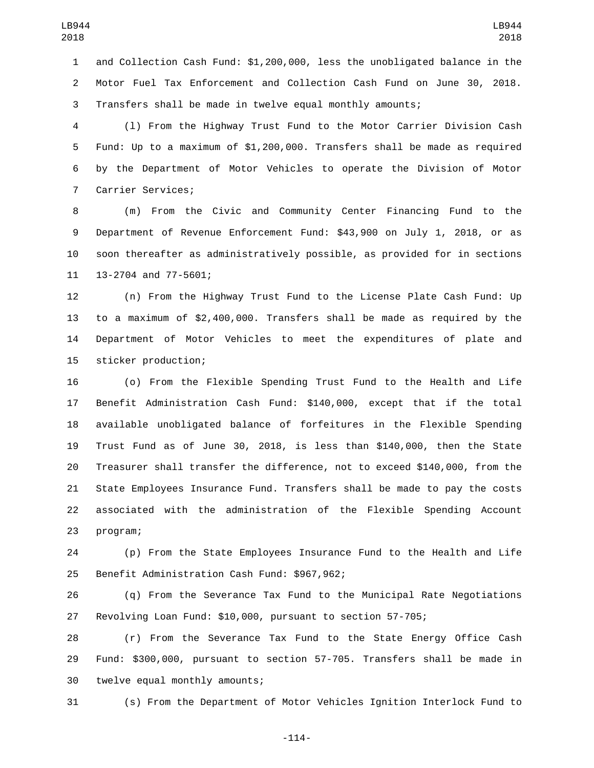and Collection Cash Fund: \$1,200,000, less the unobligated balance in the Motor Fuel Tax Enforcement and Collection Cash Fund on June 30, 2018. Transfers shall be made in twelve equal monthly amounts;

 (l) From the Highway Trust Fund to the Motor Carrier Division Cash Fund: Up to a maximum of \$1,200,000. Transfers shall be made as required by the Department of Motor Vehicles to operate the Division of Motor 7 Carrier Services;

 (m) From the Civic and Community Center Financing Fund to the Department of Revenue Enforcement Fund: \$43,900 on July 1, 2018, or as soon thereafter as administratively possible, as provided for in sections 11 13-2704 and 77-5601;

 (n) From the Highway Trust Fund to the License Plate Cash Fund: Up to a maximum of \$2,400,000. Transfers shall be made as required by the Department of Motor Vehicles to meet the expenditures of plate and 15 sticker production;

 (o) From the Flexible Spending Trust Fund to the Health and Life Benefit Administration Cash Fund: \$140,000, except that if the total available unobligated balance of forfeitures in the Flexible Spending Trust Fund as of June 30, 2018, is less than \$140,000, then the State Treasurer shall transfer the difference, not to exceed \$140,000, from the State Employees Insurance Fund. Transfers shall be made to pay the costs associated with the administration of the Flexible Spending Account 23 program;

 (p) From the State Employees Insurance Fund to the Health and Life 25 Benefit Administration Cash Fund: \$967,962;

 (q) From the Severance Tax Fund to the Municipal Rate Negotiations Revolving Loan Fund: \$10,000, pursuant to section 57-705;

 (r) From the Severance Tax Fund to the State Energy Office Cash Fund: \$300,000, pursuant to section 57-705. Transfers shall be made in 30 twelve equal monthly amounts;

(s) From the Department of Motor Vehicles Ignition Interlock Fund to

-114-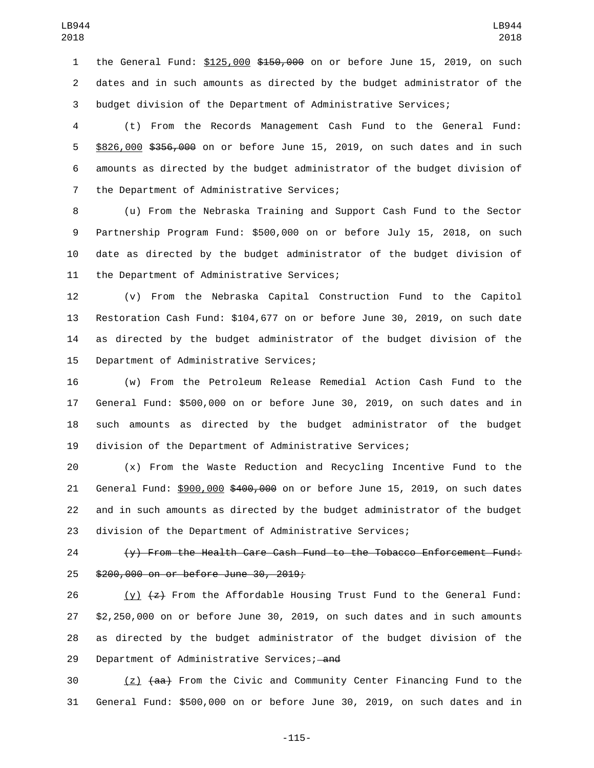1 the General Fund: \$125,000 \$150,000 on or before June 15, 2019, on such dates and in such amounts as directed by the budget administrator of the budget division of the Department of Administrative Services;

 (t) From the Records Management Cash Fund to the General Fund: \$826,000 \$356,000 on or before June 15, 2019, on such dates and in such amounts as directed by the budget administrator of the budget division of 7 the Department of Administrative Services;

 (u) From the Nebraska Training and Support Cash Fund to the Sector Partnership Program Fund: \$500,000 on or before July 15, 2018, on such date as directed by the budget administrator of the budget division of 11 the Department of Administrative Services;

 (v) From the Nebraska Capital Construction Fund to the Capitol Restoration Cash Fund: \$104,677 on or before June 30, 2019, on such date as directed by the budget administrator of the budget division of the 15 Department of Administrative Services;

 (w) From the Petroleum Release Remedial Action Cash Fund to the General Fund: \$500,000 on or before June 30, 2019, on such dates and in such amounts as directed by the budget administrator of the budget division of the Department of Administrative Services;

 (x) From the Waste Reduction and Recycling Incentive Fund to the 21 General Fund: \$900,000 \$400,000 on or before June 15, 2019, on such dates and in such amounts as directed by the budget administrator of the budget division of the Department of Administrative Services;

 (y) From the Health Care Cash Fund to the Tobacco Enforcement Fund: 25 \$200,000 on or before June 30, 2019;

26 (y)  $\{z\}$  From the Affordable Housing Trust Fund to the General Fund: \$2,250,000 on or before June 30, 2019, on such dates and in such amounts as directed by the budget administrator of the budget division of the 29 Department of Administrative Services; and

 (z)  $\{aa\}$  From the Civic and Community Center Financing Fund to the General Fund: \$500,000 on or before June 30, 2019, on such dates and in

-115-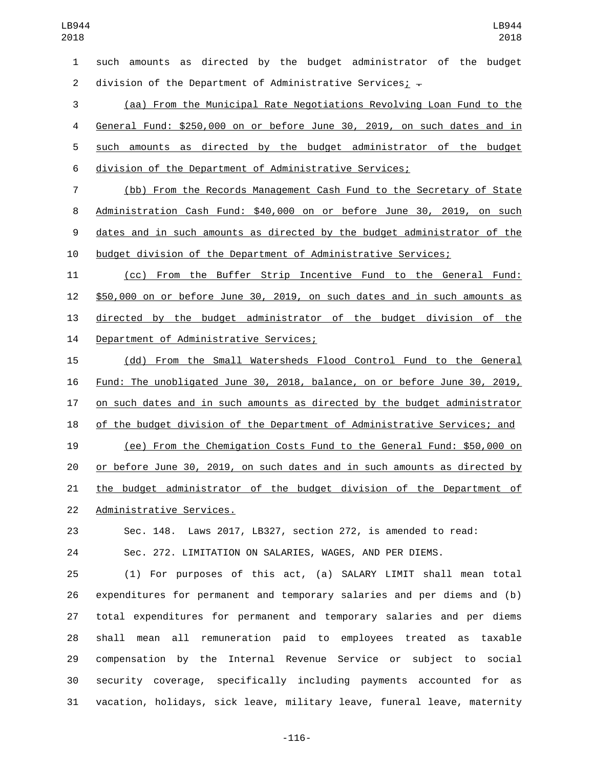such amounts as directed by the budget administrator of the budget 2 division of the Department of Administrative Services;  $-$ 

 (aa) From the Municipal Rate Negotiations Revolving Loan Fund to the General Fund: \$250,000 on or before June 30, 2019, on such dates and in such amounts as directed by the budget administrator of the budget division of the Department of Administrative Services;

 (bb) From the Records Management Cash Fund to the Secretary of State Administration Cash Fund: \$40,000 on or before June 30, 2019, on such dates and in such amounts as directed by the budget administrator of the budget division of the Department of Administrative Services;

 (cc) From the Buffer Strip Incentive Fund to the General Fund: \$50,000 on or before June 30, 2019, on such dates and in such amounts as directed by the budget administrator of the budget division of the 14 Department of Administrative Services;

 (dd) From the Small Watersheds Flood Control Fund to the General Fund: The unobligated June 30, 2018, balance, on or before June 30, 2019, on such dates and in such amounts as directed by the budget administrator of the budget division of the Department of Administrative Services; and (ee) From the Chemigation Costs Fund to the General Fund: \$50,000 on or before June 30, 2019, on such dates and in such amounts as directed by the budget administrator of the budget division of the Department of 22 Administrative Services.

Sec. 148. Laws 2017, LB327, section 272, is amended to read:

Sec. 272. LIMITATION ON SALARIES, WAGES, AND PER DIEMS.

 (1) For purposes of this act, (a) SALARY LIMIT shall mean total expenditures for permanent and temporary salaries and per diems and (b) total expenditures for permanent and temporary salaries and per diems shall mean all remuneration paid to employees treated as taxable compensation by the Internal Revenue Service or subject to social security coverage, specifically including payments accounted for as vacation, holidays, sick leave, military leave, funeral leave, maternity

-116-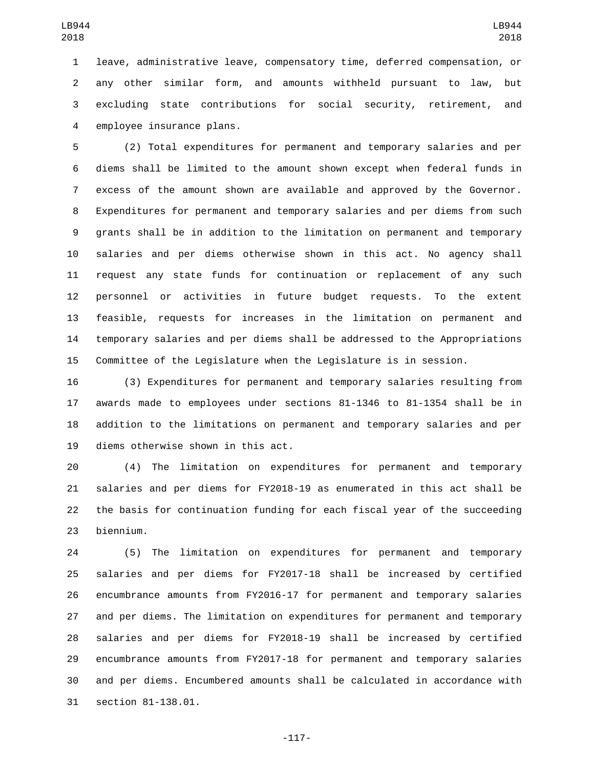leave, administrative leave, compensatory time, deferred compensation, or any other similar form, and amounts withheld pursuant to law, but excluding state contributions for social security, retirement, and 4 employee insurance plans.

 (2) Total expenditures for permanent and temporary salaries and per diems shall be limited to the amount shown except when federal funds in excess of the amount shown are available and approved by the Governor. Expenditures for permanent and temporary salaries and per diems from such grants shall be in addition to the limitation on permanent and temporary salaries and per diems otherwise shown in this act. No agency shall request any state funds for continuation or replacement of any such personnel or activities in future budget requests. To the extent feasible, requests for increases in the limitation on permanent and temporary salaries and per diems shall be addressed to the Appropriations Committee of the Legislature when the Legislature is in session.

 (3) Expenditures for permanent and temporary salaries resulting from awards made to employees under sections 81-1346 to 81-1354 shall be in addition to the limitations on permanent and temporary salaries and per 19 diems otherwise shown in this act.

 (4) The limitation on expenditures for permanent and temporary salaries and per diems for FY2018-19 as enumerated in this act shall be the basis for continuation funding for each fiscal year of the succeeding 23 biennium.

 (5) The limitation on expenditures for permanent and temporary salaries and per diems for FY2017-18 shall be increased by certified encumbrance amounts from FY2016-17 for permanent and temporary salaries and per diems. The limitation on expenditures for permanent and temporary salaries and per diems for FY2018-19 shall be increased by certified encumbrance amounts from FY2017-18 for permanent and temporary salaries and per diems. Encumbered amounts shall be calculated in accordance with 31 section 81-138.01.

-117-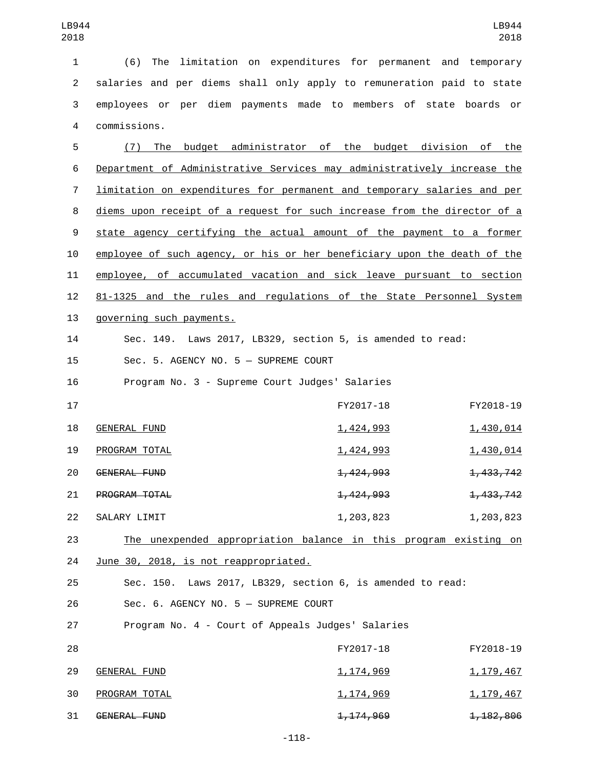| $\mathbf{1}$   | (6) The limitation on expenditures for permanent and temporary                 |                        |             |
|----------------|--------------------------------------------------------------------------------|------------------------|-------------|
| $\overline{2}$ | salaries and per diems shall only apply to remuneration paid to state          |                        |             |
| 3              | employees or per diem payments made to members of state boards or              |                        |             |
| 4              | commissions.                                                                   |                        |             |
| 5              | (7) The budget administrator of the budget division of the                     |                        |             |
| 6              | Department of Administrative Services may administratively increase the        |                        |             |
| $\overline{7}$ | <u>limitation on expenditures for permanent and temporary salaries and per</u> |                        |             |
| 8              | diems upon receipt of a request for such increase from the director of a       |                        |             |
| 9              | state agency certifying the actual amount of the payment to a former           |                        |             |
| 10             | employee of such agency, or his or her beneficiary upon the death of the       |                        |             |
| 11             | employee, of accumulated vacation and sick leave pursuant to section           |                        |             |
| 12             | 81-1325 and the rules and regulations of the State Personnel System            |                        |             |
| 13             | governing such payments.                                                       |                        |             |
| 14             | Sec. 149. Laws 2017, LB329, section 5, is amended to read:                     |                        |             |
| 15             | Sec. 5. AGENCY NO. 5 - SUPREME COURT                                           |                        |             |
| 16             | Program No. 3 - Supreme Court Judges' Salaries                                 |                        |             |
| 17             |                                                                                | FY2017-18              | FY2018-19   |
| 18             | <b>GENERAL FUND</b>                                                            | 1,424,993              | 1,430,014   |
| 19             | PROGRAM TOTAL                                                                  | 1,424,993              | 1,430,014   |
| 20             | GENERAL FUND                                                                   | 1,424,993              | 1,433,742   |
| 21             | PROGRAM TOTAL                                                                  | <del>1, 424, 993</del> | 1, 433, 742 |
| 22             | SALARY LIMIT                                                                   | 1,203,823              | 1,203,823   |
| 23             | The unexpended appropriation balance in this program existing on               |                        |             |
| 24             | June 30, 2018, is not reappropriated.                                          |                        |             |
| 25             | Sec. 150. Laws 2017, LB329, section 6, is amended to read:                     |                        |             |
| 26             | Sec. 6. AGENCY NO. 5 - SUPREME COURT                                           |                        |             |
| 27             | Program No. 4 - Court of Appeals Judges' Salaries                              |                        |             |
| 28             |                                                                                | FY2017-18              | FY2018-19   |
| 29             | <b>GENERAL FUND</b>                                                            | <u>1, 174, 969</u>     | 1, 179, 467 |
| 30             | PROGRAM TOTAL                                                                  | <u>1, 174, 969</u>     | 1, 179, 467 |
| 31             | GENERAL FUND                                                                   | <del>1, 174, 969</del> | 1, 182, 806 |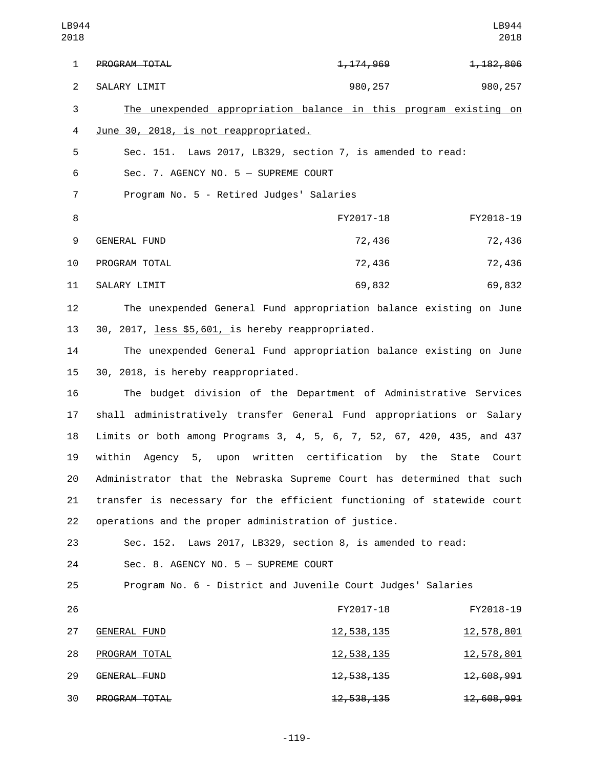| LB944<br>2018  |                                                                        |                         | LB944<br>2018     |
|----------------|------------------------------------------------------------------------|-------------------------|-------------------|
| $\mathbf{1}$   | PROGRAM TOTAL                                                          | 1, 174, 969             | 1, 182, 806       |
| $\overline{2}$ | SALARY LIMIT                                                           | 980,257                 | 980, 257          |
| 3              | The unexpended appropriation balance in this program existing on       |                         |                   |
| 4              | June 30, 2018, is not reappropriated.                                  |                         |                   |
| 5              | Sec. 151. Laws 2017, LB329, section 7, is amended to read:             |                         |                   |
| 6              | Sec. 7. AGENCY NO. 5 - SUPREME COURT                                   |                         |                   |
| 7              | Program No. 5 - Retired Judges' Salaries                               |                         |                   |
| 8              |                                                                        | FY2017-18               | FY2018-19         |
| 9              | <b>GENERAL FUND</b>                                                    | 72,436                  | 72,436            |
| 10             | PROGRAM TOTAL                                                          | 72,436                  | 72,436            |
| 11             | SALARY LIMIT                                                           | 69,832                  | 69,832            |
| 12             | The unexpended General Fund appropriation balance existing on June     |                         |                   |
| 13             | 30, 2017, less \$5,601, is hereby reappropriated.                      |                         |                   |
| 14             | The unexpended General Fund appropriation balance existing on June     |                         |                   |
| 15             | 30, 2018, is hereby reappropriated.                                    |                         |                   |
| 16             | The budget division of the Department of Administrative Services       |                         |                   |
| 17             | shall administratively transfer General Fund appropriations or Salary  |                         |                   |
| 18             | Limits or both among Programs 3, 4, 5, 6, 7, 52, 67, 420, 435, and 437 |                         |                   |
| 19             | within Agency 5, upon written certification by the State Court         |                         |                   |
| 20             | Administrator that the Nebraska Supreme Court has determined that such |                         |                   |
| 21             | transfer is necessary for the efficient functioning of statewide court |                         |                   |
| 22             | operations and the proper administration of justice.                   |                         |                   |
| 23             | Sec. 152. Laws 2017, LB329, section 8, is amended to read:             |                         |                   |
| 24             | Sec. 8. AGENCY NO. 5 - SUPREME COURT                                   |                         |                   |
| 25             | Program No. 6 - District and Juvenile Court Judges' Salaries           |                         |                   |
| 26             |                                                                        | FY2017-18               | FY2018-19         |
| 27             | <b>GENERAL FUND</b>                                                    | <u>12,538,135</u>       | 12,578,801        |
| 28             | PROGRAM TOTAL                                                          | <u>12,538,135</u>       | <u>12,578,801</u> |
| 29             | GENERAL FUND                                                           | <del>12, 538, 135</del> | 12,608,991        |
| 30             | PROGRAM TOTAL                                                          | <del>12, 538, 135</del> | 12,608,991        |

-119-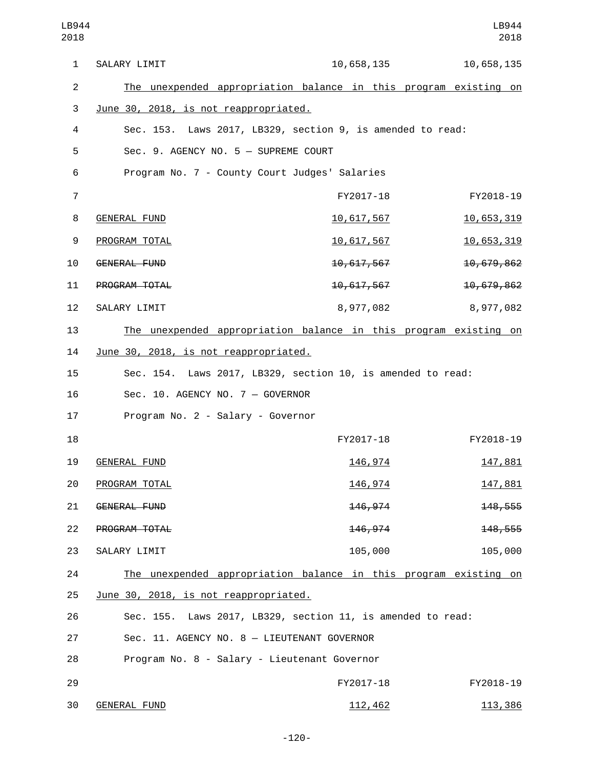| $\mathbf{1}$   | SALARY LIMIT                                                     | 10,658,135        | 10,658,135 |
|----------------|------------------------------------------------------------------|-------------------|------------|
| $\overline{2}$ | The unexpended appropriation balance in this program existing on |                   |            |
| 3              | June 30, 2018, is not reappropriated.                            |                   |            |
| 4              | Sec. 153. Laws 2017, LB329, section 9, is amended to read:       |                   |            |
| 5              | Sec. 9. AGENCY NO. 5 - SUPREME COURT                             |                   |            |
| 6              | Program No. 7 - County Court Judges' Salaries                    |                   |            |
| $\overline{7}$ |                                                                  | FY2017-18         | FY2018-19  |
| 8              | <b>GENERAL FUND</b>                                              | <u>10,617,567</u> | 10,653,319 |
| 9              | PROGRAM TOTAL                                                    | <u>10,617,567</u> | 10,653,319 |
| 10             | <b>GENERAL FUND</b>                                              | 10,617,567        | 10,679,862 |
| 11             | PROGRAM TOTAL                                                    | 10, 617, 567      | 10,679,862 |
| 12             | SALARY LIMIT                                                     | 8,977,082         | 8,977,082  |
| 13             | The unexpended appropriation balance in this program existing on |                   |            |
| 14             | June 30, 2018, is not reappropriated.                            |                   |            |
| 15             | Sec. 154. Laws 2017, LB329, section 10, is amended to read:      |                   |            |
| 16             | Sec. 10. AGENCY NO. 7 - GOVERNOR                                 |                   |            |
| 17             | Program No. 2 - Salary - Governor                                |                   |            |
| 18             |                                                                  | FY2017-18         | FY2018-19  |
| 19             | <b>GENERAL FUND</b>                                              | <u>146, 974</u>   | 147,881    |
| 20             | PROGRAM TOTAL                                                    | <u>146, 974</u>   | 147,881    |
| 21             | GENERAL FUND                                                     | 146,974           | 148,555    |
| 22             | PROGRAM TOTAL                                                    | 146, 974          | 148,555    |
| 23             | SALARY LIMIT                                                     | 105,000           | 105,000    |
| 24             | The unexpended appropriation balance in this program existing on |                   |            |
| 25             | June 30, 2018, is not reappropriated.                            |                   |            |
| 26             | Sec. 155. Laws 2017, LB329, section 11, is amended to read:      |                   |            |
| 27             | Sec. 11. AGENCY NO. 8 - LIEUTENANT GOVERNOR                      |                   |            |
| 28             | Program No. 8 - Salary - Lieutenant Governor                     |                   |            |
| 29             |                                                                  | FY2017-18         | FY2018-19  |
|                |                                                                  |                   |            |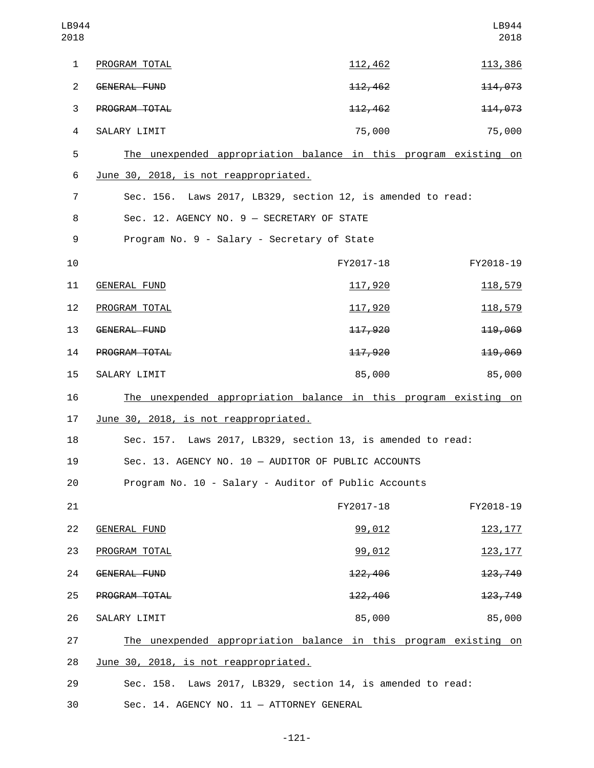| LB944<br>2018  |                                                                  |                     | LB944<br>2018   |
|----------------|------------------------------------------------------------------|---------------------|-----------------|
| 1              | PROGRAM TOTAL                                                    | <u>112,462</u>      | 113,386         |
| $\overline{2}$ | <b>GENERAL FUND</b>                                              | 112,462             | 114,073         |
| 3              | PROGRAM TOTAL                                                    | 112,462             | 114,073         |
| 4              | SALARY LIMIT                                                     | 75,000              | 75,000          |
| 5              | The unexpended appropriation balance in this program existing on |                     |                 |
| 6              | June 30, 2018, is not reappropriated.                            |                     |                 |
| 7              | Sec. 156. Laws 2017, LB329, section 12, is amended to read:      |                     |                 |
| 8              | Sec. 12. AGENCY NO. 9 - SECRETARY OF STATE                       |                     |                 |
| 9              | Program No. 9 - Salary - Secretary of State                      |                     |                 |
| 10             |                                                                  | FY2017-18           | FY2018-19       |
| 11             | <b>GENERAL FUND</b>                                              | <u>117,920</u>      | 118,579         |
| 12             | PROGRAM TOTAL                                                    | 117,920             | 118,579         |
| 13             | GENERAL FUND                                                     | 117,920             | 119,069         |
| 14             | PROGRAM TOTAL                                                    | 117,920             | 119,069         |
| 15             | SALARY LIMIT                                                     | 85,000              | 85,000          |
| 16             | The unexpended appropriation balance in this program existing on |                     |                 |
| 17             | June 30, 2018, is not reappropriated.                            |                     |                 |
| 18             | Sec. 157. Laws 2017, LB329, section 13, is amended to read:      |                     |                 |
| 19             | Sec. 13. AGENCY NO. 10 - AUDITOR OF PUBLIC ACCOUNTS              |                     |                 |
| 20             | Program No. 10 - Salary - Auditor of Public Accounts             |                     |                 |
| 21             |                                                                  | FY2017-18           | FY2018-19       |
| 22             | <b>GENERAL FUND</b>                                              | 99,012              | <u>123, 177</u> |
| 23             | PROGRAM TOTAL                                                    | 99,012              | <u>123, 177</u> |
| 24             | GENERAL FUND                                                     | <del>122, 406</del> | 123,749         |
| 25             | PROGRAM TOTAL                                                    | 122,406             | 123,749         |
| 26             | SALARY LIMIT                                                     | 85,000              | 85,000          |
| 27             | The unexpended appropriation balance in this program existing on |                     |                 |
| 28             | June 30, 2018, is not reappropriated.                            |                     |                 |
| 29             | Sec. 158. Laws 2017, LB329, section 14, is amended to read:      |                     |                 |
| 30             | Sec. 14. AGENCY NO. 11 - ATTORNEY GENERAL                        |                     |                 |

-121-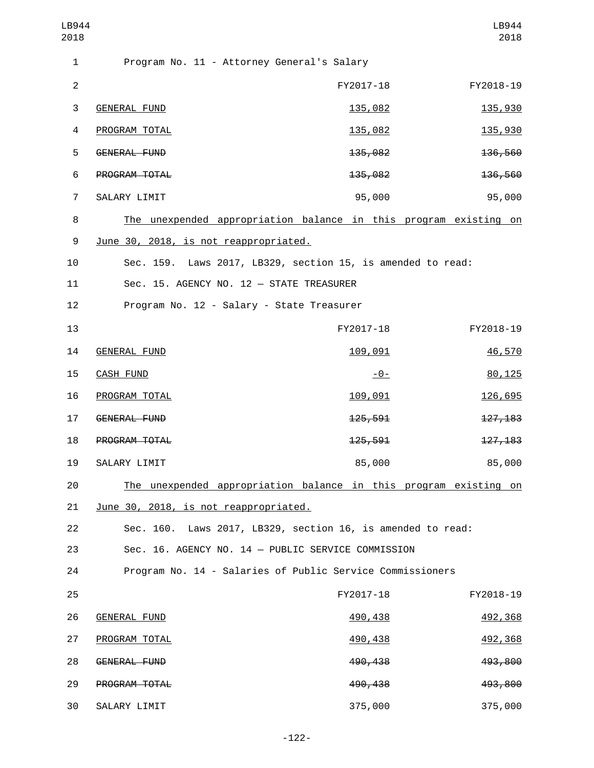| LB944<br>2018  |                                                                  |           | LB944<br>2018 |
|----------------|------------------------------------------------------------------|-----------|---------------|
| 1              | Program No. 11 - Attorney General's Salary                       |           |               |
| $\mathbf{2}$   |                                                                  | FY2017-18 | FY2018-19     |
| 3              | <b>GENERAL FUND</b>                                              | 135,082   | 135,930       |
| 4              | PROGRAM TOTAL                                                    | 135,082   | 135,930       |
| 5              | GENERAL FUND                                                     | 135,082   | 136,560       |
| 6              | PROGRAM TOTAL                                                    | 135,082   | 136,560       |
| $\overline{7}$ | SALARY LIMIT                                                     | 95,000    | 95,000        |
| 8              | The unexpended appropriation balance in this program existing on |           |               |
| 9              | June 30, 2018, is not reappropriated.                            |           |               |
| 10             | Sec. 159. Laws 2017, LB329, section 15, is amended to read:      |           |               |
| 11             | Sec. 15. AGENCY NO. 12 - STATE TREASURER                         |           |               |
| 12             | Program No. 12 - Salary - State Treasurer                        |           |               |
| 13             |                                                                  | FY2017-18 | FY2018-19     |
| 14             | <b>GENERAL FUND</b>                                              | 109,091   | 46,570        |
| 15             | <b>CASH FUND</b>                                                 | $-0-$     | 80,125        |
| 16             | PROGRAM TOTAL                                                    | 109,091   | 126,695       |
| 17             | GENERAL FUND                                                     | 125,591   | 127, 183      |
| 18             | PROGRAM TOTAL                                                    | 125,591   | 127, 183      |
| 19             | SALARY LIMIT                                                     | 85,000    | 85,000        |
| 20             | The unexpended appropriation balance in this program existing on |           |               |
| 21             | June 30, 2018, is not reappropriated.                            |           |               |
| 22             | Sec. 160. Laws 2017, LB329, section 16, is amended to read:      |           |               |
| 23             | Sec. 16. AGENCY NO. 14 - PUBLIC SERVICE COMMISSION               |           |               |
| 24             | Program No. 14 - Salaries of Public Service Commissioners        |           |               |
| 25             |                                                                  | FY2017-18 | FY2018-19     |
| 26             | <b>GENERAL FUND</b>                                              | 490,438   | 492,368       |
| 27             | PROGRAM TOTAL                                                    | 490,438   | 492,368       |
| 28             | GENERAL FUND                                                     | 490,438   | 493,800       |
| 29             | PROGRAM TOTAL                                                    | 490,438   | 493,800       |
| 30             | SALARY LIMIT                                                     | 375,000   | 375,000       |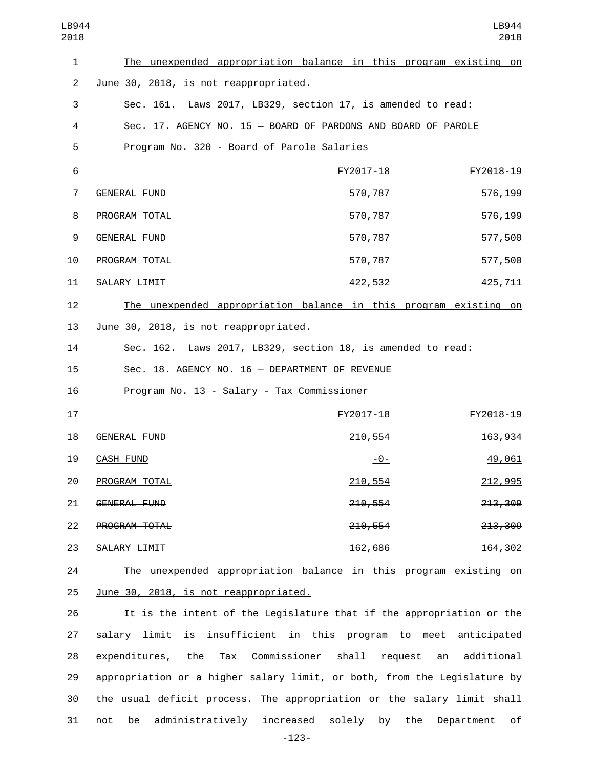| LB944<br>2018  |                                                                  |           | LB944<br>2018 |
|----------------|------------------------------------------------------------------|-----------|---------------|
| $\mathbf{1}$   | The unexpended appropriation balance in this program existing on |           |               |
| $\overline{2}$ | June 30, 2018, is not reappropriated.                            |           |               |
| 3              | Sec. 161. Laws 2017, LB329, section 17, is amended to read:      |           |               |
| 4              | Sec. 17. AGENCY NO. 15 - BOARD OF PARDONS AND BOARD OF PAROLE    |           |               |
| 5              | Program No. 320 - Board of Parole Salaries                       |           |               |
| 6              |                                                                  | FY2017-18 | FY2018-19     |
| 7              | <b>GENERAL FUND</b>                                              | 570,787   | 576, 199      |
| 8              | PROGRAM TOTAL                                                    | 570,787   | 576,199       |
| 9              | <b>GENERAL FUND</b>                                              | 570,787   | 577,500       |
| 10             | PROGRAM TOTAL                                                    | 570,787   | 577,500       |
| 11             | SALARY LIMIT                                                     | 422,532   | 425,711       |
| 12             | The unexpended appropriation balance in this program existing on |           |               |
| 13             | <u>June 30, 2018, is not reappropriated.</u>                     |           |               |
| 14             | Sec. 162. Laws 2017, LB329, section 18, is amended to read:      |           |               |
| 15             | Sec. 18. AGENCY NO. 16 - DEPARTMENT OF REVENUE                   |           |               |
| 16             | Program No. 13 - Salary - Tax Commissioner                       |           |               |
| 17             |                                                                  | FY2017-18 | FY2018-19     |
| 18             | <b>GENERAL FUND</b>                                              | 210,554   | 163,934       |
| 19             | <b>CASH FUND</b>                                                 | $-0-$     | 49,061        |
| 20             | PROGRAM TOTAL                                                    | 210,554   | 212,995       |
| 21             | GENERAL FUND                                                     | 210,554   | 213, 309      |
| 22             | PROGRAM TOTAL                                                    | 210,554   | 213,309       |
| 23             | SALARY LIMIT                                                     | 162,686   | 164,302       |
| 24             | The unexpended appropriation balance in this program existing on |           |               |
| 25             | June 30, 2018, is not reappropriated.                            |           |               |

 It is the intent of the Legislature that if the appropriation or the salary limit is insufficient in this program to meet anticipated expenditures, the Tax Commissioner shall request an additional appropriation or a higher salary limit, or both, from the Legislature by the usual deficit process. The appropriation or the salary limit shall not be administratively increased solely by the Department of

-123-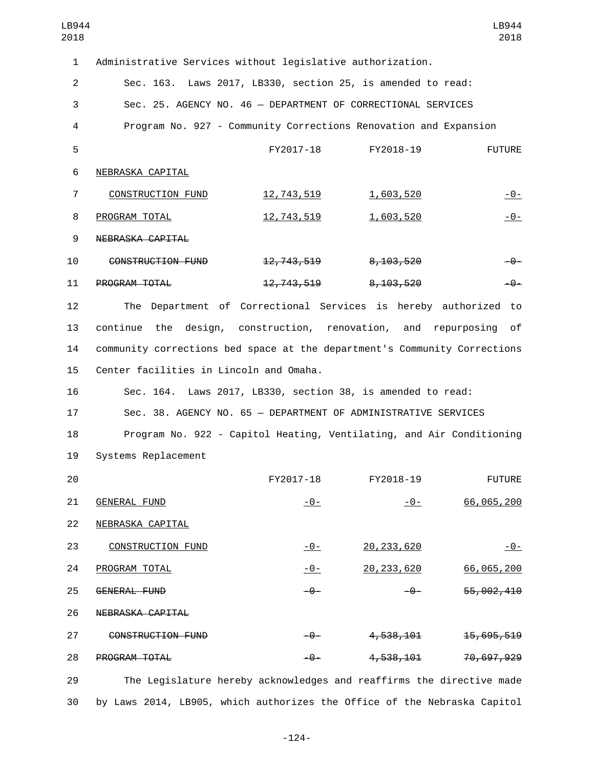| LB944<br>2018  |                                                                           |                                                                      |                      | LB944<br>2018 |
|----------------|---------------------------------------------------------------------------|----------------------------------------------------------------------|----------------------|---------------|
| $\mathbf{1}$   | Administrative Services without legislative authorization.                |                                                                      |                      |               |
| $\overline{c}$ |                                                                           | Sec. 163. Laws 2017, LB330, section 25, is amended to read:          |                      |               |
| 3              |                                                                           | Sec. 25. AGENCY NO. 46 - DEPARTMENT OF CORRECTIONAL SERVICES         |                      |               |
| 4              |                                                                           | Program No. 927 - Community Corrections Renovation and Expansion     |                      |               |
| 5              |                                                                           | FY2017-18                                                            | FY2018-19            | <b>FUTURE</b> |
| 6              | NEBRASKA CAPITAL                                                          |                                                                      |                      |               |
| $\overline{7}$ | <b>CONSTRUCTION FUND</b>                                                  | <u>12, 743, 519</u>                                                  | 1,603,520            | $-0-$         |
| 8              | PROGRAM TOTAL                                                             | <u>12,743,519</u>                                                    | 1,603,520            | $-0-$         |
| 9              | NEBRASKA CAPITAL                                                          |                                                                      |                      |               |
| 10             | CONSTRUCTION FUND                                                         | <del>12, 743, 519</del>                                              | 8,103,520            | -0-           |
| 11             | PROGRAM TOTAL                                                             |                                                                      | 12,743,519 8,103,520 | $-9-$         |
| 12             | The                                                                       | Department of Correctional Services is hereby authorized             |                      | to            |
| 13             | continue<br>the                                                           | design, construction, renovation, and repurposing                    |                      | of            |
| 14             | community corrections bed space at the department's Community Corrections |                                                                      |                      |               |
| 15             | Center facilities in Lincoln and Omaha.                                   |                                                                      |                      |               |
| 16             |                                                                           | Sec. 164. Laws 2017, LB330, section 38, is amended to read:          |                      |               |
| 17             |                                                                           | Sec. 38. AGENCY NO. 65 - DEPARTMENT OF ADMINISTRATIVE SERVICES       |                      |               |
| 18             |                                                                           | Program No. 922 - Capitol Heating, Ventilating, and Air Conditioning |                      |               |
| 19             | Systems Replacement                                                       |                                                                      |                      |               |
| 20             |                                                                           | FY2017-18                                                            | FY2018-19            | <b>FUTURE</b> |
| 21             | <b>GENERAL FUND</b>                                                       | $-0-$                                                                | $-0-$                | 66,065,200    |
| 22             | NEBRASKA CAPITAL                                                          |                                                                      |                      |               |
| 23             | <b>CONSTRUCTION FUND</b>                                                  | $-0-$                                                                | 20, 233, 620         | $-0-$         |
| 24             | PROGRAM TOTAL                                                             | $-0-$                                                                | 20, 233, 620         | 66,065,200    |
| 25             | <b>GENERAL FUND</b>                                                       | $-0-$                                                                | -0-                  | 55,002,410    |
| 26             | NEBRASKA CAPITAL                                                          |                                                                      |                      |               |
| 27             | CONSTRUCTION FUND                                                         | -0-                                                                  | 4,538,101            | 15,695,519    |
| 28             | PROGRAM TOTAL                                                             | $-\theta-$                                                           | 4,538,101            | 70,697,929    |
| 29             |                                                                           | The Legislature hereby acknowledges and reaffirms the directive made |                      |               |

30 by Laws 2014, LB905, which authorizes the Office of the Nebraska Capitol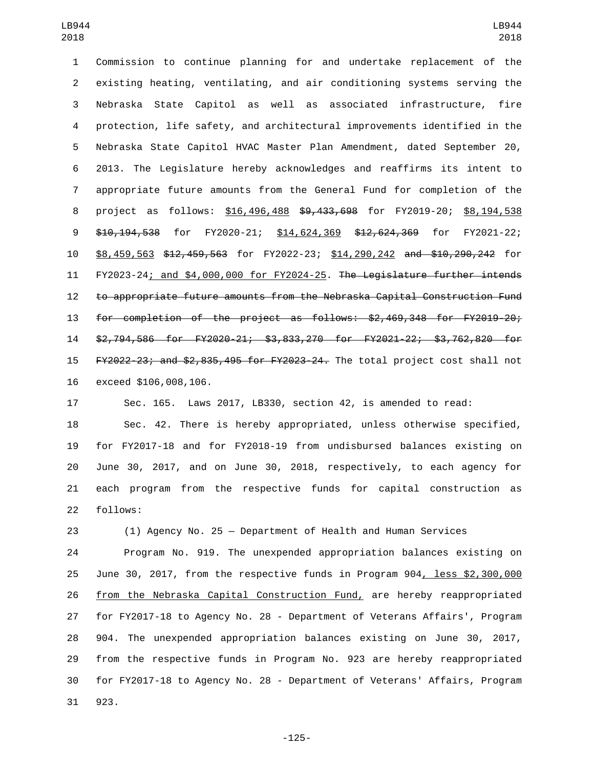Commission to continue planning for and undertake replacement of the existing heating, ventilating, and air conditioning systems serving the Nebraska State Capitol as well as associated infrastructure, fire protection, life safety, and architectural improvements identified in the Nebraska State Capitol HVAC Master Plan Amendment, dated September 20, 2013. The Legislature hereby acknowledges and reaffirms its intent to appropriate future amounts from the General Fund for completion of the project as follows: \$16,496,488 \$9,433,698 for FY2019-20; \$8,194,538 9 \$10,194,538 for FY2020-21; \$14,624,369 \$12,624,369 for FY2021-22; \$8,459,563 \$12,459,563 for FY2022-23; \$14,290,242 and \$10,290,242 for FY2023-24; and \$4,000,000 for FY2024-25. The Legislature further intends to appropriate future amounts from the Nebraska Capital Construction Fund for completion of the project as follows: \$2,469,348 for FY2019-20; \$2,794,586 for FY2020-21; \$3,833,270 for FY2021-22; \$3,762,820 for FY2022-23; and \$2,835,495 for FY2023-24. The total project cost shall not 16 exceed \$106,008,106.

Sec. 165. Laws 2017, LB330, section 42, is amended to read:

 Sec. 42. There is hereby appropriated, unless otherwise specified, for FY2017-18 and for FY2018-19 from undisbursed balances existing on June 30, 2017, and on June 30, 2018, respectively, to each agency for each program from the respective funds for capital construction as 22 follows:

 (1) Agency No. 25 — Department of Health and Human Services Program No. 919. The unexpended appropriation balances existing on June 30, 2017, from the respective funds in Program 904, less \$2,300,000 from the Nebraska Capital Construction Fund, are hereby reappropriated for FY2017-18 to Agency No. 28 - Department of Veterans Affairs', Program 904. The unexpended appropriation balances existing on June 30, 2017, from the respective funds in Program No. 923 are hereby reappropriated for FY2017-18 to Agency No. 28 - Department of Veterans' Affairs, Program 31 923.

-125-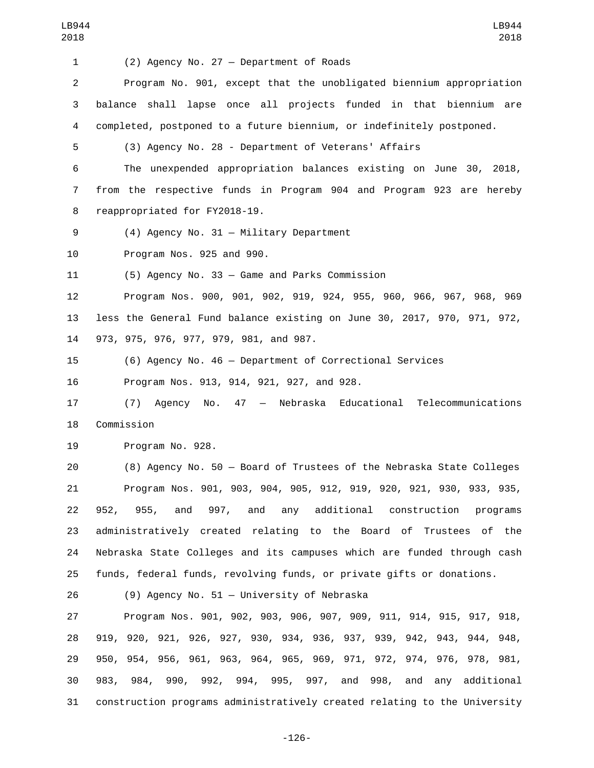| 1              | (2) Agency No. 27 - Department of Roads                                   |
|----------------|---------------------------------------------------------------------------|
| $\overline{2}$ | Program No. 901, except that the unobligated biennium appropriation       |
| 3              | balance shall lapse once all projects funded in that biennium are         |
| 4              | completed, postponed to a future biennium, or indefinitely postponed.     |
| 5              | (3) Agency No. 28 - Department of Veterans' Affairs                       |
| 6              | The unexpended appropriation balances existing on June 30, 2018,          |
| $\overline{7}$ | from the respective funds in Program 904 and Program 923 are hereby       |
| 8              | reappropriated for FY2018-19.                                             |
| 9              | $(4)$ Agency No. 31 - Military Department                                 |
| 10             | Program Nos. 925 and 990.                                                 |
| 11             | (5) Agency No. 33 - Game and Parks Commission                             |
| 12             | Program Nos. 900, 901, 902, 919, 924, 955, 960, 966, 967, 968, 969        |
| 13             | less the General Fund balance existing on June 30, 2017, 970, 971, 972,   |
| 14             | 973, 975, 976, 977, 979, 981, and 987.                                    |
| 15             | (6) Agency No. 46 - Department of Correctional Services                   |
| 16             | Program Nos. 913, 914, 921, 927, and 928.                                 |
| 17             | No. 47 - Nebraska Educational Telecommunications<br>Agency<br>(7)         |
| 18             | Commission                                                                |
| 19             | Program No. 928.                                                          |
| 20             | (8) Agency No. 50 - Board of Trustees of the Nebraska State Colleges      |
| 21             | Program Nos. 901, 903, 904, 905, 912, 919, 920, 921, 930, 933, 935,       |
| 22             | and 997, and any additional construction<br>952, 955,<br>programs         |
| 23             | administratively created relating to the Board of Trustees of the         |
| 24             | Nebraska State Colleges and its campuses which are funded through cash    |
| 25             | funds, federal funds, revolving funds, or private gifts or donations.     |
| 26             | (9) Agency No. 51 - University of Nebraska                                |
| 27             | Program Nos. 901, 902, 903, 906, 907, 909, 911, 914, 915, 917, 918,       |
| 28             | 919, 920, 921, 926, 927, 930, 934, 936, 937, 939, 942, 943, 944, 948,     |
| 29             | 950, 954, 956, 961, 963, 964, 965, 969, 971, 972, 974, 976, 978, 981,     |
| 30             | 983, 984, 990, 992, 994, 995, 997, and 998, and any additional            |
| 31             | construction programs administratively created relating to the University |

-126-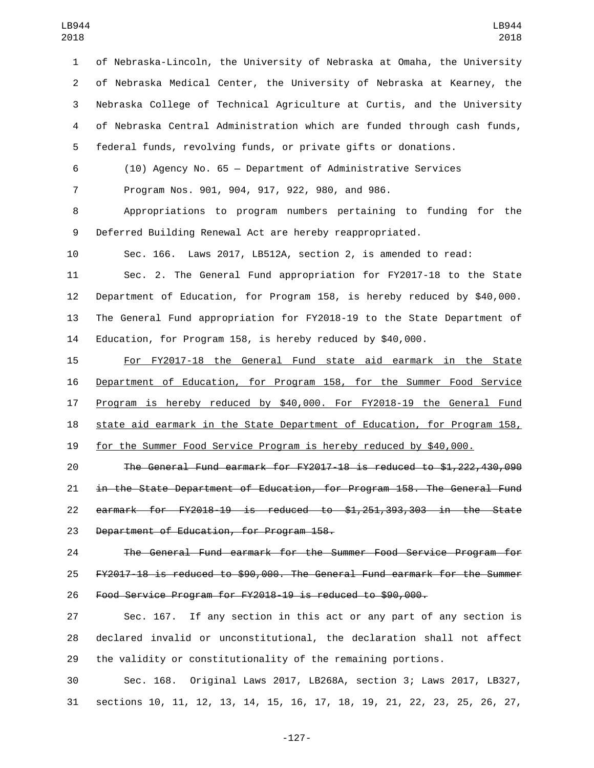of Nebraska-Lincoln, the University of Nebraska at Omaha, the University of Nebraska Medical Center, the University of Nebraska at Kearney, the Nebraska College of Technical Agriculture at Curtis, and the University of Nebraska Central Administration which are funded through cash funds, federal funds, revolving funds, or private gifts or donations.

 (10) Agency No. 65 — Department of Administrative Services Program Nos. 901, 904, 917, 922, 980, and 986.

 Appropriations to program numbers pertaining to funding for the Deferred Building Renewal Act are hereby reappropriated.

Sec. 166. Laws 2017, LB512A, section 2, is amended to read:

 Sec. 2. The General Fund appropriation for FY2017-18 to the State Department of Education, for Program 158, is hereby reduced by \$40,000. The General Fund appropriation for FY2018-19 to the State Department of Education, for Program 158, is hereby reduced by \$40,000.

 For FY2017-18 the General Fund state aid earmark in the State Department of Education, for Program 158, for the Summer Food Service Program is hereby reduced by \$40,000. For FY2018-19 the General Fund state aid earmark in the State Department of Education, for Program 158, for the Summer Food Service Program is hereby reduced by \$40,000.

 The General Fund earmark for FY2017-18 is reduced to \$1,222,430,090 in the State Department of Education, for Program 158. The General Fund earmark for FY2018-19 is reduced to \$1,251,393,303 in the State 23 Department of Education, for Program 158.

 The General Fund earmark for the Summer Food Service Program for FY2017-18 is reduced to \$90,000. The General Fund earmark for the Summer Food Service Program for FY2018-19 is reduced to \$90,000.

 Sec. 167. If any section in this act or any part of any section is declared invalid or unconstitutional, the declaration shall not affect the validity or constitutionality of the remaining portions.

 Sec. 168. Original Laws 2017, LB268A, section 3; Laws 2017, LB327, sections 10, 11, 12, 13, 14, 15, 16, 17, 18, 19, 21, 22, 23, 25, 26, 27,

-127-